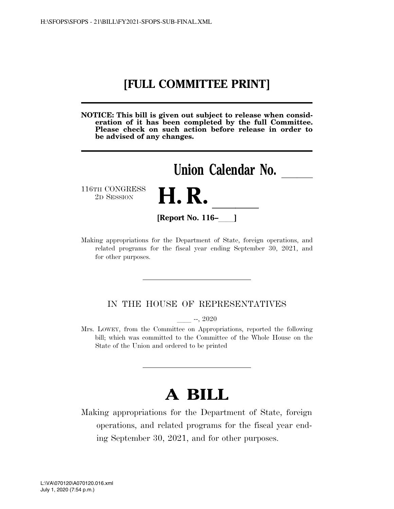# **[FULL COMMITTEE PRINT]**

**NOTICE: This bill is given out subject to release when consideration of it has been completed by the full Committee. Please check on such action before release in order to be advised of any changes.** 

**Union Calendar No.** 

116TH CONGRESS<br>2D SESSION

H. R.

**[Report No. 116–**ll**]** 

Making appropriations for the Department of State, foreign operations, and related programs for the fiscal year ending September 30, 2021, and for other purposes.

IN THE HOUSE OF REPRESENTATIVES

 $-$ , 2020

Mrs. LOWEY, from the Committee on Appropriations, reported the following bill; which was committed to the Committee of the Whole House on the State of the Union and ordered to be printed

# **A BILL**

Making appropriations for the Department of State, foreign operations, and related programs for the fiscal year ending September 30, 2021, and for other purposes.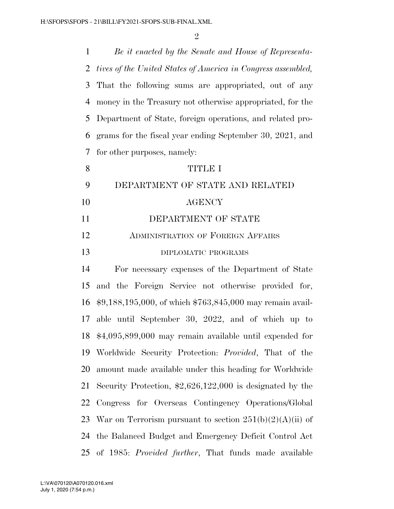| $\mathbf{1}$   | Be it enacted by the Senate and House of Representa-              |
|----------------|-------------------------------------------------------------------|
| 2              | tives of the United States of America in Congress assembled,      |
| 3              | That the following sums are appropriated, out of any              |
| $\overline{4}$ | money in the Treasury not otherwise appropriated, for the         |
| 5              | Department of State, foreign operations, and related pro-         |
| 6              | grams for the fiscal year ending September 30, 2021, and          |
| 7              | for other purposes, namely:                                       |
| 8              | TITIDE I                                                          |
| 9              | DEPARTMENT OF STATE AND RELATED                                   |
| 10             | <b>AGENCY</b>                                                     |
| 11             | DEPARTMENT OF STATE                                               |
| 12             | <b>ADMINISTRATION OF FOREIGN AFFAIRS</b>                          |
| 13             | DIPLOMATIC PROGRAMS                                               |
| 14             | For necessary expenses of the Department of State                 |
| 15             | and the Foreign Service not otherwise provided for,               |
| 16             | $$9,188,195,000$ , of which $$763,845,000$ may remain avail-      |
| 17             | able until September 30, 2022, and of which up to                 |
| 18             | $$4,095,899,000$ may remain available until expended for          |
| 19             | Worldwide Security Protection: <i>Provided</i> , That of the      |
| 20             | amount made available under this heading for Worldwide            |
| 21             | Security Protection, $\text{$}2,626,122,000$ is designated by the |
| 22             | Congress for Overseas Contingency Operations/Global               |
| 23             | War on Terrorism pursuant to section $251(b)(2)(A)(ii)$ of        |
| 24             | the Balanced Budget and Emergency Deficit Control Act             |
|                | 25 of 1985: <i>Provided further</i> , That funds made available   |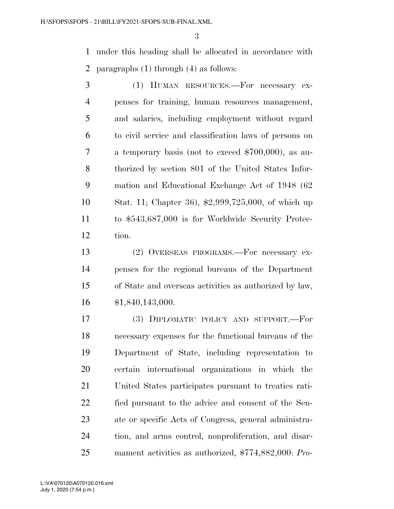under this heading shall be allocated in accordance with paragraphs (1) through (4) as follows:

 (1) HUMAN RESOURCES.—For necessary ex- penses for training, human resources management, and salaries, including employment without regard to civil service and classification laws of persons on a temporary basis (not to exceed \$700,000), as au- thorized by section 801 of the United States Infor- mation and Educational Exchange Act of 1948 (62 Stat. 11; Chapter 36), \$2,999,725,000, of which up to \$543,687,000 is for Worldwide Security Protec-tion.

 (2) OVERSEAS PROGRAMS.—For necessary ex- penses for the regional bureaus of the Department of State and overseas activities as authorized by law, \$1,840,143,000.

 (3) DIPLOMATIC POLICY AND SUPPORT.—For necessary expenses for the functional bureaus of the Department of State, including representation to certain international organizations in which the United States participates pursuant to treaties rati- fied pursuant to the advice and consent of the Sen- ate or specific Acts of Congress, general administra- tion, and arms control, nonproliferation, and disar-mament activities as authorized, \$774,882,000: *Pro-*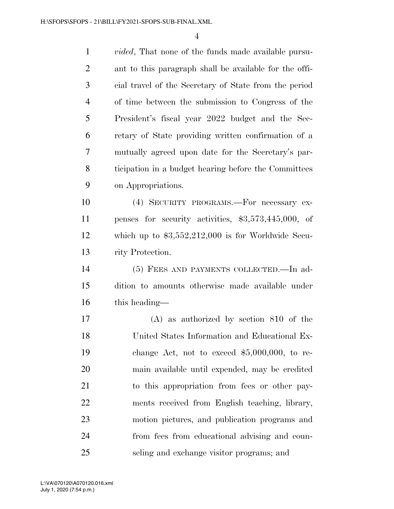| $\mathbf{1}$   | <i>vided</i> , That none of the funds made available pursu- |
|----------------|-------------------------------------------------------------|
| $\overline{2}$ | ant to this paragraph shall be available for the offi-      |
| 3              | cial travel of the Secretary of State from the period       |
| $\overline{4}$ | of time between the submission to Congress of the           |
| 5              | President's fiscal year 2022 budget and the Sec-            |
| 6              | retary of State providing written confirmation of a         |
| 7              | mutually agreed upon date for the Secretary's par-          |
| 8              | ticipation in a budget hearing before the Committees        |
| 9              | on Appropriations.                                          |
| 10             | (4) SECURITY PROGRAMS.—For necessary ex-                    |
| 11             | penses for security activities, \$3,573,445,000, of         |
| 12             | which up to $$3,552,212,000$ is for Worldwide Secu-         |
| 13             | rity Protection.                                            |
| 14             | (5) FEES AND PAYMENTS COLLECTED.—In ad-                     |
| 15             | dition to amounts otherwise made available under            |
| 16             | this heading—                                               |
| 17             | $(A)$ as authorized by section 810 of the                   |
| 18             | United States Information and Educational Ex-               |
| 19             | change Act, not to exceed $$5,000,000$ , to re-             |
| 20             | main available until expended, may be credited              |
| 21             | to this appropriation from fees or other pay-               |
| 22             | ments received from English teaching, library,              |
| 23             | motion pictures, and publication programs and               |
| 24             | from fees from educational advising and coun-               |
| 25             | seling and exchange visitor programs; and                   |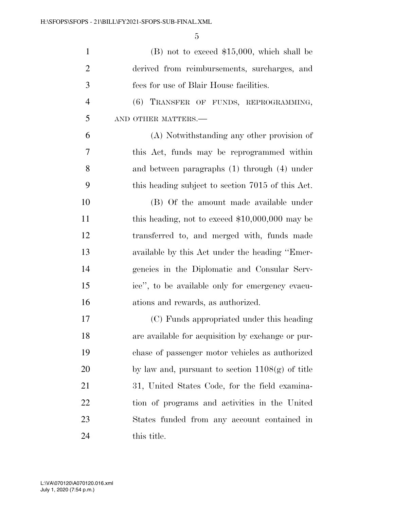| $\mathbf{1}$   | $(B)$ not to exceed \$15,000, which shall be       |
|----------------|----------------------------------------------------|
| $\overline{2}$ | derived from reimbursements, surcharges, and       |
| 3              | fees for use of Blair House facilities.            |
| $\overline{4}$ | (6) TRANSFER OF FUNDS, REPROGRAMMING,              |
| 5              | AND OTHER MATTERS.-                                |
| 6              | (A) Notwithstanding any other provision of         |
| 7              | this Act, funds may be reprogrammed within         |
| 8              | and between paragraphs (1) through (4) under       |
| 9              | this heading subject to section 7015 of this Act.  |
| 10             | (B) Of the amount made available under             |
| 11             | this heading, not to exceed $$10,000,000$ may be   |
| 12             | transferred to, and merged with, funds made        |
| 13             | available by this Act under the heading "Emer-     |
| 14             | gencies in the Diplomatic and Consular Serv-       |
| 15             | ice", to be available only for emergency evacu-    |
| 16             | ations and rewards, as authorized.                 |
| 17             | (C) Funds appropriated under this heading          |
| 18             | are available for acquisition by exchange or pur-  |
| 19             | chase of passenger motor vehicles as authorized    |
| 20             | by law and, pursuant to section $1108(g)$ of title |
| 21             | 31, United States Code, for the field examina-     |
| 22             | tion of programs and activities in the United      |
| 23             | States funded from any account contained in        |
| 24             | this title.                                        |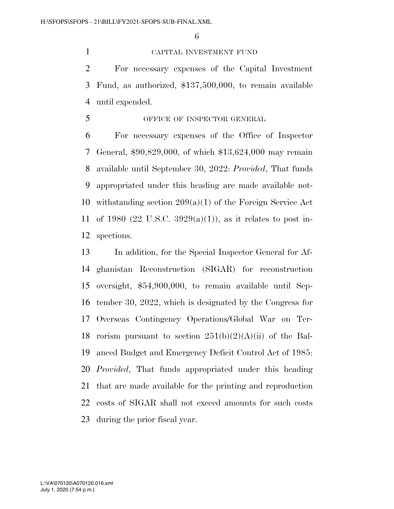#### CAPITAL INVESTMENT FUND

 For necessary expenses of the Capital Investment Fund, as authorized, \$137,500,000, to remain available until expended.

OFFICE OF INSPECTOR GENERAL

 For necessary expenses of the Office of Inspector General, \$90,829,000, of which \$13,624,000 may remain available until September 30, 2022: *Provided*, That funds appropriated under this heading are made available not- withstanding section 209(a)(1) of the Foreign Service Act of 1980 (22 U.S.C. 3929(a)(1)), as it relates to post in-spections.

 In addition, for the Special Inspector General for Af- ghanistan Reconstruction (SIGAR) for reconstruction oversight, \$54,900,000, to remain available until Sep- tember 30, 2022, which is designated by the Congress for Overseas Contingency Operations/Global War on Ter-18 rorism pursuant to section  $251(b)(2)(A)(ii)$  of the Bal- anced Budget and Emergency Deficit Control Act of 1985: *Provided*, That funds appropriated under this heading that are made available for the printing and reproduction costs of SIGAR shall not exceed amounts for such costs during the prior fiscal year.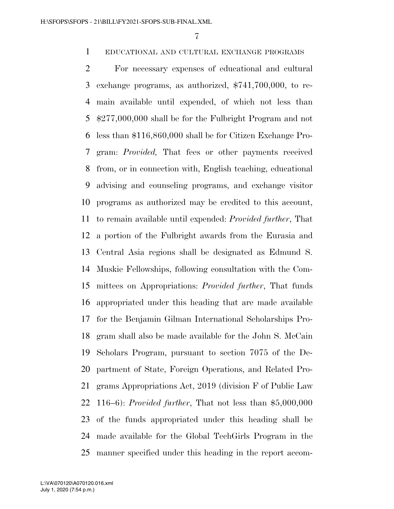#### EDUCATIONAL AND CULTURAL EXCHANGE PROGRAMS

 For necessary expenses of educational and cultural exchange programs, as authorized, \$741,700,000, to re- main available until expended, of which not less than \$277,000,000 shall be for the Fulbright Program and not less than \$116,860,000 shall be for Citizen Exchange Pro- gram: *Provided,* That fees or other payments received from, or in connection with, English teaching, educational advising and counseling programs, and exchange visitor programs as authorized may be credited to this account, to remain available until expended: *Provided further*, That a portion of the Fulbright awards from the Eurasia and Central Asia regions shall be designated as Edmund S. Muskie Fellowships, following consultation with the Com- mittees on Appropriations: *Provided further*, That funds appropriated under this heading that are made available for the Benjamin Gilman International Scholarships Pro- gram shall also be made available for the John S. McCain Scholars Program, pursuant to section 7075 of the De- partment of State, Foreign Operations, and Related Pro- grams Appropriations Act, 2019 (division F of Public Law 116–6): *Provided further*, That not less than \$5,000,000 of the funds appropriated under this heading shall be made available for the Global TechGirls Program in the manner specified under this heading in the report accom-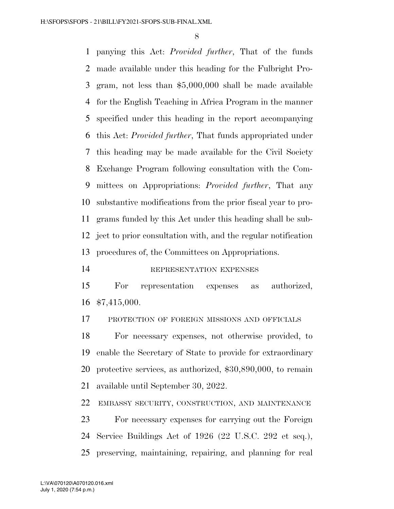panying this Act: *Provided further*, That of the funds made available under this heading for the Fulbright Pro- gram, not less than \$5,000,000 shall be made available for the English Teaching in Africa Program in the manner specified under this heading in the report accompanying this Act: *Provided further*, That funds appropriated under this heading may be made available for the Civil Society Exchange Program following consultation with the Com- mittees on Appropriations: *Provided further*, That any substantive modifications from the prior fiscal year to pro- grams funded by this Act under this heading shall be sub- ject to prior consultation with, and the regular notification procedures of, the Committees on Appropriations.

REPRESENTATION EXPENSES

 For representation expenses as authorized, \$7,415,000.

PROTECTION OF FOREIGN MISSIONS AND OFFICIALS

 For necessary expenses, not otherwise provided, to enable the Secretary of State to provide for extraordinary protective services, as authorized, \$30,890,000, to remain available until September 30, 2022.

EMBASSY SECURITY, CONSTRUCTION, AND MAINTENANCE

 For necessary expenses for carrying out the Foreign Service Buildings Act of 1926 (22 U.S.C. 292 et seq.), preserving, maintaining, repairing, and planning for real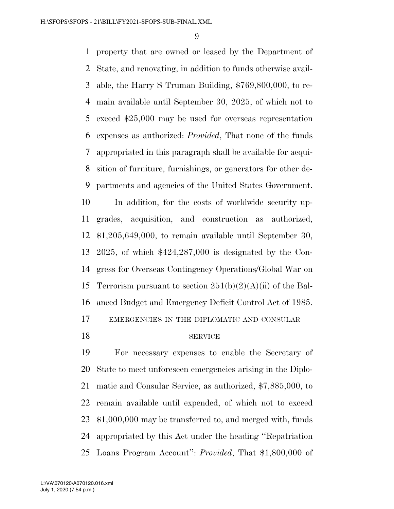property that are owned or leased by the Department of State, and renovating, in addition to funds otherwise avail- able, the Harry S Truman Building, \$769,800,000, to re- main available until September 30, 2025, of which not to exceed \$25,000 may be used for overseas representation expenses as authorized: *Provided*, That none of the funds appropriated in this paragraph shall be available for acqui- sition of furniture, furnishings, or generators for other de- partments and agencies of the United States Government. In addition, for the costs of worldwide security up- grades, acquisition, and construction as authorized, \$1,205,649,000, to remain available until September 30, 2025, of which \$424,287,000 is designated by the Con- gress for Overseas Contingency Operations/Global War on 15 Terrorism pursuant to section  $251(b)(2)(A)(ii)$  of the Bal- anced Budget and Emergency Deficit Control Act of 1985. EMERGENCIES IN THE DIPLOMATIC AND CONSULAR

#### 18 SERVICE

 For necessary expenses to enable the Secretary of State to meet unforeseen emergencies arising in the Diplo- matic and Consular Service, as authorized, \$7,885,000, to remain available until expended, of which not to exceed \$1,000,000 may be transferred to, and merged with, funds appropriated by this Act under the heading ''Repatriation Loans Program Account'': *Provided*, That \$1,800,000 of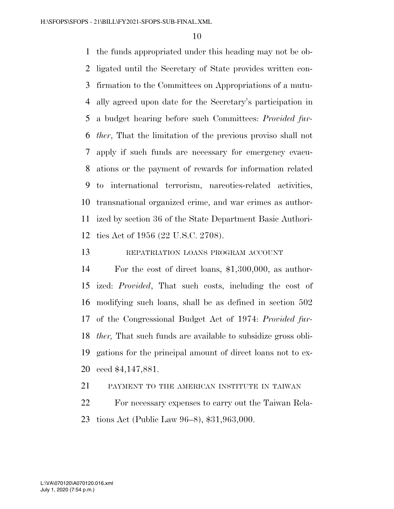the funds appropriated under this heading may not be ob- ligated until the Secretary of State provides written con- firmation to the Committees on Appropriations of a mutu- ally agreed upon date for the Secretary's participation in a budget hearing before such Committees: *Provided fur- ther*, That the limitation of the previous proviso shall not apply if such funds are necessary for emergency evacu- ations or the payment of rewards for information related to international terrorism, narcotics-related activities, transnational organized crime, and war crimes as author- ized by section 36 of the State Department Basic Authori-ties Act of 1956 (22 U.S.C. 2708).

### 13 REPATRIATION LOANS PROGRAM ACCOUNT

 For the cost of direct loans, \$1,300,000, as author- ized: *Provided*, That such costs, including the cost of modifying such loans, shall be as defined in section 502 of the Congressional Budget Act of 1974: *Provided fur- ther,* That such funds are available to subsidize gross obli- gations for the principal amount of direct loans not to ex-ceed \$4,147,881.

PAYMENT TO THE AMERICAN INSTITUTE IN TAIWAN

 For necessary expenses to carry out the Taiwan Rela-tions Act (Public Law 96–8), \$31,963,000.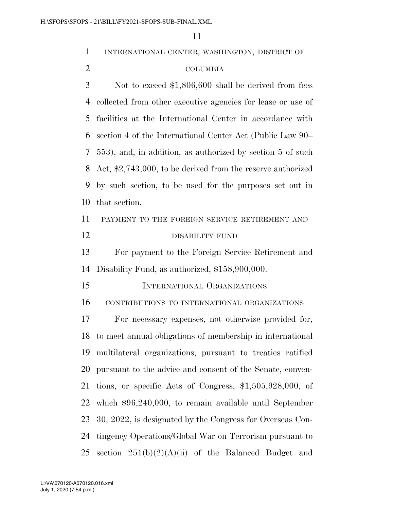| $\mathbf{1}$   | INTERNATIONAL CENTER, WASHINGTON, DISTRICT OF               |
|----------------|-------------------------------------------------------------|
| $\overline{2}$ | <b>COLUMBIA</b>                                             |
| 3              | Not to exceed $$1,806,600$ shall be derived from fees       |
| 4              | collected from other executive agencies for lease or use of |
| 5              | facilities at the International Center in accordance with   |
| 6              | section 4 of the International Center Act (Public Law 90–   |
| 7              | 553), and, in addition, as authorized by section 5 of such  |
| 8              | Act, \$2,743,000, to be derived from the reserve authorized |
| 9              | by such section, to be used for the purposes set out in     |
| 10             | that section.                                               |
| 11             | PAYMENT TO THE FOREIGN SERVICE RETIREMENT AND               |
| 12             | DISABILITY FUND                                             |
| 13             | For payment to the Foreign Service Retirement and           |
| 14             | Disability Fund, as authorized, \$158,900,000.              |
| 15             | INTERNATIONAL ORGANIZATIONS                                 |
| 16             | CONTRIBUTIONS TO INTERNATIONAL ORGANIZATIONS                |
| 17             | For necessary expenses, not otherwise provided for,         |
| 18             | to meet annual obligations of membership in international   |
| 19             | multilateral organizations, pursuant to treaties ratified   |
| 20             | pursuant to the advice and consent of the Senate, conven-   |
| 21             | tions, or specific Acts of Congress, $$1,505,928,000$ , of  |
| 22             | which $$96,240,000$ , to remain available until September   |
| 23             | 30, 2022, is designated by the Congress for Overseas Con-   |
| 24             | tingency Operations/Global War on Terrorism pursuant to     |
| 25             | section $251(b)(2)(A)(ii)$ of the Balanced Budget and       |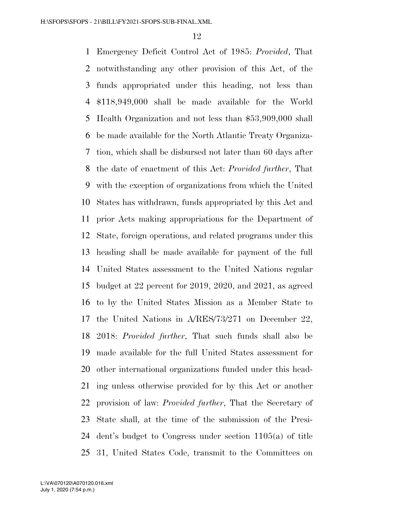Emergency Deficit Control Act of 1985: *Provided*, That notwithstanding any other provision of this Act, of the funds appropriated under this heading, not less than \$118,949,000 shall be made available for the World Health Organization and not less than \$53,909,000 shall be made available for the North Atlantic Treaty Organiza- tion, which shall be disbursed not later than 60 days after the date of enactment of this Act: *Provided further*, That with the exception of organizations from which the United States has withdrawn, funds appropriated by this Act and prior Acts making appropriations for the Department of State, foreign operations, and related programs under this heading shall be made available for payment of the full United States assessment to the United Nations regular budget at 22 percent for 2019, 2020, and 2021, as agreed to by the United States Mission as a Member State to the United Nations in A/RES/73/271 on December 22, 2018: *Provided further*, That such funds shall also be made available for the full United States assessment for other international organizations funded under this head- ing unless otherwise provided for by this Act or another provision of law: *Provided further*, That the Secretary of State shall, at the time of the submission of the Presi- dent's budget to Congress under section 1105(a) of title 31, United States Code, transmit to the Committees on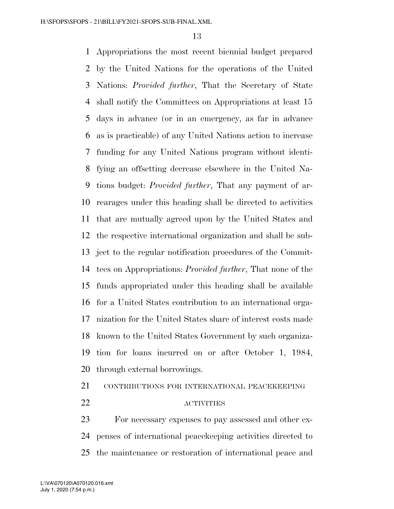Appropriations the most recent biennial budget prepared by the United Nations for the operations of the United Nations: *Provided further*, That the Secretary of State shall notify the Committees on Appropriations at least 15 days in advance (or in an emergency, as far in advance as is practicable) of any United Nations action to increase funding for any United Nations program without identi- fying an offsetting decrease elsewhere in the United Na- tions budget: *Provided further*, That any payment of ar- rearages under this heading shall be directed to activities that are mutually agreed upon by the United States and the respective international organization and shall be sub- ject to the regular notification procedures of the Commit- tees on Appropriations: *Provided further*, That none of the funds appropriated under this heading shall be available for a United States contribution to an international orga- nization for the United States share of interest costs made known to the United States Government by such organiza- tion for loans incurred on or after October 1, 1984, through external borrowings.

CONTRIBUTIONS FOR INTERNATIONAL PEACEKEEPING

#### 22 ACTIVITIES

 For necessary expenses to pay assessed and other ex- penses of international peacekeeping activities directed to the maintenance or restoration of international peace and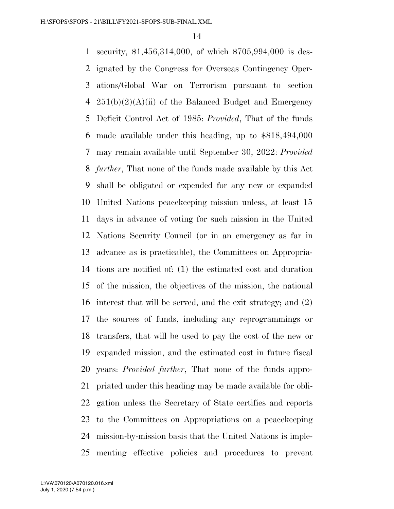security, \$1,456,314,000, of which \$705,994,000 is des- ignated by the Congress for Overseas Contingency Oper- ations/Global War on Terrorism pursuant to section  $251(b)(2)(A)(ii)$  of the Balanced Budget and Emergency Deficit Control Act of 1985: *Provided*, That of the funds made available under this heading, up to \$818,494,000 may remain available until September 30, 2022: *Provided further*, That none of the funds made available by this Act shall be obligated or expended for any new or expanded United Nations peacekeeping mission unless, at least 15 days in advance of voting for such mission in the United Nations Security Council (or in an emergency as far in advance as is practicable), the Committees on Appropria- tions are notified of: (1) the estimated cost and duration of the mission, the objectives of the mission, the national interest that will be served, and the exit strategy; and (2) the sources of funds, including any reprogrammings or transfers, that will be used to pay the cost of the new or expanded mission, and the estimated cost in future fiscal years: *Provided further*, That none of the funds appro- priated under this heading may be made available for obli- gation unless the Secretary of State certifies and reports to the Committees on Appropriations on a peacekeeping mission-by-mission basis that the United Nations is imple-menting effective policies and procedures to prevent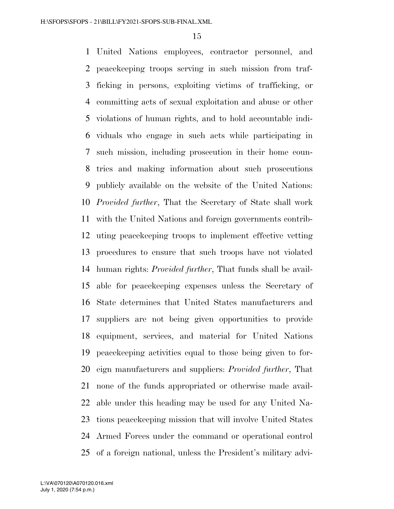United Nations employees, contractor personnel, and peacekeeping troops serving in such mission from traf- ficking in persons, exploiting victims of trafficking, or committing acts of sexual exploitation and abuse or other violations of human rights, and to hold accountable indi- viduals who engage in such acts while participating in such mission, including prosecution in their home coun- tries and making information about such prosecutions publicly available on the website of the United Nations: *Provided further*, That the Secretary of State shall work with the United Nations and foreign governments contrib- uting peacekeeping troops to implement effective vetting procedures to ensure that such troops have not violated human rights: *Provided further*, That funds shall be avail- able for peacekeeping expenses unless the Secretary of State determines that United States manufacturers and suppliers are not being given opportunities to provide equipment, services, and material for United Nations peacekeeping activities equal to those being given to for- eign manufacturers and suppliers: *Provided further*, That none of the funds appropriated or otherwise made avail- able under this heading may be used for any United Na- tions peacekeeping mission that will involve United States Armed Forces under the command or operational control of a foreign national, unless the President's military advi-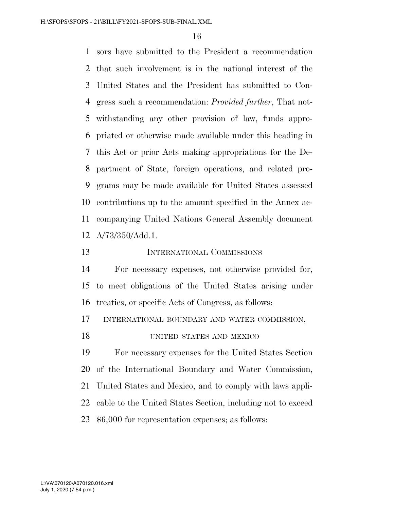sors have submitted to the President a recommendation that such involvement is in the national interest of the United States and the President has submitted to Con- gress such a recommendation: *Provided further*, That not- withstanding any other provision of law, funds appro- priated or otherwise made available under this heading in this Act or prior Acts making appropriations for the De- partment of State, foreign operations, and related pro- grams may be made available for United States assessed contributions up to the amount specified in the Annex ac- companying United Nations General Assembly document A/73/350/Add.1.

INTERNATIONAL COMMISSIONS

 For necessary expenses, not otherwise provided for, to meet obligations of the United States arising under treaties, or specific Acts of Congress, as follows:

INTERNATIONAL BOUNDARY AND WATER COMMISSION,

#### 18 UNITED STATES AND MEXICO

 For necessary expenses for the United States Section of the International Boundary and Water Commission, United States and Mexico, and to comply with laws appli- cable to the United States Section, including not to exceed \$6,000 for representation expenses; as follows: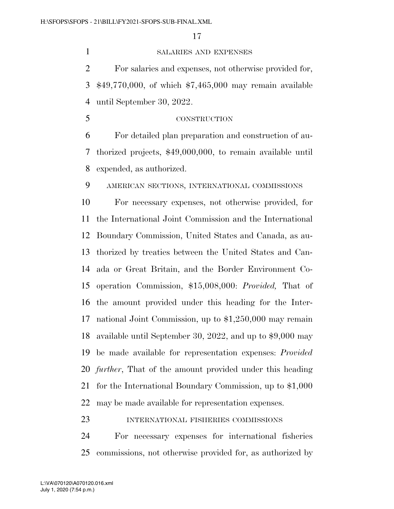SALARIES AND EXPENSES

 For salaries and expenses, not otherwise provided for, \$49,770,000, of which \$7,465,000 may remain available until September 30, 2022.

CONSTRUCTION

 For detailed plan preparation and construction of au- thorized projects, \$49,000,000, to remain available until expended, as authorized.

AMERICAN SECTIONS, INTERNATIONAL COMMISSIONS

 For necessary expenses, not otherwise provided, for the International Joint Commission and the International Boundary Commission, United States and Canada, as au- thorized by treaties between the United States and Can- ada or Great Britain, and the Border Environment Co- operation Commission, \$15,008,000: *Provided,* That of the amount provided under this heading for the Inter- national Joint Commission, up to \$1,250,000 may remain available until September 30, 2022, and up to \$9,000 may be made available for representation expenses: *Provided further*, That of the amount provided under this heading for the International Boundary Commission, up to \$1,000 may be made available for representation expenses.

#### INTERNATIONAL FISHERIES COMMISSIONS

 For necessary expenses for international fisheries commissions, not otherwise provided for, as authorized by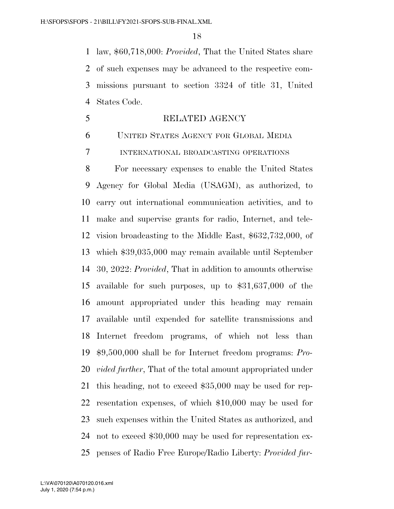law, \$60,718,000: *Provided*, That the United States share of such expenses may be advanced to the respective com- missions pursuant to section 3324 of title 31, United States Code.

 RELATED AGENCY UNITED STATES AGENCY FOR GLOBAL MEDIA INTERNATIONAL BROADCASTING OPERATIONS

 For necessary expenses to enable the United States Agency for Global Media (USAGM), as authorized, to carry out international communication activities, and to make and supervise grants for radio, Internet, and tele- vision broadcasting to the Middle East, \$632,732,000, of which \$39,035,000 may remain available until September 30, 2022: *Provided*, That in addition to amounts otherwise available for such purposes, up to \$31,637,000 of the amount appropriated under this heading may remain available until expended for satellite transmissions and Internet freedom programs, of which not less than \$9,500,000 shall be for Internet freedom programs: *Pro- vided further*, That of the total amount appropriated under this heading, not to exceed \$35,000 may be used for rep- resentation expenses, of which \$10,000 may be used for such expenses within the United States as authorized, and not to exceed \$30,000 may be used for representation ex-penses of Radio Free Europe/Radio Liberty: *Provided fur-*

July 1, 2020 (7:54 p.m.) L:\VA\070120\A070120.016.xml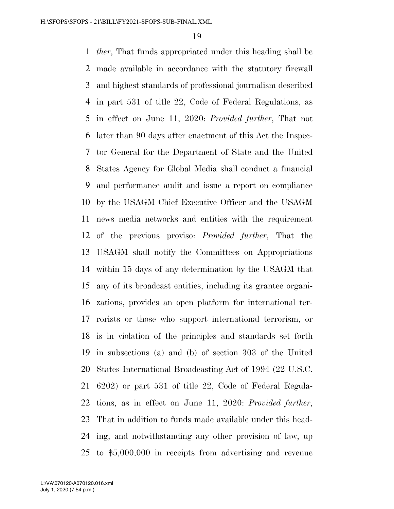*ther*, That funds appropriated under this heading shall be made available in accordance with the statutory firewall and highest standards of professional journalism described in part 531 of title 22, Code of Federal Regulations, as in effect on June 11, 2020: *Provided further*, That not later than 90 days after enactment of this Act the Inspec- tor General for the Department of State and the United States Agency for Global Media shall conduct a financial and performance audit and issue a report on compliance by the USAGM Chief Executive Officer and the USAGM news media networks and entities with the requirement of the previous proviso: *Provided further*, That the USAGM shall notify the Committees on Appropriations within 15 days of any determination by the USAGM that any of its broadcast entities, including its grantee organi- zations, provides an open platform for international ter- rorists or those who support international terrorism, or is in violation of the principles and standards set forth in subsections (a) and (b) of section 303 of the United States International Broadcasting Act of 1994 (22 U.S.C. 6202) or part 531 of title 22, Code of Federal Regula- tions, as in effect on June 11, 2020: *Provided further*, That in addition to funds made available under this head- ing, and notwithstanding any other provision of law, up to \$5,000,000 in receipts from advertising and revenue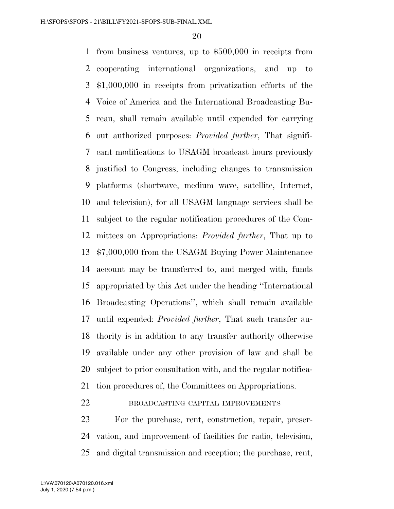from business ventures, up to \$500,000 in receipts from cooperating international organizations, and up to \$1,000,000 in receipts from privatization efforts of the Voice of America and the International Broadcasting Bu- reau, shall remain available until expended for carrying out authorized purposes: *Provided further*, That signifi- cant modifications to USAGM broadcast hours previously justified to Congress, including changes to transmission platforms (shortwave, medium wave, satellite, Internet, and television), for all USAGM language services shall be subject to the regular notification procedures of the Com- mittees on Appropriations: *Provided further*, That up to \$7,000,000 from the USAGM Buying Power Maintenance account may be transferred to, and merged with, funds appropriated by this Act under the heading ''International Broadcasting Operations'', which shall remain available until expended: *Provided further*, That such transfer au- thority is in addition to any transfer authority otherwise available under any other provision of law and shall be subject to prior consultation with, and the regular notifica-tion procedures of, the Committees on Appropriations.

BROADCASTING CAPITAL IMPROVEMENTS

 For the purchase, rent, construction, repair, preser- vation, and improvement of facilities for radio, television, and digital transmission and reception; the purchase, rent,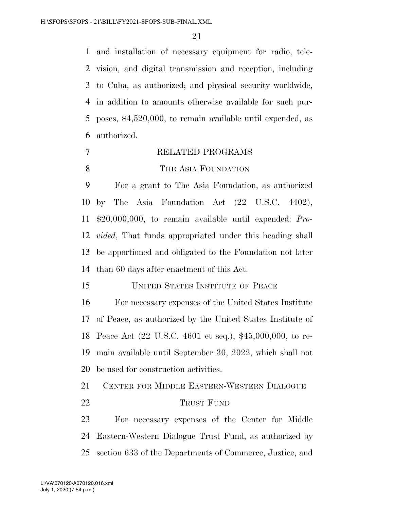and installation of necessary equipment for radio, tele- vision, and digital transmission and reception, including to Cuba, as authorized; and physical security worldwide, in addition to amounts otherwise available for such pur- poses, \$4,520,000, to remain available until expended, as authorized.

 RELATED PROGRAMS 8 THE ASIA FOUNDATION

 For a grant to The Asia Foundation, as authorized by The Asia Foundation Act (22 U.S.C. 4402), \$20,000,000, to remain available until expended: *Pro- vided*, That funds appropriated under this heading shall be apportioned and obligated to the Foundation not later than 60 days after enactment of this Act.

UNITED STATES INSTITUTE OF PEACE

 For necessary expenses of the United States Institute of Peace, as authorized by the United States Institute of Peace Act (22 U.S.C. 4601 et seq.), \$45,000,000, to re- main available until September 30, 2022, which shall not be used for construction activities.

 CENTER FOR MIDDLE EASTERN-WESTERN DIALOGUE TRUST FUND

 For necessary expenses of the Center for Middle Eastern-Western Dialogue Trust Fund, as authorized by section 633 of the Departments of Commerce, Justice, and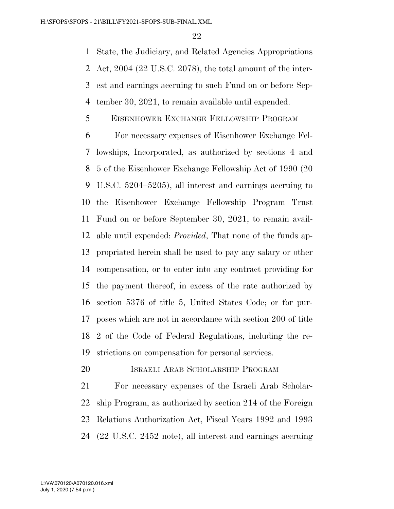State, the Judiciary, and Related Agencies Appropriations Act, 2004 (22 U.S.C. 2078), the total amount of the inter- est and earnings accruing to such Fund on or before Sep-tember 30, 2021, to remain available until expended.

#### EISENHOWER EXCHANGE FELLOWSHIP PROGRAM

 For necessary expenses of Eisenhower Exchange Fel- lowships, Incorporated, as authorized by sections 4 and 5 of the Eisenhower Exchange Fellowship Act of 1990 (20 U.S.C. 5204–5205), all interest and earnings accruing to the Eisenhower Exchange Fellowship Program Trust Fund on or before September 30, 2021, to remain avail- able until expended: *Provided*, That none of the funds ap- propriated herein shall be used to pay any salary or other compensation, or to enter into any contract providing for the payment thereof, in excess of the rate authorized by section 5376 of title 5, United States Code; or for pur- poses which are not in accordance with section 200 of title 2 of the Code of Federal Regulations, including the re-strictions on compensation for personal services.

ISRAELI ARAB SCHOLARSHIP PROGRAM

 For necessary expenses of the Israeli Arab Scholar- ship Program, as authorized by section 214 of the Foreign Relations Authorization Act, Fiscal Years 1992 and 1993 (22 U.S.C. 2452 note), all interest and earnings accruing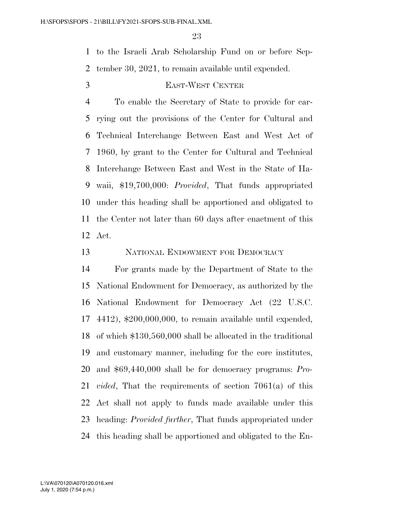to the Israeli Arab Scholarship Fund on or before Sep-tember 30, 2021, to remain available until expended.

EAST-WEST CENTER

 To enable the Secretary of State to provide for car- rying out the provisions of the Center for Cultural and Technical Interchange Between East and West Act of 1960, by grant to the Center for Cultural and Technical Interchange Between East and West in the State of Ha- waii, \$19,700,000: *Provided*, That funds appropriated under this heading shall be apportioned and obligated to the Center not later than 60 days after enactment of this Act.

NATIONAL ENDOWMENT FOR DEMOCRACY

 For grants made by the Department of State to the National Endowment for Democracy, as authorized by the National Endowment for Democracy Act (22 U.S.C. 4412), \$200,000,000, to remain available until expended, of which \$130,560,000 shall be allocated in the traditional and customary manner, including for the core institutes, and \$69,440,000 shall be for democracy programs: *Pro- vided*, That the requirements of section 7061(a) of this Act shall not apply to funds made available under this heading: *Provided further*, That funds appropriated under this heading shall be apportioned and obligated to the En-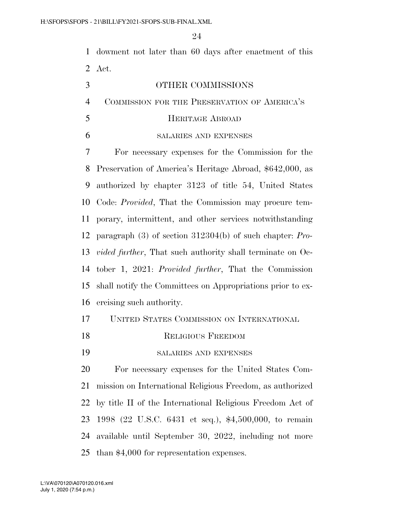dowment not later than 60 days after enactment of this Act.

| 3 | OTHER COMMISSIONS                              |
|---|------------------------------------------------|
|   | 4 COMMISSION FOR THE PRESERVATION OF AMERICA'S |
| 5 | <b>HERITAGE ABROAD</b>                         |
| 6 | <b>SALARIES AND EXPENSES</b>                   |

 For necessary expenses for the Commission for the Preservation of America's Heritage Abroad, \$642,000, as authorized by chapter 3123 of title 54, United States Code: *Provided*, That the Commission may procure tem- porary, intermittent, and other services notwithstanding paragraph (3) of section 312304(b) of such chapter: *Pro- vided further*, That such authority shall terminate on Oc- tober 1, 2021: *Provided further*, That the Commission shall notify the Committees on Appropriations prior to ex-ercising such authority.

# UNITED STATES COMMISSION ON INTERNATIONAL

- RELIGIOUS FREEDOM
- SALARIES AND EXPENSES

 For necessary expenses for the United States Com- mission on International Religious Freedom, as authorized by title II of the International Religious Freedom Act of 1998 (22 U.S.C. 6431 et seq.), \$4,500,000, to remain available until September 30, 2022, including not more than \$4,000 for representation expenses.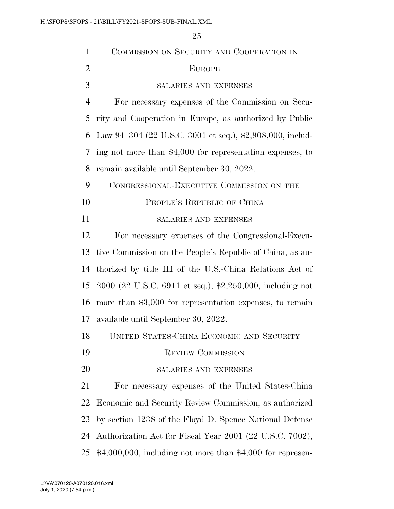COMMISSION ON SECURITY AND COOPERATION IN EUROPE SALARIES AND EXPENSES

 For necessary expenses of the Commission on Secu- rity and Cooperation in Europe, as authorized by Public Law 94–304 (22 U.S.C. 3001 et seq.), \$2,908,000, includ- ing not more than \$4,000 for representation expenses, to remain available until September 30, 2022.

 CONGRESSIONAL-EXECUTIVE COMMISSION ON THE 10 PEOPLE'S REPUBLIC OF CHINA

SALARIES AND EXPENSES

 For necessary expenses of the Congressional-Execu- tive Commission on the People's Republic of China, as au- thorized by title III of the U.S.-China Relations Act of 2000 (22 U.S.C. 6911 et seq.), \$2,250,000, including not more than \$3,000 for representation expenses, to remain available until September 30, 2022.

UNITED STATES-CHINA ECONOMIC AND SECURITY

REVIEW COMMISSION

SALARIES AND EXPENSES

 For necessary expenses of the United States-China Economic and Security Review Commission, as authorized by section 1238 of the Floyd D. Spence National Defense Authorization Act for Fiscal Year 2001 (22 U.S.C. 7002), \$4,000,000, including not more than \$4,000 for represen-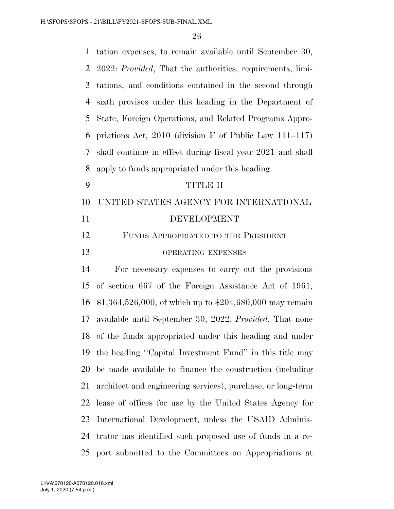| $\mathbf 1$    | tation expenses, to remain available until September 30,          |
|----------------|-------------------------------------------------------------------|
| $\overline{2}$ | 2022: <i>Provided</i> , That the authorities, requirements, limi- |
| 3              | tations, and conditions contained in the second through           |
| $\overline{4}$ | sixth provisos under this heading in the Department of            |
| 5              | State, Foreign Operations, and Related Programs Appro-            |
| 6              | priations Act, $2010$ (division F of Public Law 111–117)          |
| 7              | shall continue in effect during fiscal year 2021 and shall        |
| 8              | apply to funds appropriated under this heading.                   |
| 9              | <b>TITLE II</b>                                                   |
| 10             | UNITED STATES AGENCY FOR INTERNATIONAL                            |
| 11             | <b>DEVELOPMENT</b>                                                |
| 12             | FUNDS APPROPRIATED TO THE PRESIDENT                               |
| 13             | OPERATING EXPENSES                                                |
| 14             | For necessary expenses to carry out the provisions                |
| 15             | of section 667 of the Foreign Assistance Act of 1961,             |
| 16             | $$1,364,526,000,$ of which up to $$204,680,000$ may remain        |
| 17             | available until September 30, 2022: Provided, That none           |
|                | 18 of the funds appropriated under this heading and under         |
| 19             | the heading "Capital Investment Fund" in this title may           |
| 20             | be made available to finance the construction (including          |
| 21             | architect and engineering services), purchase, or long-term       |
| 22             | lease of offices for use by the United States Agency for          |
| 23             | International Development, unless the USAID Adminis-              |
| 24             | trator has identified such proposed use of funds in a re-         |
| 25             | port submitted to the Committees on Appropriations at             |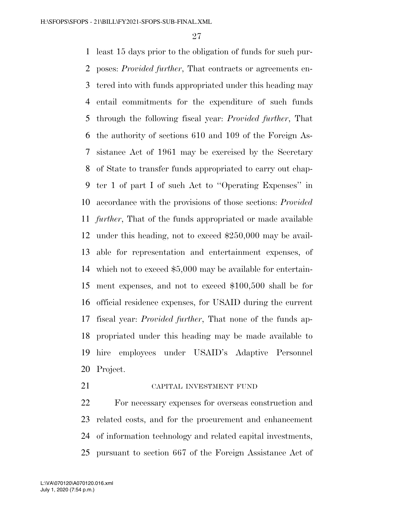least 15 days prior to the obligation of funds for such pur- poses: *Provided further*, That contracts or agreements en- tered into with funds appropriated under this heading may entail commitments for the expenditure of such funds through the following fiscal year: *Provided further*, That the authority of sections 610 and 109 of the Foreign As- sistance Act of 1961 may be exercised by the Secretary of State to transfer funds appropriated to carry out chap- ter 1 of part I of such Act to ''Operating Expenses'' in accordance with the provisions of those sections: *Provided further*, That of the funds appropriated or made available under this heading, not to exceed \$250,000 may be avail- able for representation and entertainment expenses, of which not to exceed \$5,000 may be available for entertain- ment expenses, and not to exceed \$100,500 shall be for official residence expenses, for USAID during the current fiscal year: *Provided further*, That none of the funds ap- propriated under this heading may be made available to hire employees under USAID's Adaptive Personnel Project.

CAPITAL INVESTMENT FUND

 For necessary expenses for overseas construction and related costs, and for the procurement and enhancement of information technology and related capital investments, pursuant to section 667 of the Foreign Assistance Act of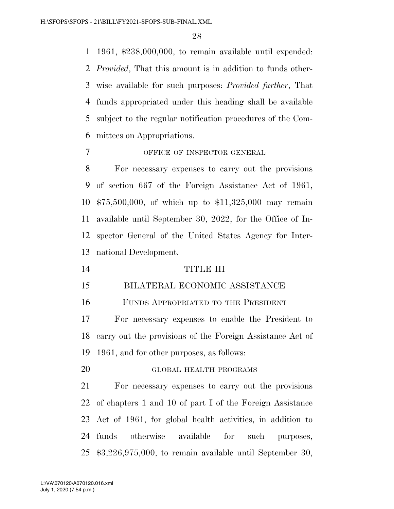1961, \$238,000,000, to remain available until expended: *Provided*, That this amount is in addition to funds other- wise available for such purposes: *Provided further*, That funds appropriated under this heading shall be available subject to the regular notification procedures of the Com-mittees on Appropriations.

#### OFFICE OF INSPECTOR GENERAL

 For necessary expenses to carry out the provisions of section 667 of the Foreign Assistance Act of 1961, \$75,500,000, of which up to \$11,325,000 may remain available until September 30, 2022, for the Office of In- spector General of the United States Agency for Inter-national Development.

- TITLE III
- BILATERAL ECONOMIC ASSISTANCE

FUNDS APPROPRIATED TO THE PRESIDENT

 For necessary expenses to enable the President to carry out the provisions of the Foreign Assistance Act of 1961, and for other purposes, as follows:

**GLOBAL HEALTH PROGRAMS** 

 For necessary expenses to carry out the provisions of chapters 1 and 10 of part I of the Foreign Assistance Act of 1961, for global health activities, in addition to funds otherwise available for such purposes, \$3,226,975,000, to remain available until September 30,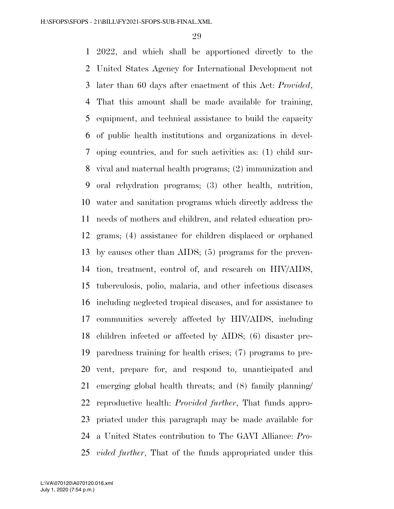2022, and which shall be apportioned directly to the United States Agency for International Development not later than 60 days after enactment of this Act: *Provided*, That this amount shall be made available for training, equipment, and technical assistance to build the capacity of public health institutions and organizations in devel- oping countries, and for such activities as: (1) child sur- vival and maternal health programs; (2) immunization and oral rehydration programs; (3) other health, nutrition, water and sanitation programs which directly address the needs of mothers and children, and related education pro- grams; (4) assistance for children displaced or orphaned by causes other than AIDS; (5) programs for the preven- tion, treatment, control of, and research on HIV/AIDS, tuberculosis, polio, malaria, and other infectious diseases including neglected tropical diseases, and for assistance to communities severely affected by HIV/AIDS, including children infected or affected by AIDS; (6) disaster pre- paredness training for health crises; (7) programs to pre- vent, prepare for, and respond to, unanticipated and emerging global health threats; and (8) family planning/ reproductive health: *Provided further*, That funds appro- priated under this paragraph may be made available for a United States contribution to The GAVI Alliance: *Pro-vided further*, That of the funds appropriated under this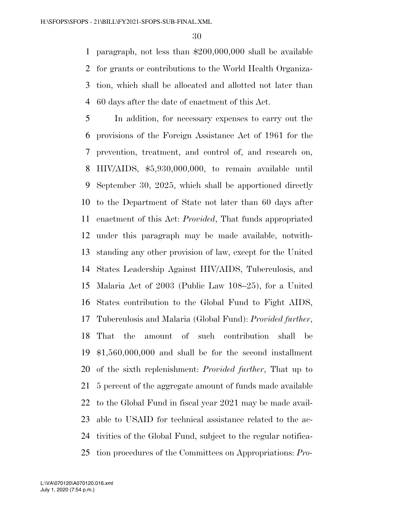paragraph, not less than \$200,000,000 shall be available for grants or contributions to the World Health Organiza- tion, which shall be allocated and allotted not later than 60 days after the date of enactment of this Act.

 In addition, for necessary expenses to carry out the provisions of the Foreign Assistance Act of 1961 for the prevention, treatment, and control of, and research on, HIV/AIDS, \$5,930,000,000, to remain available until September 30, 2025, which shall be apportioned directly to the Department of State not later than 60 days after enactment of this Act: *Provided*, That funds appropriated under this paragraph may be made available, notwith- standing any other provision of law, except for the United States Leadership Against HIV/AIDS, Tuberculosis, and Malaria Act of 2003 (Public Law 108–25), for a United States contribution to the Global Fund to Fight AIDS, Tuberculosis and Malaria (Global Fund): *Provided further*, That the amount of such contribution shall be \$1,560,000,000 and shall be for the second installment of the sixth replenishment: *Provided further*, That up to 5 percent of the aggregate amount of funds made available to the Global Fund in fiscal year 2021 may be made avail- able to USAID for technical assistance related to the ac- tivities of the Global Fund, subject to the regular notifica-tion procedures of the Committees on Appropriations: *Pro-*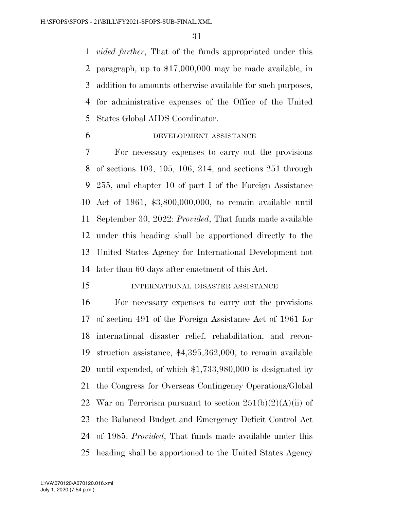*vided further*, That of the funds appropriated under this paragraph, up to \$17,000,000 may be made available, in addition to amounts otherwise available for such purposes, for administrative expenses of the Office of the United States Global AIDS Coordinator.

#### DEVELOPMENT ASSISTANCE

 For necessary expenses to carry out the provisions of sections 103, 105, 106, 214, and sections 251 through 255, and chapter 10 of part I of the Foreign Assistance Act of 1961, \$3,800,000,000, to remain available until September 30, 2022: *Provided*, That funds made available under this heading shall be apportioned directly to the United States Agency for International Development not later than 60 days after enactment of this Act.

#### INTERNATIONAL DISASTER ASSISTANCE

 For necessary expenses to carry out the provisions of section 491 of the Foreign Assistance Act of 1961 for international disaster relief, rehabilitation, and recon- struction assistance, \$4,395,362,000, to remain available until expended, of which \$1,733,980,000 is designated by the Congress for Overseas Contingency Operations/Global 22 War on Terrorism pursuant to section  $251(b)(2)(A)(ii)$  of the Balanced Budget and Emergency Deficit Control Act of 1985: *Provided*, That funds made available under this heading shall be apportioned to the United States Agency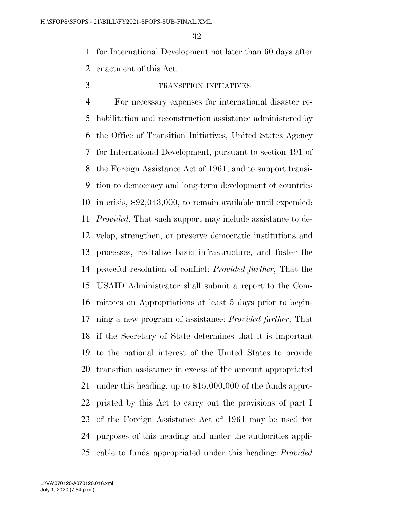for International Development not later than 60 days after enactment of this Act.

## TRANSITION INITIATIVES

 For necessary expenses for international disaster re- habilitation and reconstruction assistance administered by the Office of Transition Initiatives, United States Agency for International Development, pursuant to section 491 of the Foreign Assistance Act of 1961, and to support transi- tion to democracy and long-term development of countries in crisis, \$92,043,000, to remain available until expended: *Provided*, That such support may include assistance to de- velop, strengthen, or preserve democratic institutions and processes, revitalize basic infrastructure, and foster the peaceful resolution of conflict: *Provided further*, That the USAID Administrator shall submit a report to the Com- mittees on Appropriations at least 5 days prior to begin- ning a new program of assistance: *Provided further*, That if the Secretary of State determines that it is important to the national interest of the United States to provide transition assistance in excess of the amount appropriated under this heading, up to \$15,000,000 of the funds appro- priated by this Act to carry out the provisions of part I of the Foreign Assistance Act of 1961 may be used for purposes of this heading and under the authorities appli-cable to funds appropriated under this heading: *Provided*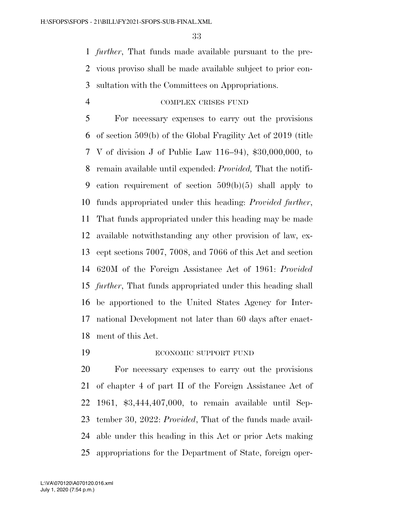*further*, That funds made available pursuant to the pre- vious proviso shall be made available subject to prior con-sultation with the Committees on Appropriations.

#### COMPLEX CRISES FUND

 For necessary expenses to carry out the provisions of section 509(b) of the Global Fragility Act of 2019 (title V of division J of Public Law 116–94), \$30,000,000, to remain available until expended: *Provided,* That the notifi- cation requirement of section 509(b)(5) shall apply to funds appropriated under this heading: *Provided further*, That funds appropriated under this heading may be made available notwithstanding any other provision of law, ex- cept sections 7007, 7008, and 7066 of this Act and section 620M of the Foreign Assistance Act of 1961: *Provided further*, That funds appropriated under this heading shall be apportioned to the United States Agency for Inter- national Development not later than 60 days after enact-ment of this Act.

ECONOMIC SUPPORT FUND

 For necessary expenses to carry out the provisions of chapter 4 of part II of the Foreign Assistance Act of 1961, \$3,444,407,000, to remain available until Sep- tember 30, 2022: *Provided*, That of the funds made avail- able under this heading in this Act or prior Acts making appropriations for the Department of State, foreign oper-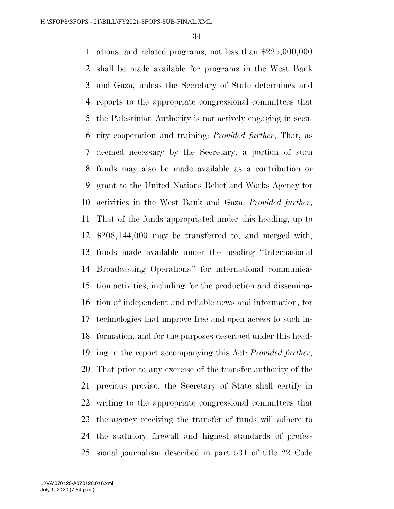ations, and related programs, not less than \$225,000,000 shall be made available for programs in the West Bank and Gaza, unless the Secretary of State determines and reports to the appropriate congressional committees that the Palestinian Authority is not actively engaging in secu- rity cooperation and training: *Provided further*, That, as deemed necessary by the Secretary, a portion of such funds may also be made available as a contribution or grant to the United Nations Relief and Works Agency for activities in the West Bank and Gaza: *Provided further*, That of the funds appropriated under this heading, up to \$208,144,000 may be transferred to, and merged with, funds made available under the heading ''International Broadcasting Operations'' for international communica- tion activities, including for the production and dissemina- tion of independent and reliable news and information, for technologies that improve free and open access to such in- formation, and for the purposes described under this head- ing in the report accompanying this Act: *Provided further*, That prior to any exercise of the transfer authority of the previous proviso, the Secretary of State shall certify in writing to the appropriate congressional committees that the agency receiving the transfer of funds will adhere to the statutory firewall and highest standards of profes-sional journalism described in part 531 of title 22 Code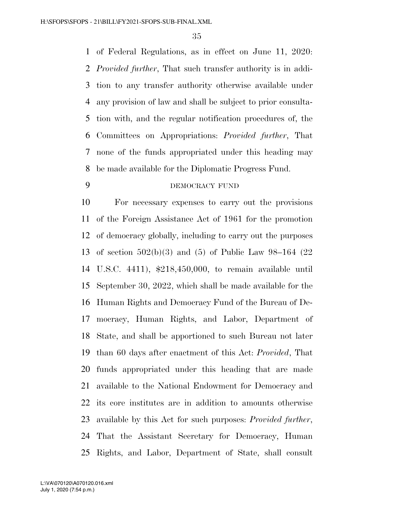of Federal Regulations, as in effect on June 11, 2020: *Provided further*, That such transfer authority is in addi- tion to any transfer authority otherwise available under any provision of law and shall be subject to prior consulta- tion with, and the regular notification procedures of, the Committees on Appropriations: *Provided further*, That none of the funds appropriated under this heading may be made available for the Diplomatic Progress Fund.

#### DEMOCRACY FUND

 For necessary expenses to carry out the provisions of the Foreign Assistance Act of 1961 for the promotion of democracy globally, including to carry out the purposes of section 502(b)(3) and (5) of Public Law 98–164 (22 U.S.C. 4411), \$218,450,000, to remain available until September 30, 2022, which shall be made available for the Human Rights and Democracy Fund of the Bureau of De- mocracy, Human Rights, and Labor, Department of State, and shall be apportioned to such Bureau not later than 60 days after enactment of this Act: *Provided*, That funds appropriated under this heading that are made available to the National Endowment for Democracy and its core institutes are in addition to amounts otherwise available by this Act for such purposes: *Provided further*, That the Assistant Secretary for Democracy, Human Rights, and Labor, Department of State, shall consult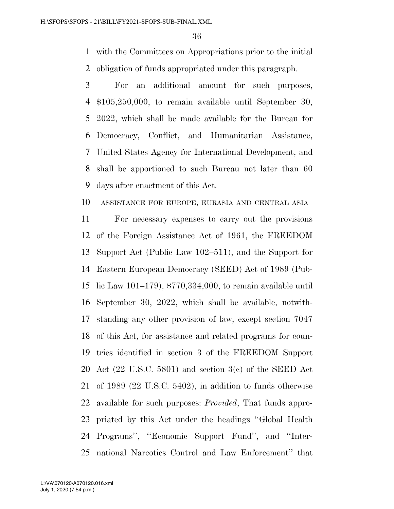with the Committees on Appropriations prior to the initial obligation of funds appropriated under this paragraph.

 For an additional amount for such purposes, \$105,250,000, to remain available until September 30, 2022, which shall be made available for the Bureau for Democracy, Conflict, and Humanitarian Assistance, United States Agency for International Development, and shall be apportioned to such Bureau not later than 60 days after enactment of this Act.

ASSISTANCE FOR EUROPE, EURASIA AND CENTRAL ASIA

 For necessary expenses to carry out the provisions of the Foreign Assistance Act of 1961, the FREEDOM Support Act (Public Law 102–511), and the Support for Eastern European Democracy (SEED) Act of 1989 (Pub- lic Law 101–179), \$770,334,000, to remain available until September 30, 2022, which shall be available, notwith- standing any other provision of law, except section 7047 of this Act, for assistance and related programs for coun- tries identified in section 3 of the FREEDOM Support Act (22 U.S.C. 5801) and section 3(c) of the SEED Act of 1989 (22 U.S.C. 5402), in addition to funds otherwise available for such purposes: *Provided*, That funds appro- priated by this Act under the headings ''Global Health Programs'', ''Economic Support Fund'', and ''Inter-national Narcotics Control and Law Enforcement'' that

July 1, 2020 (7:54 p.m.) L:\VA\070120\A070120.016.xml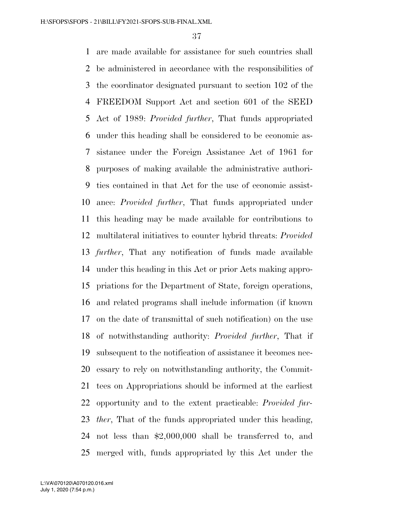are made available for assistance for such countries shall be administered in accordance with the responsibilities of the coordinator designated pursuant to section 102 of the FREEDOM Support Act and section 601 of the SEED Act of 1989: *Provided further*, That funds appropriated under this heading shall be considered to be economic as- sistance under the Foreign Assistance Act of 1961 for purposes of making available the administrative authori- ties contained in that Act for the use of economic assist- ance: *Provided further*, That funds appropriated under this heading may be made available for contributions to multilateral initiatives to counter hybrid threats: *Provided further*, That any notification of funds made available under this heading in this Act or prior Acts making appro- priations for the Department of State, foreign operations, and related programs shall include information (if known on the date of transmittal of such notification) on the use of notwithstanding authority: *Provided further*, That if subsequent to the notification of assistance it becomes nec- essary to rely on notwithstanding authority, the Commit- tees on Appropriations should be informed at the earliest opportunity and to the extent practicable: *Provided fur- ther*, That of the funds appropriated under this heading, not less than \$2,000,000 shall be transferred to, and merged with, funds appropriated by this Act under the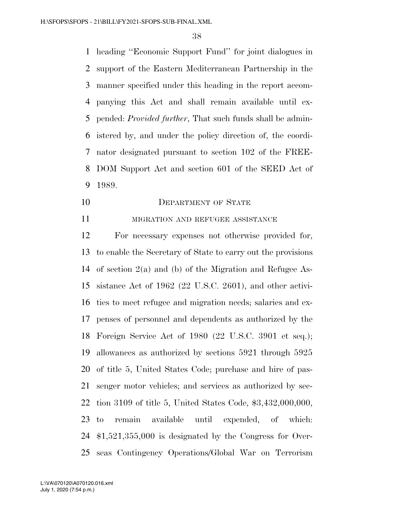heading ''Economic Support Fund'' for joint dialogues in support of the Eastern Mediterranean Partnership in the manner specified under this heading in the report accom- panying this Act and shall remain available until ex- pended: *Provided further*, That such funds shall be admin- istered by, and under the policy direction of, the coordi- nator designated pursuant to section 102 of the FREE- DOM Support Act and section 601 of the SEED Act of 1989.

10 DEPARTMENT OF STATE

11 MIGRATION AND REFUGEE ASSISTANCE

 For necessary expenses not otherwise provided for, to enable the Secretary of State to carry out the provisions of section 2(a) and (b) of the Migration and Refugee As- sistance Act of 1962 (22 U.S.C. 2601), and other activi- ties to meet refugee and migration needs; salaries and ex- penses of personnel and dependents as authorized by the Foreign Service Act of 1980 (22 U.S.C. 3901 et seq.); allowances as authorized by sections 5921 through 5925 of title 5, United States Code; purchase and hire of pas- senger motor vehicles; and services as authorized by sec- tion 3109 of title 5, United States Code, \$3,432,000,000, to remain available until expended, of which: \$1,521,355,000 is designated by the Congress for Over-seas Contingency Operations/Global War on Terrorism

July 1, 2020 (7:54 p.m.) L:\VA\070120\A070120.016.xml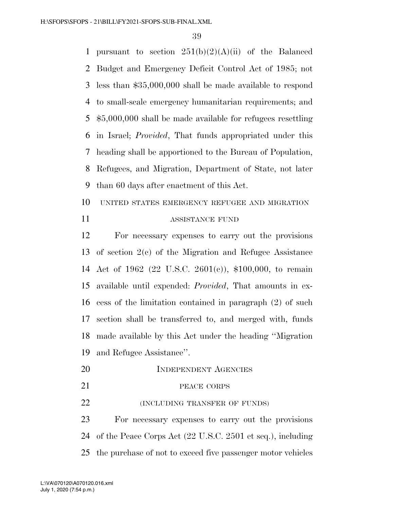1 pursuant to section  $251(b)(2)(A)(ii)$  of the Balanced Budget and Emergency Deficit Control Act of 1985; not less than \$35,000,000 shall be made available to respond to small-scale emergency humanitarian requirements; and \$5,000,000 shall be made available for refugees resettling in Israel; *Provided*, That funds appropriated under this heading shall be apportioned to the Bureau of Population, Refugees, and Migration, Department of State, not later than 60 days after enactment of this Act.

 UNITED STATES EMERGENCY REFUGEE AND MIGRATION **ASSISTANCE FUND** 

 For necessary expenses to carry out the provisions of section 2(c) of the Migration and Refugee Assistance Act of 1962 (22 U.S.C. 2601(c)), \$100,000, to remain available until expended: *Provided*, That amounts in ex- cess of the limitation contained in paragraph (2) of such section shall be transferred to, and merged with, funds made available by this Act under the heading ''Migration and Refugee Assistance''.

- 20 INDEPENDENT AGENCIES
- 21 PEACE CORPS
- **(INCLUDING TRANSFER OF FUNDS)**

 For necessary expenses to carry out the provisions of the Peace Corps Act (22 U.S.C. 2501 et seq.), including the purchase of not to exceed five passenger motor vehicles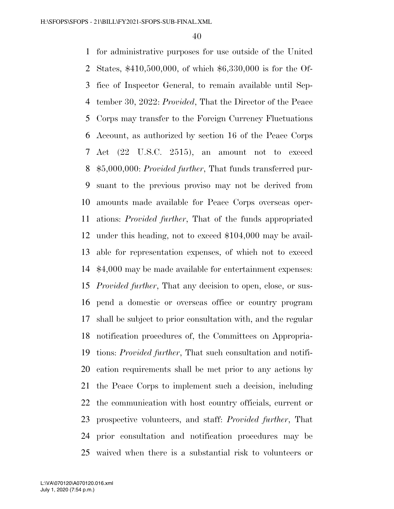for administrative purposes for use outside of the United States, \$410,500,000, of which \$6,330,000 is for the Of- fice of Inspector General, to remain available until Sep- tember 30, 2022: *Provided*, That the Director of the Peace Corps may transfer to the Foreign Currency Fluctuations Account, as authorized by section 16 of the Peace Corps Act (22 U.S.C. 2515), an amount not to exceed \$5,000,000: *Provided further*, That funds transferred pur- suant to the previous proviso may not be derived from amounts made available for Peace Corps overseas oper- ations: *Provided further*, That of the funds appropriated under this heading, not to exceed \$104,000 may be avail- able for representation expenses, of which not to exceed \$4,000 may be made available for entertainment expenses: *Provided further*, That any decision to open, close, or sus- pend a domestic or overseas office or country program shall be subject to prior consultation with, and the regular notification procedures of, the Committees on Appropria- tions: *Provided further*, That such consultation and notifi- cation requirements shall be met prior to any actions by the Peace Corps to implement such a decision, including the communication with host country officials, current or prospective volunteers, and staff: *Provided further*, That prior consultation and notification procedures may be waived when there is a substantial risk to volunteers or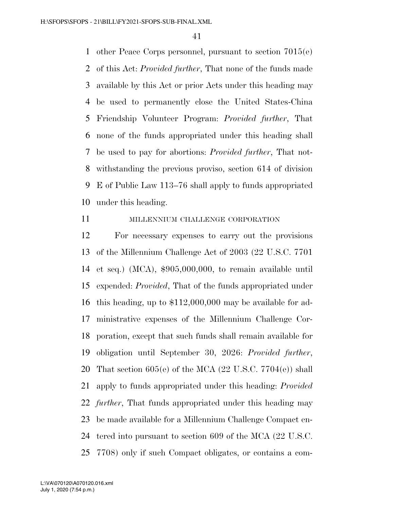other Peace Corps personnel, pursuant to section 7015(e) of this Act: *Provided further*, That none of the funds made available by this Act or prior Acts under this heading may be used to permanently close the United States-China Friendship Volunteer Program: *Provided further*, That none of the funds appropriated under this heading shall be used to pay for abortions: *Provided further*, That not- withstanding the previous proviso, section 614 of division E of Public Law 113–76 shall apply to funds appropriated under this heading.

#### MILLENNIUM CHALLENGE CORPORATION

 For necessary expenses to carry out the provisions of the Millennium Challenge Act of 2003 (22 U.S.C. 7701 et seq.) (MCA), \$905,000,000, to remain available until expended: *Provided*, That of the funds appropriated under this heading, up to \$112,000,000 may be available for ad- ministrative expenses of the Millennium Challenge Cor- poration, except that such funds shall remain available for obligation until September 30, 2026: *Provided further*, That section 605(e) of the MCA (22 U.S.C. 7704(e)) shall apply to funds appropriated under this heading: *Provided further*, That funds appropriated under this heading may be made available for a Millennium Challenge Compact en- tered into pursuant to section 609 of the MCA (22 U.S.C. 7708) only if such Compact obligates, or contains a com-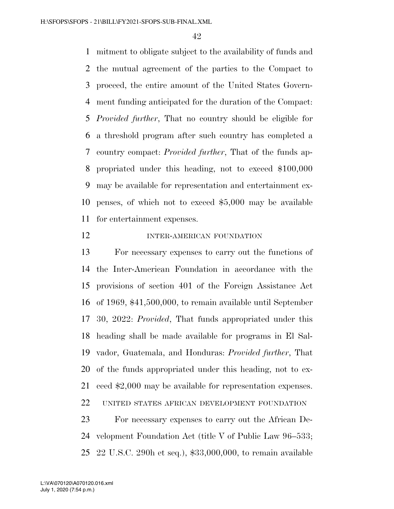mitment to obligate subject to the availability of funds and the mutual agreement of the parties to the Compact to proceed, the entire amount of the United States Govern- ment funding anticipated for the duration of the Compact: *Provided further*, That no country should be eligible for a threshold program after such country has completed a country compact: *Provided further*, That of the funds ap- propriated under this heading, not to exceed \$100,000 may be available for representation and entertainment ex- penses, of which not to exceed \$5,000 may be available for entertainment expenses.

#### 12 INTER-AMERICAN FOUNDATION

 For necessary expenses to carry out the functions of the Inter-American Foundation in accordance with the provisions of section 401 of the Foreign Assistance Act of 1969, \$41,500,000, to remain available until September 30, 2022: *Provided*, That funds appropriated under this heading shall be made available for programs in El Sal- vador, Guatemala, and Honduras: *Provided further*, That of the funds appropriated under this heading, not to ex- ceed \$2,000 may be available for representation expenses. UNITED STATES AFRICAN DEVELOPMENT FOUNDATION

 For necessary expenses to carry out the African De- velopment Foundation Act (title V of Public Law 96–533; 22 U.S.C. 290h et seq.), \$33,000,000, to remain available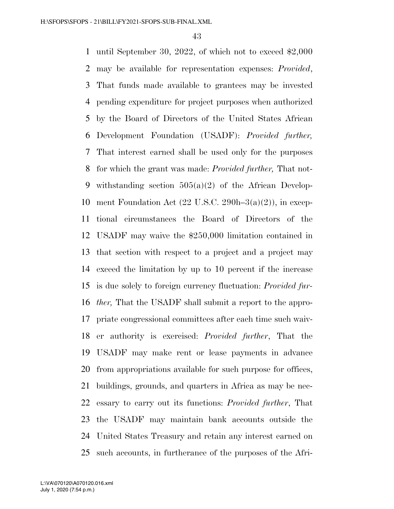until September 30, 2022, of which not to exceed \$2,000 may be available for representation expenses: *Provided*, That funds made available to grantees may be invested pending expenditure for project purposes when authorized by the Board of Directors of the United States African Development Foundation (USADF): *Provided further,*  That interest earned shall be used only for the purposes for which the grant was made: *Provided further,* That not- withstanding section 505(a)(2) of the African Develop-10 ment Foundation Act  $(22 \text{ U.S.C. } 290h-3(a)(2))$ , in excep- tional circumstances the Board of Directors of the USADF may waive the \$250,000 limitation contained in that section with respect to a project and a project may exceed the limitation by up to 10 percent if the increase is due solely to foreign currency fluctuation: *Provided fur- ther,* That the USADF shall submit a report to the appro- priate congressional committees after each time such waiv- er authority is exercised: *Provided further*, That the USADF may make rent or lease payments in advance from appropriations available for such purpose for offices, buildings, grounds, and quarters in Africa as may be nec- essary to carry out its functions: *Provided further*, That the USADF may maintain bank accounts outside the United States Treasury and retain any interest earned on such accounts, in furtherance of the purposes of the Afri-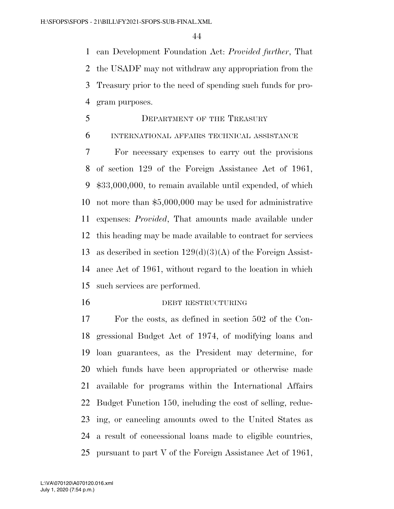can Development Foundation Act: *Provided further*, That the USADF may not withdraw any appropriation from the Treasury prior to the need of spending such funds for pro-gram purposes.

5 DEPARTMENT OF THE TREASURY

INTERNATIONAL AFFAIRS TECHNICAL ASSISTANCE

 For necessary expenses to carry out the provisions of section 129 of the Foreign Assistance Act of 1961, \$33,000,000, to remain available until expended, of which not more than \$5,000,000 may be used for administrative expenses: *Provided*, That amounts made available under this heading may be made available to contract for services 13 as described in section  $129(d)(3)(A)$  of the Foreign Assist- ance Act of 1961, without regard to the location in which such services are performed.

#### DEBT RESTRUCTURING

 For the costs, as defined in section 502 of the Con- gressional Budget Act of 1974, of modifying loans and loan guarantees, as the President may determine, for which funds have been appropriated or otherwise made available for programs within the International Affairs Budget Function 150, including the cost of selling, reduc- ing, or canceling amounts owed to the United States as a result of concessional loans made to eligible countries, pursuant to part V of the Foreign Assistance Act of 1961,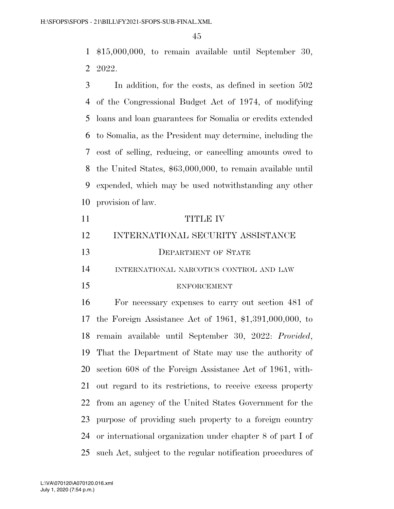\$15,000,000, to remain available until September 30, 2022.

 In addition, for the costs, as defined in section 502 of the Congressional Budget Act of 1974, of modifying loans and loan guarantees for Somalia or credits extended to Somalia, as the President may determine, including the cost of selling, reducing, or cancelling amounts owed to the United States, \$63,000,000, to remain available until expended, which may be used notwithstanding any other provision of law. 11 TITLE IV INTERNATIONAL SECURITY ASSISTANCE 13 DEPARTMENT OF STATE INTERNATIONAL NARCOTICS CONTROL AND LAW

ENFORCEMENT

 For necessary expenses to carry out section 481 of the Foreign Assistance Act of 1961, \$1,391,000,000, to remain available until September 30, 2022: *Provided*, That the Department of State may use the authority of section 608 of the Foreign Assistance Act of 1961, with- out regard to its restrictions, to receive excess property from an agency of the United States Government for the purpose of providing such property to a foreign country or international organization under chapter 8 of part I of such Act, subject to the regular notification procedures of

July 1, 2020 (7:54 p.m.) L:\VA\070120\A070120.016.xml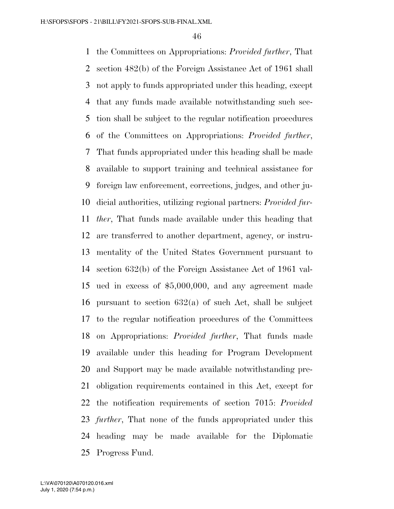the Committees on Appropriations: *Provided further*, That section 482(b) of the Foreign Assistance Act of 1961 shall not apply to funds appropriated under this heading, except that any funds made available notwithstanding such sec- tion shall be subject to the regular notification procedures of the Committees on Appropriations: *Provided further*, That funds appropriated under this heading shall be made available to support training and technical assistance for foreign law enforcement, corrections, judges, and other ju- dicial authorities, utilizing regional partners: *Provided fur- ther*, That funds made available under this heading that are transferred to another department, agency, or instru- mentality of the United States Government pursuant to section 632(b) of the Foreign Assistance Act of 1961 val- ued in excess of \$5,000,000, and any agreement made pursuant to section 632(a) of such Act, shall be subject to the regular notification procedures of the Committees on Appropriations: *Provided further*, That funds made available under this heading for Program Development and Support may be made available notwithstanding pre- obligation requirements contained in this Act, except for the notification requirements of section 7015: *Provided further*, That none of the funds appropriated under this heading may be made available for the Diplomatic Progress Fund.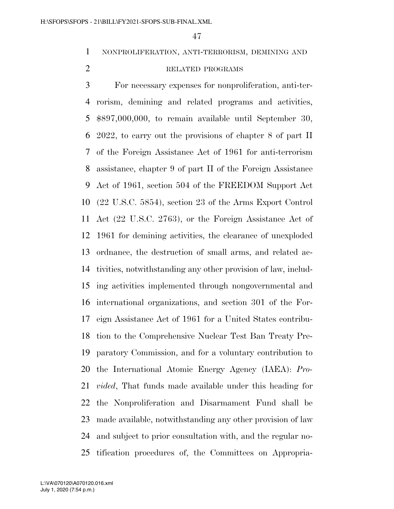NONPROLIFERATION, ANTI-TERRORISM, DEMINING AND

# 2 RELATED PROGRAMS

 For necessary expenses for nonproliferation, anti-ter- rorism, demining and related programs and activities, \$897,000,000, to remain available until September 30, 2022, to carry out the provisions of chapter 8 of part II of the Foreign Assistance Act of 1961 for anti-terrorism assistance, chapter 9 of part II of the Foreign Assistance Act of 1961, section 504 of the FREEDOM Support Act (22 U.S.C. 5854), section 23 of the Arms Export Control Act (22 U.S.C. 2763), or the Foreign Assistance Act of 1961 for demining activities, the clearance of unexploded ordnance, the destruction of small arms, and related ac- tivities, notwithstanding any other provision of law, includ- ing activities implemented through nongovernmental and international organizations, and section 301 of the For- eign Assistance Act of 1961 for a United States contribu- tion to the Comprehensive Nuclear Test Ban Treaty Pre- paratory Commission, and for a voluntary contribution to the International Atomic Energy Agency (IAEA): *Pro- vided*, That funds made available under this heading for the Nonproliferation and Disarmament Fund shall be made available, notwithstanding any other provision of law and subject to prior consultation with, and the regular no-tification procedures of, the Committees on Appropria-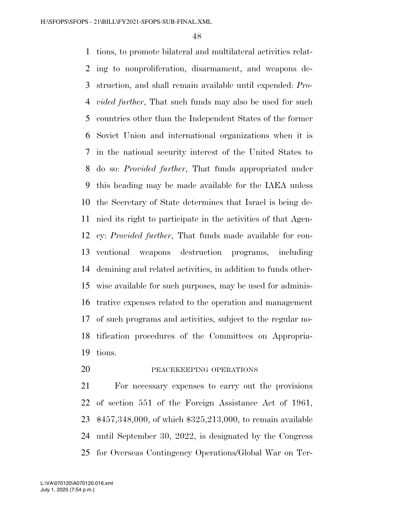tions, to promote bilateral and multilateral activities relat- ing to nonproliferation, disarmament, and weapons de- struction, and shall remain available until expended: *Pro- vided further*, That such funds may also be used for such countries other than the Independent States of the former Soviet Union and international organizations when it is in the national security interest of the United States to do so: *Provided further*, That funds appropriated under this heading may be made available for the IAEA unless the Secretary of State determines that Israel is being de- nied its right to participate in the activities of that Agen- cy: *Provided further*, That funds made available for con- ventional weapons destruction programs, including demining and related activities, in addition to funds other- wise available for such purposes, may be used for adminis- trative expenses related to the operation and management of such programs and activities, subject to the regular no- tification procedures of the Committees on Appropria-tions.

20 PEACEKEEPING OPERATIONS

 For necessary expenses to carry out the provisions of section 551 of the Foreign Assistance Act of 1961, \$457,348,000, of which \$325,213,000, to remain available until September 30, 2022, is designated by the Congress for Overseas Contingency Operations/Global War on Ter-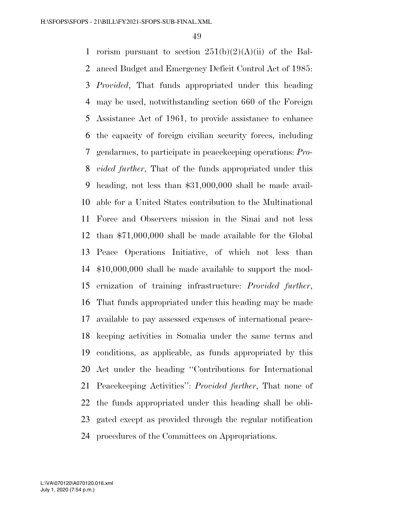1 rorism pursuant to section  $251(b)(2)(A)(ii)$  of the Bal- anced Budget and Emergency Deficit Control Act of 1985: *Provided*, That funds appropriated under this heading may be used, notwithstanding section 660 of the Foreign Assistance Act of 1961, to provide assistance to enhance the capacity of foreign civilian security forces, including gendarmes, to participate in peacekeeping operations: *Pro- vided further*, That of the funds appropriated under this heading, not less than \$31,000,000 shall be made avail- able for a United States contribution to the Multinational Force and Observers mission in the Sinai and not less than \$71,000,000 shall be made available for the Global Peace Operations Initiative, of which not less than \$10,000,000 shall be made available to support the mod- ernization of training infrastructure: *Provided further*, That funds appropriated under this heading may be made available to pay assessed expenses of international peace- keeping activities in Somalia under the same terms and conditions, as applicable, as funds appropriated by this Act under the heading ''Contributions for International Peacekeeping Activities'': *Provided further*, That none of the funds appropriated under this heading shall be obli- gated except as provided through the regular notification procedures of the Committees on Appropriations.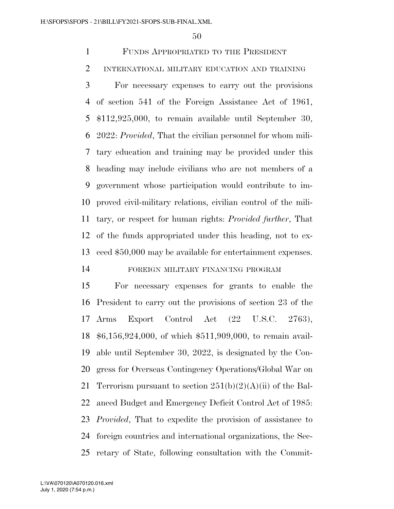FUNDS APPROPRIATED TO THE PRESIDENT

INTERNATIONAL MILITARY EDUCATION AND TRAINING

 For necessary expenses to carry out the provisions of section 541 of the Foreign Assistance Act of 1961, \$112,925,000, to remain available until September 30, 2022: *Provided*, That the civilian personnel for whom mili- tary education and training may be provided under this heading may include civilians who are not members of a government whose participation would contribute to im- proved civil-military relations, civilian control of the mili- tary, or respect for human rights: *Provided further*, That of the funds appropriated under this heading, not to ex-ceed \$50,000 may be available for entertainment expenses.

## FOREIGN MILITARY FINANCING PROGRAM

 For necessary expenses for grants to enable the President to carry out the provisions of section 23 of the Arms Export Control Act (22 U.S.C. 2763), \$6,156,924,000, of which \$511,909,000, to remain avail- able until September 30, 2022, is designated by the Con- gress for Overseas Contingency Operations/Global War on 21 Terrorism pursuant to section  $251(b)(2)(A)(ii)$  of the Bal- anced Budget and Emergency Deficit Control Act of 1985: *Provided*, That to expedite the provision of assistance to foreign countries and international organizations, the Sec-retary of State, following consultation with the Commit-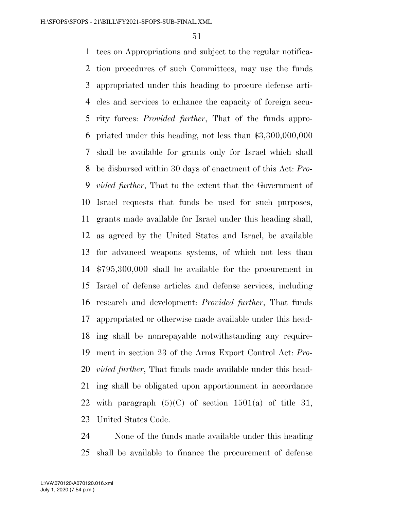tees on Appropriations and subject to the regular notifica- tion procedures of such Committees, may use the funds appropriated under this heading to procure defense arti- cles and services to enhance the capacity of foreign secu- rity forces: *Provided further*, That of the funds appro- priated under this heading, not less than \$3,300,000,000 shall be available for grants only for Israel which shall be disbursed within 30 days of enactment of this Act: *Pro- vided further*, That to the extent that the Government of Israel requests that funds be used for such purposes, grants made available for Israel under this heading shall, as agreed by the United States and Israel, be available for advanced weapons systems, of which not less than \$795,300,000 shall be available for the procurement in Israel of defense articles and defense services, including research and development: *Provided further*, That funds appropriated or otherwise made available under this head- ing shall be nonrepayable notwithstanding any require- ment in section 23 of the Arms Export Control Act: *Pro- vided further*, That funds made available under this head- ing shall be obligated upon apportionment in accordance 22 with paragraph  $(5)(C)$  of section 1501(a) of title 31, United States Code.

 None of the funds made available under this heading shall be available to finance the procurement of defense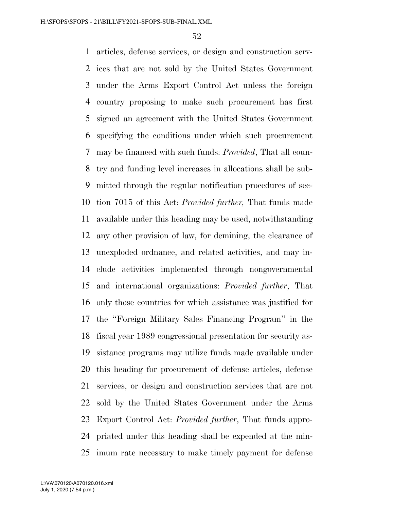articles, defense services, or design and construction serv- ices that are not sold by the United States Government under the Arms Export Control Act unless the foreign country proposing to make such procurement has first signed an agreement with the United States Government specifying the conditions under which such procurement may be financed with such funds: *Provided*, That all coun- try and funding level increases in allocations shall be sub- mitted through the regular notification procedures of sec- tion 7015 of this Act: *Provided further,* That funds made available under this heading may be used, notwithstanding any other provision of law, for demining, the clearance of unexploded ordnance, and related activities, and may in- clude activities implemented through nongovernmental and international organizations: *Provided further*, That only those countries for which assistance was justified for the ''Foreign Military Sales Financing Program'' in the fiscal year 1989 congressional presentation for security as- sistance programs may utilize funds made available under this heading for procurement of defense articles, defense services, or design and construction services that are not sold by the United States Government under the Arms Export Control Act: *Provided further*, That funds appro- priated under this heading shall be expended at the min-imum rate necessary to make timely payment for defense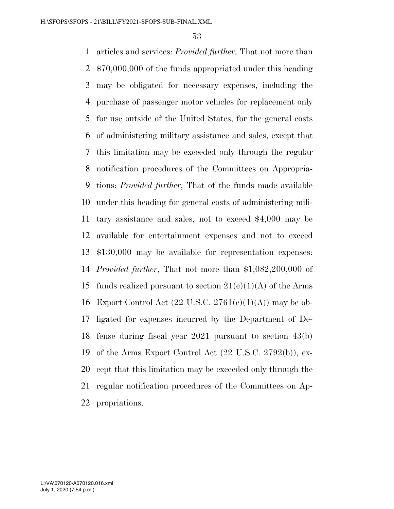articles and services: *Provided further*, That not more than \$70,000,000 of the funds appropriated under this heading may be obligated for necessary expenses, including the purchase of passenger motor vehicles for replacement only for use outside of the United States, for the general costs of administering military assistance and sales, except that this limitation may be exceeded only through the regular notification procedures of the Committees on Appropria- tions: *Provided further*, That of the funds made available under this heading for general costs of administering mili- tary assistance and sales, not to exceed \$4,000 may be available for entertainment expenses and not to exceed \$130,000 may be available for representation expenses: *Provided further*, That not more than \$1,082,200,000 of 15 funds realized pursuant to section  $21(e)(1)(A)$  of the Arms 16 Export Control Act  $(22 \text{ U.S.C. } 2761(e)(1)(\text{A}))$  may be ob- ligated for expenses incurred by the Department of De- fense during fiscal year 2021 pursuant to section 43(b) of the Arms Export Control Act (22 U.S.C. 2792(b)), ex- cept that this limitation may be exceeded only through the regular notification procedures of the Committees on Ap-propriations.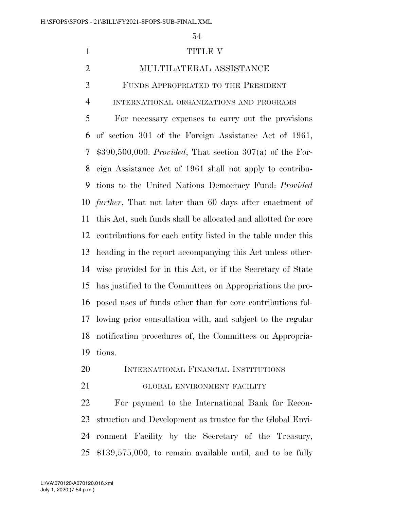1 TITLE V MULTILATERAL ASSISTANCE FUNDS APPROPRIATED TO THE PRESIDENT INTERNATIONAL ORGANIZATIONS AND PROGRAMS For necessary expenses to carry out the provisions of section 301 of the Foreign Assistance Act of 1961, \$390,500,000: *Provided*, That section 307(a) of the For- eign Assistance Act of 1961 shall not apply to contribu- tions to the United Nations Democracy Fund: *Provided further*, That not later than 60 days after enactment of this Act, such funds shall be allocated and allotted for core contributions for each entity listed in the table under this heading in the report accompanying this Act unless other- wise provided for in this Act, or if the Secretary of State has justified to the Committees on Appropriations the pro- posed uses of funds other than for core contributions fol- lowing prior consultation with, and subject to the regular notification procedures of, the Committees on Appropria-tions.

- INTERNATIONAL FINANCIAL INSTITUTIONS
- GLOBAL ENVIRONMENT FACILITY

 For payment to the International Bank for Recon- struction and Development as trustee for the Global Envi- ronment Facility by the Secretary of the Treasury, \$139,575,000, to remain available until, and to be fully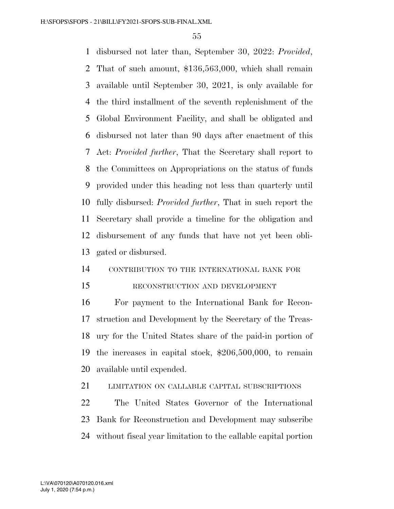disbursed not later than, September 30, 2022: *Provided*, That of such amount, \$136,563,000, which shall remain available until September 30, 2021, is only available for the third installment of the seventh replenishment of the Global Environment Facility, and shall be obligated and disbursed not later than 90 days after enactment of this Act: *Provided further*, That the Secretary shall report to the Committees on Appropriations on the status of funds provided under this heading not less than quarterly until fully disbursed: *Provided further*, That in such report the Secretary shall provide a timeline for the obligation and disbursement of any funds that have not yet been obli-gated or disbursed.

## CONTRIBUTION TO THE INTERNATIONAL BANK FOR

#### 15 RECONSTRUCTION AND DEVELOPMENT

 For payment to the International Bank for Recon- struction and Development by the Secretary of the Treas- ury for the United States share of the paid-in portion of the increases in capital stock, \$206,500,000, to remain available until expended.

LIMITATION ON CALLABLE CAPITAL SUBSCRIPTIONS

 The United States Governor of the International Bank for Reconstruction and Development may subscribe without fiscal year limitation to the callable capital portion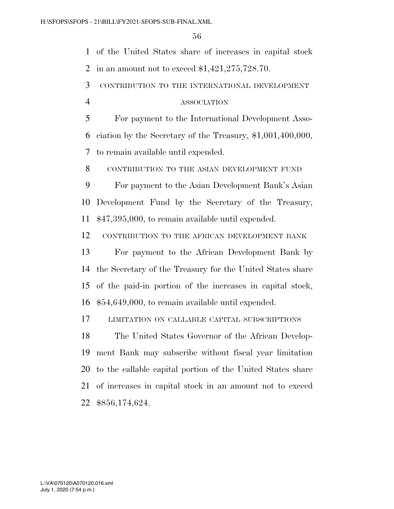of the United States share of increases in capital stock in an amount not to exceed \$1,421,275,728.70.

CONTRIBUTION TO THE INTERNATIONAL DEVELOPMENT

## ASSOCIATION

 For payment to the International Development Asso- ciation by the Secretary of the Treasury, \$1,001,400,000, to remain available until expended.

8 CONTRIBUTION TO THE ASIAN DEVELOPMENT FUND

 For payment to the Asian Development Bank's Asian Development Fund by the Secretary of the Treasury, \$47,395,000, to remain available until expended.

CONTRIBUTION TO THE AFRICAN DEVELOPMENT BANK

 For payment to the African Development Bank by the Secretary of the Treasury for the United States share of the paid-in portion of the increases in capital stock, \$54,649,000, to remain available until expended.

LIMITATION ON CALLABLE CAPITAL SUBSCRIPTIONS

 The United States Governor of the African Develop- ment Bank may subscribe without fiscal year limitation to the callable capital portion of the United States share of increases in capital stock in an amount not to exceed \$856,174,624.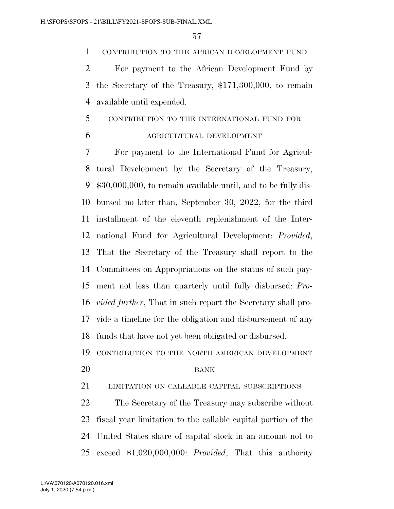CONTRIBUTION TO THE AFRICAN DEVELOPMENT FUND

 For payment to the African Development Fund by the Secretary of the Treasury, \$171,300,000, to remain available until expended.

## CONTRIBUTION TO THE INTERNATIONAL FUND FOR

## AGRICULTURAL DEVELOPMENT

 For payment to the International Fund for Agricul- tural Development by the Secretary of the Treasury, \$30,000,000, to remain available until, and to be fully dis- bursed no later than, September 30, 2022, for the third installment of the eleventh replenishment of the Inter- national Fund for Agricultural Development: *Provided*, That the Secretary of the Treasury shall report to the Committees on Appropriations on the status of such pay- ment not less than quarterly until fully disbursed: *Pro- vided further*, That in such report the Secretary shall pro- vide a timeline for the obligation and disbursement of any funds that have not yet been obligated or disbursed.

CONTRIBUTION TO THE NORTH AMERICAN DEVELOPMENT

## 20 BANK

LIMITATION ON CALLABLE CAPITAL SUBSCRIPTIONS

 The Secretary of the Treasury may subscribe without fiscal year limitation to the callable capital portion of the United States share of capital stock in an amount not to exceed \$1,020,000,000: *Provided*, That this authority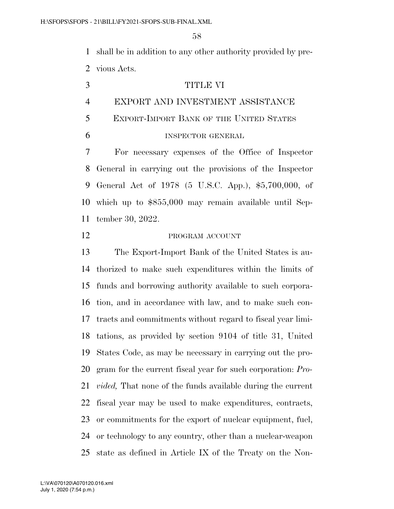shall be in addition to any other authority provided by pre-vious Acts.

 TITLE VI EXPORT AND INVESTMENT ASSISTANCE EXPORT-IMPORT BANK OF THE UNITED STATES

INSPECTOR GENERAL

 For necessary expenses of the Office of Inspector General in carrying out the provisions of the Inspector General Act of 1978 (5 U.S.C. App.), \$5,700,000, of which up to \$855,000 may remain available until Sep-tember 30, 2022.

#### 12 PROGRAM ACCOUNT

 The Export-Import Bank of the United States is au- thorized to make such expenditures within the limits of funds and borrowing authority available to such corpora- tion, and in accordance with law, and to make such con- tracts and commitments without regard to fiscal year limi- tations, as provided by section 9104 of title 31, United States Code, as may be necessary in carrying out the pro- gram for the current fiscal year for such corporation: *Pro- vided,* That none of the funds available during the current fiscal year may be used to make expenditures, contracts, or commitments for the export of nuclear equipment, fuel, or technology to any country, other than a nuclear-weapon state as defined in Article IX of the Treaty on the Non-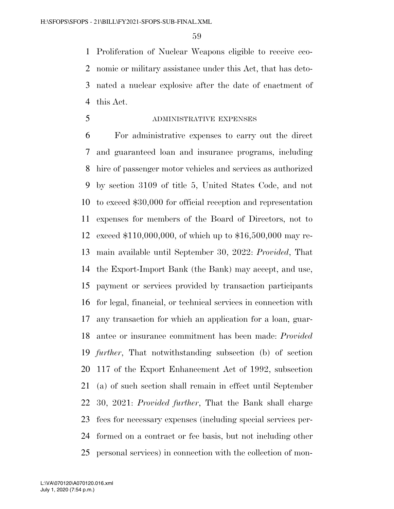Proliferation of Nuclear Weapons eligible to receive eco- nomic or military assistance under this Act, that has deto- nated a nuclear explosive after the date of enactment of this Act.

5 ADMINISTRATIVE EXPENSES

 For administrative expenses to carry out the direct and guaranteed loan and insurance programs, including hire of passenger motor vehicles and services as authorized by section 3109 of title 5, United States Code, and not to exceed \$30,000 for official reception and representation expenses for members of the Board of Directors, not to exceed \$110,000,000, of which up to \$16,500,000 may re- main available until September 30, 2022: *Provided*, That the Export-Import Bank (the Bank) may accept, and use, payment or services provided by transaction participants for legal, financial, or technical services in connection with any transaction for which an application for a loan, guar- antee or insurance commitment has been made: *Provided further*, That notwithstanding subsection (b) of section 117 of the Export Enhancement Act of 1992, subsection (a) of such section shall remain in effect until September 30, 2021: *Provided further*, That the Bank shall charge fees for necessary expenses (including special services per- formed on a contract or fee basis, but not including other personal services) in connection with the collection of mon-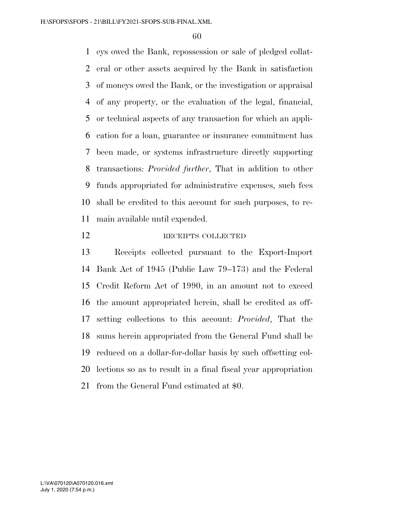eys owed the Bank, repossession or sale of pledged collat- eral or other assets acquired by the Bank in satisfaction of moneys owed the Bank, or the investigation or appraisal of any property, or the evaluation of the legal, financial, or technical aspects of any transaction for which an appli- cation for a loan, guarantee or insurance commitment has been made, or systems infrastructure directly supporting transactions: *Provided further*, That in addition to other funds appropriated for administrative expenses, such fees shall be credited to this account for such purposes, to re-main available until expended.

#### 12 RECEIPTS COLLECTED

 Receipts collected pursuant to the Export-Import Bank Act of 1945 (Public Law 79–173) and the Federal Credit Reform Act of 1990, in an amount not to exceed the amount appropriated herein, shall be credited as off- setting collections to this account: *Provided*, That the sums herein appropriated from the General Fund shall be reduced on a dollar-for-dollar basis by such offsetting col- lections so as to result in a final fiscal year appropriation from the General Fund estimated at \$0.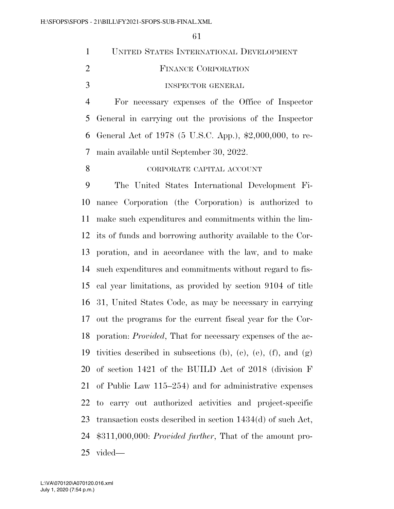| $\mathbf{1}$   | UNITED STATES INTERNATIONAL DEVELOPMENT                            |
|----------------|--------------------------------------------------------------------|
| $\overline{2}$ | <b>FINANCE CORPORATION</b>                                         |
| 3              | INSPECTOR GENERAL                                                  |
| $\overline{4}$ | For necessary expenses of the Office of Inspector                  |
| 5              | General in carrying out the provisions of the Inspector            |
| 6              | General Act of 1978 (5 U.S.C. App.), \$2,000,000, to re-           |
| 7              | main available until September 30, 2022.                           |
| 8              | CORPORATE CAPITAL ACCOUNT                                          |
| 9              | The United States International Development Fi-                    |
| 10             | nance Corporation (the Corporation) is authorized to               |
| 11             | make such expenditures and commitments within the lim-             |
|                | 12 its of funds and borrowing authority available to the Cor-      |
| 13             | poration, and in accordance with the law, and to make              |
| 14             | such expenditures and commitments without regard to fis-           |
| 15             | cal year limitations, as provided by section 9104 of title         |
| 16             | 31, United States Code, as may be necessary in carrying            |
| 17             | out the programs for the current fiscal year for the Cor-          |
| 18             | poration: <i>Provided</i> , That for necessary expenses of the ac- |
| 19             | tivities described in subsections (b), (c), (e), (f), and $(g)$    |
| 20             | of section 1421 of the BUILD Act of 2018 (division F               |
| 21             | of Public Law $115-254$ ) and for administrative expenses          |

 to carry out authorized activities and project-specific transaction costs described in section 1434(d) of such Act,

 \$311,000,000: *Provided further*, That of the amount pro-vided—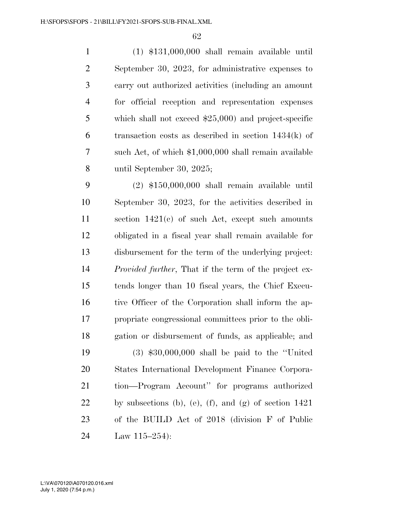(1) \$131,000,000 shall remain available until September 30, 2023, for administrative expenses to carry out authorized activities (including an amount for official reception and representation expenses which shall not exceed \$25,000) and project-specific transaction costs as described in section 1434(k) of such Act, of which \$1,000,000 shall remain available until September 30, 2025;

 (2) \$150,000,000 shall remain available until September 30, 2023, for the activities described in section 1421(c) of such Act, except such amounts obligated in a fiscal year shall remain available for disbursement for the term of the underlying project: *Provided further*, That if the term of the project ex- tends longer than 10 fiscal years, the Chief Execu- tive Officer of the Corporation shall inform the ap- propriate congressional committees prior to the obli- gation or disbursement of funds, as applicable; and (3) \$30,000,000 shall be paid to the ''United States International Development Finance Corpora- tion—Program Account'' for programs authorized 22 by subsections (b), (e), (f), and (g) of section of the BUILD Act of 2018 (division F of Public Law 115–254):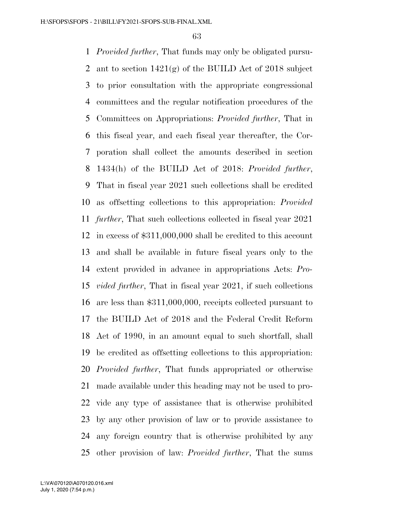*Provided further*, That funds may only be obligated pursu-2 ant to section  $1421(g)$  of the BUILD Act of 2018 subject to prior consultation with the appropriate congressional committees and the regular notification procedures of the Committees on Appropriations: *Provided further*, That in this fiscal year, and each fiscal year thereafter, the Cor- poration shall collect the amounts described in section 1434(h) of the BUILD Act of 2018: *Provided further*, That in fiscal year 2021 such collections shall be credited as offsetting collections to this appropriation: *Provided further*, That such collections collected in fiscal year 2021 in excess of \$311,000,000 shall be credited to this account and shall be available in future fiscal years only to the extent provided in advance in appropriations Acts: *Pro- vided further*, That in fiscal year 2021, if such collections are less than \$311,000,000, receipts collected pursuant to the BUILD Act of 2018 and the Federal Credit Reform Act of 1990, in an amount equal to such shortfall, shall be credited as offsetting collections to this appropriation: *Provided further*, That funds appropriated or otherwise made available under this heading may not be used to pro- vide any type of assistance that is otherwise prohibited by any other provision of law or to provide assistance to any foreign country that is otherwise prohibited by any other provision of law: *Provided further*, That the sums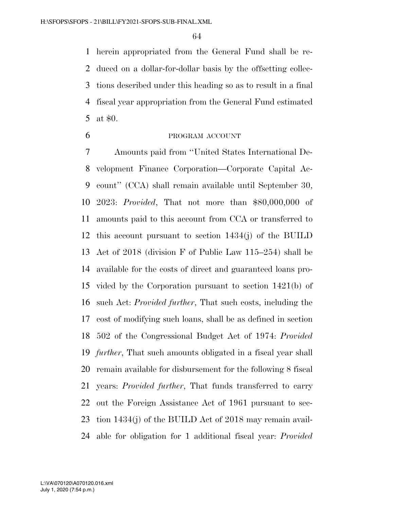herein appropriated from the General Fund shall be re- duced on a dollar-for-dollar basis by the offsetting collec- tions described under this heading so as to result in a final fiscal year appropriation from the General Fund estimated at \$0.

## PROGRAM ACCOUNT

 Amounts paid from ''United States International De- velopment Finance Corporation—Corporate Capital Ac- count'' (CCA) shall remain available until September 30, 2023: *Provided*, That not more than \$80,000,000 of amounts paid to this account from CCA or transferred to this account pursuant to section 1434(j) of the BUILD Act of 2018 (division F of Public Law 115–254) shall be available for the costs of direct and guaranteed loans pro- vided by the Corporation pursuant to section 1421(b) of such Act: *Provided further*, That such costs, including the cost of modifying such loans, shall be as defined in section 502 of the Congressional Budget Act of 1974: *Provided further*, That such amounts obligated in a fiscal year shall remain available for disbursement for the following 8 fiscal years: *Provided further*, That funds transferred to carry out the Foreign Assistance Act of 1961 pursuant to sec- tion 1434(j) of the BUILD Act of 2018 may remain avail-able for obligation for 1 additional fiscal year: *Provided*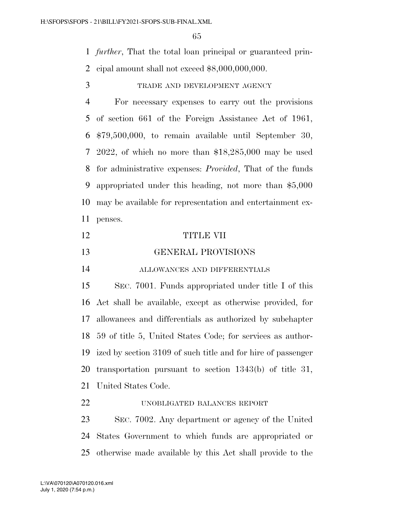*further*, That the total loan principal or guaranteed prin-cipal amount shall not exceed \$8,000,000,000.

TRADE AND DEVELOPMENT AGENCY

 For necessary expenses to carry out the provisions of section 661 of the Foreign Assistance Act of 1961, \$79,500,000, to remain available until September 30, 2022, of which no more than \$18,285,000 may be used for administrative expenses: *Provided*, That of the funds appropriated under this heading, not more than \$5,000 may be available for representation and entertainment ex-penses.

- TITLE VII
- GENERAL PROVISIONS
- ALLOWANCES AND DIFFERENTIALS

 SEC. 7001. Funds appropriated under title I of this Act shall be available, except as otherwise provided, for allowances and differentials as authorized by subchapter 59 of title 5, United States Code; for services as author- ized by section 3109 of such title and for hire of passenger transportation pursuant to section 1343(b) of title 31, United States Code.

UNOBLIGATED BALANCES REPORT

 SEC. 7002. Any department or agency of the United States Government to which funds are appropriated or otherwise made available by this Act shall provide to the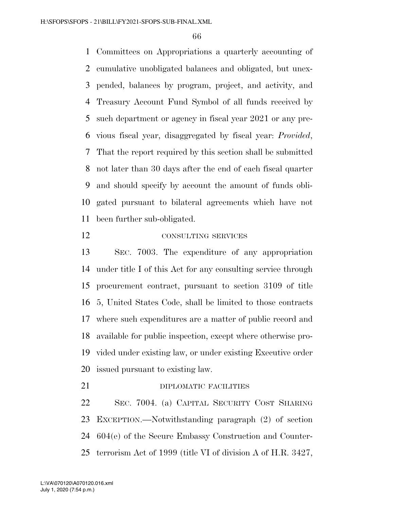Committees on Appropriations a quarterly accounting of cumulative unobligated balances and obligated, but unex- pended, balances by program, project, and activity, and Treasury Account Fund Symbol of all funds received by such department or agency in fiscal year 2021 or any pre- vious fiscal year, disaggregated by fiscal year: *Provided*, That the report required by this section shall be submitted not later than 30 days after the end of each fiscal quarter and should specify by account the amount of funds obli- gated pursuant to bilateral agreements which have not been further sub-obligated.

#### 12 CONSULTING SERVICES

 SEC. 7003. The expenditure of any appropriation under title I of this Act for any consulting service through procurement contract, pursuant to section 3109 of title 5, United States Code, shall be limited to those contracts where such expenditures are a matter of public record and available for public inspection, except where otherwise pro- vided under existing law, or under existing Executive order issued pursuant to existing law.

21 DIPLOMATIC FACILITIES

 SEC. 7004. (a) CAPITAL SECURITY COST SHARING EXCEPTION.—Notwithstanding paragraph (2) of section 604(e) of the Secure Embassy Construction and Counter-terrorism Act of 1999 (title VI of division A of H.R. 3427,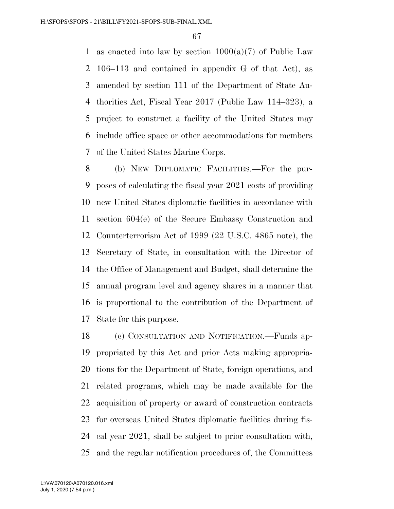1 as enacted into law by section  $1000(a)(7)$  of Public Law 106–113 and contained in appendix G of that Act), as amended by section 111 of the Department of State Au- thorities Act, Fiscal Year 2017 (Public Law 114–323), a project to construct a facility of the United States may include office space or other accommodations for members of the United States Marine Corps.

 (b) NEW DIPLOMATIC FACILITIES.—For the pur- poses of calculating the fiscal year 2021 costs of providing new United States diplomatic facilities in accordance with section 604(e) of the Secure Embassy Construction and Counterterrorism Act of 1999 (22 U.S.C. 4865 note), the Secretary of State, in consultation with the Director of the Office of Management and Budget, shall determine the annual program level and agency shares in a manner that is proportional to the contribution of the Department of State for this purpose.

 (c) CONSULTATION AND NOTIFICATION.—Funds ap- propriated by this Act and prior Acts making appropria- tions for the Department of State, foreign operations, and related programs, which may be made available for the acquisition of property or award of construction contracts for overseas United States diplomatic facilities during fis- cal year 2021, shall be subject to prior consultation with, and the regular notification procedures of, the Committees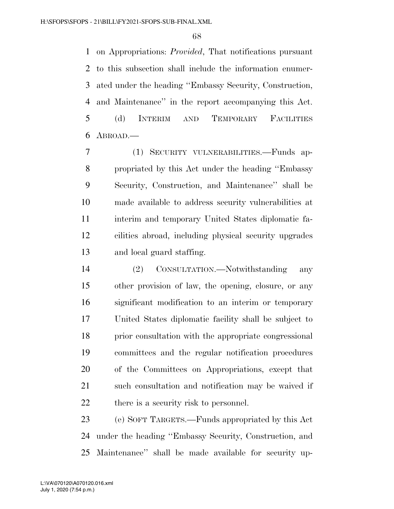on Appropriations: *Provided*, That notifications pursuant to this subsection shall include the information enumer- ated under the heading ''Embassy Security, Construction, and Maintenance'' in the report accompanying this Act. (d) INTERIM AND TEMPORARY FACILITIES ABROAD.—

 (1) SECURITY VULNERABILITIES.—Funds ap- propriated by this Act under the heading ''Embassy Security, Construction, and Maintenance'' shall be made available to address security vulnerabilities at interim and temporary United States diplomatic fa- cilities abroad, including physical security upgrades and local guard staffing.

 (2) CONSULTATION.—Notwithstanding any other provision of law, the opening, closure, or any significant modification to an interim or temporary United States diplomatic facility shall be subject to prior consultation with the appropriate congressional committees and the regular notification procedures of the Committees on Appropriations, except that such consultation and notification may be waived if 22 there is a security risk to personnel.

 (e) SOFT TARGETS.—Funds appropriated by this Act under the heading ''Embassy Security, Construction, and Maintenance'' shall be made available for security up-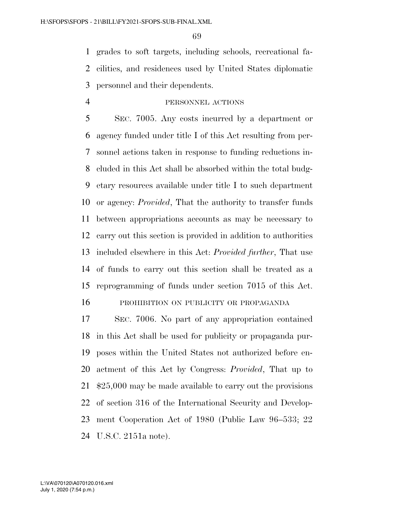grades to soft targets, including schools, recreational fa- cilities, and residences used by United States diplomatic personnel and their dependents.

## PERSONNEL ACTIONS

 SEC. 7005. Any costs incurred by a department or agency funded under title I of this Act resulting from per- sonnel actions taken in response to funding reductions in- cluded in this Act shall be absorbed within the total budg- etary resources available under title I to such department or agency: *Provided*, That the authority to transfer funds between appropriations accounts as may be necessary to carry out this section is provided in addition to authorities included elsewhere in this Act: *Provided further*, That use of funds to carry out this section shall be treated as a reprogramming of funds under section 7015 of this Act.

PROHIBITION ON PUBLICITY OR PROPAGANDA

 SEC. 7006. No part of any appropriation contained in this Act shall be used for publicity or propaganda pur- poses within the United States not authorized before en- actment of this Act by Congress: *Provided*, That up to \$25,000 may be made available to carry out the provisions of section 316 of the International Security and Develop- ment Cooperation Act of 1980 (Public Law 96–533; 22 U.S.C. 2151a note).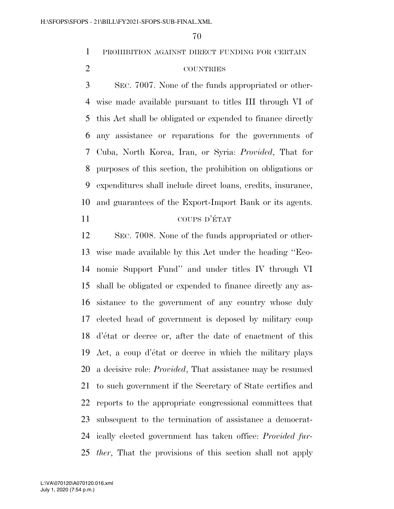PROHIBITION AGAINST DIRECT FUNDING FOR CERTAIN

#### 2 COUNTRIES

 SEC. 7007. None of the funds appropriated or other- wise made available pursuant to titles III through VI of this Act shall be obligated or expended to finance directly any assistance or reparations for the governments of Cuba, North Korea, Iran, or Syria: *Provided*, That for purposes of this section, the prohibition on obligations or expenditures shall include direct loans, credits, insurance, and guarantees of the Export-Import Bank or its agents. 11 COUPS D'ÉTAT

 SEC. 7008. None of the funds appropriated or other- wise made available by this Act under the heading ''Eco- nomic Support Fund'' and under titles IV through VI shall be obligated or expended to finance directly any as- sistance to the government of any country whose duly elected head of government is deposed by military coup 18 d'état or decree or, after the date of enactment of this Act, a coup d'e´tat or decree in which the military plays a decisive role: *Provided*, That assistance may be resumed to such government if the Secretary of State certifies and reports to the appropriate congressional committees that subsequent to the termination of assistance a democrat- ically elected government has taken office: *Provided fur-ther*, That the provisions of this section shall not apply

July 1, 2020 (7:54 p.m.) L:\VA\070120\A070120.016.xml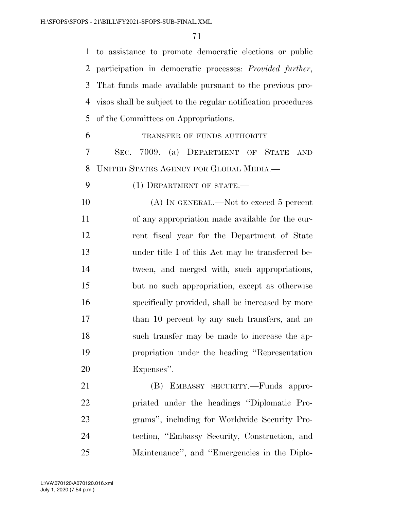to assistance to promote democratic elections or public participation in democratic processes: *Provided further*, That funds made available pursuant to the previous pro- visos shall be subject to the regular notification procedures of the Committees on Appropriations. TRANSFER OF FUNDS AUTHORITY SEC. 7009. (a) DEPARTMENT OF STATE AND UNITED STATES AGENCY FOR GLOBAL MEDIA.— (1) DEPARTMENT OF STATE.— 10 (A) IN GENERAL.—Not to exceed 5 percent of any appropriation made available for the cur- rent fiscal year for the Department of State under title I of this Act may be transferred be- tween, and merged with, such appropriations, but no such appropriation, except as otherwise specifically provided, shall be increased by more 17 than 10 percent by any such transfers, and no such transfer may be made to increase the ap- propriation under the heading ''Representation Expenses''. (B) EMBASSY SECURITY.—Funds appro- priated under the headings ''Diplomatic Pro- grams'', including for Worldwide Security Pro- tection, ''Embassy Security, Construction, and Maintenance'', and ''Emergencies in the Diplo-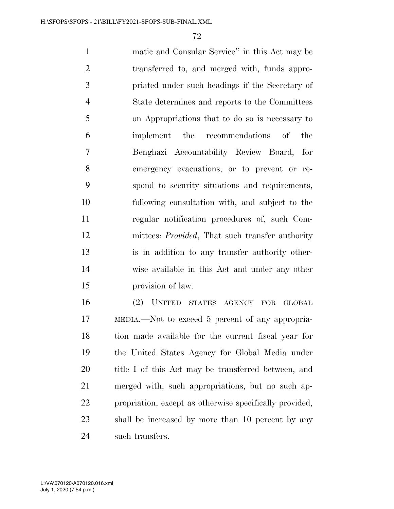matic and Consular Service'' in this Act may be transferred to, and merged with, funds appro- priated under such headings if the Secretary of State determines and reports to the Committees on Appropriations that to do so is necessary to implement the recommendations of the Benghazi Accountability Review Board, for emergency evacuations, or to prevent or re- spond to security situations and requirements, following consultation with, and subject to the regular notification procedures of, such Com- mittees: *Provided*, That such transfer authority is in addition to any transfer authority other- wise available in this Act and under any other provision of law.

 (2) UNITED STATES AGENCY FOR GLOBAL MEDIA.—Not to exceed 5 percent of any appropria- tion made available for the current fiscal year for the United States Agency for Global Media under title I of this Act may be transferred between, and merged with, such appropriations, but no such ap- propriation, except as otherwise specifically provided, shall be increased by more than 10 percent by any such transfers.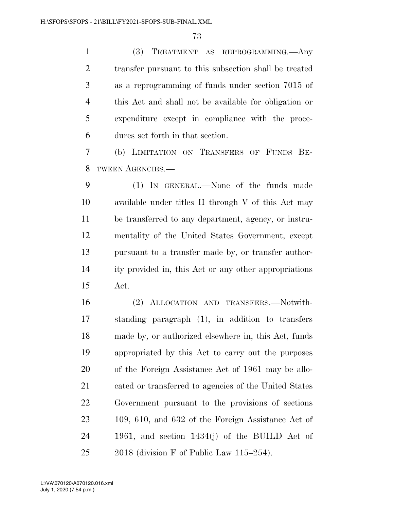(3) TREATMENT AS REPROGRAMMING.—Any transfer pursuant to this subsection shall be treated as a reprogramming of funds under section 7015 of this Act and shall not be available for obligation or expenditure except in compliance with the proce-dures set forth in that section.

 (b) LIMITATION ON TRANSFERS OF FUNDS BE-TWEEN AGENCIES.—

 (1) IN GENERAL.—None of the funds made available under titles II through V of this Act may be transferred to any department, agency, or instru- mentality of the United States Government, except pursuant to a transfer made by, or transfer author- ity provided in, this Act or any other appropriations Act.

 (2) ALLOCATION AND TRANSFERS.—Notwith- standing paragraph (1), in addition to transfers made by, or authorized elsewhere in, this Act, funds appropriated by this Act to carry out the purposes of the Foreign Assistance Act of 1961 may be allo- cated or transferred to agencies of the United States Government pursuant to the provisions of sections 109, 610, and 632 of the Foreign Assistance Act of 1961, and section 1434(j) of the BUILD Act of 2018 (division F of Public Law 115–254).

July 1, 2020 (7:54 p.m.) L:\VA\070120\A070120.016.xml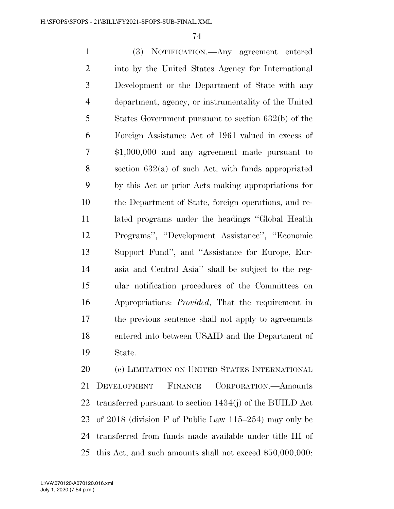(3) NOTIFICATION.—Any agreement entered into by the United States Agency for International Development or the Department of State with any department, agency, or instrumentality of the United States Government pursuant to section 632(b) of the Foreign Assistance Act of 1961 valued in excess of \$1,000,000 and any agreement made pursuant to section 632(a) of such Act, with funds appropriated by this Act or prior Acts making appropriations for the Department of State, foreign operations, and re- lated programs under the headings ''Global Health Programs'', ''Development Assistance'', ''Economic Support Fund'', and ''Assistance for Europe, Eur- asia and Central Asia'' shall be subject to the reg- ular notification procedures of the Committees on Appropriations: *Provided*, That the requirement in the previous sentence shall not apply to agreements entered into between USAID and the Department of State.

 (c) LIMITATION ON UNITED STATES INTERNATIONAL DEVELOPMENT FINANCE CORPORATION.—Amounts transferred pursuant to section 1434(j) of the BUILD Act of 2018 (division F of Public Law 115–254) may only be transferred from funds made available under title III of this Act, and such amounts shall not exceed \$50,000,000: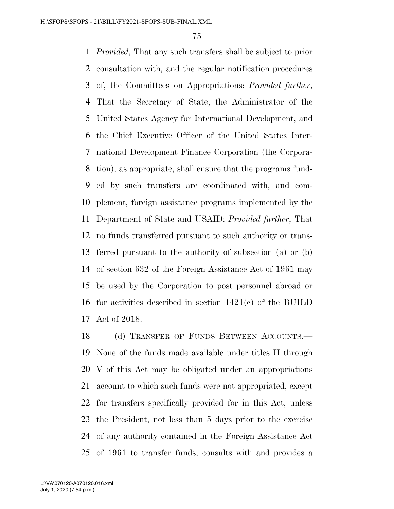*Provided*, That any such transfers shall be subject to prior consultation with, and the regular notification procedures of, the Committees on Appropriations: *Provided further*, That the Secretary of State, the Administrator of the United States Agency for International Development, and the Chief Executive Officer of the United States Inter- national Development Finance Corporation (the Corpora- tion), as appropriate, shall ensure that the programs fund- ed by such transfers are coordinated with, and com- plement, foreign assistance programs implemented by the Department of State and USAID: *Provided further*, That no funds transferred pursuant to such authority or trans- ferred pursuant to the authority of subsection (a) or (b) of section 632 of the Foreign Assistance Act of 1961 may be used by the Corporation to post personnel abroad or for activities described in section 1421(c) of the BUILD Act of 2018.

18 (d) TRANSFER OF FUNDS BETWEEN ACCOUNTS. None of the funds made available under titles II through V of this Act may be obligated under an appropriations account to which such funds were not appropriated, except for transfers specifically provided for in this Act, unless the President, not less than 5 days prior to the exercise of any authority contained in the Foreign Assistance Act of 1961 to transfer funds, consults with and provides a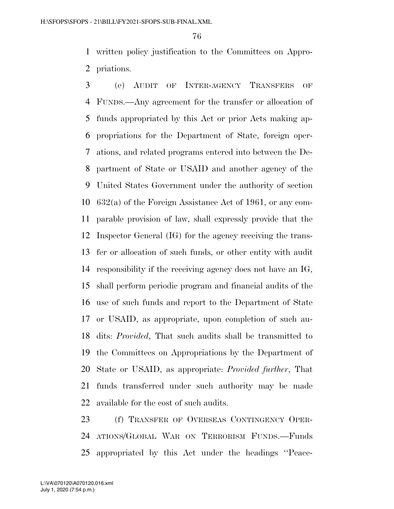written policy justification to the Committees on Appro-priations.

 (e) AUDIT OF INTER-AGENCY TRANSFERS OF FUNDS.—Any agreement for the transfer or allocation of funds appropriated by this Act or prior Acts making ap- propriations for the Department of State, foreign oper- ations, and related programs entered into between the De- partment of State or USAID and another agency of the United States Government under the authority of section 632(a) of the Foreign Assistance Act of 1961, or any com- parable provision of law, shall expressly provide that the Inspector General (IG) for the agency receiving the trans- fer or allocation of such funds, or other entity with audit responsibility if the receiving agency does not have an IG, shall perform periodic program and financial audits of the use of such funds and report to the Department of State or USAID, as appropriate, upon completion of such au- dits: *Provided*, That such audits shall be transmitted to the Committees on Appropriations by the Department of State or USAID, as appropriate: *Provided further*, That funds transferred under such authority may be made available for the cost of such audits.

 (f) TRANSFER OF OVERSEAS CONTINGENCY OPER- ATIONS/GLOBAL WAR ON TERRORISM FUNDS.—Funds appropriated by this Act under the headings ''Peace-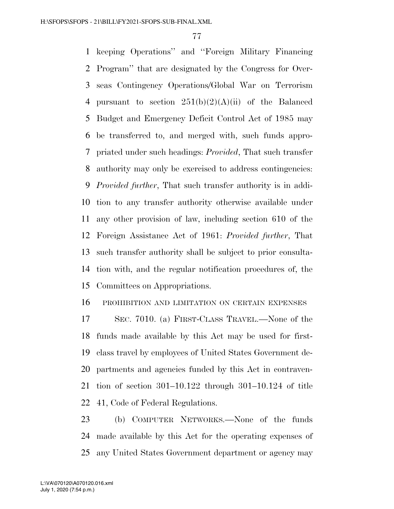keeping Operations'' and ''Foreign Military Financing Program'' that are designated by the Congress for Over- seas Contingency Operations/Global War on Terrorism 4 pursuant to section  $251(b)(2)(A)(ii)$  of the Balanced Budget and Emergency Deficit Control Act of 1985 may be transferred to, and merged with, such funds appro- priated under such headings: *Provided*, That such transfer authority may only be exercised to address contingencies: *Provided further*, That such transfer authority is in addi- tion to any transfer authority otherwise available under any other provision of law, including section 610 of the Foreign Assistance Act of 1961: *Provided further*, That such transfer authority shall be subject to prior consulta- tion with, and the regular notification procedures of, the Committees on Appropriations.

PROHIBITION AND LIMITATION ON CERTAIN EXPENSES

 SEC. 7010. (a) FIRST-CLASS TRAVEL.—None of the funds made available by this Act may be used for first- class travel by employees of United States Government de- partments and agencies funded by this Act in contraven- tion of section 301–10.122 through 301–10.124 of title 41, Code of Federal Regulations.

 (b) COMPUTER NETWORKS.—None of the funds made available by this Act for the operating expenses of any United States Government department or agency may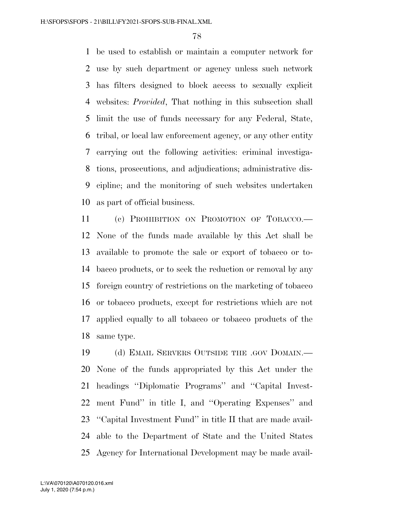be used to establish or maintain a computer network for use by such department or agency unless such network has filters designed to block access to sexually explicit websites: *Provided*, That nothing in this subsection shall limit the use of funds necessary for any Federal, State, tribal, or local law enforcement agency, or any other entity carrying out the following activities: criminal investiga- tions, prosecutions, and adjudications; administrative dis- cipline; and the monitoring of such websites undertaken as part of official business.

 (c) PROHIBITION ON PROMOTION OF TOBACCO.— None of the funds made available by this Act shall be available to promote the sale or export of tobacco or to- bacco products, or to seek the reduction or removal by any foreign country of restrictions on the marketing of tobacco or tobacco products, except for restrictions which are not applied equally to all tobacco or tobacco products of the same type.

19 (d) EMAIL SERVERS OUTSIDE THE .GOV DOMAIN.— None of the funds appropriated by this Act under the headings ''Diplomatic Programs'' and ''Capital Invest- ment Fund'' in title I, and ''Operating Expenses'' and ''Capital Investment Fund'' in title II that are made avail- able to the Department of State and the United States Agency for International Development may be made avail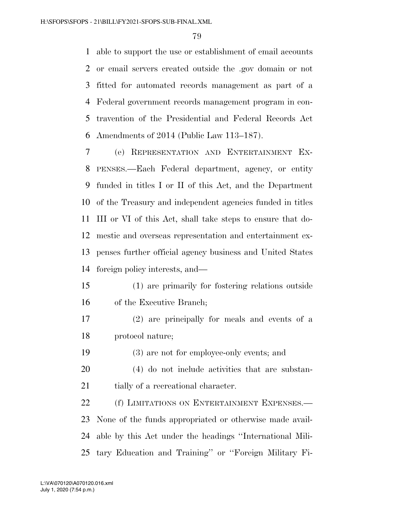able to support the use or establishment of email accounts or email servers created outside the .gov domain or not fitted for automated records management as part of a Federal government records management program in con- travention of the Presidential and Federal Records Act Amendments of 2014 (Public Law 113–187).

 (e) REPRESENTATION AND ENTERTAINMENT EX- PENSES.—Each Federal department, agency, or entity funded in titles I or II of this Act, and the Department of the Treasury and independent agencies funded in titles III or VI of this Act, shall take steps to ensure that do- mestic and overseas representation and entertainment ex- penses further official agency business and United States foreign policy interests, and—

- (1) are primarily for fostering relations outside of the Executive Branch;
- (2) are principally for meals and events of a protocol nature;
- (3) are not for employee-only events; and
- (4) do not include activities that are substan-21 tially of a recreational character.

22 (f) LIMITATIONS ON ENTERTAINMENT EXPENSES.— None of the funds appropriated or otherwise made avail- able by this Act under the headings ''International Mili-tary Education and Training'' or ''Foreign Military Fi-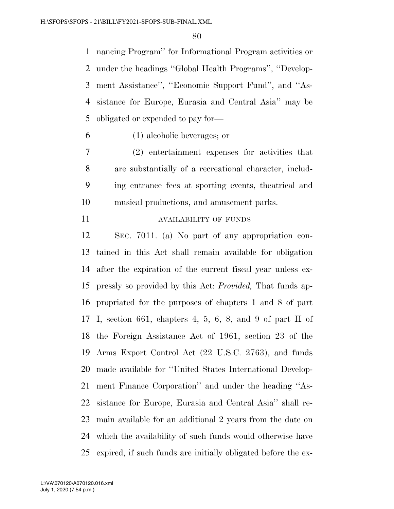nancing Program'' for Informational Program activities or under the headings ''Global Health Programs'', ''Develop- ment Assistance'', ''Economic Support Fund'', and ''As- sistance for Europe, Eurasia and Central Asia'' may be obligated or expended to pay for—

(1) alcoholic beverages; or

 (2) entertainment expenses for activities that are substantially of a recreational character, includ- ing entrance fees at sporting events, theatrical and musical productions, and amusement parks.

#### AVAILABILITY OF FUNDS

 SEC. 7011. (a) No part of any appropriation con- tained in this Act shall remain available for obligation after the expiration of the current fiscal year unless ex- pressly so provided by this Act: *Provided,* That funds ap- propriated for the purposes of chapters 1 and 8 of part I, section 661, chapters 4, 5, 6, 8, and 9 of part II of the Foreign Assistance Act of 1961, section 23 of the Arms Export Control Act (22 U.S.C. 2763), and funds made available for ''United States International Develop- ment Finance Corporation'' and under the heading ''As- sistance for Europe, Eurasia and Central Asia'' shall re- main available for an additional 2 years from the date on which the availability of such funds would otherwise have expired, if such funds are initially obligated before the ex-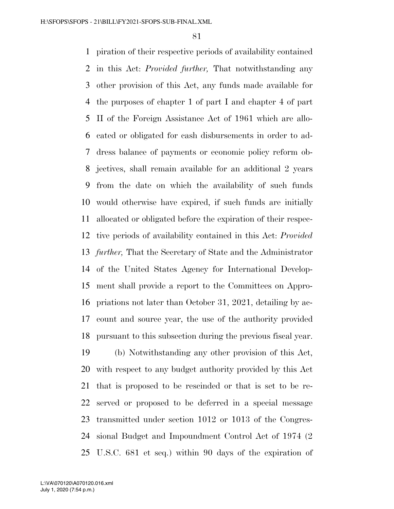piration of their respective periods of availability contained in this Act: *Provided further,* That notwithstanding any other provision of this Act, any funds made available for the purposes of chapter 1 of part I and chapter 4 of part II of the Foreign Assistance Act of 1961 which are allo- cated or obligated for cash disbursements in order to ad- dress balance of payments or economic policy reform ob- jectives, shall remain available for an additional 2 years from the date on which the availability of such funds would otherwise have expired, if such funds are initially allocated or obligated before the expiration of their respec- tive periods of availability contained in this Act: *Provided further,* That the Secretary of State and the Administrator of the United States Agency for International Develop- ment shall provide a report to the Committees on Appro- priations not later than October 31, 2021, detailing by ac- count and source year, the use of the authority provided pursuant to this subsection during the previous fiscal year. (b) Notwithstanding any other provision of this Act, with respect to any budget authority provided by this Act that is proposed to be rescinded or that is set to be re- served or proposed to be deferred in a special message transmitted under section 1012 or 1013 of the Congres- sional Budget and Impoundment Control Act of 1974 (2 U.S.C. 681 et seq.) within 90 days of the expiration of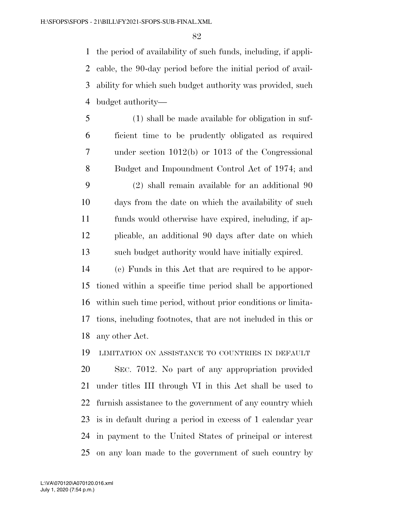the period of availability of such funds, including, if appli- cable, the 90-day period before the initial period of avail- ability for which such budget authority was provided, such budget authority—

 (1) shall be made available for obligation in suf- ficient time to be prudently obligated as required under section 1012(b) or 1013 of the Congressional Budget and Impoundment Control Act of 1974; and (2) shall remain available for an additional 90 days from the date on which the availability of such funds would otherwise have expired, including, if ap- plicable, an additional 90 days after date on which such budget authority would have initially expired.

 (c) Funds in this Act that are required to be appor- tioned within a specific time period shall be apportioned within such time period, without prior conditions or limita- tions, including footnotes, that are not included in this or any other Act.

## LIMITATION ON ASSISTANCE TO COUNTRIES IN DEFAULT

 SEC. 7012. No part of any appropriation provided under titles III through VI in this Act shall be used to furnish assistance to the government of any country which is in default during a period in excess of 1 calendar year in payment to the United States of principal or interest on any loan made to the government of such country by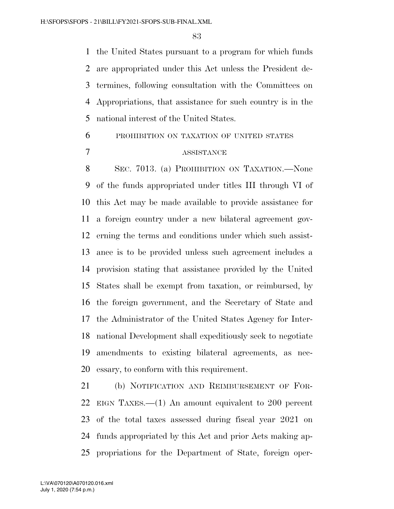the United States pursuant to a program for which funds are appropriated under this Act unless the President de- termines, following consultation with the Committees on Appropriations, that assistance for such country is in the national interest of the United States.

# PROHIBITION ON TAXATION OF UNITED STATES ASSISTANCE

 SEC. 7013. (a) PROHIBITION ON TAXATION.—None of the funds appropriated under titles III through VI of this Act may be made available to provide assistance for a foreign country under a new bilateral agreement gov- erning the terms and conditions under which such assist- ance is to be provided unless such agreement includes a provision stating that assistance provided by the United States shall be exempt from taxation, or reimbursed, by the foreign government, and the Secretary of State and the Administrator of the United States Agency for Inter- national Development shall expeditiously seek to negotiate amendments to existing bilateral agreements, as nec-essary, to conform with this requirement.

 (b) NOTIFICATION AND REIMBURSEMENT OF FOR- EIGN TAXES.—(1) An amount equivalent to 200 percent of the total taxes assessed during fiscal year 2021 on funds appropriated by this Act and prior Acts making ap-propriations for the Department of State, foreign oper-

July 1, 2020 (7:54 p.m.) L:\VA\070120\A070120.016.xml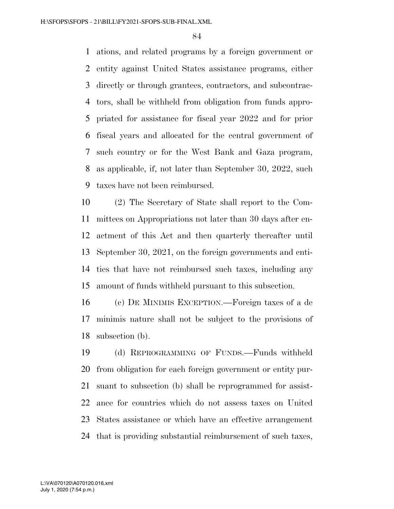ations, and related programs by a foreign government or entity against United States assistance programs, either directly or through grantees, contractors, and subcontrac- tors, shall be withheld from obligation from funds appro- priated for assistance for fiscal year 2022 and for prior fiscal years and allocated for the central government of such country or for the West Bank and Gaza program, as applicable, if, not later than September 30, 2022, such taxes have not been reimbursed.

 (2) The Secretary of State shall report to the Com- mittees on Appropriations not later than 30 days after en- actment of this Act and then quarterly thereafter until September 30, 2021, on the foreign governments and enti- ties that have not reimbursed such taxes, including any amount of funds withheld pursuant to this subsection.

 (c) DE MINIMIS EXCEPTION.—Foreign taxes of a de minimis nature shall not be subject to the provisions of subsection (b).

 (d) REPROGRAMMING OF FUNDS.—Funds withheld from obligation for each foreign government or entity pur- suant to subsection (b) shall be reprogrammed for assist- ance for countries which do not assess taxes on United States assistance or which have an effective arrangement that is providing substantial reimbursement of such taxes,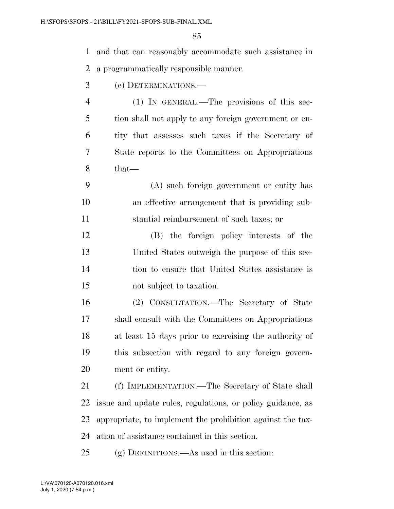and that can reasonably accommodate such assistance in a programmatically responsible manner. (e) DETERMINATIONS.— (1) IN GENERAL.—The provisions of this sec- tion shall not apply to any foreign government or en- tity that assesses such taxes if the Secretary of State reports to the Committees on Appropriations that— (A) such foreign government or entity has an effective arrangement that is providing sub-stantial reimbursement of such taxes; or

 (B) the foreign policy interests of the United States outweigh the purpose of this sec- tion to ensure that United States assistance is not subject to taxation.

 (2) CONSULTATION.—The Secretary of State shall consult with the Committees on Appropriations at least 15 days prior to exercising the authority of this subsection with regard to any foreign govern-ment or entity.

 (f) IMPLEMENTATION.—The Secretary of State shall issue and update rules, regulations, or policy guidance, as appropriate, to implement the prohibition against the tax-ation of assistance contained in this section.

(g) DEFINITIONS.—As used in this section: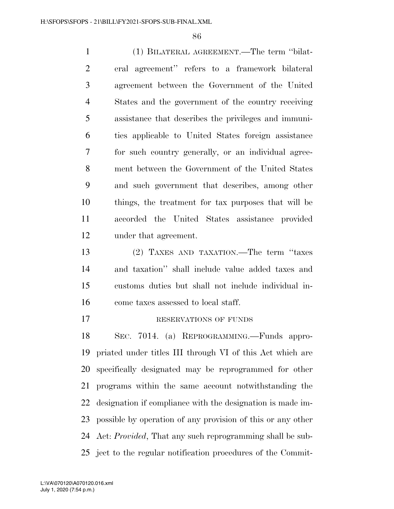(1) BILATERAL AGREEMENT.—The term ''bilat- eral agreement'' refers to a framework bilateral agreement between the Government of the United States and the government of the country receiving assistance that describes the privileges and immuni- ties applicable to United States foreign assistance for such country generally, or an individual agree- ment between the Government of the United States and such government that describes, among other things, the treatment for tax purposes that will be accorded the United States assistance provided under that agreement. (2) TAXES AND TAXATION.—The term ''taxes and taxation'' shall include value added taxes and customs duties but shall not include individual in- come taxes assessed to local staff. 17 RESERVATIONS OF FUNDS SEC. 7014. (a) REPROGRAMMING.—Funds appro-

 priated under titles III through VI of this Act which are specifically designated may be reprogrammed for other programs within the same account notwithstanding the designation if compliance with the designation is made im- possible by operation of any provision of this or any other Act: *Provided*, That any such reprogramming shall be sub-ject to the regular notification procedures of the Commit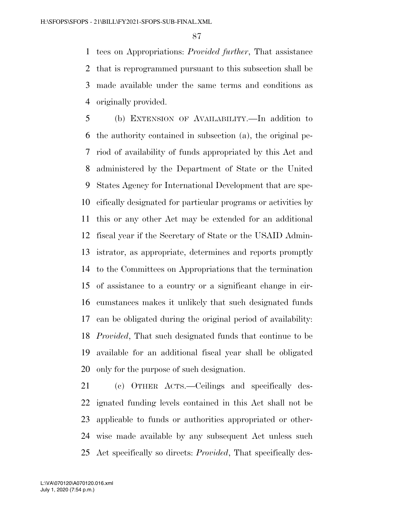tees on Appropriations: *Provided further*, That assistance that is reprogrammed pursuant to this subsection shall be made available under the same terms and conditions as originally provided.

 (b) EXTENSION OF AVAILABILITY.—In addition to the authority contained in subsection (a), the original pe- riod of availability of funds appropriated by this Act and administered by the Department of State or the United States Agency for International Development that are spe- cifically designated for particular programs or activities by this or any other Act may be extended for an additional fiscal year if the Secretary of State or the USAID Admin- istrator, as appropriate, determines and reports promptly to the Committees on Appropriations that the termination of assistance to a country or a significant change in cir- cumstances makes it unlikely that such designated funds can be obligated during the original period of availability: *Provided*, That such designated funds that continue to be available for an additional fiscal year shall be obligated only for the purpose of such designation.

 (c) OTHER ACTS.—Ceilings and specifically des- ignated funding levels contained in this Act shall not be applicable to funds or authorities appropriated or other- wise made available by any subsequent Act unless such Act specifically so directs: *Provided*, That specifically des-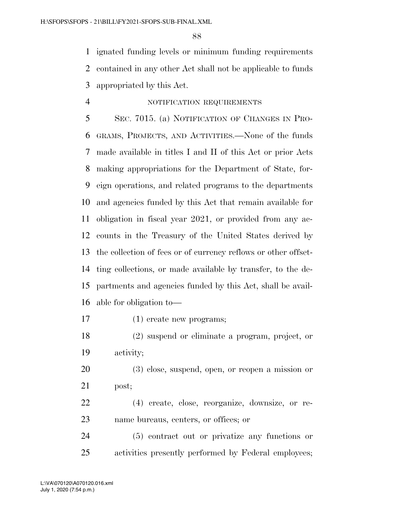ignated funding levels or minimum funding requirements contained in any other Act shall not be applicable to funds appropriated by this Act.

# NOTIFICATION REQUIREMENTS

 SEC. 7015. (a) NOTIFICATION OF CHANGES IN PRO- GRAMS, PROJECTS, AND ACTIVITIES.—None of the funds made available in titles I and II of this Act or prior Acts making appropriations for the Department of State, for- eign operations, and related programs to the departments and agencies funded by this Act that remain available for obligation in fiscal year 2021, or provided from any ac- counts in the Treasury of the United States derived by the collection of fees or of currency reflows or other offset- ting collections, or made available by transfer, to the de- partments and agencies funded by this Act, shall be avail-able for obligation to—

- (1) create new programs;
- (2) suspend or eliminate a program, project, or activity;

 (3) close, suspend, open, or reopen a mission or post;

 (4) create, close, reorganize, downsize, or re-name bureaus, centers, or offices; or

 (5) contract out or privatize any functions or activities presently performed by Federal employees;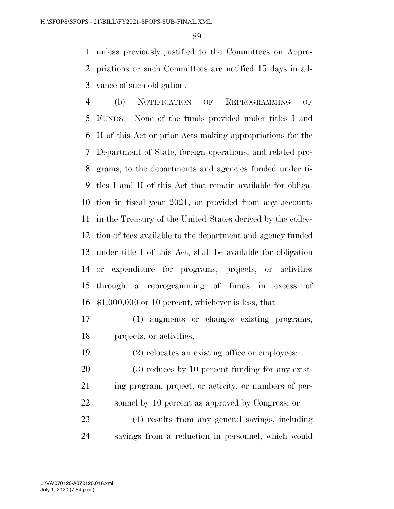unless previously justified to the Committees on Appro- priations or such Committees are notified 15 days in ad-vance of such obligation.

 (b) NOTIFICATION OF REPROGRAMMING OF FUNDS.—None of the funds provided under titles I and II of this Act or prior Acts making appropriations for the Department of State, foreign operations, and related pro- grams, to the departments and agencies funded under ti- tles I and II of this Act that remain available for obliga- tion in fiscal year 2021, or provided from any accounts in the Treasury of the United States derived by the collec- tion of fees available to the department and agency funded under title I of this Act, shall be available for obligation or expenditure for programs, projects, or activities through a reprogramming of funds in excess of \$1,000,000 or 10 percent, whichever is less, that—

 (1) augments or changes existing programs, projects, or activities;

(2) relocates an existing office or employees;

20 (3) reduces by 10 percent funding for any exist- ing program, project, or activity, or numbers of per-sonnel by 10 percent as approved by Congress; or

 (4) results from any general savings, including savings from a reduction in personnel, which would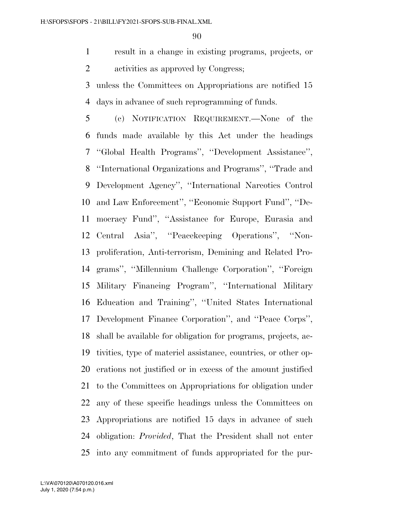result in a change in existing programs, projects, or activities as approved by Congress;

 unless the Committees on Appropriations are notified 15 days in advance of such reprogramming of funds.

 (c) NOTIFICATION REQUIREMENT.—None of the funds made available by this Act under the headings ''Global Health Programs'', ''Development Assistance'', ''International Organizations and Programs'', ''Trade and Development Agency'', ''International Narcotics Control and Law Enforcement'', ''Economic Support Fund'', ''De- mocracy Fund'', ''Assistance for Europe, Eurasia and Central Asia'', ''Peacekeeping Operations'', ''Non- proliferation, Anti-terrorism, Demining and Related Pro- grams'', ''Millennium Challenge Corporation'', ''Foreign Military Financing Program'', ''International Military Education and Training'', ''United States International Development Finance Corporation'', and ''Peace Corps'', shall be available for obligation for programs, projects, ac- tivities, type of materiel assistance, countries, or other op- erations not justified or in excess of the amount justified to the Committees on Appropriations for obligation under any of these specific headings unless the Committees on Appropriations are notified 15 days in advance of such obligation: *Provided*, That the President shall not enter into any commitment of funds appropriated for the pur-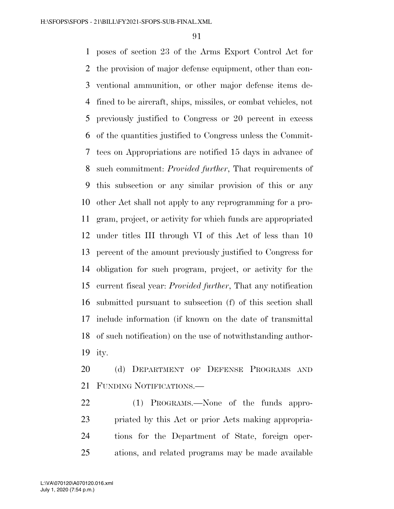poses of section 23 of the Arms Export Control Act for the provision of major defense equipment, other than con- ventional ammunition, or other major defense items de- fined to be aircraft, ships, missiles, or combat vehicles, not previously justified to Congress or 20 percent in excess of the quantities justified to Congress unless the Commit- tees on Appropriations are notified 15 days in advance of such commitment: *Provided further*, That requirements of this subsection or any similar provision of this or any other Act shall not apply to any reprogramming for a pro- gram, project, or activity for which funds are appropriated under titles III through VI of this Act of less than 10 percent of the amount previously justified to Congress for obligation for such program, project, or activity for the current fiscal year: *Provided further*, That any notification submitted pursuant to subsection (f) of this section shall include information (if known on the date of transmittal of such notification) on the use of notwithstanding author-ity.

 (d) DEPARTMENT OF DEFENSE PROGRAMS AND FUNDING NOTIFICATIONS.—

 (1) PROGRAMS.—None of the funds appro- priated by this Act or prior Acts making appropria- tions for the Department of State, foreign oper-ations, and related programs may be made available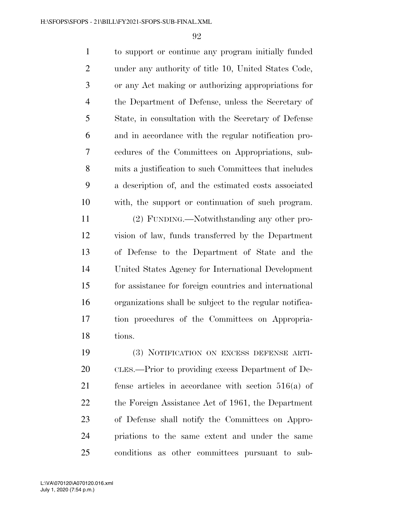to support or continue any program initially funded under any authority of title 10, United States Code, or any Act making or authorizing appropriations for the Department of Defense, unless the Secretary of State, in consultation with the Secretary of Defense and in accordance with the regular notification pro- cedures of the Committees on Appropriations, sub- mits a justification to such Committees that includes a description of, and the estimated costs associated with, the support or continuation of such program. (2) FUNDING.—Notwithstanding any other pro- vision of law, funds transferred by the Department of Defense to the Department of State and the United States Agency for International Development

 for assistance for foreign countries and international organizations shall be subject to the regular notifica- tion procedures of the Committees on Appropria-tions.

 (3) NOTIFICATION ON EXCESS DEFENSE ARTI- CLES.—Prior to providing excess Department of De- fense articles in accordance with section 516(a) of the Foreign Assistance Act of 1961, the Department of Defense shall notify the Committees on Appro- priations to the same extent and under the same conditions as other committees pursuant to sub-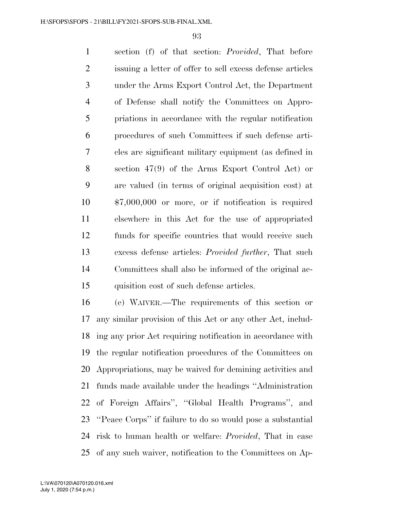section (f) of that section: *Provided*, That before issuing a letter of offer to sell excess defense articles under the Arms Export Control Act, the Department of Defense shall notify the Committees on Appro- priations in accordance with the regular notification procedures of such Committees if such defense arti- cles are significant military equipment (as defined in section 47(9) of the Arms Export Control Act) or are valued (in terms of original acquisition cost) at \$7,000,000 or more, or if notification is required elsewhere in this Act for the use of appropriated funds for specific countries that would receive such excess defense articles: *Provided further*, That such Committees shall also be informed of the original ac-quisition cost of such defense articles.

 (e) WAIVER.—The requirements of this section or any similar provision of this Act or any other Act, includ- ing any prior Act requiring notification in accordance with the regular notification procedures of the Committees on Appropriations, may be waived for demining activities and funds made available under the headings ''Administration of Foreign Affairs'', ''Global Health Programs'', and ''Peace Corps'' if failure to do so would pose a substantial risk to human health or welfare: *Provided*, That in case of any such waiver, notification to the Committees on Ap-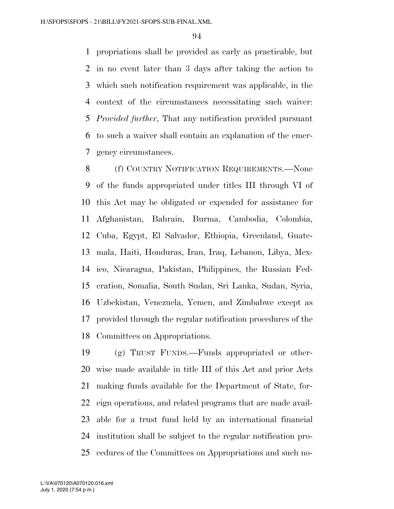propriations shall be provided as early as practicable, but in no event later than 3 days after taking the action to which such notification requirement was applicable, in the context of the circumstances necessitating such waiver: *Provided further*, That any notification provided pursuant to such a waiver shall contain an explanation of the emer-gency circumstances.

 (f) COUNTRY NOTIFICATION REQUIREMENTS.—None of the funds appropriated under titles III through VI of this Act may be obligated or expended for assistance for Afghanistan, Bahrain, Burma, Cambodia, Colombia, Cuba, Egypt, El Salvador, Ethiopia, Greenland, Guate- mala, Haiti, Honduras, Iran, Iraq, Lebanon, Libya, Mex- ico, Nicaragua, Pakistan, Philippines, the Russian Fed- eration, Somalia, South Sudan, Sri Lanka, Sudan, Syria, Uzbekistan, Venezuela, Yemen, and Zimbabwe except as provided through the regular notification procedures of the Committees on Appropriations.

 (g) TRUST FUNDS.—Funds appropriated or other- wise made available in title III of this Act and prior Acts making funds available for the Department of State, for- eign operations, and related programs that are made avail- able for a trust fund held by an international financial institution shall be subject to the regular notification pro-cedures of the Committees on Appropriations and such no-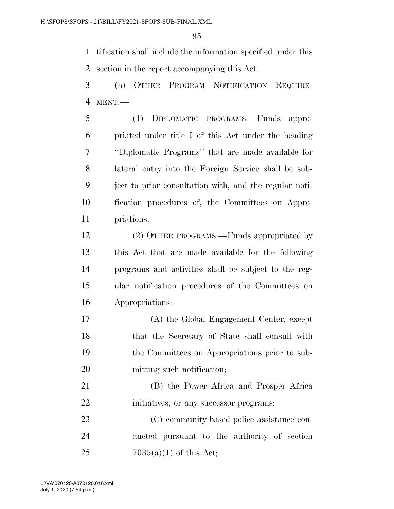tification shall include the information specified under this section in the report accompanying this Act.

 (h) OTHER PROGRAM NOTIFICATION REQUIRE-MENT.—

 (1) DIPLOMATIC PROGRAMS.—Funds appro- priated under title I of this Act under the heading ''Diplomatic Programs'' that are made available for lateral entry into the Foreign Service shall be sub- ject to prior consultation with, and the regular noti- fication procedures of, the Committees on Appro-priations.

 (2) OTHER PROGRAMS.—Funds appropriated by this Act that are made available for the following programs and activities shall be subject to the reg- ular notification procedures of the Committees on Appropriations:

 (A) the Global Engagement Center, except that the Secretary of State shall consult with the Committees on Appropriations prior to sub-20 mitting such notification;

 (B) the Power Africa and Prosper Africa 22 initiatives, or any successor programs;

 (C) community-based police assistance con- ducted pursuant to the authority of section 25  $7035(a)(1)$  of this Act;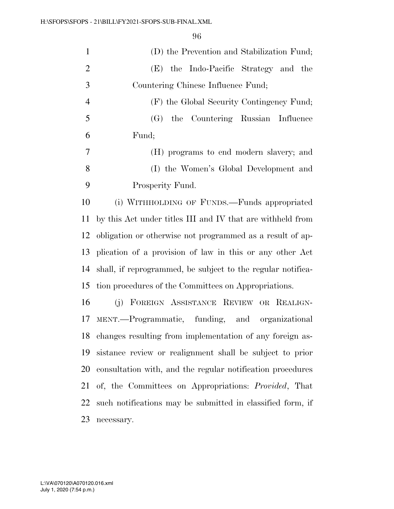| $\mathbf{1}$   | (D) the Prevention and Stabilization Fund;                  |
|----------------|-------------------------------------------------------------|
| $\overline{2}$ | (E) the Indo-Pacific Strategy and the                       |
| 3              | Countering Chinese Influence Fund;                          |
| $\overline{4}$ | (F) the Global Security Contingency Fund;                   |
| 5              | (G) the Countering Russian Influence                        |
| 6              | Fund;                                                       |
| 7              | (H) programs to end modern slavery; and                     |
| 8              | (I) the Women's Global Development and                      |
| 9              | Prosperity Fund.                                            |
| 10             | (i) WITHHOLDING OF FUNDS.—Funds appropriated                |
| 11             | by this Act under titles III and IV that are withheld from  |
| 12             | obligation or otherwise not programmed as a result of ap-   |
| 13             | plication of a provision of law in this or any other Act    |
| 14             | shall, if reprogrammed, be subject to the regular notifica- |
| 15             | tion procedures of the Committees on Appropriations.        |
| 16             | (j) FOREIGN ASSISTANCE REVIEW OR REALIGN-                   |
| 17             | MENT.—Programmatic, funding, and organizational             |
| 18             | changes resulting from implementation of any foreign as-    |
| 19             | sistance review or realignment shall be subject to prior    |
| 20             | consultation with, and the regular notification procedures  |
| 21             | of, the Committees on Appropriations: Provided, That        |
| 22             | such notifications may be submitted in classified form, if  |
| 23             | necessary.                                                  |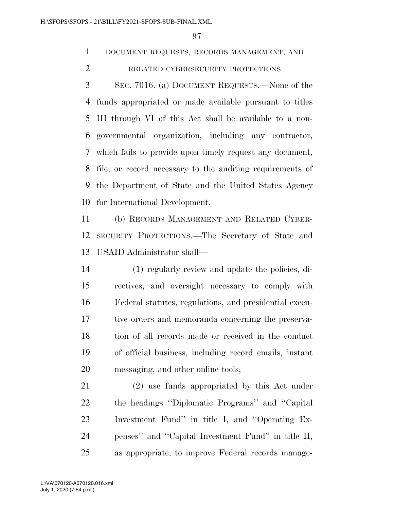DOCUMENT REQUESTS, RECORDS MANAGEMENT, AND

2 RELATED CYBERSECURITY PROTECTIONS

 SEC. 7016. (a) DOCUMENT REQUESTS.—None of the funds appropriated or made available pursuant to titles III through VI of this Act shall be available to a non- governmental organization, including any contractor, which fails to provide upon timely request any document, file, or record necessary to the auditing requirements of the Department of State and the United States Agency for International Development.

 (b) RECORDS MANAGEMENT AND RELATED CYBER- SECURITY PROTECTIONS.—The Secretary of State and USAID Administrator shall—

 (1) regularly review and update the policies, di- rectives, and oversight necessary to comply with Federal statutes, regulations, and presidential execu- tive orders and memoranda concerning the preserva- tion of all records made or received in the conduct of official business, including record emails, instant messaging, and other online tools;

 (2) use funds appropriated by this Act under the headings ''Diplomatic Programs'' and ''Capital Investment Fund'' in title I, and ''Operating Ex- penses'' and ''Capital Investment Fund'' in title II, as appropriate, to improve Federal records manage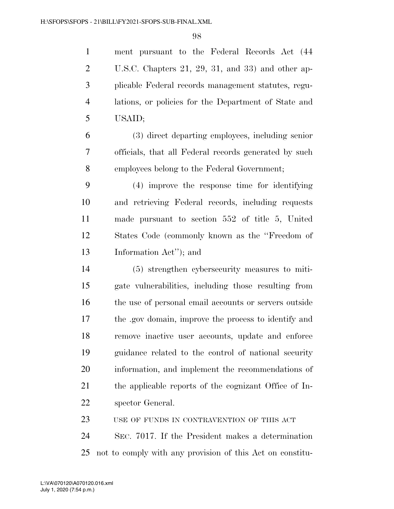ment pursuant to the Federal Records Act (44 U.S.C. Chapters 21, 29, 31, and 33) and other ap- plicable Federal records management statutes, regu- lations, or policies for the Department of State and USAID;

 (3) direct departing employees, including senior officials, that all Federal records generated by such employees belong to the Federal Government;

 (4) improve the response time for identifying and retrieving Federal records, including requests made pursuant to section 552 of title 5, United States Code (commonly known as the ''Freedom of Information Act''); and

 (5) strengthen cybersecurity measures to miti- gate vulnerabilities, including those resulting from 16 the use of personal email accounts or servers outside the .gov domain, improve the process to identify and remove inactive user accounts, update and enforce guidance related to the control of national security information, and implement the recommendations of the applicable reports of the cognizant Office of In-spector General.

23 USE OF FUNDS IN CONTRAVENTION OF THIS ACT

 SEC. 7017. If the President makes a determination not to comply with any provision of this Act on constitu-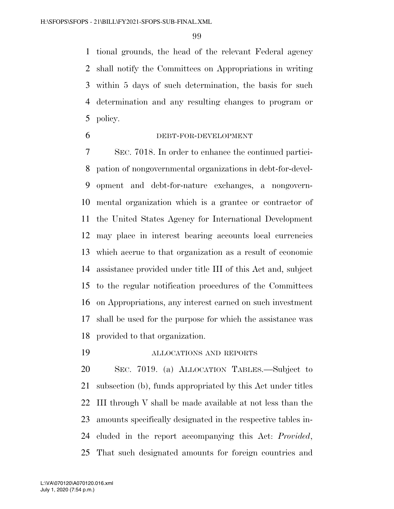tional grounds, the head of the relevant Federal agency shall notify the Committees on Appropriations in writing within 5 days of such determination, the basis for such determination and any resulting changes to program or policy.

## DEBT-FOR-DEVELOPMENT

 SEC. 7018. In order to enhance the continued partici- pation of nongovernmental organizations in debt-for-devel- opment and debt-for-nature exchanges, a nongovern- mental organization which is a grantee or contractor of the United States Agency for International Development may place in interest bearing accounts local currencies which accrue to that organization as a result of economic assistance provided under title III of this Act and, subject to the regular notification procedures of the Committees on Appropriations, any interest earned on such investment shall be used for the purpose for which the assistance was provided to that organization.

## ALLOCATIONS AND REPORTS

 SEC. 7019. (a) ALLOCATION TABLES.—Subject to subsection (b), funds appropriated by this Act under titles III through V shall be made available at not less than the amounts specifically designated in the respective tables in- cluded in the report accompanying this Act: *Provided*, That such designated amounts for foreign countries and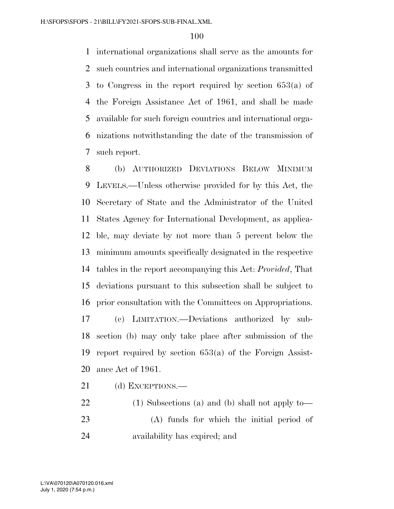international organizations shall serve as the amounts for such countries and international organizations transmitted to Congress in the report required by section 653(a) of the Foreign Assistance Act of 1961, and shall be made available for such foreign countries and international orga- nizations notwithstanding the date of the transmission of such report.

 (b) AUTHORIZED DEVIATIONS BELOW MINIMUM LEVELS.—Unless otherwise provided for by this Act, the Secretary of State and the Administrator of the United States Agency for International Development, as applica- ble, may deviate by not more than 5 percent below the minimum amounts specifically designated in the respective tables in the report accompanying this Act: *Provided*, That deviations pursuant to this subsection shall be subject to prior consultation with the Committees on Appropriations.

 (c) LIMITATION.—Deviations authorized by sub- section (b) may only take place after submission of the report required by section 653(a) of the Foreign Assist-ance Act of 1961.

21 (d) EXCEPTIONS.—

 (1) Subsections (a) and (b) shall not apply to— (A) funds for which the initial period of availability has expired; and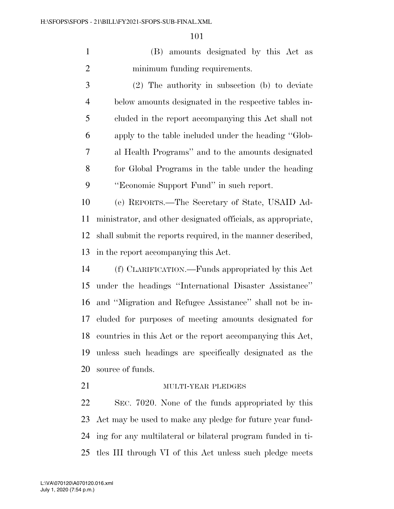(B) amounts designated by this Act as 2 minimum funding requirements.

 (2) The authority in subsection (b) to deviate below amounts designated in the respective tables in- cluded in the report accompanying this Act shall not apply to the table included under the heading ''Glob- al Health Programs'' and to the amounts designated for Global Programs in the table under the heading ''Economic Support Fund'' in such report.

 (e) REPORTS.—The Secretary of State, USAID Ad- ministrator, and other designated officials, as appropriate, shall submit the reports required, in the manner described, in the report accompanying this Act.

 (f) CLARIFICATION.—Funds appropriated by this Act under the headings ''International Disaster Assistance'' and ''Migration and Refugee Assistance'' shall not be in- cluded for purposes of meeting amounts designated for countries in this Act or the report accompanying this Act, unless such headings are specifically designated as the source of funds.

21 MULTI-YEAR PLEDGES

 SEC. 7020. None of the funds appropriated by this Act may be used to make any pledge for future year fund- ing for any multilateral or bilateral program funded in ti-tles III through VI of this Act unless such pledge meets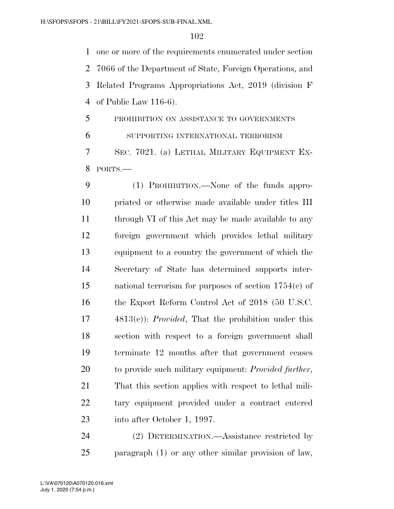one or more of the requirements enumerated under section 7066 of the Department of State, Foreign Operations, and Related Programs Appropriations Act, 2019 (division F of Public Law 116-6).

 PROHIBITION ON ASSISTANCE TO GOVERNMENTS SUPPORTING INTERNATIONAL TERRORISM SEC. 7021. (a) LETHAL MILITARY EQUIPMENT EX-PORTS.—

 (1) PROHIBITION.—None of the funds appro- priated or otherwise made available under titles III 11 through VI of this Act may be made available to any foreign government which provides lethal military equipment to a country the government of which the Secretary of State has determined supports inter- national terrorism for purposes of section 1754(c) of 16 the Export Reform Control Act of 2018 (50 U.S.C. 4813(c)): *Provided*, That the prohibition under this section with respect to a foreign government shall terminate 12 months after that government ceases to provide such military equipment: *Provided further*, That this section applies with respect to lethal mili- tary equipment provided under a contract entered into after October 1, 1997.

 (2) DETERMINATION.—Assistance restricted by paragraph (1) or any other similar provision of law,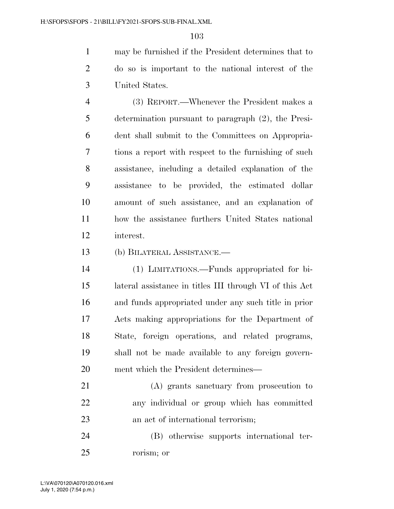may be furnished if the President determines that to do so is important to the national interest of the United States.

 (3) REPORT.—Whenever the President makes a determination pursuant to paragraph (2), the Presi- dent shall submit to the Committees on Appropria- tions a report with respect to the furnishing of such assistance, including a detailed explanation of the assistance to be provided, the estimated dollar amount of such assistance, and an explanation of how the assistance furthers United States national interest.

(b) BILATERAL ASSISTANCE.—

 (1) LIMITATIONS.—Funds appropriated for bi- lateral assistance in titles III through VI of this Act and funds appropriated under any such title in prior Acts making appropriations for the Department of State, foreign operations, and related programs, shall not be made available to any foreign govern-ment which the President determines—

 (A) grants sanctuary from prosecution to any individual or group which has committed an act of international terrorism;

 (B) otherwise supports international ter-rorism; or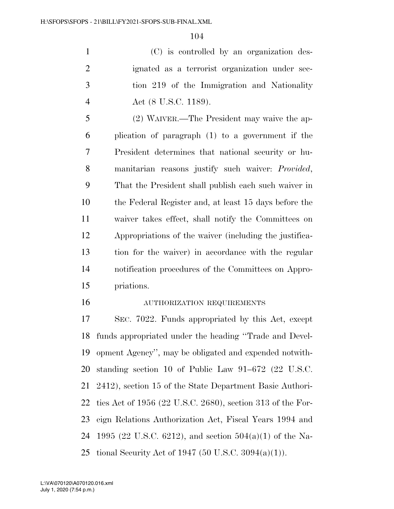(C) is controlled by an organization des- ignated as a terrorist organization under sec- tion 219 of the Immigration and Nationality Act (8 U.S.C. 1189).

 (2) WAIVER.—The President may waive the ap- plication of paragraph (1) to a government if the President determines that national security or hu- manitarian reasons justify such waiver: *Provided*, That the President shall publish each such waiver in the Federal Register and, at least 15 days before the waiver takes effect, shall notify the Committees on Appropriations of the waiver (including the justifica- tion for the waiver) in accordance with the regular notification procedures of the Committees on Appro-priations.

## AUTHORIZATION REQUIREMENTS

 SEC. 7022. Funds appropriated by this Act, except funds appropriated under the heading ''Trade and Devel- opment Agency'', may be obligated and expended notwith- standing section 10 of Public Law 91–672 (22 U.S.C. 2412), section 15 of the State Department Basic Authori- ties Act of 1956 (22 U.S.C. 2680), section 313 of the For- eign Relations Authorization Act, Fiscal Years 1994 and 1995 (22 U.S.C. 6212), and section 504(a)(1) of the Na-tional Security Act of 1947 (50 U.S.C. 3094(a)(1)).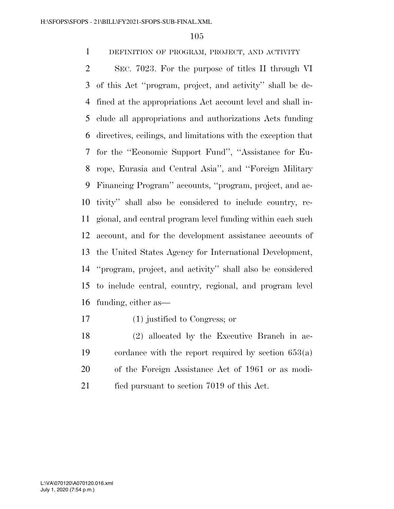DEFINITION OF PROGRAM, PROJECT, AND ACTIVITY

 SEC. 7023. For the purpose of titles II through VI of this Act ''program, project, and activity'' shall be de- fined at the appropriations Act account level and shall in- clude all appropriations and authorizations Acts funding directives, ceilings, and limitations with the exception that for the ''Economic Support Fund'', ''Assistance for Eu- rope, Eurasia and Central Asia'', and ''Foreign Military Financing Program'' accounts, ''program, project, and ac- tivity'' shall also be considered to include country, re- gional, and central program level funding within each such account, and for the development assistance accounts of the United States Agency for International Development, ''program, project, and activity'' shall also be considered to include central, country, regional, and program level funding, either as—

- (1) justified to Congress; or
- (2) allocated by the Executive Branch in ac- cordance with the report required by section 653(a) of the Foreign Assistance Act of 1961 or as modi-fied pursuant to section 7019 of this Act.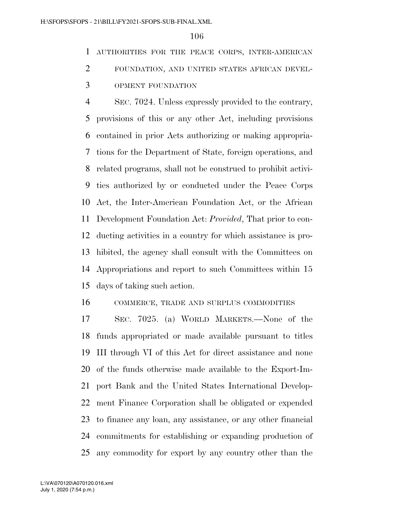AUTHORITIES FOR THE PEACE CORPS, INTER-AMERICAN

FOUNDATION, AND UNITED STATES AFRICAN DEVEL-

OPMENT FOUNDATION

 SEC. 7024. Unless expressly provided to the contrary, provisions of this or any other Act, including provisions contained in prior Acts authorizing or making appropria- tions for the Department of State, foreign operations, and related programs, shall not be construed to prohibit activi- ties authorized by or conducted under the Peace Corps Act, the Inter-American Foundation Act, or the African Development Foundation Act: *Provided*, That prior to con- ducting activities in a country for which assistance is pro- hibited, the agency shall consult with the Committees on Appropriations and report to such Committees within 15 days of taking such action.

COMMERCE, TRADE AND SURPLUS COMMODITIES

 SEC. 7025. (a) WORLD MARKETS.—None of the funds appropriated or made available pursuant to titles III through VI of this Act for direct assistance and none of the funds otherwise made available to the Export-Im- port Bank and the United States International Develop- ment Finance Corporation shall be obligated or expended to finance any loan, any assistance, or any other financial commitments for establishing or expanding production of any commodity for export by any country other than the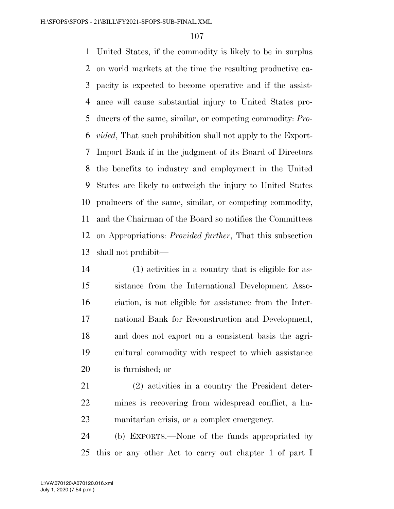United States, if the commodity is likely to be in surplus on world markets at the time the resulting productive ca- pacity is expected to become operative and if the assist- ance will cause substantial injury to United States pro- ducers of the same, similar, or competing commodity: *Pro- vided*, That such prohibition shall not apply to the Export- Import Bank if in the judgment of its Board of Directors the benefits to industry and employment in the United States are likely to outweigh the injury to United States producers of the same, similar, or competing commodity, and the Chairman of the Board so notifies the Committees on Appropriations: *Provided further*, That this subsection shall not prohibit—

 (1) activities in a country that is eligible for as- sistance from the International Development Asso- ciation, is not eligible for assistance from the Inter- national Bank for Reconstruction and Development, and does not export on a consistent basis the agri- cultural commodity with respect to which assistance is furnished; or

 (2) activities in a country the President deter- mines is recovering from widespread conflict, a hu-manitarian crisis, or a complex emergency.

 (b) EXPORTS.—None of the funds appropriated by this or any other Act to carry out chapter 1 of part I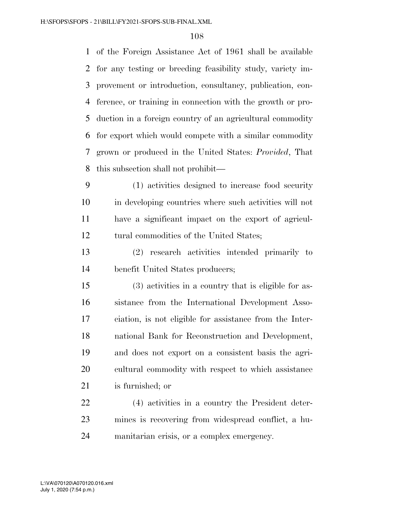of the Foreign Assistance Act of 1961 shall be available for any testing or breeding feasibility study, variety im- provement or introduction, consultancy, publication, con- ference, or training in connection with the growth or pro- duction in a foreign country of an agricultural commodity for export which would compete with a similar commodity grown or produced in the United States: *Provided*, That this subsection shall not prohibit—

 (1) activities designed to increase food security in developing countries where such activities will not have a significant impact on the export of agricul-12 tural commodities of the United States;

 (2) research activities intended primarily to benefit United States producers;

 (3) activities in a country that is eligible for as- sistance from the International Development Asso- ciation, is not eligible for assistance from the Inter- national Bank for Reconstruction and Development, and does not export on a consistent basis the agri- cultural commodity with respect to which assistance is furnished; or

 (4) activities in a country the President deter- mines is recovering from widespread conflict, a hu-manitarian crisis, or a complex emergency.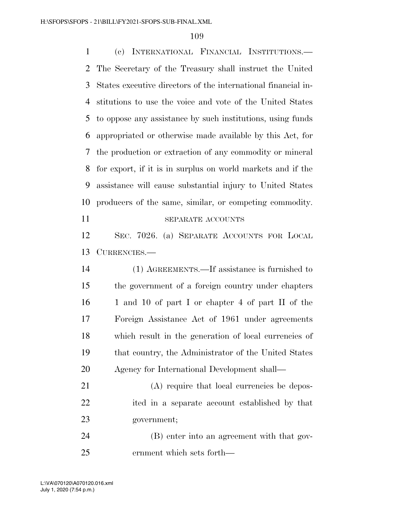(c) INTERNATIONAL FINANCIAL INSTITUTIONS.— The Secretary of the Treasury shall instruct the United States executive directors of the international financial in- stitutions to use the voice and vote of the United States to oppose any assistance by such institutions, using funds appropriated or otherwise made available by this Act, for the production or extraction of any commodity or mineral for export, if it is in surplus on world markets and if the assistance will cause substantial injury to United States producers of the same, similar, or competing commodity. 11 SEPARATE ACCOUNTS SEC. 7026. (a) SEPARATE ACCOUNTS FOR LOCAL (1) AGREEMENTS.—If assistance is furnished to

CURRENCIES.—

 the government of a foreign country under chapters 1 and 10 of part I or chapter 4 of part II of the Foreign Assistance Act of 1961 under agreements which result in the generation of local currencies of that country, the Administrator of the United States Agency for International Development shall—

 (A) require that local currencies be depos- ited in a separate account established by that government;

 (B) enter into an agreement with that gov-ernment which sets forth—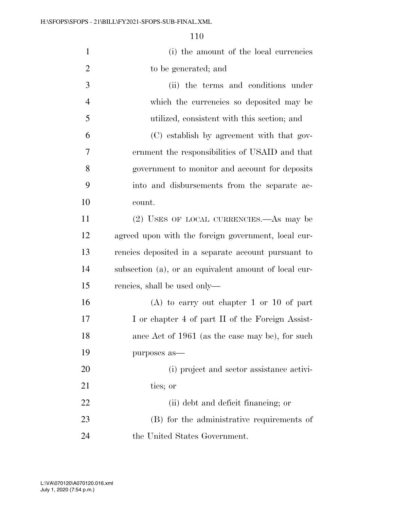| $\mathbf{1}$   | (i) the amount of the local currencies                |
|----------------|-------------------------------------------------------|
| $\overline{2}$ | to be generated; and                                  |
| 3              | (ii) the terms and conditions under                   |
| $\overline{4}$ | which the currencies so deposited may be              |
| 5              | utilized, consistent with this section; and           |
| 6              | (C) establish by agreement with that gov-             |
| 7              | ernment the responsibilities of USAID and that        |
| 8              | government to monitor and account for deposits        |
| 9              | into and disbursements from the separate ac-          |
| 10             | count.                                                |
| 11             | (2) USES OF LOCAL CURRENCIES.—As may be               |
| 12             | agreed upon with the foreign government, local cur-   |
| 13             | rencies deposited in a separate account pursuant to   |
| 14             | subsection (a), or an equivalent amount of local cur- |
| 15             | rencies, shall be used only—                          |
| 16             | $(A)$ to carry out chapter 1 or 10 of part            |
| 17             | I or chapter 4 of part II of the Foreign Assist-      |
| 18             | ance Act of 1961 (as the case may be), for such       |
| 19             | purposes as-                                          |
| 20             | (i) project and sector assistance activi-             |
| 21             | ties; or                                              |
| 22             | (ii) debt and deficit financing; or                   |
| 23             | (B) for the administrative requirements of            |
| 24             | the United States Government.                         |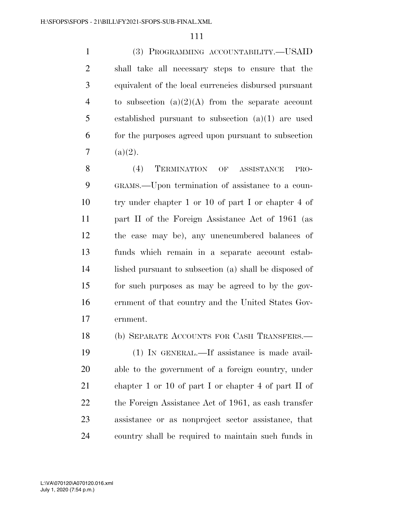(3) PROGRAMMING ACCOUNTABILITY.—USAID shall take all necessary steps to ensure that the equivalent of the local currencies disbursed pursuant 4 to subsection  $(a)(2)(A)$  from the separate account established pursuant to subsection (a)(1) are used for the purposes agreed upon pursuant to subsection 7 (a) $(2)$ .

8 (4) TERMINATION OF ASSISTANCE PRO- GRAMS.—Upon termination of assistance to a coun- try under chapter 1 or 10 of part I or chapter 4 of part II of the Foreign Assistance Act of 1961 (as the case may be), any unencumbered balances of funds which remain in a separate account estab- lished pursuant to subsection (a) shall be disposed of for such purposes as may be agreed to by the gov- ernment of that country and the United States Gov-ernment.

 (b) SEPARATE ACCOUNTS FOR CASH TRANSFERS.— (1) IN GENERAL.—If assistance is made avail- able to the government of a foreign country, under chapter 1 or 10 of part I or chapter 4 of part II of 22 the Foreign Assistance Act of 1961, as eash transfer assistance or as nonproject sector assistance, that country shall be required to maintain such funds in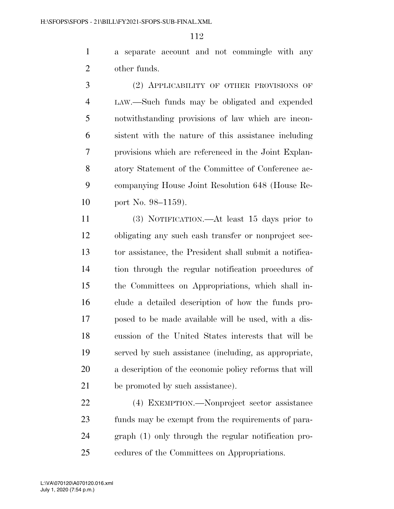a separate account and not commingle with any other funds.

 (2) APPLICABILITY OF OTHER PROVISIONS OF LAW.—Such funds may be obligated and expended notwithstanding provisions of law which are incon- sistent with the nature of this assistance including provisions which are referenced in the Joint Explan- atory Statement of the Committee of Conference ac- companying House Joint Resolution 648 (House Re-10 port No. 98–1159).

 (3) NOTIFICATION.—At least 15 days prior to obligating any such cash transfer or nonproject sec- tor assistance, the President shall submit a notifica- tion through the regular notification procedures of the Committees on Appropriations, which shall in- clude a detailed description of how the funds pro- posed to be made available will be used, with a dis- cussion of the United States interests that will be served by such assistance (including, as appropriate, a description of the economic policy reforms that will 21 be promoted by such assistance).

 (4) EXEMPTION.—Nonproject sector assistance funds may be exempt from the requirements of para- graph (1) only through the regular notification pro-cedures of the Committees on Appropriations.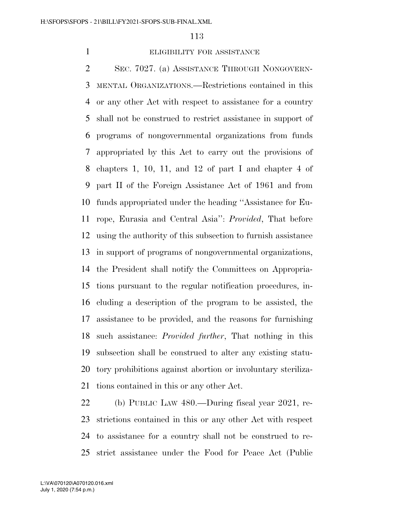## ELIGIBILITY FOR ASSISTANCE

 SEC. 7027. (a) ASSISTANCE THROUGH NONGOVERN- MENTAL ORGANIZATIONS.—Restrictions contained in this or any other Act with respect to assistance for a country shall not be construed to restrict assistance in support of programs of nongovernmental organizations from funds appropriated by this Act to carry out the provisions of chapters 1, 10, 11, and 12 of part I and chapter 4 of part II of the Foreign Assistance Act of 1961 and from funds appropriated under the heading ''Assistance for Eu- rope, Eurasia and Central Asia'': *Provided*, That before using the authority of this subsection to furnish assistance in support of programs of nongovernmental organizations, the President shall notify the Committees on Appropria- tions pursuant to the regular notification procedures, in- cluding a description of the program to be assisted, the assistance to be provided, and the reasons for furnishing such assistance: *Provided further*, That nothing in this subsection shall be construed to alter any existing statu- tory prohibitions against abortion or involuntary steriliza-tions contained in this or any other Act.

 (b) PUBLIC LAW 480.—During fiscal year 2021, re- strictions contained in this or any other Act with respect to assistance for a country shall not be construed to re-strict assistance under the Food for Peace Act (Public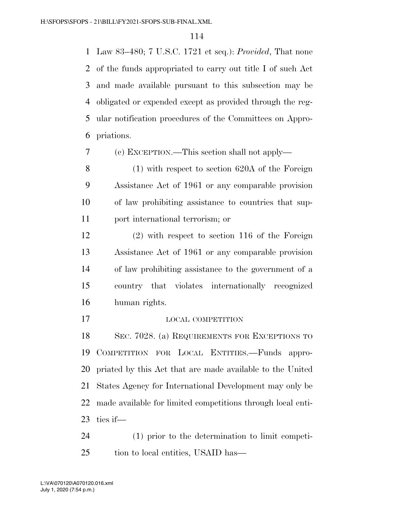Law 83–480; 7 U.S.C. 1721 et seq.): *Provided*, That none of the funds appropriated to carry out title I of such Act and made available pursuant to this subsection may be obligated or expended except as provided through the reg- ular notification procedures of the Committees on Appro-priations.

(c) EXCEPTION.—This section shall not apply—

 (1) with respect to section 620A of the Foreign Assistance Act of 1961 or any comparable provision of law prohibiting assistance to countries that sup-port international terrorism; or

 (2) with respect to section 116 of the Foreign Assistance Act of 1961 or any comparable provision of law prohibiting assistance to the government of a country that violates internationally recognized human rights.

## LOCAL COMPETITION

 SEC. 7028. (a) REQUIREMENTS FOR EXCEPTIONS TO COMPETITION FOR LOCAL ENTITIES.—Funds appro- priated by this Act that are made available to the United States Agency for International Development may only be made available for limited competitions through local enti-ties if—

 (1) prior to the determination to limit competi-25 tion to local entities, USAID has—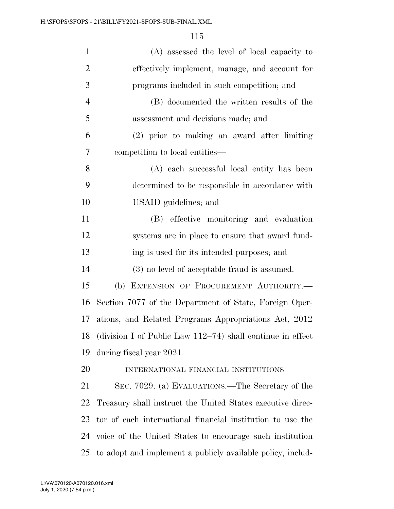| $\mathbf{1}$   | (A) assessed the level of local capacity to                   |
|----------------|---------------------------------------------------------------|
| $\overline{2}$ | effectively implement, manage, and account for                |
| 3              | programs included in such competition; and                    |
| $\overline{4}$ | (B) documented the written results of the                     |
| 5              | assessment and decisions made; and                            |
| 6              | (2) prior to making an award after limiting                   |
| 7              | competition to local entities—                                |
| 8              | (A) each successful local entity has been                     |
| 9              | determined to be responsible in accordance with               |
| 10             | USAID guidelines; and                                         |
| 11             | (B) effective monitoring and evaluation                       |
| 12             | systems are in place to ensure that award fund-               |
| 13             | ing is used for its intended purposes; and                    |
| 14             | (3) no level of acceptable fraud is assumed.                  |
| 15             | (b) EXTENSION OF PROCUREMENT AUTHORITY.                       |
| 16             | Section 7077 of the Department of State, Foreign Oper-        |
| 17             | ations, and Related Programs Appropriations Act, 2012         |
| 18             | (division I of Public Law $112-74$ ) shall continue in effect |
| 19             | during fiscal year 2021.                                      |
| 20             | INTERNATIONAL FINANCIAL INSTITUTIONS                          |
| 21             | SEC. 7029. (a) EVALUATIONS.—The Secretary of the              |
| 22             | Treasury shall instruct the United States executive direc-    |
| 23             | tor of each international financial institution to use the    |
| 24             | voice of the United States to encourage such institution      |
| 25             | to adopt and implement a publicly available policy, includ-   |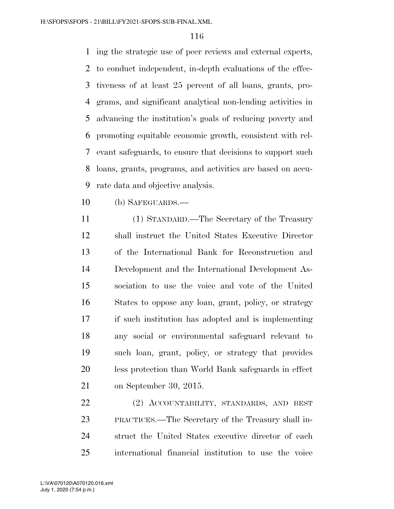ing the strategic use of peer reviews and external experts, to conduct independent, in-depth evaluations of the effec- tiveness of at least 25 percent of all loans, grants, pro- grams, and significant analytical non-lending activities in advancing the institution's goals of reducing poverty and promoting equitable economic growth, consistent with rel- evant safeguards, to ensure that decisions to support such loans, grants, programs, and activities are based on accu-rate data and objective analysis.

(b) SAFEGUARDS.—

 (1) STANDARD.—The Secretary of the Treasury shall instruct the United States Executive Director of the International Bank for Reconstruction and Development and the International Development As- sociation to use the voice and vote of the United States to oppose any loan, grant, policy, or strategy if such institution has adopted and is implementing any social or environmental safeguard relevant to such loan, grant, policy, or strategy that provides less protection than World Bank safeguards in effect on September 30, 2015.

 (2) ACCOUNTABILITY, STANDARDS, AND BEST PRACTICES.—The Secretary of the Treasury shall in- struct the United States executive director of each international financial institution to use the voice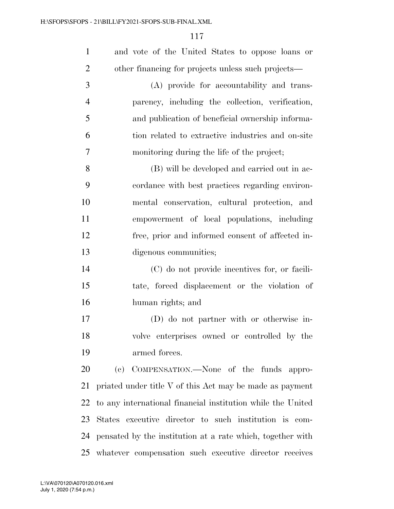and vote of the United States to oppose loans or other financing for projects unless such projects— (A) provide for accountability and trans- parency, including the collection, verification, and publication of beneficial ownership informa- tion related to extractive industries and on-site monitoring during the life of the project; (B) will be developed and carried out in ac- cordance with best practices regarding environ- mental conservation, cultural protection, and empowerment of local populations, including free, prior and informed consent of affected in- digenous communities; (C) do not provide incentives for, or facili- tate, forced displacement or the violation of human rights; and (D) do not partner with or otherwise in- volve enterprises owned or controlled by the armed forces. (c) COMPENSATION.—None of the funds appro- priated under title V of this Act may be made as payment to any international financial institution while the United States executive director to such institution is com- pensated by the institution at a rate which, together with whatever compensation such executive director receives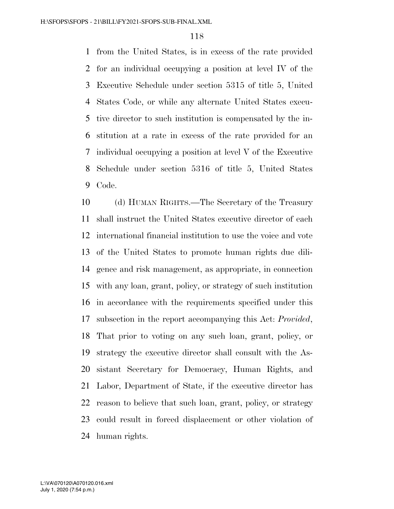from the United States, is in excess of the rate provided for an individual occupying a position at level IV of the Executive Schedule under section 5315 of title 5, United States Code, or while any alternate United States execu- tive director to such institution is compensated by the in- stitution at a rate in excess of the rate provided for an individual occupying a position at level V of the Executive Schedule under section 5316 of title 5, United States Code.

 (d) HUMAN RIGHTS.—The Secretary of the Treasury shall instruct the United States executive director of each international financial institution to use the voice and vote of the United States to promote human rights due dili- gence and risk management, as appropriate, in connection with any loan, grant, policy, or strategy of such institution in accordance with the requirements specified under this subsection in the report accompanying this Act: *Provided*, That prior to voting on any such loan, grant, policy, or strategy the executive director shall consult with the As- sistant Secretary for Democracy, Human Rights, and Labor, Department of State, if the executive director has reason to believe that such loan, grant, policy, or strategy could result in forced displacement or other violation of human rights.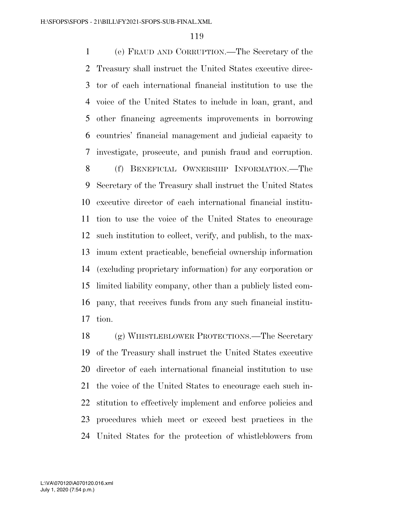(e) FRAUD AND CORRUPTION.—The Secretary of the Treasury shall instruct the United States executive direc- tor of each international financial institution to use the voice of the United States to include in loan, grant, and other financing agreements improvements in borrowing countries' financial management and judicial capacity to investigate, prosecute, and punish fraud and corruption. (f) BENEFICIAL OWNERSHIP INFORMATION.—The Secretary of the Treasury shall instruct the United States executive director of each international financial institu-

 tion to use the voice of the United States to encourage such institution to collect, verify, and publish, to the max- imum extent practicable, beneficial ownership information (excluding proprietary information) for any corporation or limited liability company, other than a publicly listed com- pany, that receives funds from any such financial institu-tion.

 (g) WHISTLEBLOWER PROTECTIONS.—The Secretary of the Treasury shall instruct the United States executive director of each international financial institution to use the voice of the United States to encourage each such in- stitution to effectively implement and enforce policies and procedures which meet or exceed best practices in the United States for the protection of whistleblowers from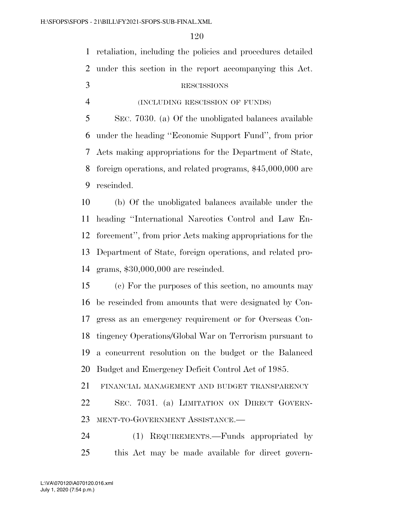retaliation, including the policies and procedures detailed under this section in the report accompanying this Act. RESCISSIONS (INCLUDING RESCISSION OF FUNDS) SEC. 7030. (a) Of the unobligated balances available under the heading ''Economic Support Fund'', from prior Acts making appropriations for the Department of State, foreign operations, and related programs, \$45,000,000 are rescinded. (b) Of the unobligated balances available under the heading ''International Narcotics Control and Law En- forcement'', from prior Acts making appropriations for the Department of State, foreign operations, and related pro- grams, \$30,000,000 are rescinded. (c) For the purposes of this section, no amounts may be rescinded from amounts that were designated by Con- gress as an emergency requirement or for Overseas Con- tingency Operations/Global War on Terrorism pursuant to a concurrent resolution on the budget or the Balanced Budget and Emergency Deficit Control Act of 1985. FINANCIAL MANAGEMENT AND BUDGET TRANSPARENCY SEC. 7031. (a) LIMITATION ON DIRECT GOVERN- MENT-TO-GOVERNMENT ASSISTANCE.— (1) REQUIREMENTS.—Funds appropriated by

this Act may be made available for direct govern-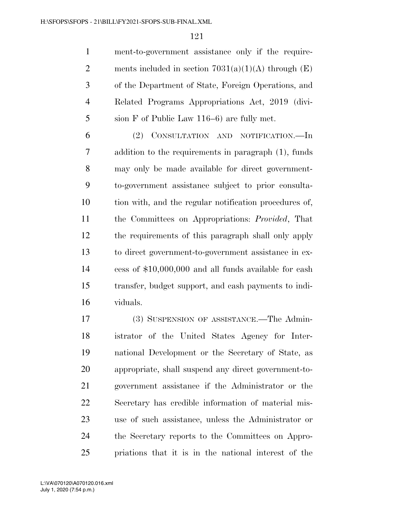ment-to-government assistance only if the require-2 ments included in section  $7031(a)(1)(A)$  through  $(E)$  of the Department of State, Foreign Operations, and Related Programs Appropriations Act, 2019 (divi-sion F of Public Law 116–6) are fully met.

 (2) CONSULTATION AND NOTIFICATION.—In addition to the requirements in paragraph (1), funds may only be made available for direct government- to-government assistance subject to prior consulta- tion with, and the regular notification procedures of, the Committees on Appropriations: *Provided*, That the requirements of this paragraph shall only apply to direct government-to-government assistance in ex- cess of \$10,000,000 and all funds available for cash transfer, budget support, and cash payments to indi-viduals.

 (3) SUSPENSION OF ASSISTANCE.—The Admin- istrator of the United States Agency for Inter- national Development or the Secretary of State, as appropriate, shall suspend any direct government-to- government assistance if the Administrator or the Secretary has credible information of material mis- use of such assistance, unless the Administrator or the Secretary reports to the Committees on Appro-priations that it is in the national interest of the

July 1, 2020 (7:54 p.m.) L:\VA\070120\A070120.016.xml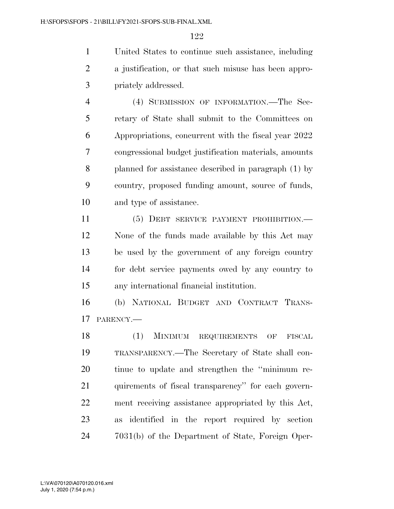United States to continue such assistance, including a justification, or that such misuse has been appro-priately addressed.

 (4) SUBMISSION OF INFORMATION.—The Sec- retary of State shall submit to the Committees on Appropriations, concurrent with the fiscal year 2022 congressional budget justification materials, amounts planned for assistance described in paragraph (1) by country, proposed funding amount, source of funds, and type of assistance.

11 (5) DEBT SERVICE PAYMENT PROHIBITION.— None of the funds made available by this Act may be used by the government of any foreign country for debt service payments owed by any country to any international financial institution.

 (b) NATIONAL BUDGET AND CONTRACT TRANS-PARENCY.—

 (1) MINIMUM REQUIREMENTS OF FISCAL TRANSPARENCY.—The Secretary of State shall con- tinue to update and strengthen the ''minimum re- quirements of fiscal transparency'' for each govern- ment receiving assistance appropriated by this Act, as identified in the report required by section 7031(b) of the Department of State, Foreign Oper-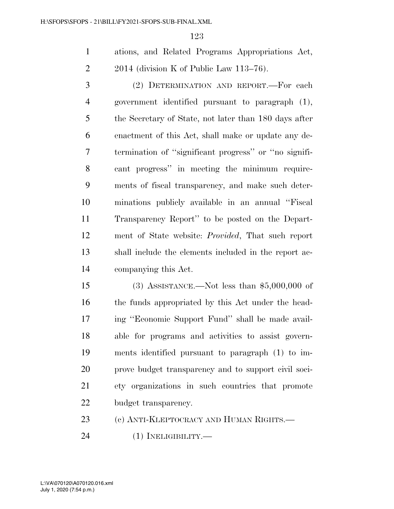ations, and Related Programs Appropriations Act, 2 2014 (division K of Public Law  $113-76$ ).

 (2) DETERMINATION AND REPORT.—For each government identified pursuant to paragraph (1), the Secretary of State, not later than 180 days after enactment of this Act, shall make or update any de- termination of ''significant progress'' or ''no signifi- cant progress'' in meeting the minimum require- ments of fiscal transparency, and make such deter- minations publicly available in an annual ''Fiscal Transparency Report'' to be posted on the Depart- ment of State website: *Provided*, That such report shall include the elements included in the report ac-companying this Act.

 (3) ASSISTANCE.—Not less than \$5,000,000 of the funds appropriated by this Act under the head- ing ''Economic Support Fund'' shall be made avail- able for programs and activities to assist govern- ments identified pursuant to paragraph (1) to im- prove budget transparency and to support civil soci- ety organizations in such countries that promote 22 budget transparency.

23 (c) ANTI-KLEPTOCRACY AND HUMAN RIGHTS.—

(1) INELIGIBILITY.—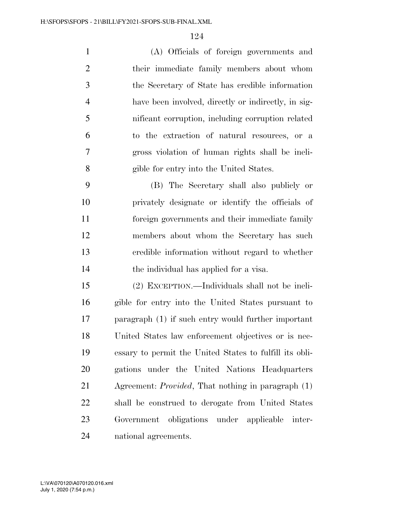(A) Officials of foreign governments and their immediate family members about whom the Secretary of State has credible information have been involved, directly or indirectly, in sig- nificant corruption, including corruption related to the extraction of natural resources, or a gross violation of human rights shall be ineli-gible for entry into the United States.

 (B) The Secretary shall also publicly or privately designate or identify the officials of foreign governments and their immediate family members about whom the Secretary has such credible information without regard to whether the individual has applied for a visa.

 (2) EXCEPTION.—Individuals shall not be ineli- gible for entry into the United States pursuant to paragraph (1) if such entry would further important United States law enforcement objectives or is nec- essary to permit the United States to fulfill its obli- gations under the United Nations Headquarters Agreement: *Provided*, That nothing in paragraph (1) shall be construed to derogate from United States Government obligations under applicable inter-national agreements.

July 1, 2020 (7:54 p.m.) L:\VA\070120\A070120.016.xml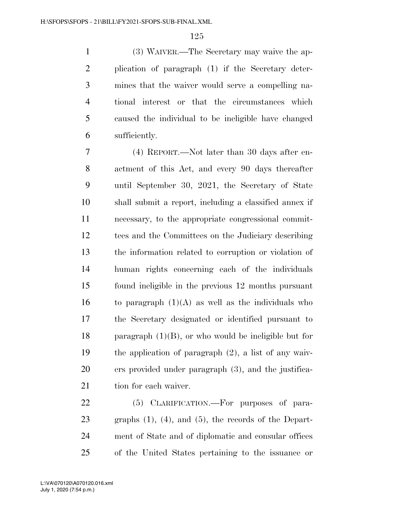(3) WAIVER.—The Secretary may waive the ap- plication of paragraph (1) if the Secretary deter- mines that the waiver would serve a compelling na- tional interest or that the circumstances which caused the individual to be ineligible have changed sufficiently.

 (4) REPORT.—Not later than 30 days after en- actment of this Act, and every 90 days thereafter until September 30, 2021, the Secretary of State shall submit a report, including a classified annex if necessary, to the appropriate congressional commit- tees and the Committees on the Judiciary describing the information related to corruption or violation of human rights concerning each of the individuals found ineligible in the previous 12 months pursuant 16 to paragraph  $(1)(A)$  as well as the individuals who the Secretary designated or identified pursuant to 18 paragraph  $(1)(B)$ , or who would be ineligible but for the application of paragraph (2), a list of any waiv- ers provided under paragraph (3), and the justifica-21 tion for each waiver.

22 (5) CLARIFICATION.—For purposes of para- graphs (1), (4), and (5), the records of the Depart- ment of State and of diplomatic and consular offices of the United States pertaining to the issuance or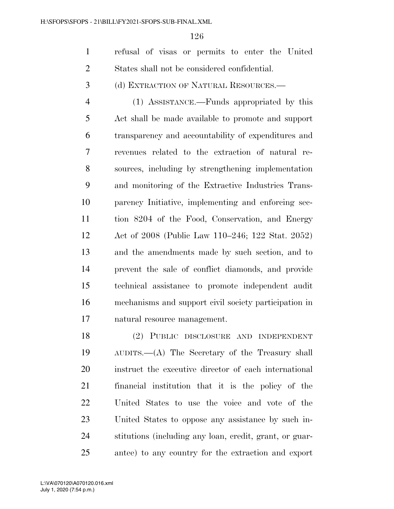- refusal of visas or permits to enter the United States shall not be considered confidential.
- (d) EXTRACTION OF NATURAL RESOURCES.—

 (1) ASSISTANCE.—Funds appropriated by this Act shall be made available to promote and support transparency and accountability of expenditures and revenues related to the extraction of natural re- sources, including by strengthening implementation and monitoring of the Extractive Industries Trans- parency Initiative, implementing and enforcing sec- tion 8204 of the Food, Conservation, and Energy Act of 2008 (Public Law 110–246; 122 Stat. 2052) and the amendments made by such section, and to prevent the sale of conflict diamonds, and provide technical assistance to promote independent audit mechanisms and support civil society participation in natural resource management.

 (2) PUBLIC DISCLOSURE AND INDEPENDENT AUDITS.—(A) The Secretary of the Treasury shall instruct the executive director of each international financial institution that it is the policy of the United States to use the voice and vote of the United States to oppose any assistance by such in- stitutions (including any loan, credit, grant, or guar-antee) to any country for the extraction and export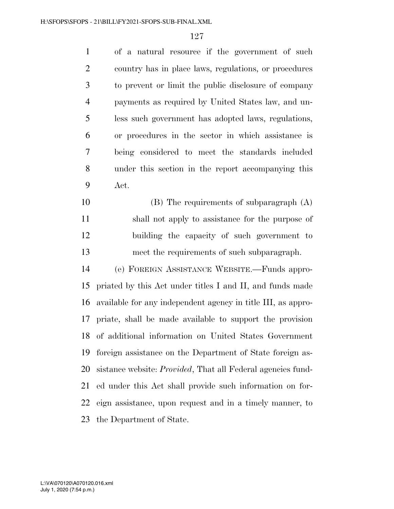| $\mathbf{1}$   | of a natural resource if the government of such                     |
|----------------|---------------------------------------------------------------------|
| $\overline{2}$ | country has in place laws, regulations, or procedures               |
| 3              | to prevent or limit the public disclosure of company                |
| $\overline{4}$ | payments as required by United States law, and un-                  |
| 5              | less such government has adopted laws, regulations,                 |
| 6              | or procedures in the sector in which assistance is                  |
| 7              | being considered to meet the standards included                     |
| 8              | under this section in the report accompanying this                  |
| 9              | Act.                                                                |
| 10             | $(B)$ The requirements of subparagraph $(A)$                        |
| 11             | shall not apply to assistance for the purpose of                    |
| 12             | building the capacity of such government to                         |
| 13             | meet the requirements of such subparagraph.                         |
| 14             | (e) FOREIGN ASSISTANCE WEBSITE.—Funds appro-                        |
| 15             | priated by this Act under titles I and II, and funds made           |
| 16             | available for any independent agency in title III, as appro-        |
| 17             | priate, shall be made available to support the provision            |
| 18             | of additional information on United States Government               |
| 19             | foreign assistance on the Department of State foreign as-           |
| 20             | sistance website: <i>Provided</i> , That all Federal agencies fund- |
| 21             | ed under this Act shall provide such information on for-            |
|                |                                                                     |

 eign assistance, upon request and in a timely manner, to the Department of State.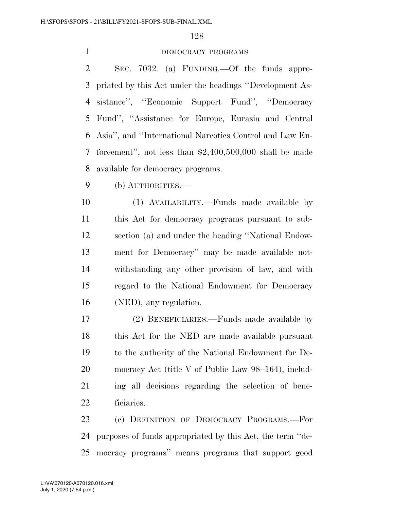## DEMOCRACY PROGRAMS

 SEC. 7032. (a) FUNDING.—Of the funds appro- priated by this Act under the headings ''Development As- sistance'', ''Economic Support Fund'', ''Democracy Fund'', ''Assistance for Europe, Eurasia and Central Asia'', and ''International Narcotics Control and Law En- forcement'', not less than \$2,400,500,000 shall be made available for democracy programs.

(b) AUTHORITIES.—

 (1) AVAILABILITY.—Funds made available by this Act for democracy programs pursuant to sub- section (a) and under the heading ''National Endow- ment for Democracy'' may be made available not- withstanding any other provision of law, and with regard to the National Endowment for Democracy (NED), any regulation.

 (2) BENEFICIARIES.—Funds made available by 18 this Act for the NED are made available pursuant to the authority of the National Endowment for De- mocracy Act (title V of Public Law 98–164), includ- ing all decisions regarding the selection of bene-ficiaries.

 (c) DEFINITION OF DEMOCRACY PROGRAMS.—For purposes of funds appropriated by this Act, the term ''de-mocracy programs'' means programs that support good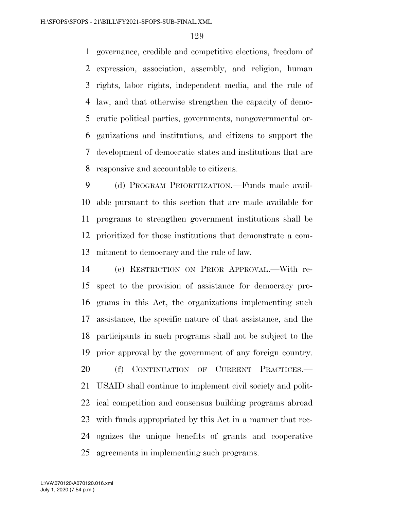governance, credible and competitive elections, freedom of expression, association, assembly, and religion, human rights, labor rights, independent media, and the rule of law, and that otherwise strengthen the capacity of demo- cratic political parties, governments, nongovernmental or- ganizations and institutions, and citizens to support the development of democratic states and institutions that are responsive and accountable to citizens.

 (d) PROGRAM PRIORITIZATION.—Funds made avail- able pursuant to this section that are made available for programs to strengthen government institutions shall be prioritized for those institutions that demonstrate a com-mitment to democracy and the rule of law.

 (e) RESTRICTION ON PRIOR APPROVAL.—With re- spect to the provision of assistance for democracy pro- grams in this Act, the organizations implementing such assistance, the specific nature of that assistance, and the participants in such programs shall not be subject to the prior approval by the government of any foreign country. (f) CONTINUATION OF CURRENT PRACTICES.— USAID shall continue to implement civil society and polit- ical competition and consensus building programs abroad with funds appropriated by this Act in a manner that rec- ognizes the unique benefits of grants and cooperative agreements in implementing such programs.

July 1, 2020 (7:54 p.m.) L:\VA\070120\A070120.016.xml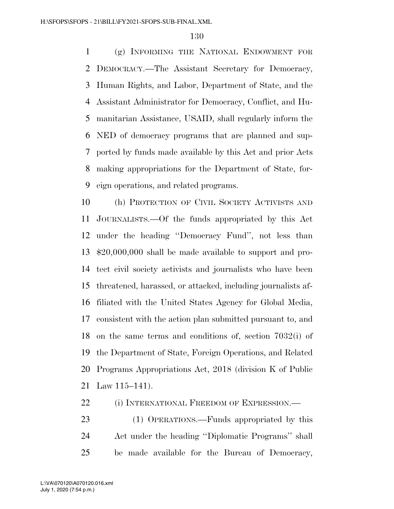(g) INFORMING THE NATIONAL ENDOWMENT FOR DEMOCRACY.—The Assistant Secretary for Democracy, Human Rights, and Labor, Department of State, and the Assistant Administrator for Democracy, Conflict, and Hu- manitarian Assistance, USAID, shall regularly inform the NED of democracy programs that are planned and sup- ported by funds made available by this Act and prior Acts making appropriations for the Department of State, for-eign operations, and related programs.

 (h) PROTECTION OF CIVIL SOCIETY ACTIVISTS AND JOURNALISTS.—Of the funds appropriated by this Act under the heading ''Democracy Fund'', not less than \$20,000,000 shall be made available to support and pro- tect civil society activists and journalists who have been threatened, harassed, or attacked, including journalists af- filiated with the United States Agency for Global Media, consistent with the action plan submitted pursuant to, and on the same terms and conditions of, section 7032(i) of the Department of State, Foreign Operations, and Related Programs Appropriations Act, 2018 (division K of Public Law 115–141).

22 (i) INTERNATIONAL FREEDOM OF EXPRESSION.—

23 (1) OPERATIONS.—Funds appropriated by this Act under the heading ''Diplomatic Programs'' shall be made available for the Bureau of Democracy,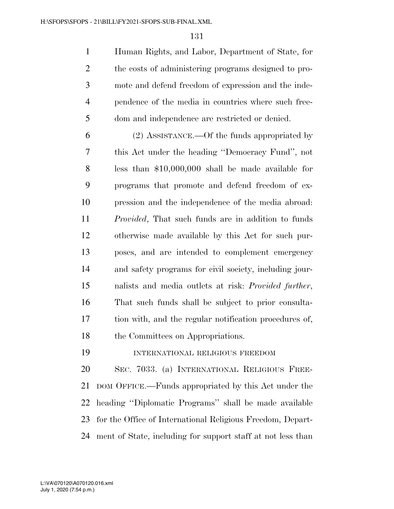Human Rights, and Labor, Department of State, for the costs of administering programs designed to pro- mote and defend freedom of expression and the inde- pendence of the media in countries where such free-dom and independence are restricted or denied.

 (2) ASSISTANCE.—Of the funds appropriated by this Act under the heading ''Democracy Fund'', not less than \$10,000,000 shall be made available for programs that promote and defend freedom of ex- pression and the independence of the media abroad: *Provided*, That such funds are in addition to funds otherwise made available by this Act for such pur- poses, and are intended to complement emergency and safety programs for civil society, including jour- nalists and media outlets at risk: *Provided further*, That such funds shall be subject to prior consulta- tion with, and the regular notification procedures of, 18 the Committees on Appropriations.

INTERNATIONAL RELIGIOUS FREEDOM

 SEC. 7033. (a) INTERNATIONAL RELIGIOUS FREE- DOM OFFICE.—Funds appropriated by this Act under the heading ''Diplomatic Programs'' shall be made available for the Office of International Religious Freedom, Depart-ment of State, including for support staff at not less than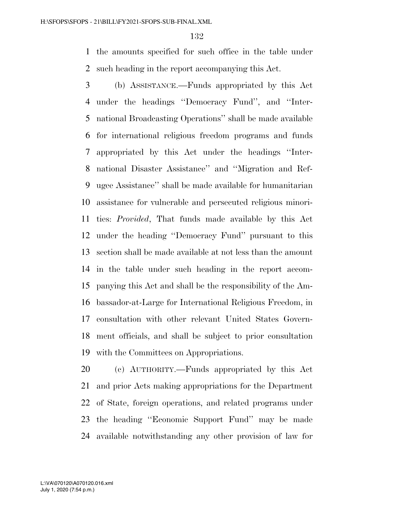the amounts specified for such office in the table under such heading in the report accompanying this Act.

 (b) ASSISTANCE.—Funds appropriated by this Act under the headings ''Democracy Fund'', and ''Inter- national Broadcasting Operations'' shall be made available for international religious freedom programs and funds appropriated by this Act under the headings ''Inter- national Disaster Assistance'' and ''Migration and Ref- ugee Assistance'' shall be made available for humanitarian assistance for vulnerable and persecuted religious minori- ties: *Provided*, That funds made available by this Act under the heading ''Democracy Fund'' pursuant to this section shall be made available at not less than the amount in the table under such heading in the report accom- panying this Act and shall be the responsibility of the Am- bassador-at-Large for International Religious Freedom, in consultation with other relevant United States Govern- ment officials, and shall be subject to prior consultation with the Committees on Appropriations.

 (c) AUTHORITY.—Funds appropriated by this Act and prior Acts making appropriations for the Department of State, foreign operations, and related programs under the heading ''Economic Support Fund'' may be made available notwithstanding any other provision of law for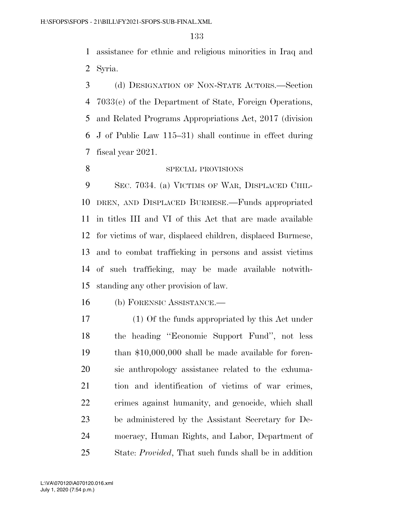assistance for ethnic and religious minorities in Iraq and Syria.

 (d) DESIGNATION OF NON-STATE ACTORS.—Section 7033(e) of the Department of State, Foreign Operations, and Related Programs Appropriations Act, 2017 (division J of Public Law 115–31) shall continue in effect during fiscal year 2021.

## 8 SPECIAL PROVISIONS

 SEC. 7034. (a) VICTIMS OF WAR, DISPLACED CHIL- DREN, AND DISPLACED BURMESE.—Funds appropriated in titles III and VI of this Act that are made available for victims of war, displaced children, displaced Burmese, and to combat trafficking in persons and assist victims of such trafficking, may be made available notwith-standing any other provision of law.

(b) FORENSIC ASSISTANCE.—

 (1) Of the funds appropriated by this Act under the heading ''Economic Support Fund'', not less than \$10,000,000 shall be made available for foren- sic anthropology assistance related to the exhuma- tion and identification of victims of war crimes, crimes against humanity, and genocide, which shall be administered by the Assistant Secretary for De- mocracy, Human Rights, and Labor, Department of State: *Provided*, That such funds shall be in addition

July 1, 2020 (7:54 p.m.) L:\VA\070120\A070120.016.xml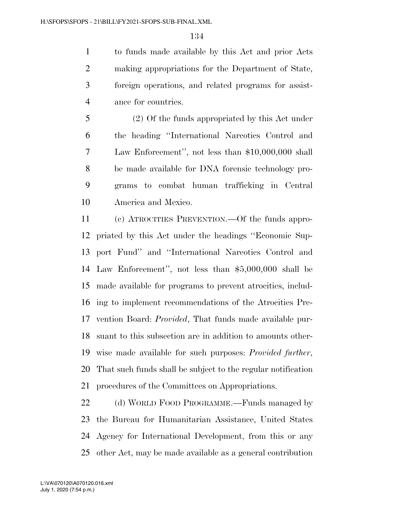to funds made available by this Act and prior Acts making appropriations for the Department of State, foreign operations, and related programs for assist-ance for countries.

 (2) Of the funds appropriated by this Act under the heading ''International Narcotics Control and Law Enforcement'', not less than \$10,000,000 shall be made available for DNA forensic technology pro- grams to combat human trafficking in Central America and Mexico.

 (c) ATROCITIES PREVENTION.—Of the funds appro- priated by this Act under the headings ''Economic Sup- port Fund'' and ''International Narcotics Control and Law Enforcement'', not less than \$5,000,000 shall be made available for programs to prevent atrocities, includ- ing to implement recommendations of the Atrocities Pre- vention Board: *Provided*, That funds made available pur- suant to this subsection are in addition to amounts other- wise made available for such purposes: *Provided further*, That such funds shall be subject to the regular notification procedures of the Committees on Appropriations.

22 (d) WORLD FOOD PROGRAMME.—Funds managed by the Bureau for Humanitarian Assistance, United States Agency for International Development, from this or any other Act, may be made available as a general contribution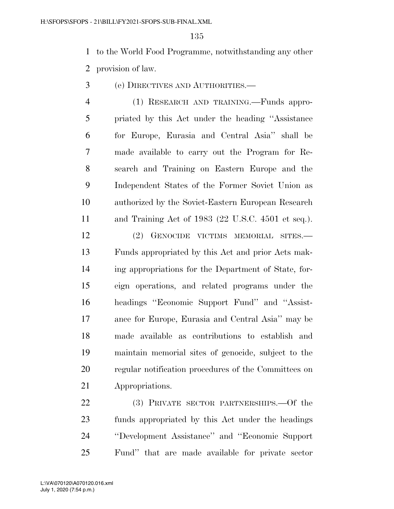to the World Food Programme, notwithstanding any other provision of law.

(e) DIRECTIVES AND AUTHORITIES.—

 (1) RESEARCH AND TRAINING.—Funds appro- priated by this Act under the heading ''Assistance for Europe, Eurasia and Central Asia'' shall be made available to carry out the Program for Re- search and Training on Eastern Europe and the Independent States of the Former Soviet Union as authorized by the Soviet-Eastern European Research and Training Act of 1983 (22 U.S.C. 4501 et seq.).

 (2) GENOCIDE VICTIMS MEMORIAL SITES.— Funds appropriated by this Act and prior Acts mak- ing appropriations for the Department of State, for- eign operations, and related programs under the headings ''Economic Support Fund'' and ''Assist- ance for Europe, Eurasia and Central Asia'' may be made available as contributions to establish and maintain memorial sites of genocide, subject to the regular notification procedures of the Committees on Appropriations.

 (3) PRIVATE SECTOR PARTNERSHIPS.—Of the funds appropriated by this Act under the headings ''Development Assistance'' and ''Economic Support Fund'' that are made available for private sector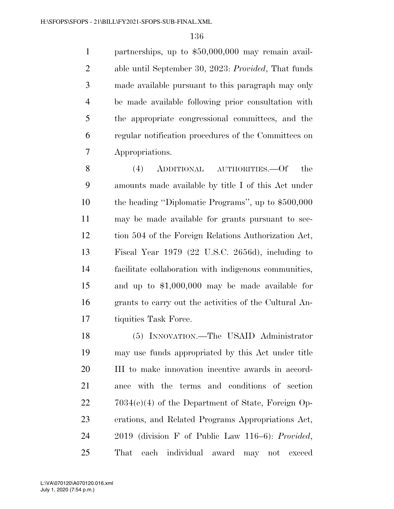partnerships, up to \$50,000,000 may remain avail- able until September 30, 2023: *Provided*, That funds made available pursuant to this paragraph may only be made available following prior consultation with the appropriate congressional committees, and the regular notification procedures of the Committees on Appropriations.

 (4) ADDITIONAL AUTHORITIES.—Of the amounts made available by title I of this Act under the heading ''Diplomatic Programs'', up to \$500,000 may be made available for grants pursuant to sec- tion 504 of the Foreign Relations Authorization Act, Fiscal Year 1979 (22 U.S.C. 2656d), including to facilitate collaboration with indigenous communities, and up to \$1,000,000 may be made available for grants to carry out the activities of the Cultural An-tiquities Task Force.

 (5) INNOVATION.—The USAID Administrator may use funds appropriated by this Act under title III to make innovation incentive awards in accord- ance with the terms and conditions of section 7034(e)(4) of the Department of State, Foreign Op- erations, and Related Programs Appropriations Act, 2019 (division F of Public Law 116–6): *Provided*, That each individual award may not exceed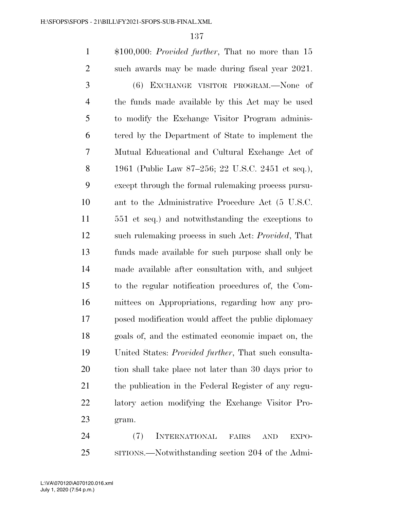\$100,000: *Provided further*, That no more than 15 such awards may be made during fiscal year 2021.

 (6) EXCHANGE VISITOR PROGRAM.—None of the funds made available by this Act may be used to modify the Exchange Visitor Program adminis- tered by the Department of State to implement the Mutual Educational and Cultural Exchange Act of 1961 (Public Law 87–256; 22 U.S.C. 2451 et seq.), except through the formal rulemaking process pursu- ant to the Administrative Procedure Act (5 U.S.C. 551 et seq.) and notwithstanding the exceptions to such rulemaking process in such Act: *Provided*, That funds made available for such purpose shall only be made available after consultation with, and subject to the regular notification procedures of, the Com- mittees on Appropriations, regarding how any pro- posed modification would affect the public diplomacy goals of, and the estimated economic impact on, the United States: *Provided further*, That such consulta- tion shall take place not later than 30 days prior to the publication in the Federal Register of any regu- latory action modifying the Exchange Visitor Pro-gram.

 (7) INTERNATIONAL FAIRS AND EXPO-SITIONS.—Notwithstanding section 204 of the Admi-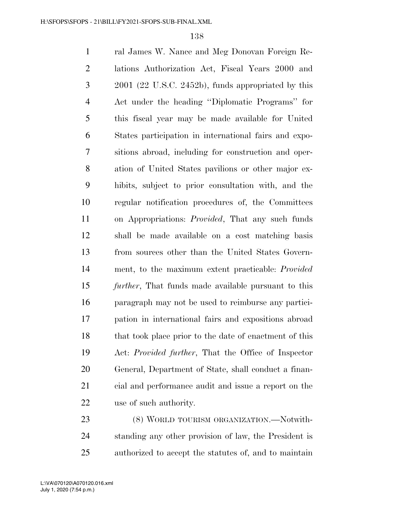ral James W. Nance and Meg Donovan Foreign Re- lations Authorization Act, Fiscal Years 2000 and 2001 (22 U.S.C. 2452b), funds appropriated by this Act under the heading ''Diplomatic Programs'' for this fiscal year may be made available for United States participation in international fairs and expo- sitions abroad, including for construction and oper- ation of United States pavilions or other major ex- hibits, subject to prior consultation with, and the regular notification procedures of, the Committees on Appropriations: *Provided*, That any such funds shall be made available on a cost matching basis from sources other than the United States Govern- ment, to the maximum extent practicable: *Provided further*, That funds made available pursuant to this paragraph may not be used to reimburse any partici- pation in international fairs and expositions abroad 18 that took place prior to the date of enactment of this Act: *Provided further*, That the Office of Inspector General, Department of State, shall conduct a finan- cial and performance audit and issue a report on the use of such authority.

 (8) WORLD TOURISM ORGANIZATION.—Notwith- standing any other provision of law, the President is authorized to accept the statutes of, and to maintain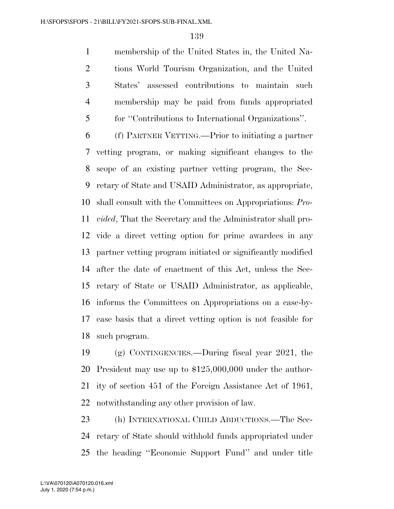membership of the United States in, the United Na- tions World Tourism Organization, and the United States' assessed contributions to maintain such membership may be paid from funds appropriated for ''Contributions to International Organizations''.

 (f) PARTNER VETTING.—Prior to initiating a partner vetting program, or making significant changes to the scope of an existing partner vetting program, the Sec- retary of State and USAID Administrator, as appropriate, shall consult with the Committees on Appropriations: *Pro- vided*, That the Secretary and the Administrator shall pro- vide a direct vetting option for prime awardees in any partner vetting program initiated or significantly modified after the date of enactment of this Act, unless the Sec- retary of State or USAID Administrator, as applicable, informs the Committees on Appropriations on a case-by- case basis that a direct vetting option is not feasible for such program.

 (g) CONTINGENCIES.—During fiscal year 2021, the President may use up to \$125,000,000 under the author- ity of section 451 of the Foreign Assistance Act of 1961, notwithstanding any other provision of law.

 (h) INTERNATIONAL CHILD ABDUCTIONS.—The Sec- retary of State should withhold funds appropriated under the heading ''Economic Support Fund'' and under title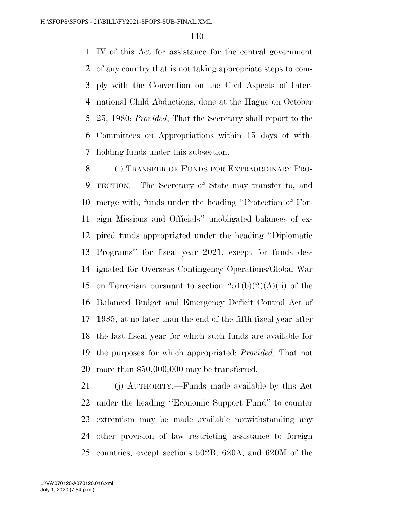IV of this Act for assistance for the central government of any country that is not taking appropriate steps to com- ply with the Convention on the Civil Aspects of Inter- national Child Abductions, done at the Hague on October 25, 1980: *Provided*, That the Secretary shall report to the Committees on Appropriations within 15 days of with-holding funds under this subsection.

 (i) TRANSFER OF FUNDS FOR EXTRAORDINARY PRO- TECTION.—The Secretary of State may transfer to, and merge with, funds under the heading ''Protection of For- eign Missions and Officials'' unobligated balances of ex- pired funds appropriated under the heading ''Diplomatic Programs'' for fiscal year 2021, except for funds des- ignated for Overseas Contingency Operations/Global War 15 on Terrorism pursuant to section  $251(b)(2)(A)(ii)$  of the Balanced Budget and Emergency Deficit Control Act of 1985, at no later than the end of the fifth fiscal year after the last fiscal year for which such funds are available for the purposes for which appropriated: *Provided*, That not more than \$50,000,000 may be transferred.

 (j) AUTHORITY.—Funds made available by this Act under the heading ''Economic Support Fund'' to counter extremism may be made available notwithstanding any other provision of law restricting assistance to foreign countries, except sections 502B, 620A, and 620M of the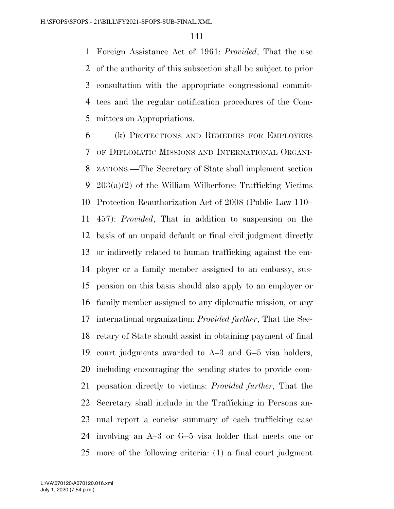Foreign Assistance Act of 1961: *Provided*, That the use of the authority of this subsection shall be subject to prior consultation with the appropriate congressional commit- tees and the regular notification procedures of the Com-mittees on Appropriations.

 (k) PROTECTIONS AND REMEDIES FOR EMPLOYEES OF DIPLOMATIC MISSIONS AND INTERNATIONAL ORGANI- ZATIONS.—The Secretary of State shall implement section 203(a)(2) of the William Wilberforce Trafficking Victims Protection Reauthorization Act of 2008 (Public Law 110– 457): *Provided*, That in addition to suspension on the basis of an unpaid default or final civil judgment directly or indirectly related to human trafficking against the em- ployer or a family member assigned to an embassy, sus- pension on this basis should also apply to an employer or family member assigned to any diplomatic mission, or any international organization: *Provided further*, That the Sec- retary of State should assist in obtaining payment of final court judgments awarded to A–3 and G–5 visa holders, including encouraging the sending states to provide com- pensation directly to victims: *Provided further*, That the Secretary shall include in the Trafficking in Persons an- nual report a concise summary of each trafficking case involving an A–3 or G–5 visa holder that meets one or more of the following criteria: (1) a final court judgment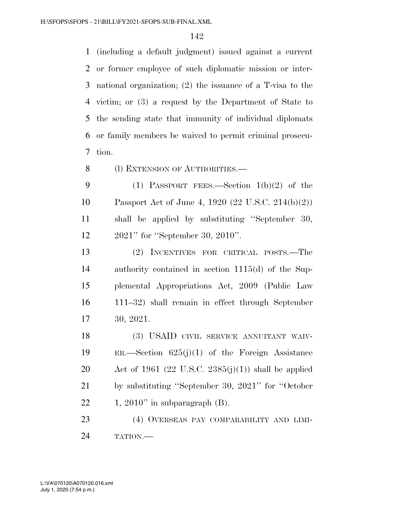(including a default judgment) issued against a current or former employee of such diplomatic mission or inter- national organization; (2) the issuance of a T-visa to the victim; or (3) a request by the Department of State to the sending state that immunity of individual diplomats or family members be waived to permit criminal prosecu-tion.

8 (1) EXTENSION OF AUTHORITIES.—

 (1) PASSPORT FEES.—Section 1(b)(2) of the Passport Act of June 4, 1920 (22 U.S.C. 214(b)(2)) shall be applied by substituting ''September 30, 12 2021'' for "September 30, 2010".

 (2) INCENTIVES FOR CRITICAL POSTS.—The authority contained in section 1115(d) of the Sup- plemental Appropriations Act, 2009 (Public Law 111–32) shall remain in effect through September 30, 2021.

 (3) USAID CIVIL SERVICE ANNUITANT WAIV- ER.—Section 625(j)(1) of the Foreign Assistance 20 Act of 1961 (22 U.S.C. 2385(j)(1)) shall be applied by substituting ''September 30, 2021'' for ''October 22 1, 2010" in subparagraph  $(B)$ .

23 (4) OVERSEAS PAY COMPARABILITY AND LIMI-TATION.—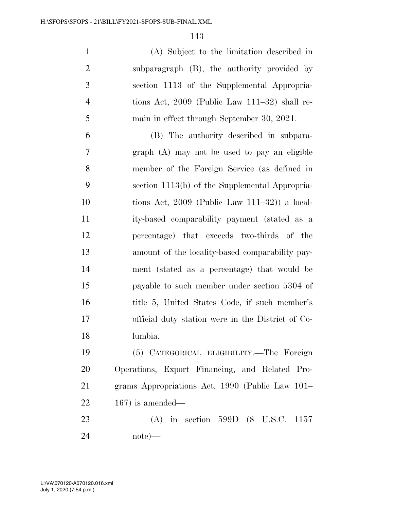(A) Subject to the limitation described in subparagraph (B), the authority provided by section 1113 of the Supplemental Appropria- tions Act, 2009 (Public Law 111–32) shall re-main in effect through September 30, 2021.

 (B) The authority described in subpara- graph (A) may not be used to pay an eligible member of the Foreign Service (as defined in section 1113(b) of the Supplemental Appropria- tions Act, 2009 (Public Law 111–32)) a local- ity-based comparability payment (stated as a percentage) that exceeds two-thirds of the amount of the locality-based comparability pay- ment (stated as a percentage) that would be payable to such member under section 5304 of title 5, United States Code, if such member's official duty station were in the District of Co-lumbia.

 (5) CATEGORICAL ELIGIBILITY.—The Foreign Operations, Export Financing, and Related Pro- grams Appropriations Act, 1990 (Public Law 101– 167) is amended—

 (A) in section 599D (8 U.S.C. 1157 note)—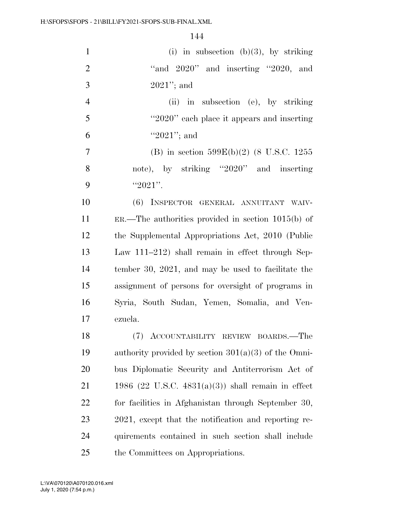| $\mathbf{1}$   | (i) in subsection (b)(3), by striking                  |
|----------------|--------------------------------------------------------|
| $\overline{2}$ | "and $2020$ " and inserting "2020, and                 |
| 3              | $2021$ "; and                                          |
| $\overline{4}$ | in subsection (e), by striking<br>(ii)                 |
| 5              | "2020" each place it appears and inserting             |
| 6              | "2021"; and                                            |
| 7              | (B) in section $599E(b)(2)$ (8 U.S.C. 1255             |
| 8              | note), by striking "2020" and inserting                |
| 9              | " $2021"$ .                                            |
| 10             | (6) INSPECTOR GENERAL ANNUITANT WAIV-                  |
| 11             | $ER.$ The authorities provided in section 1015(b) of   |
| 12             | the Supplemental Appropriations Act, 2010 (Public      |
| 13             | Law $111-212$ ) shall remain in effect through Sep-    |
| 14             | tember 30, 2021, and may be used to facilitate the     |
| 15             | assignment of persons for oversight of programs in     |
| 16             | Syria, South Sudan, Yemen, Somalia, and Ven-           |
| 17             | ezuela.                                                |
| 18             | (7) ACCOUNTABILITY REVIEW BOARDS.—The                  |
| 19             | authority provided by section $301(a)(3)$ of the Omni- |
| 20             | bus Diplomatic Security and Antiterrorism Act of       |
| 21             | 1986 (22 U.S.C. $4831(a)(3)$ ) shall remain in effect  |
| 22             | for facilities in Afghanistan through September 30,    |
| 23             | 2021, except that the notification and reporting re-   |
| 24             | quirements contained in such section shall include     |
| 25             | the Committees on Appropriations.                      |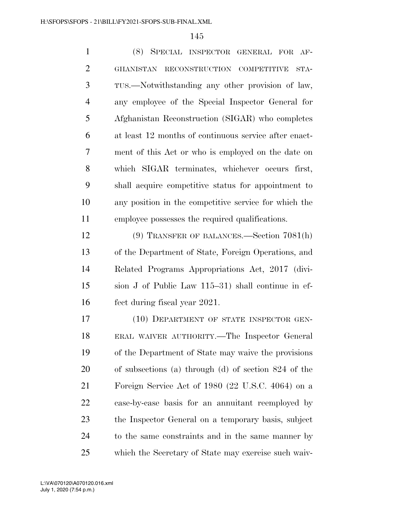(8) SPECIAL INSPECTOR GENERAL FOR AF- GHANISTAN RECONSTRUCTION COMPETITIVE STA- TUS.—Notwithstanding any other provision of law, any employee of the Special Inspector General for Afghanistan Reconstruction (SIGAR) who completes at least 12 months of continuous service after enact- ment of this Act or who is employed on the date on which SIGAR terminates, whichever occurs first, shall acquire competitive status for appointment to any position in the competitive service for which the employee possesses the required qualifications. (9) TRANSFER OF BALANCES.—Section 7081(h)

 of the Department of State, Foreign Operations, and Related Programs Appropriations Act, 2017 (divi- sion J of Public Law 115–31) shall continue in ef-fect during fiscal year 2021.

17 (10) DEPARTMENT OF STATE INSPECTOR GEN- ERAL WAIVER AUTHORITY.—The Inspector General of the Department of State may waive the provisions of subsections (a) through (d) of section 824 of the Foreign Service Act of 1980 (22 U.S.C. 4064) on a case-by-case basis for an annuitant reemployed by the Inspector General on a temporary basis, subject to the same constraints and in the same manner by which the Secretary of State may exercise such waiv-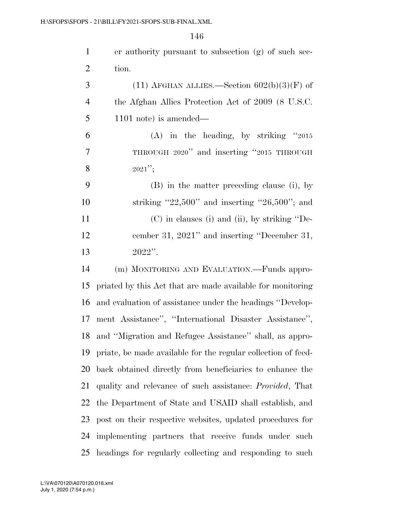| $\mathbf{1}$   | er authority pursuant to subsection (g) of such sec-             |
|----------------|------------------------------------------------------------------|
| $\overline{2}$ | tion.                                                            |
| 3              | (11) AFGHAN ALLIES.—Section $602(b)(3)(F)$ of                    |
| $\overline{4}$ | the Afghan Allies Protection Act of 2009 (8 U.S.C.               |
| 5              | $1101$ note) is amended—                                         |
| 6              | $(A)$ in the heading, by striking "2015"                         |
| 7              | THROUGH 2020" and inserting "2015 THROUGH                        |
| 8              | $2021$ ";                                                        |
| 9              | (B) in the matter preceding clause (i), by                       |
| 10             | striking "22,500" and inserting "26,500"; and                    |
| 11             | $(C)$ in clauses (i) and (ii), by striking "De-                  |
| 12             | cember 31, 2021" and inserting "December 31,                     |
| 13             | $2022"$ .                                                        |
| 14             | (m) MONITORING AND EVALUATION.—Funds appro-                      |
| 15             | priated by this Act that are made available for monitoring       |
| 16             | and evaluation of assistance under the headings "Develop-        |
| 17             | ment Assistance", "International Disaster Assistance",           |
|                | 18 and "Migration and Refugee Assistance" shall, as appro-       |
| 19             | priate, be made available for the regular collection of feed-    |
| 20             | back obtained directly from beneficiaries to enhance the         |
| 21             | quality and relevance of such assistance: <i>Provided</i> , That |
| 22             | the Department of State and USAID shall establish, and           |
| 23             | post on their respective websites, updated procedures for        |
| 24             | implementing partners that receive funds under such              |
| 25             | headings for regularly collecting and responding to such         |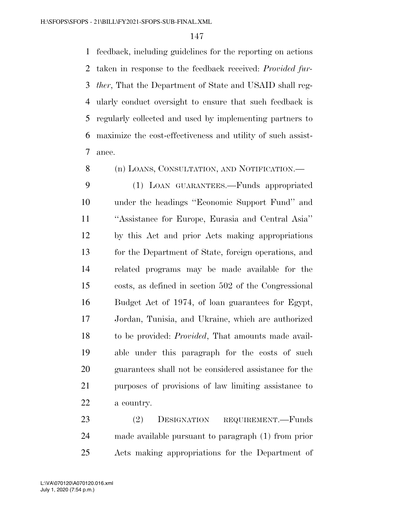feedback, including guidelines for the reporting on actions taken in response to the feedback received: *Provided fur- ther*, That the Department of State and USAID shall reg- ularly conduct oversight to ensure that such feedback is regularly collected and used by implementing partners to maximize the cost-effectiveness and utility of such assist-ance.

8 (n) LOANS, CONSULTATION, AND NOTIFICATION.—

 (1) LOAN GUARANTEES.—Funds appropriated under the headings ''Economic Support Fund'' and ''Assistance for Europe, Eurasia and Central Asia'' by this Act and prior Acts making appropriations for the Department of State, foreign operations, and related programs may be made available for the costs, as defined in section 502 of the Congressional Budget Act of 1974, of loan guarantees for Egypt, Jordan, Tunisia, and Ukraine, which are authorized to be provided: *Provided*, That amounts made avail- able under this paragraph for the costs of such guarantees shall not be considered assistance for the purposes of provisions of law limiting assistance to a country.

 (2) DESIGNATION REQUIREMENT.—Funds made available pursuant to paragraph (1) from prior Acts making appropriations for the Department of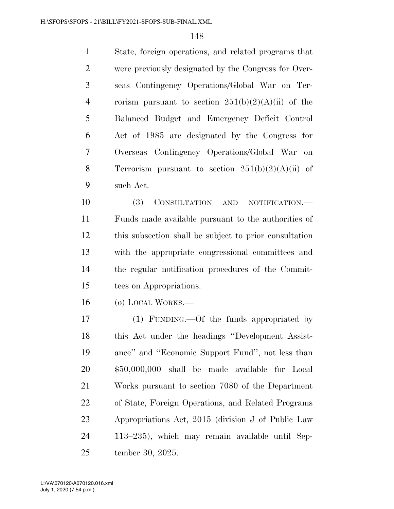State, foreign operations, and related programs that were previously designated by the Congress for Over- seas Contingency Operations/Global War on Ter-4 rorism pursuant to section  $251(b)(2)(A)(ii)$  of the Balanced Budget and Emergency Deficit Control Act of 1985 are designated by the Congress for Overseas Contingency Operations/Global War on 8 Terrorism pursuant to section  $251(b)(2)(A)(ii)$  of such Act.

 (3) CONSULTATION AND NOTIFICATION.— Funds made available pursuant to the authorities of this subsection shall be subject to prior consultation with the appropriate congressional committees and the regular notification procedures of the Commit-tees on Appropriations.

(o) LOCAL WORKS.—

 (1) FUNDING.—Of the funds appropriated by this Act under the headings ''Development Assist- ance'' and ''Economic Support Fund'', not less than \$50,000,000 shall be made available for Local Works pursuant to section 7080 of the Department of State, Foreign Operations, and Related Programs Appropriations Act, 2015 (division J of Public Law 113–235), which may remain available until Sep-tember 30, 2025.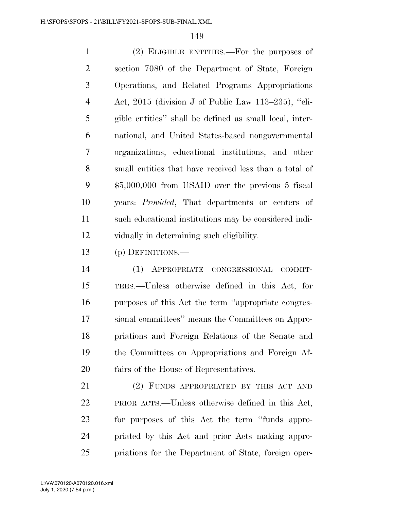(2) ELIGIBLE ENTITIES.—For the purposes of section 7080 of the Department of State, Foreign Operations, and Related Programs Appropriations Act, 2015 (division J of Public Law 113–235), ''eli- gible entities'' shall be defined as small local, inter- national, and United States-based nongovernmental organizations, educational institutions, and other small entities that have received less than a total of \$5,000,000 from USAID over the previous 5 fiscal years: *Provided*, That departments or centers of such educational institutions may be considered indi-vidually in determining such eligibility.

(p) DEFINITIONS.—

 (1) APPROPRIATE CONGRESSIONAL COMMIT- TEES.—Unless otherwise defined in this Act, for purposes of this Act the term ''appropriate congres- sional committees'' means the Committees on Appro- priations and Foreign Relations of the Senate and the Committees on Appropriations and Foreign Af-fairs of the House of Representatives.

 (2) FUNDS APPROPRIATED BY THIS ACT AND PRIOR ACTS.—Unless otherwise defined in this Act, for purposes of this Act the term ''funds appro- priated by this Act and prior Acts making appro-priations for the Department of State, foreign oper-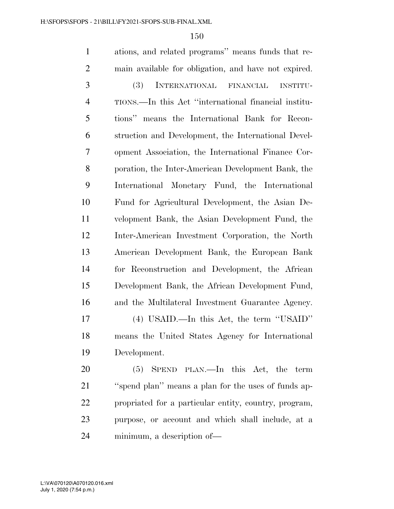ations, and related programs'' means funds that re- main available for obligation, and have not expired. (3) INTERNATIONAL FINANCIAL INSTITU- TIONS.—In this Act ''international financial institu- tions'' means the International Bank for Recon- struction and Development, the International Devel- opment Association, the International Finance Cor- poration, the Inter-American Development Bank, the International Monetary Fund, the International Fund for Agricultural Development, the Asian De- velopment Bank, the Asian Development Fund, the Inter-American Investment Corporation, the North American Development Bank, the European Bank for Reconstruction and Development, the African Development Bank, the African Development Fund, and the Multilateral Investment Guarantee Agency. (4) USAID.—In this Act, the term ''USAID'' means the United States Agency for International Development. (5) SPEND PLAN.—In this Act, the term ''spend plan'' means a plan for the uses of funds ap- propriated for a particular entity, country, program, purpose, or account and which shall include, at a

minimum, a description of—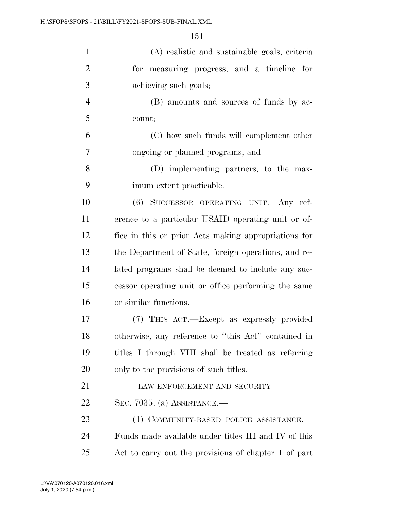| $\mathbf{1}$   | (A) realistic and sustainable goals, criteria        |
|----------------|------------------------------------------------------|
| $\overline{2}$ | for measuring progress, and a timeline for           |
| 3              | achieving such goals;                                |
| $\overline{4}$ | (B) amounts and sources of funds by ac-              |
| 5              | count;                                               |
| 6              | (C) how such funds will complement other             |
| 7              | ongoing or planned programs; and                     |
| 8              | (D) implementing partners, to the max-               |
| 9              | imum extent practicable.                             |
| 10             | (6) SUCCESSOR OPERATING UNIT. Any ref-               |
| 11             | erence to a particular USAID operating unit or of-   |
| 12             | fice in this or prior Acts making appropriations for |
| 13             | the Department of State, foreign operations, and re- |
| 14             | lated programs shall be deemed to include any suc-   |
| 15             | cessor operating unit or office performing the same  |
| 16             | or similar functions.                                |
| 17             | (7) THIS ACT.—Except as expressly provided           |
| 18             | otherwise, any reference to "this Act" contained in  |
| 19             | titles I through VIII shall be treated as referring  |
| 20             | only to the provisions of such titles.               |
| 21             | LAW ENFORCEMENT AND SECURITY                         |
| 22             | SEC. 7035. (a) ASSISTANCE.—                          |
| 23             | (1) COMMUNITY-BASED POLICE ASSISTANCE.-              |
| 24             | Funds made available under titles III and IV of this |
| 25             | Act to carry out the provisions of chapter 1 of part |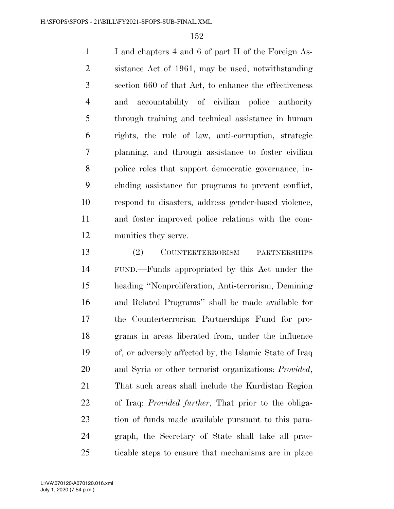I and chapters 4 and 6 of part II of the Foreign As- sistance Act of 1961, may be used, notwithstanding section 660 of that Act, to enhance the effectiveness and accountability of civilian police authority through training and technical assistance in human rights, the rule of law, anti-corruption, strategic planning, and through assistance to foster civilian police roles that support democratic governance, in- cluding assistance for programs to prevent conflict, respond to disasters, address gender-based violence, and foster improved police relations with the com-munities they serve.

 (2) COUNTERTERRORISM PARTNERSHIPS FUND.—Funds appropriated by this Act under the heading ''Nonproliferation, Anti-terrorism, Demining and Related Programs'' shall be made available for the Counterterrorism Partnerships Fund for pro- grams in areas liberated from, under the influence of, or adversely affected by, the Islamic State of Iraq and Syria or other terrorist organizations: *Provided*, That such areas shall include the Kurdistan Region of Iraq: *Provided further*, That prior to the obliga- tion of funds made available pursuant to this para- graph, the Secretary of State shall take all prac-ticable steps to ensure that mechanisms are in place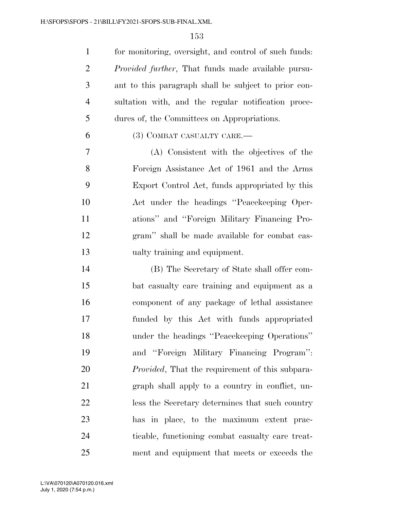for monitoring, oversight, and control of such funds: *Provided further*, That funds made available pursu- ant to this paragraph shall be subject to prior con- sultation with, and the regular notification proce-dures of, the Committees on Appropriations.

(3) COMBAT CASUALTY CARE.—

 (A) Consistent with the objectives of the Foreign Assistance Act of 1961 and the Arms Export Control Act, funds appropriated by this Act under the headings ''Peacekeeping Oper- ations'' and ''Foreign Military Financing Pro- gram'' shall be made available for combat cas-ualty training and equipment.

 (B) The Secretary of State shall offer com- bat casualty care training and equipment as a component of any package of lethal assistance funded by this Act with funds appropriated under the headings ''Peacekeeping Operations'' and ''Foreign Military Financing Program'': *Provided*, That the requirement of this subpara- graph shall apply to a country in conflict, un- less the Secretary determines that such country has in place, to the maximum extent prac- ticable, functioning combat casualty care treat-ment and equipment that meets or exceeds the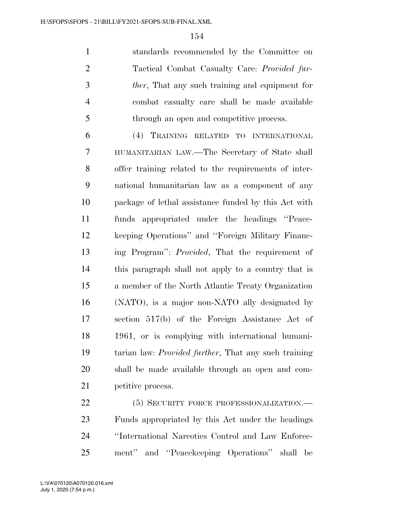standards recommended by the Committee on Tactical Combat Casualty Care: *Provided fur- ther*, That any such training and equipment for combat casualty care shall be made available through an open and competitive process.

 (4) TRAINING RELATED TO INTERNATIONAL HUMANITARIAN LAW.—The Secretary of State shall offer training related to the requirements of inter- national humanitarian law as a component of any package of lethal assistance funded by this Act with funds appropriated under the headings ''Peace- keeping Operations'' and ''Foreign Military Financ- ing Program'': *Provided*, That the requirement of this paragraph shall not apply to a country that is a member of the North Atlantic Treaty Organization (NATO), is a major non-NATO ally designated by section 517(b) of the Foreign Assistance Act of 1961, or is complying with international humani- tarian law: *Provided further*, That any such training shall be made available through an open and com-petitive process.

22 (5) SECURITY FORCE PROFESSIONALIZATION. Funds appropriated by this Act under the headings ''International Narcotics Control and Law Enforce-ment'' and ''Peacekeeping Operations'' shall be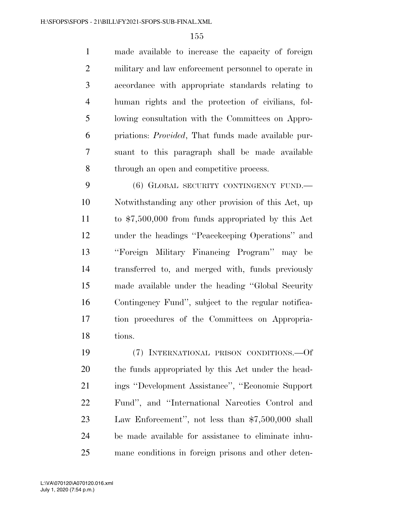made available to increase the capacity of foreign military and law enforcement personnel to operate in accordance with appropriate standards relating to human rights and the protection of civilians, fol- lowing consultation with the Committees on Appro- priations: *Provided*, That funds made available pur- suant to this paragraph shall be made available through an open and competitive process.

 (6) GLOBAL SECURITY CONTINGENCY FUND.— Notwithstanding any other provision of this Act, up to \$7,500,000 from funds appropriated by this Act under the headings ''Peacekeeping Operations'' and ''Foreign Military Financing Program'' may be transferred to, and merged with, funds previously made available under the heading ''Global Security Contingency Fund'', subject to the regular notifica- tion procedures of the Committees on Appropria-tions.

 (7) INTERNATIONAL PRISON CONDITIONS.—Of the funds appropriated by this Act under the head- ings ''Development Assistance'', ''Economic Support Fund'', and ''International Narcotics Control and Law Enforcement'', not less than \$7,500,000 shall be made available for assistance to eliminate inhu-mane conditions in foreign prisons and other deten-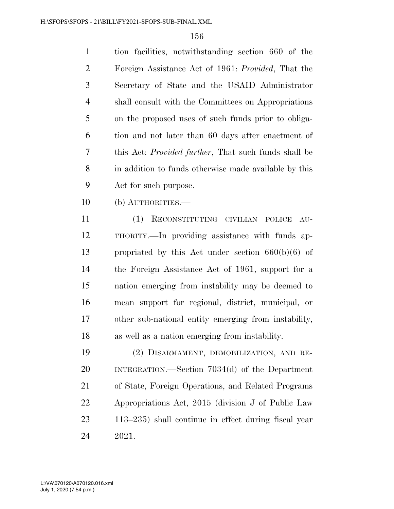tion facilities, notwithstanding section 660 of the Foreign Assistance Act of 1961: *Provided*, That the Secretary of State and the USAID Administrator shall consult with the Committees on Appropriations on the proposed uses of such funds prior to obliga- tion and not later than 60 days after enactment of this Act: *Provided further*, That such funds shall be in addition to funds otherwise made available by this Act for such purpose.

(b) AUTHORITIES.—

 (1) RECONSTITUTING CIVILIAN POLICE AU- THORITY.—In providing assistance with funds ap- propriated by this Act under section 660(b)(6) of the Foreign Assistance Act of 1961, support for a nation emerging from instability may be deemed to mean support for regional, district, municipal, or other sub-national entity emerging from instability, as well as a nation emerging from instability.

 (2) DISARMAMENT, DEMOBILIZATION, AND RE- INTEGRATION.—Section 7034(d) of the Department of State, Foreign Operations, and Related Programs Appropriations Act, 2015 (division J of Public Law 113–235) shall continue in effect during fiscal year 2021.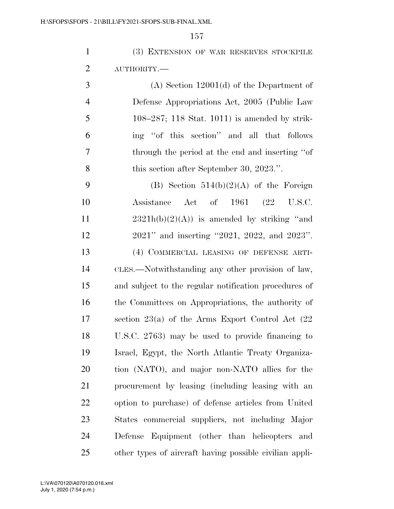(3) EXTENSION OF WAR RESERVES STOCKPILE AUTHORITY.—

 (A) Section 12001(d) of the Department of Defense Appropriations Act, 2005 (Public Law 108–287; 118 Stat. 1011) is amended by strik- ing ''of this section'' and all that follows through the period at the end and inserting ''of this section after September 30, 2023.''.

9 (B) Section  $514(b)(2)(A)$  of the Foreign Assistance Act of 1961 (22 U.S.C.  $2321h(b)(2)(A)$  is amended by striking "and 2021'' and inserting ''2021, 2022, and 2023''. (4) COMMERCIAL LEASING OF DEFENSE ARTI- CLES.—Notwithstanding any other provision of law, and subject to the regular notification procedures of the Committees on Appropriations, the authority of section 23(a) of the Arms Export Control Act (22 U.S.C. 2763) may be used to provide financing to Israel, Egypt, the North Atlantic Treaty Organiza- tion (NATO), and major non-NATO allies for the procurement by leasing (including leasing with an option to purchase) of defense articles from United States commercial suppliers, not including Major Defense Equipment (other than helicopters and other types of aircraft having possible civilian appli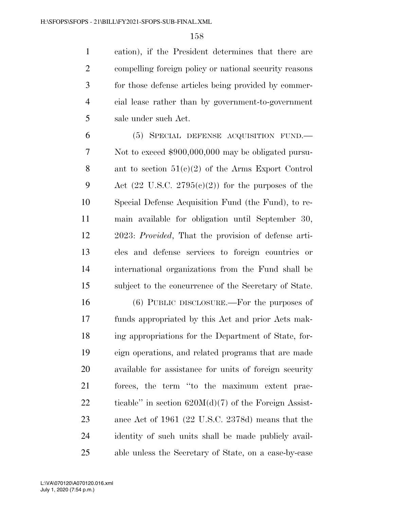cation), if the President determines that there are compelling foreign policy or national security reasons for those defense articles being provided by commer- cial lease rather than by government-to-government sale under such Act.

 (5) SPECIAL DEFENSE ACQUISITION FUND.— Not to exceed \$900,000,000 may be obligated pursu-8 ant to section  $51(c)(2)$  of the Arms Export Control 9 Act  $(22 \text{ U.S.C. } 2795(c)(2))$  for the purposes of the Special Defense Acquisition Fund (the Fund), to re- main available for obligation until September 30, 2023: *Provided*, That the provision of defense arti- cles and defense services to foreign countries or international organizations from the Fund shall be subject to the concurrence of the Secretary of State.

 (6) PUBLIC DISCLOSURE.—For the purposes of funds appropriated by this Act and prior Acts mak- ing appropriations for the Department of State, for- eign operations, and related programs that are made available for assistance for units of foreign security forces, the term ''to the maximum extent prac-22 ticable" in section  $620M(d)(7)$  of the Foreign Assist- ance Act of 1961 (22 U.S.C. 2378d) means that the identity of such units shall be made publicly avail-able unless the Secretary of State, on a case-by-case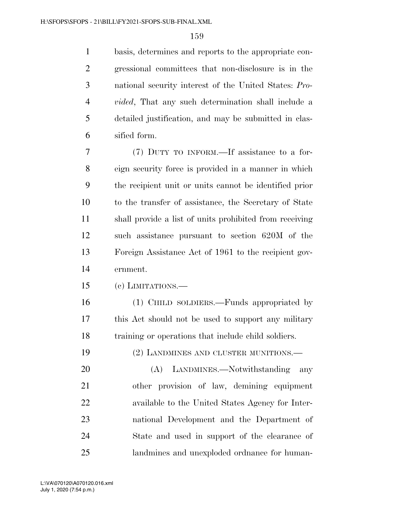basis, determines and reports to the appropriate con- gressional committees that non-disclosure is in the national security interest of the United States: *Pro- vided*, That any such determination shall include a detailed justification, and may be submitted in clas-sified form.

 (7) DUTY TO INFORM.—If assistance to a for- eign security force is provided in a manner in which the recipient unit or units cannot be identified prior to the transfer of assistance, the Secretary of State shall provide a list of units prohibited from receiving such assistance pursuant to section 620M of the Foreign Assistance Act of 1961 to the recipient gov-ernment.

(c) LIMITATIONS.—

 (1) CHILD SOLDIERS.—Funds appropriated by this Act should not be used to support any military training or operations that include child soldiers.

(2) LANDMINES AND CLUSTER MUNITIONS.—

20 (A) LANDMINES.—Notwithstanding any other provision of law, demining equipment available to the United States Agency for Inter- national Development and the Department of State and used in support of the clearance of landmines and unexploded ordnance for human-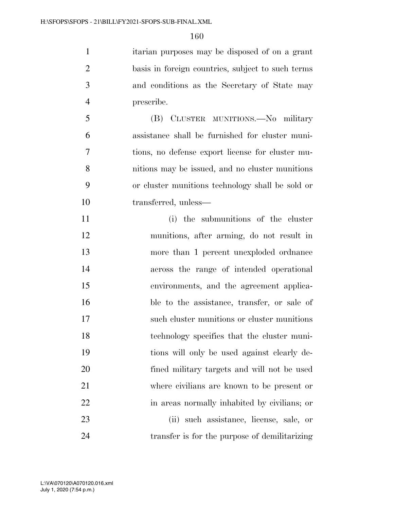itarian purposes may be disposed of on a grant basis in foreign countries, subject to such terms and conditions as the Secretary of State may prescribe.

 (B) CLUSTER MUNITIONS.—No military assistance shall be furnished for cluster muni- tions, no defense export license for cluster mu- nitions may be issued, and no cluster munitions or cluster munitions technology shall be sold or transferred, unless—

 (i) the submunitions of the cluster munitions, after arming, do not result in more than 1 percent unexploded ordnance across the range of intended operational environments, and the agreement applica- ble to the assistance, transfer, or sale of such cluster munitions or cluster munitions technology specifies that the cluster muni- tions will only be used against clearly de- fined military targets and will not be used where civilians are known to be present or in areas normally inhabited by civilians; or (ii) such assistance, license, sale, or transfer is for the purpose of demilitarizing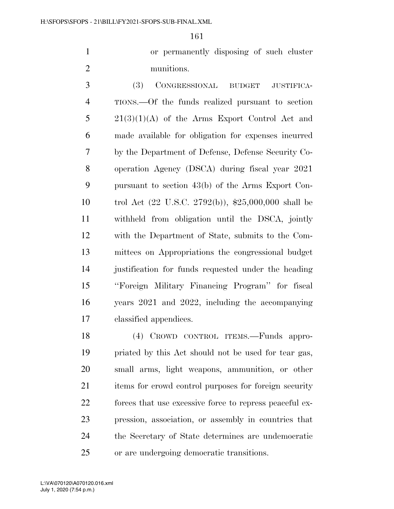or permanently disposing of such cluster munitions.

 (3) CONGRESSIONAL BUDGET JUSTIFICA- TIONS.—Of the funds realized pursuant to section  $5 \qquad 21(3)(1)(A)$  of the Arms Export Control Act and made available for obligation for expenses incurred by the Department of Defense, Defense Security Co- operation Agency (DSCA) during fiscal year 2021 pursuant to section 43(b) of the Arms Export Con- trol Act (22 U.S.C. 2792(b)), \$25,000,000 shall be withheld from obligation until the DSCA, jointly with the Department of State, submits to the Com- mittees on Appropriations the congressional budget 14 justification for funds requested under the heading ''Foreign Military Financing Program'' for fiscal years 2021 and 2022, including the accompanying classified appendices.

 (4) CROWD CONTROL ITEMS.—Funds appro- priated by this Act should not be used for tear gas, small arms, light weapons, ammunition, or other items for crowd control purposes for foreign security forces that use excessive force to repress peaceful ex- pression, association, or assembly in countries that the Secretary of State determines are undemocratic or are undergoing democratic transitions.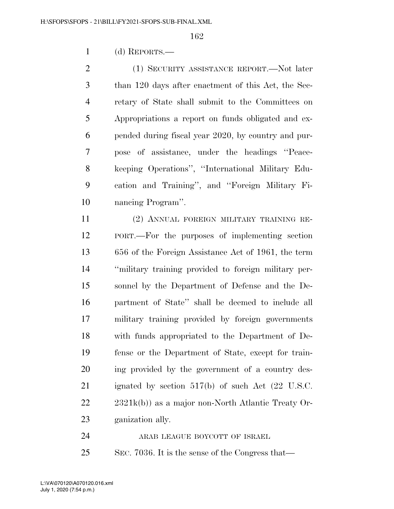(d) REPORTS.—

 (1) SECURITY ASSISTANCE REPORT.—Not later than 120 days after enactment of this Act, the Sec- retary of State shall submit to the Committees on Appropriations a report on funds obligated and ex- pended during fiscal year 2020, by country and pur- pose of assistance, under the headings ''Peace- keeping Operations'', ''International Military Edu- cation and Training'', and ''Foreign Military Fi-nancing Program''.

 (2) ANNUAL FOREIGN MILITARY TRAINING RE- PORT.—For the purposes of implementing section 656 of the Foreign Assistance Act of 1961, the term ''military training provided to foreign military per- sonnel by the Department of Defense and the De- partment of State'' shall be deemed to include all military training provided by foreign governments with funds appropriated to the Department of De- fense or the Department of State, except for train- ing provided by the government of a country des- ignated by section 517(b) of such Act (22 U.S.C. 2321k(b)) as a major non-North Atlantic Treaty Or-ganization ally.

ARAB LEAGUE BOYCOTT OF ISRAEL

SEC. 7036. It is the sense of the Congress that—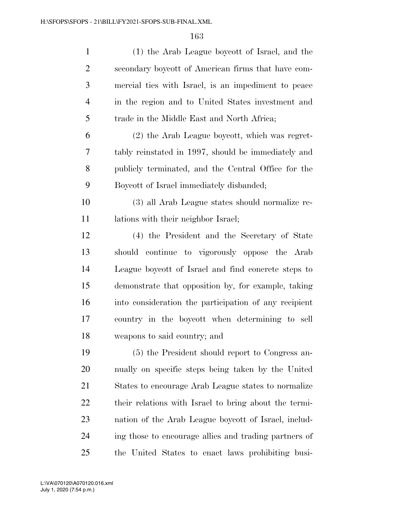| $\mathbf{1}$   | (1) the Arab League boycott of Israel, and the        |
|----------------|-------------------------------------------------------|
| $\overline{2}$ | secondary boycott of American firms that have com-    |
| 3              | mercial ties with Israel, is an impediment to peace   |
| $\overline{4}$ | in the region and to United States investment and     |
| 5              | trade in the Middle East and North Africa;            |
| 6              | (2) the Arab League boycott, which was regret-        |
| 7              | tably reinstated in 1997, should be immediately and   |
| 8              | publicly terminated, and the Central Office for the   |
| 9              | Boycott of Israel immediately disbanded;              |
| 10             | (3) all Arab League states should normalize re-       |
| 11             | lations with their neighbor Israel;                   |
| 12             | (4) the President and the Secretary of State          |
| 13             | should continue to vigorously oppose the Arab         |
| 14             | League boycott of Israel and find concrete steps to   |
| 15             | demonstrate that opposition by, for example, taking   |
| 16             | into consideration the participation of any recipient |
| 17             | country in the boycott when determining to sell       |
| 18             | weapons to said country; and                          |
| 19             | (5) the President should report to Congress an-       |
| 20             | nually on specific steps being taken by the United    |
| 21             | States to encourage Arab League states to normalize   |
| 22             | their relations with Israel to bring about the termi- |
| 23             | nation of the Arab League boycott of Israel, includ-  |
| 24             | ing those to encourage allies and trading partners of |
| 25             | the United States to enact laws prohibiting busi-     |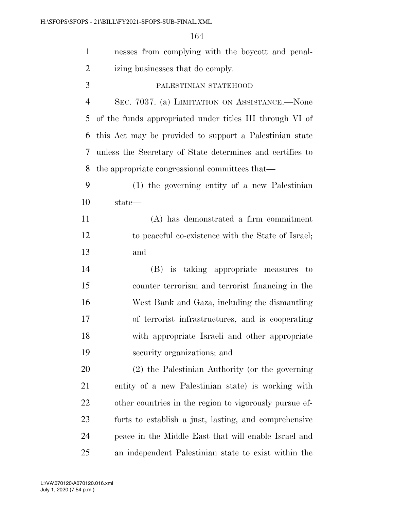| $\mathbf{1}$   | nesses from complying with the boycott and penal-         |
|----------------|-----------------------------------------------------------|
| 2              | izing businesses that do comply.                          |
| 3              | PALESTINIAN STATEHOOD                                     |
| $\overline{4}$ | SEC. 7037. (a) LIMITATION ON ASSISTANCE.—None             |
| 5              | of the funds appropriated under titles III through VI of  |
| 6              | this Act may be provided to support a Palestinian state   |
| 7              | unless the Secretary of State determines and certifies to |
| 8              | the appropriate congressional committees that—            |
| 9              | (1) the governing entity of a new Palestinian             |
| 10             | state—                                                    |
| 11             | (A) has demonstrated a firm commitment                    |
| 12             | to peaceful co-existence with the State of Israel;        |
| 13             | and                                                       |
| 14             | (B) is taking appropriate measures to                     |
| 15             | counter terrorism and terrorist financing in the          |
| 16             | West Bank and Gaza, including the dismantling             |
| 17             | of terrorist infrastructures, and is cooperating          |
| 18             | with appropriate Israeli and other appropriate            |
| 19             | security organizations; and                               |
| 20             | (2) the Palestinian Authority (or the governing           |
| 21             | entity of a new Palestinian state) is working with        |
| 22             | other countries in the region to vigorously pursue ef-    |
| 23             | forts to establish a just, lasting, and comprehensive     |
| 24             | peace in the Middle East that will enable Israel and      |
| 25             | an independent Palestinian state to exist within the      |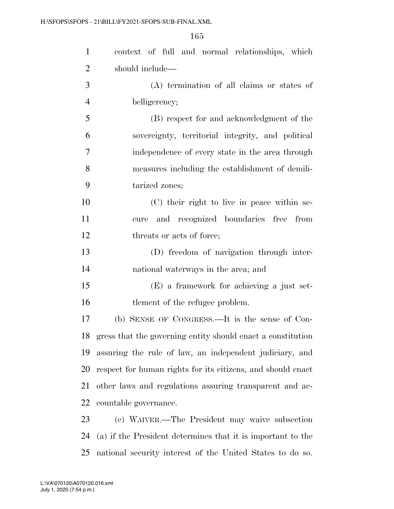| $\mathbf{1}$   | context of full and normal relationships, which                |
|----------------|----------------------------------------------------------------|
| $\overline{2}$ | should include—                                                |
| 3              | (A) termination of all claims or states of                     |
| $\overline{4}$ | belligerency;                                                  |
| 5              | (B) respect for and acknowledgment of the                      |
| 6              | sovereignty, territorial integrity, and political              |
| 7              | independence of every state in the area through                |
| 8              | measures including the establishment of demili-                |
| 9              | tarized zones;                                                 |
| 10             | (C) their right to live in peace within se-                    |
| 11             | and recognized boundaries free<br>from<br>cure                 |
| 12             | threats or acts of force;                                      |
| 13             | (D) freedom of navigation through inter-                       |
| 14             | national waterways in the area; and                            |
| 15             | (E) a framework for achieving a just set-                      |
| 16             | tlement of the refugee problem.                                |
| 17             | (b) SENSE OF CONGRESS.—It is the sense of Con-                 |
|                | 18 gress that the governing entity should enact a constitution |
| 19             | assuring the rule of law, an independent judiciary, and        |
| 20             | respect for human rights for its citizens, and should enact    |
| 21             | other laws and regulations assuring transparent and ac-        |
| 22             | countable governance.                                          |
| 23             | (c) WAIVER.—The President may waive subsection                 |
| 24             | (a) if the President determines that it is important to the    |
|                |                                                                |

national security interest of the United States to do so.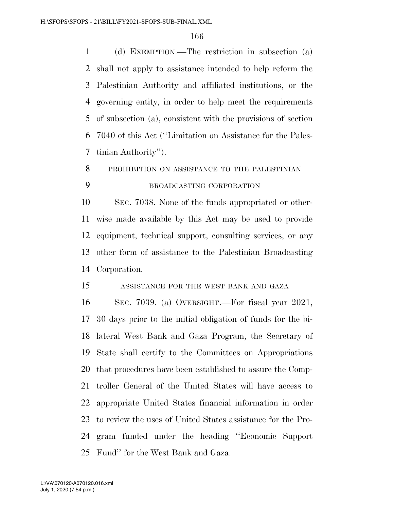(d) EXEMPTION.—The restriction in subsection (a) shall not apply to assistance intended to help reform the Palestinian Authority and affiliated institutions, or the governing entity, in order to help meet the requirements of subsection (a), consistent with the provisions of section 7040 of this Act (''Limitation on Assistance for the Pales-tinian Authority'').

## 8 PROHIBITION ON ASSISTANCE TO THE PALESTINIAN BROADCASTING CORPORATION

 SEC. 7038. None of the funds appropriated or other- wise made available by this Act may be used to provide equipment, technical support, consulting services, or any other form of assistance to the Palestinian Broadcasting Corporation.

## 15 ASSISTANCE FOR THE WEST BANK AND GAZA

 SEC. 7039. (a) OVERSIGHT.—For fiscal year 2021, 30 days prior to the initial obligation of funds for the bi- lateral West Bank and Gaza Program, the Secretary of State shall certify to the Committees on Appropriations that procedures have been established to assure the Comp- troller General of the United States will have access to appropriate United States financial information in order to review the uses of United States assistance for the Pro- gram funded under the heading ''Economic Support Fund'' for the West Bank and Gaza.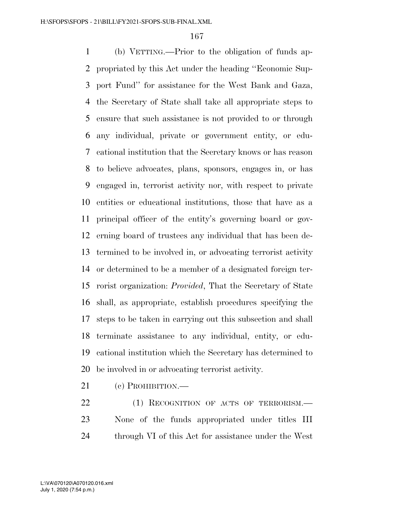(b) VETTING.—Prior to the obligation of funds ap- propriated by this Act under the heading ''Economic Sup- port Fund'' for assistance for the West Bank and Gaza, the Secretary of State shall take all appropriate steps to ensure that such assistance is not provided to or through any individual, private or government entity, or edu- cational institution that the Secretary knows or has reason to believe advocates, plans, sponsors, engages in, or has engaged in, terrorist activity nor, with respect to private entities or educational institutions, those that have as a principal officer of the entity's governing board or gov- erning board of trustees any individual that has been de- termined to be involved in, or advocating terrorist activity or determined to be a member of a designated foreign ter- rorist organization: *Provided*, That the Secretary of State shall, as appropriate, establish procedures specifying the steps to be taken in carrying out this subsection and shall terminate assistance to any individual, entity, or edu- cational institution which the Secretary has determined to be involved in or advocating terrorist activity.

(c) PROHIBITION.—

22 (1) RECOGNITION OF ACTS OF TERRORISM. None of the funds appropriated under titles III through VI of this Act for assistance under the West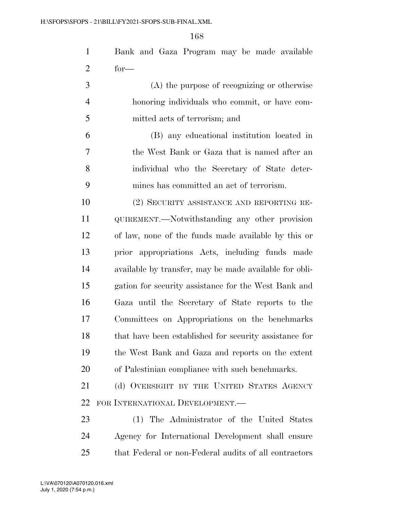| $\mathbf{1}$   | Bank and Gaza Program may be made available            |
|----------------|--------------------------------------------------------|
| $\overline{2}$ | $for-$                                                 |
| 3              | (A) the purpose of recognizing or otherwise            |
| $\overline{4}$ | honoring individuals who commit, or have com-          |
| 5              | mitted acts of terrorism; and                          |
| 6              | (B) any educational institution located in             |
| 7              | the West Bank or Gaza that is named after an           |
| 8              | individual who the Secretary of State deter-           |
| 9              | mines has committed an act of terrorism.               |
| 10             | (2) SECURITY ASSISTANCE AND REPORTING RE-              |
| 11             | QUIREMENT.—Notwithstanding any other provision         |
| 12             | of law, none of the funds made available by this or    |
| 13             | prior appropriations Acts, including funds made        |
| 14             | available by transfer, may be made available for obli- |
| 15             | gation for security assistance for the West Bank and   |
| 16             | Gaza until the Secretary of State reports to the       |
| 17             | Committees on Appropriations on the benchmarks         |
| 18             | that have been established for security assistance for |
| 19             | the West Bank and Gaza and reports on the extent       |
| 20             | of Palestinian compliance with such benchmarks.        |
| 21             | (d) OVERSIGHT BY THE UNITED STATES AGENCY              |
| 22             | FOR INTERNATIONAL DEVELOPMENT.                         |
| 23             | (1) The Administrator of the United States             |
| 24             | Agency for International Development shall ensure      |
| 25             | that Federal or non-Federal audits of all contractors  |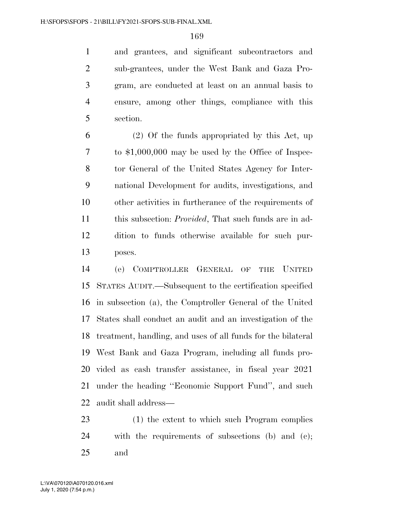and grantees, and significant subcontractors and sub-grantees, under the West Bank and Gaza Pro- gram, are conducted at least on an annual basis to ensure, among other things, compliance with this section.

 (2) Of the funds appropriated by this Act, up to \$1,000,000 may be used by the Office of Inspec- tor General of the United States Agency for Inter- national Development for audits, investigations, and other activities in furtherance of the requirements of this subsection: *Provided*, That such funds are in ad- dition to funds otherwise available for such pur-poses.

 (e) COMPTROLLER GENERAL OF THE UNITED STATES AUDIT.—Subsequent to the certification specified in subsection (a), the Comptroller General of the United States shall conduct an audit and an investigation of the treatment, handling, and uses of all funds for the bilateral West Bank and Gaza Program, including all funds pro- vided as cash transfer assistance, in fiscal year 2021 under the heading ''Economic Support Fund'', and such audit shall address—

 (1) the extent to which such Program complies with the requirements of subsections (b) and (c); and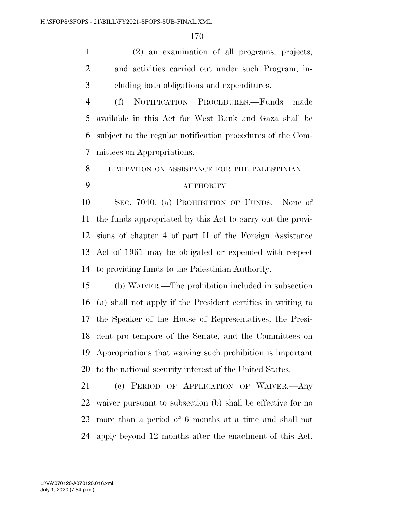(2) an examination of all programs, projects, and activities carried out under such Program, in-cluding both obligations and expenditures.

 (f) NOTIFICATION PROCEDURES.—Funds made available in this Act for West Bank and Gaza shall be subject to the regular notification procedures of the Com-mittees on Appropriations.

LIMITATION ON ASSISTANCE FOR THE PALESTINIAN

## AUTHORITY

 SEC. 7040. (a) PROHIBITION OF FUNDS.—None of the funds appropriated by this Act to carry out the provi- sions of chapter 4 of part II of the Foreign Assistance Act of 1961 may be obligated or expended with respect to providing funds to the Palestinian Authority.

 (b) WAIVER.—The prohibition included in subsection (a) shall not apply if the President certifies in writing to the Speaker of the House of Representatives, the Presi- dent pro tempore of the Senate, and the Committees on Appropriations that waiving such prohibition is important to the national security interest of the United States.

 (c) PERIOD OF APPLICATION OF WAIVER.—Any waiver pursuant to subsection (b) shall be effective for no more than a period of 6 months at a time and shall not apply beyond 12 months after the enactment of this Act.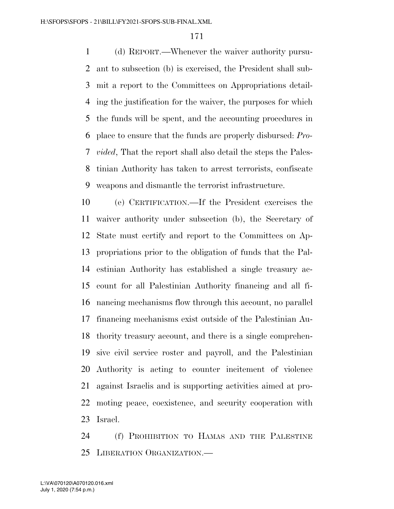(d) REPORT.—Whenever the waiver authority pursu- ant to subsection (b) is exercised, the President shall sub- mit a report to the Committees on Appropriations detail- ing the justification for the waiver, the purposes for which the funds will be spent, and the accounting procedures in place to ensure that the funds are properly disbursed: *Pro- vided*, That the report shall also detail the steps the Pales- tinian Authority has taken to arrest terrorists, confiscate weapons and dismantle the terrorist infrastructure.

 (e) CERTIFICATION.—If the President exercises the waiver authority under subsection (b), the Secretary of State must certify and report to the Committees on Ap- propriations prior to the obligation of funds that the Pal- estinian Authority has established a single treasury ac- count for all Palestinian Authority financing and all fi- nancing mechanisms flow through this account, no parallel financing mechanisms exist outside of the Palestinian Au- thority treasury account, and there is a single comprehen- sive civil service roster and payroll, and the Palestinian Authority is acting to counter incitement of violence against Israelis and is supporting activities aimed at pro- moting peace, coexistence, and security cooperation with Israel.

 (f) PROHIBITION TO HAMAS AND THE PALESTINE LIBERATION ORGANIZATION.—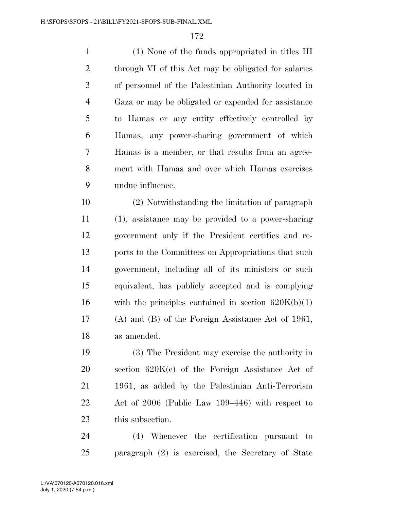(1) None of the funds appropriated in titles III 2 through VI of this Act may be obligated for salaries of personnel of the Palestinian Authority located in Gaza or may be obligated or expended for assistance to Hamas or any entity effectively controlled by Hamas, any power-sharing government of which Hamas is a member, or that results from an agree- ment with Hamas and over which Hamas exercises undue influence.

 (2) Notwithstanding the limitation of paragraph (1), assistance may be provided to a power-sharing government only if the President certifies and re- ports to the Committees on Appropriations that such government, including all of its ministers or such equivalent, has publicly accepted and is complying 16 with the principles contained in section  $620K(b)(1)$  (A) and (B) of the Foreign Assistance Act of 1961, as amended.

 (3) The President may exercise the authority in section 620K(e) of the Foreign Assistance Act of 1961, as added by the Palestinian Anti-Terrorism Act of 2006 (Public Law 109–446) with respect to this subsection.

 (4) Whenever the certification pursuant to paragraph (2) is exercised, the Secretary of State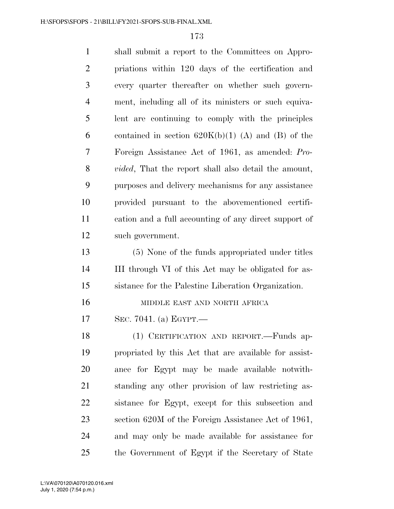| $\mathbf{1}$   | shall submit a report to the Committees on Appro-            |
|----------------|--------------------------------------------------------------|
| $\overline{2}$ | priations within 120 days of the certification and           |
| 3              | every quarter thereafter on whether such govern-             |
| $\overline{4}$ | ment, including all of its ministers or such equiva-         |
| 5              | lent are continuing to comply with the principles            |
| 6              | contained in section $620K(b)(1)$ (A) and (B) of the         |
| 7              | Foreign Assistance Act of 1961, as amended: Pro-             |
| 8              | <i>vided</i> , That the report shall also detail the amount, |
| 9              | purposes and delivery mechanisms for any assistance          |
| 10             | provided pursuant to the abovementioned certifi-             |
| 11             | cation and a full accounting of any direct support of        |
| 12             | such government.                                             |
| 13             | (5) None of the funds appropriated under titles              |
| 14             | III through VI of this Act may be obligated for as-          |
| 15             | sistance for the Palestine Liberation Organization.          |
| 16             | MIDDLE EAST AND NORTH AFRICA                                 |
| 17             | SEC. 7041. (a) EGYPT.—                                       |
| 18             | (1) CERTIFICATION AND REPORT. Funds ap-                      |
| 19             | propriated by this Act that are available for assist-        |
| 20             | ance for Egypt may be made available not with-               |
| 21             | standing any other provision of law restricting as-          |
| 22             | sistance for Egypt, except for this subsection and           |
| 23             | section 620M of the Foreign Assistance Act of 1961,          |
| 24             | and may only be made available for assistance for            |
| 25             | the Government of Egypt if the Secretary of State            |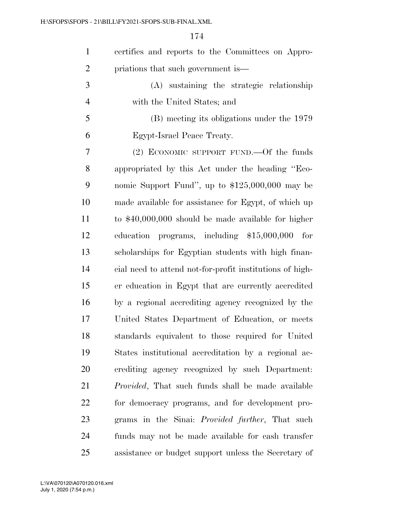| $\mathbf{1}$   | certifies and reports to the Committees on Appro-         |
|----------------|-----------------------------------------------------------|
| $\overline{2}$ | priations that such government is—                        |
| 3              | (A) sustaining the strategic relationship                 |
| $\overline{4}$ | with the United States; and                               |
| 5              | (B) meeting its obligations under the 1979                |
| 6              | Egypt-Israel Peace Treaty.                                |
| 7              | $(2)$ ECONOMIC SUPPORT FUND.—Of the funds                 |
| 8              | appropriated by this Act under the heading "Eco-          |
| 9              | nomic Support Fund", up to $$125,000,000$ may be          |
| 10             | made available for assistance for Egypt, of which up      |
| 11             | to $$40,000,000$ should be made available for higher      |
| 12             | education programs, including $$15,000,000$ for           |
| 13             | scholarships for Egyptian students with high finan-       |
| 14             | cial need to attend not-for-profit institutions of high-  |
| 15             | er education in Egypt that are currently accredited       |
| 16             | by a regional accrediting agency recognized by the        |
| 17             | United States Department of Education, or meets           |
| 18             | standards equivalent to those required for United         |
| 19             | States institutional accreditation by a regional ac-      |
| 20             | crediting agency recognized by such Department:           |
| 21             | <i>Provided</i> , That such funds shall be made available |
| 22             | for democracy programs, and for development pro-          |
| 23             | grams in the Sinai: <i>Provided further</i> , That such   |
| 24             | funds may not be made available for eash transfer         |
| 25             | assistance or budget support unless the Secretary of      |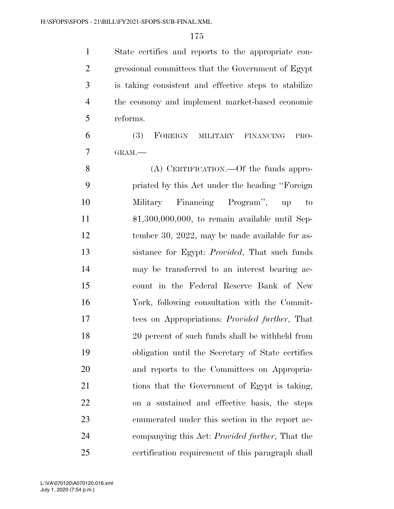State certifies and reports to the appropriate con- gressional committees that the Government of Egypt is taking consistent and effective steps to stabilize the economy and implement market-based economic reforms.

 (3) FOREIGN MILITARY FINANCING PRO-GRAM.—

 (A) CERTIFICATION.—Of the funds appro- priated by this Act under the heading ''Foreign Military Financing Program'', up to \$1,300,000,000, to remain available until Sep-12 tember 30, 2022, may be made available for as- sistance for Egypt: *Provided*, That such funds may be transferred to an interest bearing ac- count in the Federal Reserve Bank of New York, following consultation with the Commit- tees on Appropriations: *Provided further*, That 20 percent of such funds shall be withheld from obligation until the Secretary of State certifies and reports to the Committees on Appropria- tions that the Government of Egypt is taking, on a sustained and effective basis, the steps enumerated under this section in the report ac- companying this Act: *Provided further*, That the certification requirement of this paragraph shall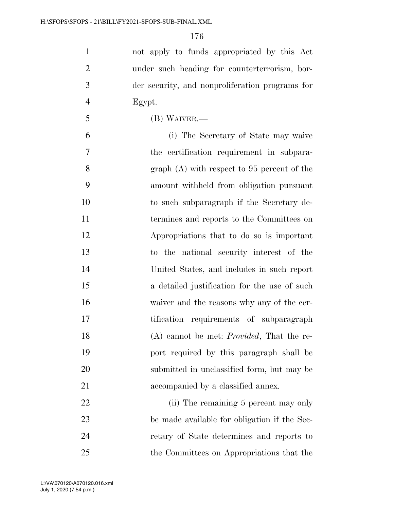| not apply to funds appropriated by this Act     |
|-------------------------------------------------|
| under such heading for counterterrorism, bor-   |
| der security, and nonproliferation programs for |
| Egypt.                                          |
| $(B)$ WAIVER.—                                  |
|                                                 |

 (i) The Secretary of State may waive the certification requirement in subpara- graph (A) with respect to 95 percent of the amount withheld from obligation pursuant to such subparagraph if the Secretary de- termines and reports to the Committees on Appropriations that to do so is important to the national security interest of the United States, and includes in such report a detailed justification for the use of such waiver and the reasons why any of the cer- tification requirements of subparagraph (A) cannot be met: *Provided*, That the re- port required by this paragraph shall be submitted in unclassified form, but may be accompanied by a classified annex.

22 (ii) The remaining 5 percent may only be made available for obligation if the Sec- retary of State determines and reports to the Committees on Appropriations that the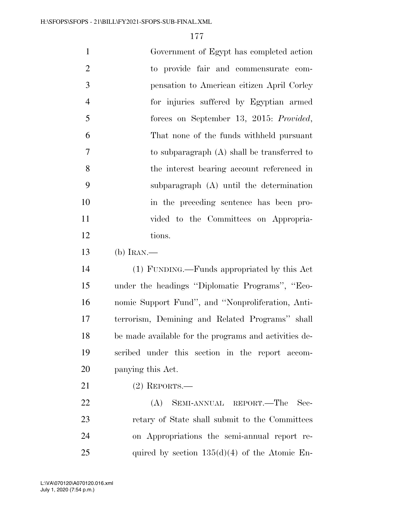| $\mathbf{1}$   | Government of Egypt has completed action              |
|----------------|-------------------------------------------------------|
| $\overline{2}$ | to provide fair and commensurate com-                 |
| 3              | pensation to American citizen April Corley            |
| $\overline{4}$ | for injuries suffered by Egyptian armed               |
| 5              | forces on September 13, 2015: Provided,               |
| 6              | That none of the funds withheld pursuant              |
| $\overline{7}$ | to subparagraph $(A)$ shall be transferred to         |
| 8              | the interest bearing account referenced in            |
| 9              | subparagraph (A) until the determination              |
| 10             | in the preceding sentence has been pro-               |
| 11             | vided to the Committees on Appropria-                 |
| 12             | tions.                                                |
| 13             | (b) $IRAN$ .                                          |
| 14             | (1) FUNDING.—Funds appropriated by this Act           |
| 15             | under the headings "Diplomatic Programs", "Eco-       |
| 16             | nomic Support Fund", and "Nonproliferation, Anti-     |
| 17             | terrorism, Demining and Related Programs" shall       |
| 18             | be made available for the programs and activities de- |
| 19             | scribed under this section in the report accom-       |
| 20             | panying this Act.                                     |
| 21             | $(2)$ REPORTS.—                                       |
| 22             | (A)<br>SEMI-ANNUAL REPORT.—The<br>Sec-                |
| 23             | retary of State shall submit to the Committees        |
| 24             | on Appropriations the semi-annual report re-          |
| 25             | quired by section $135(d)(4)$ of the Atomic En-       |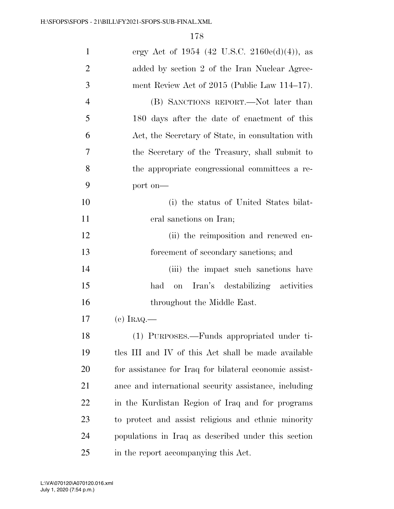| $\mathbf{1}$   | ergy Act of 1954 (42 U.S.C. 2160e(d)(4)), as           |
|----------------|--------------------------------------------------------|
| $\overline{2}$ | added by section 2 of the Iran Nuclear Agree-          |
| 3              | ment Review Act of 2015 (Public Law 114–17).           |
| $\overline{4}$ | (B) SANCTIONS REPORT.—Not later than                   |
| 5              | 180 days after the date of enactment of this           |
| 6              | Act, the Secretary of State, in consultation with      |
| 7              | the Secretary of the Treasury, shall submit to         |
| 8              | the appropriate congressional committees a re-         |
| 9              | port on-                                               |
| 10             | (i) the status of United States bilat-                 |
| 11             | eral sanctions on Iran;                                |
| 12             | (ii) the reimposition and renewed en-                  |
| 13             | forcement of secondary sanctions; and                  |
| 14             | (iii) the impact such sanctions have                   |
| 15             | Iran's destabilizing activities<br>had<br>on           |
| 16             | throughout the Middle East.                            |
| 17             | $(c)$ IRAQ.—                                           |
| 18             | (1) PURPOSES.---Funds appropriated under ti-           |
| 19             | tles III and IV of this Act shall be made available    |
| 20             | for assistance for Iraq for bilateral economic assist- |
| 21             | ance and international security assistance, including  |
| 22             | in the Kurdistan Region of Iraq and for programs       |
| 23             | to protect and assist religious and ethnic minority    |
| 24             | populations in Iraq as described under this section    |
| 25             | in the report accompanying this Act.                   |

July 1, 2020 (7:54 p.m.) L:\VA\070120\A070120.016.xml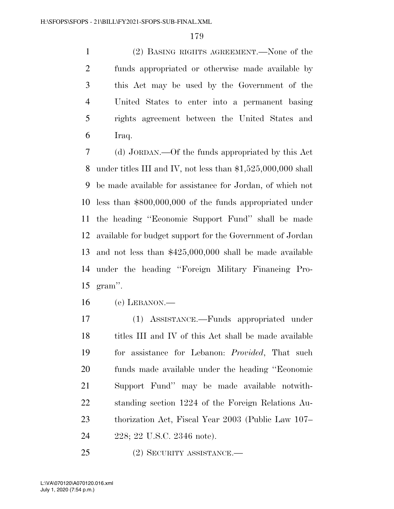(2) BASING RIGHTS AGREEMENT.—None of the funds appropriated or otherwise made available by this Act may be used by the Government of the United States to enter into a permanent basing rights agreement between the United States and Iraq.

 (d) JORDAN.—Of the funds appropriated by this Act under titles III and IV, not less than \$1,525,000,000 shall be made available for assistance for Jordan, of which not less than \$800,000,000 of the funds appropriated under the heading ''Economic Support Fund'' shall be made available for budget support for the Government of Jordan and not less than \$425,000,000 shall be made available under the heading ''Foreign Military Financing Pro-gram''.

(e) LEBANON.—

 (1) ASSISTANCE.—Funds appropriated under 18 titles III and IV of this Act shall be made available for assistance for Lebanon: *Provided*, That such funds made available under the heading ''Economic Support Fund'' may be made available notwith- standing section 1224 of the Foreign Relations Au- thorization Act, Fiscal Year 2003 (Public Law 107– 228; 22 U.S.C. 2346 note).

(2) SECURITY ASSISTANCE.—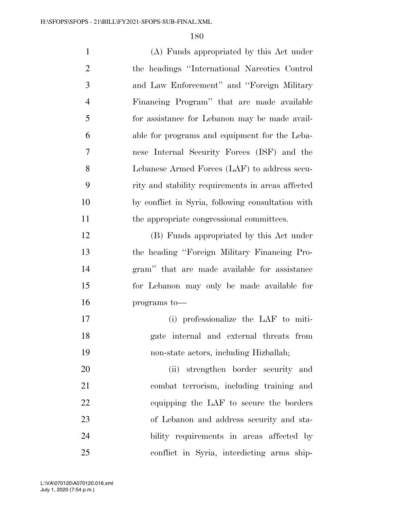| $\mathbf{1}$   | (A) Funds appropriated by this Act under          |
|----------------|---------------------------------------------------|
| $\overline{2}$ | the headings "International Narcotics Control"    |
| 3              | and Law Enforcement" and "Foreign Military        |
| $\overline{4}$ | Financing Program" that are made available        |
| 5              | for assistance for Lebanon may be made avail-     |
| 6              | able for programs and equipment for the Leba-     |
| 7              | nese Internal Security Forces (ISF) and the       |
| 8              | Lebanese Armed Forces (LAF) to address secu-      |
| 9              | rity and stability requirements in areas affected |
| 10             | by conflict in Syria, following consultation with |
| 11             | the appropriate congressional committees.         |
| 12             | (B) Funds appropriated by this Act under          |
| 13             | the heading "Foreign Military Financing Pro-      |
| 14             | gram" that are made available for assistance      |
| 15             | for Lebanon may only be made available for        |
| 16             | programs to-                                      |
| 17             | (i) professionalize the LAF to miti-              |
| 18             | gate internal and external threats from           |
| 19             | non-state actors, including Hizballah;            |
| 20             | (ii) strengthen border security and               |
| 21             | combat terrorism, including training and          |
| 22             | equipping the LAF to secure the borders           |
| 23             | of Lebanon and address security and sta-          |
| 24             | bility requirements in areas affected by          |
| 25             | conflict in Syria, interdicting arms ship-        |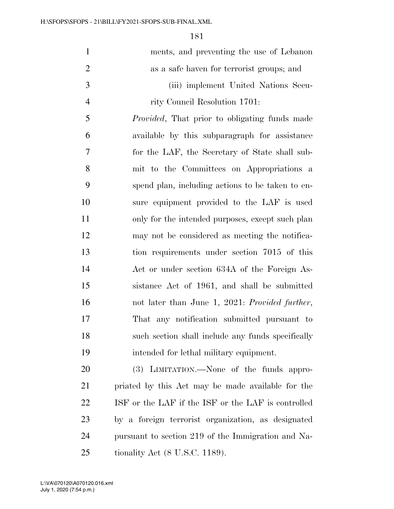| $\mathbf{1}$   | ments, and preventing the use of Lebanon              |
|----------------|-------------------------------------------------------|
| $\overline{2}$ | as a safe haven for terrorist groups; and             |
| 3              | (iii) implement United Nations Secu-                  |
| $\overline{4}$ | rity Council Resolution 1701:                         |
| 5              | <i>Provided</i> , That prior to obligating funds made |
| 6              | available by this subparagraph for assistance         |
| 7              | for the LAF, the Secretary of State shall sub-        |
| 8              | mit to the Committees on Appropriations a             |
| 9              | spend plan, including actions to be taken to en-      |
| 10             | sure equipment provided to the LAF is used            |
| 11             | only for the intended purposes, except such plan      |
| 12             | may not be considered as meeting the notifica-        |
| 13             | tion requirements under section 7015 of this          |
| 14             | Act or under section 634A of the Foreign As-          |
| 15             | sistance Act of 1961, and shall be submitted          |
| 16             | not later than June 1, 2021: Provided further,        |
| 17             | That any notification submitted pursuant to           |
| 18             | such section shall include any funds specifically     |
| 19             | intended for lethal military equipment.               |
| 20             | (3) LIMITATION.—None of the funds appro-              |
| 21             | priated by this Act may be made available for the     |
| 22             | ISF or the LAF if the ISF or the LAF is controlled    |
| 23             | by a foreign terrorist organization, as designated    |
| 24             | pursuant to section 219 of the Immigration and Na-    |
|                |                                                       |

tionality Act (8 U.S.C. 1189).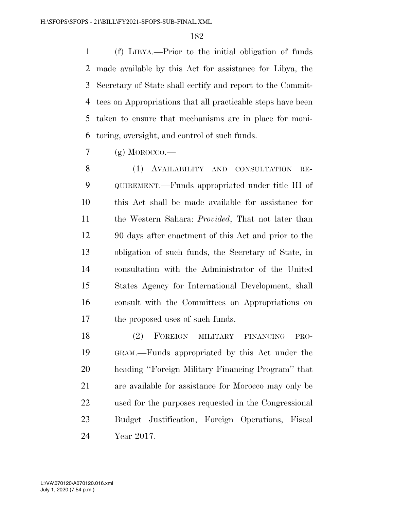(f) LIBYA.—Prior to the initial obligation of funds made available by this Act for assistance for Libya, the Secretary of State shall certify and report to the Commit- tees on Appropriations that all practicable steps have been taken to ensure that mechanisms are in place for moni-toring, oversight, and control of such funds.

 $7 \quad$  (g) MOROCCO.—

 (1) AVAILABILITY AND CONSULTATION RE- QUIREMENT.—Funds appropriated under title III of this Act shall be made available for assistance for the Western Sahara: *Provided*, That not later than 90 days after enactment of this Act and prior to the obligation of such funds, the Secretary of State, in consultation with the Administrator of the United States Agency for International Development, shall consult with the Committees on Appropriations on the proposed uses of such funds.

 (2) FOREIGN MILITARY FINANCING PRO- GRAM.—Funds appropriated by this Act under the heading ''Foreign Military Financing Program'' that are available for assistance for Morocco may only be used for the purposes requested in the Congressional Budget Justification, Foreign Operations, Fiscal Year 2017.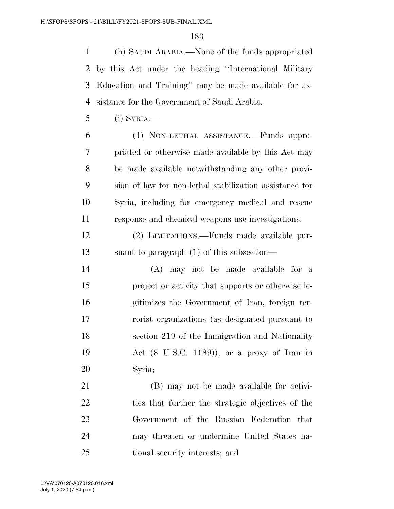(h) SAUDI ARABIA.—None of the funds appropriated by this Act under the heading ''International Military Education and Training'' may be made available for as-sistance for the Government of Saudi Arabia.

(i) SYRIA.—

 (1) NON-LETHAL ASSISTANCE.—Funds appro- priated or otherwise made available by this Act may be made available notwithstanding any other provi- sion of law for non-lethal stabilization assistance for Syria, including for emergency medical and rescue response and chemical weapons use investigations.

 (2) LIMITATIONS.—Funds made available pur-suant to paragraph (1) of this subsection—

 (A) may not be made available for a project or activity that supports or otherwise le- gitimizes the Government of Iran, foreign ter- rorist organizations (as designated pursuant to section 219 of the Immigration and Nationality Act (8 U.S.C. 1189)), or a proxy of Iran in Syria;

 (B) may not be made available for activi- ties that further the strategic objectives of the Government of the Russian Federation that may threaten or undermine United States na-tional security interests; and

July 1, 2020 (7:54 p.m.) L:\VA\070120\A070120.016.xml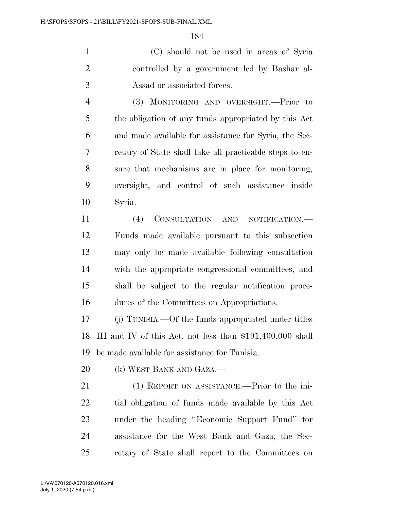(C) should not be used in areas of Syria controlled by a government led by Bashar al-Assad or associated forces.

 (3) MONITORING AND OVERSIGHT.—Prior to the obligation of any funds appropriated by this Act and made available for assistance for Syria, the Sec- retary of State shall take all practicable steps to en- sure that mechanisms are in place for monitoring, oversight, and control of such assistance inside Syria.

 (4) CONSULTATION AND NOTIFICATION.— Funds made available pursuant to this subsection may only be made available following consultation with the appropriate congressional committees, and shall be subject to the regular notification proce-dures of the Committees on Appropriations.

 (j) TUNISIA.—Of the funds appropriated under titles III and IV of this Act, not less than \$191,400,000 shall be made available for assistance for Tunisia.

(k) WEST BANK AND GAZA.—

 (1) REPORT ON ASSISTANCE.—Prior to the ini- tial obligation of funds made available by this Act under the heading ''Economic Support Fund'' for assistance for the West Bank and Gaza, the Sec-retary of State shall report to the Committees on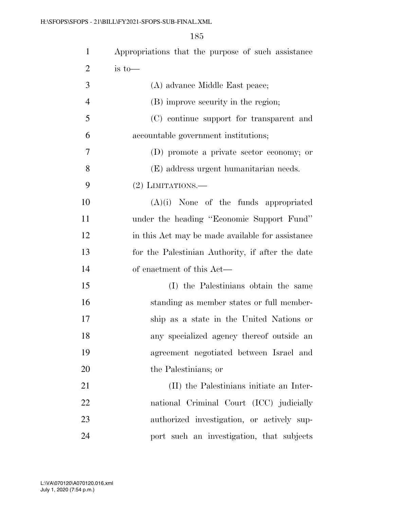| $\mathbf{1}$   | Appropriations that the purpose of such assistance |
|----------------|----------------------------------------------------|
| $\overline{2}$ | $is$ to —                                          |
| 3              | (A) advance Middle East peace;                     |
| $\overline{4}$ | (B) improve security in the region;                |
| 5              | (C) continue support for transparent and           |
| 6              | accountable government institutions;               |
| 7              | (D) promote a private sector economy; or           |
| 8              | (E) address urgent humanitarian needs.             |
| 9              | $(2)$ LIMITATIONS.—                                |
| 10             | $(A)(i)$ None of the funds appropriated            |
| 11             | under the heading "Economic Support Fund"          |
| 12             | in this Act may be made available for assistance   |
| 13             | for the Palestinian Authority, if after the date   |
| 14             | of enactment of this Act—                          |
| 15             | (I) the Palestinians obtain the same               |
| 16             | standing as member states or full member-          |
| 17             | ship as a state in the United Nations or           |
| 18             | any specialized agency thereof outside an          |
| 19             | agreement negotiated between Israel and            |
| 20             | the Palestinians; or                               |
| 21             | (II) the Palestinians initiate an Inter-           |
| 22             | national Criminal Court (ICC) judicially           |
| 23             | authorized investigation, or actively sup-         |
| 24             | port such an investigation, that subjects          |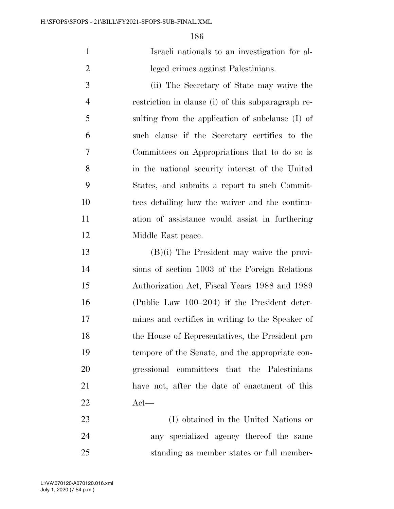Israeli nationals to an investigation for al-leged crimes against Palestinians.

 (ii) The Secretary of State may waive the restriction in clause (i) of this subparagraph re- sulting from the application of subclause (I) of such clause if the Secretary certifies to the Committees on Appropriations that to do so is in the national security interest of the United States, and submits a report to such Commit- tees detailing how the waiver and the continu- ation of assistance would assist in furthering Middle East peace.

 (B)(i) The President may waive the provi- sions of section 1003 of the Foreign Relations Authorization Act, Fiscal Years 1988 and 1989 (Public Law 100–204) if the President deter- mines and certifies in writing to the Speaker of the House of Representatives, the President pro tempore of the Senate, and the appropriate con- gressional committees that the Palestinians have not, after the date of enactment of this Act—

 (I) obtained in the United Nations or any specialized agency thereof the same standing as member states or full member-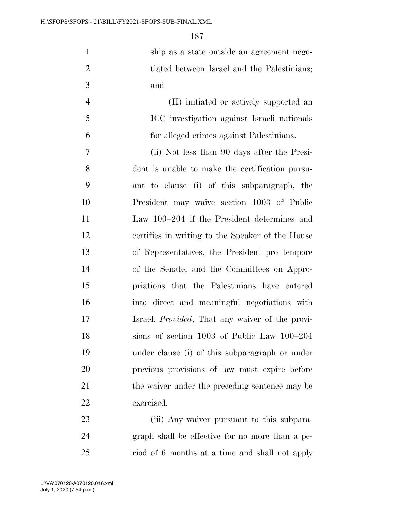1 ship as a state outside an agreement nego-2 tiated between Israel and the Palestinians; and (II) initiated or actively supported an

 ICC investigation against Israeli nationals for alleged crimes against Palestinians.

 (ii) Not less than 90 days after the Presi- dent is unable to make the certification pursu- ant to clause (i) of this subparagraph, the President may waive section 1003 of Public Law 100–204 if the President determines and certifies in writing to the Speaker of the House of Representatives, the President pro tempore of the Senate, and the Committees on Appro- priations that the Palestinians have entered into direct and meaningful negotiations with Israel: *Provided*, That any waiver of the provi- sions of section 1003 of Public Law 100–204 under clause (i) of this subparagraph or under previous provisions of law must expire before 21 the waiver under the preceding sentence may be exercised.

 (iii) Any waiver pursuant to this subpara- graph shall be effective for no more than a pe-riod of 6 months at a time and shall not apply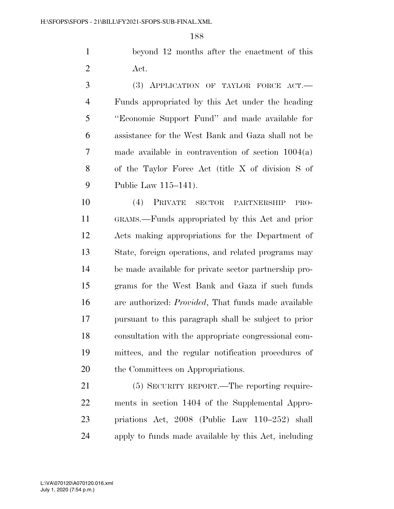beyond 12 months after the enactment of this Act.

 (3) APPLICATION OF TAYLOR FORCE ACT.— Funds appropriated by this Act under the heading ''Economic Support Fund'' and made available for assistance for the West Bank and Gaza shall not be made available in contravention of section 1004(a) of the Taylor Force Act (title X of division S of Public Law 115–141).

 (4) PRIVATE SECTOR PARTNERSHIP PRO- GRAMS.—Funds appropriated by this Act and prior Acts making appropriations for the Department of State, foreign operations, and related programs may be made available for private sector partnership pro- grams for the West Bank and Gaza if such funds are authorized: *Provided*, That funds made available pursuant to this paragraph shall be subject to prior consultation with the appropriate congressional com- mittees, and the regular notification procedures of 20 the Committees on Appropriations.

21 (5) SECURITY REPORT.—The reporting require- ments in section 1404 of the Supplemental Appro- priations Act, 2008 (Public Law 110–252) shall apply to funds made available by this Act, including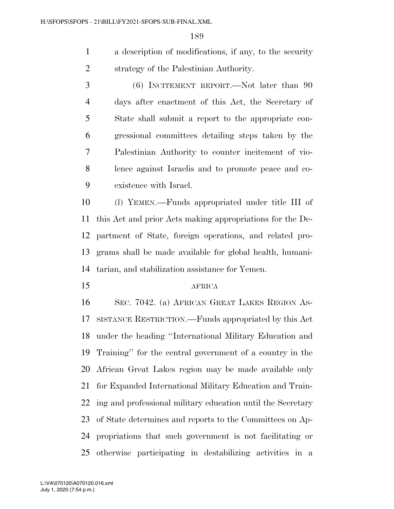- a description of modifications, if any, to the security strategy of the Palestinian Authority.
- (6) INCITEMENT REPORT.—Not later than 90 days after enactment of this Act, the Secretary of State shall submit a report to the appropriate con- gressional committees detailing steps taken by the Palestinian Authority to counter incitement of vio- lence against Israelis and to promote peace and co-existence with Israel.

 (l) YEMEN.—Funds appropriated under title III of this Act and prior Acts making appropriations for the De- partment of State, foreign operations, and related pro- grams shall be made available for global health, humani-tarian, and stabilization assistance for Yemen.

## AFRICA

 SEC. 7042. (a) AFRICAN GREAT LAKES REGION AS- SISTANCE RESTRICTION.—Funds appropriated by this Act under the heading ''International Military Education and Training'' for the central government of a country in the African Great Lakes region may be made available only for Expanded International Military Education and Train- ing and professional military education until the Secretary of State determines and reports to the Committees on Ap- propriations that such government is not facilitating or otherwise participating in destabilizing activities in a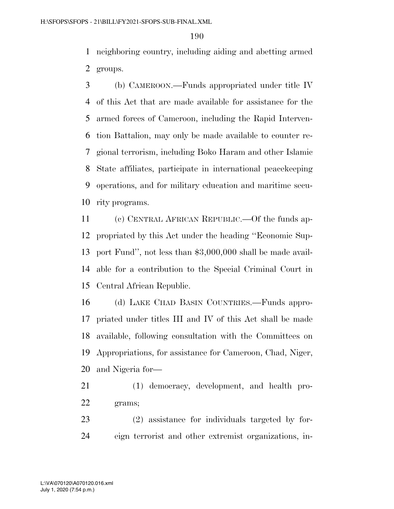neighboring country, including aiding and abetting armed groups.

 (b) CAMEROON.—Funds appropriated under title IV of this Act that are made available for assistance for the armed forces of Cameroon, including the Rapid Interven- tion Battalion, may only be made available to counter re- gional terrorism, including Boko Haram and other Islamic State affiliates, participate in international peacekeeping operations, and for military education and maritime secu-rity programs.

 (c) CENTRAL AFRICAN REPUBLIC.—Of the funds ap- propriated by this Act under the heading ''Economic Sup- port Fund'', not less than \$3,000,000 shall be made avail- able for a contribution to the Special Criminal Court in Central African Republic.

 (d) LAKE CHAD BASIN COUNTRIES.—Funds appro- priated under titles III and IV of this Act shall be made available, following consultation with the Committees on Appropriations, for assistance for Cameroon, Chad, Niger, and Nigeria for—

 (1) democracy, development, and health pro-grams;

 (2) assistance for individuals targeted by for-eign terrorist and other extremist organizations, in-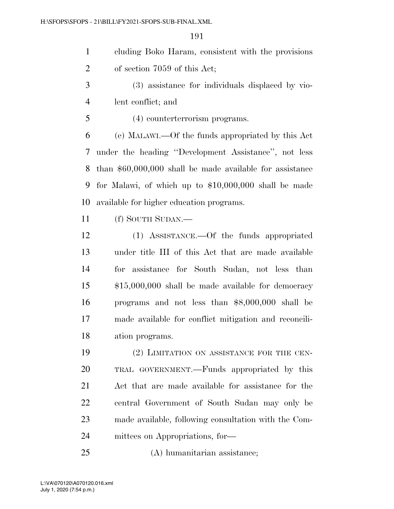- cluding Boko Haram, consistent with the provisions of section 7059 of this Act;
- (3) assistance for individuals displaced by vio-lent conflict; and
- (4) counterterrorism programs.

 (e) MALAWI.—Of the funds appropriated by this Act under the heading ''Development Assistance'', not less than \$60,000,000 shall be made available for assistance for Malawi, of which up to \$10,000,000 shall be made available for higher education programs.

- 11 (f) SOUTH SUDAN.—
- (1) ASSISTANCE.—Of the funds appropriated under title III of this Act that are made available for assistance for South Sudan, not less than \$15,000,000 shall be made available for democracy programs and not less than \$8,000,000 shall be made available for conflict mitigation and reconcili-ation programs.

 (2) LIMITATION ON ASSISTANCE FOR THE CEN- TRAL GOVERNMENT.—Funds appropriated by this Act that are made available for assistance for the central Government of South Sudan may only be made available, following consultation with the Com-mittees on Appropriations, for—

(A) humanitarian assistance;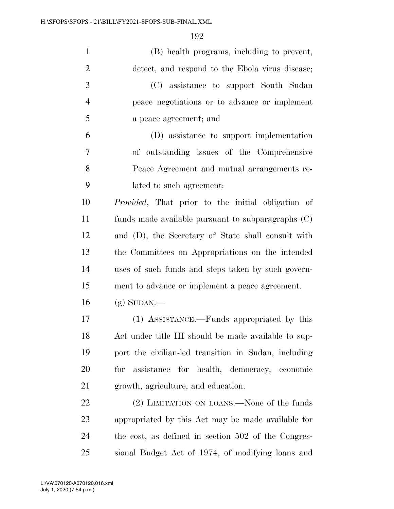| $\mathbf{1}$   | (B) health programs, including to prevent,                |
|----------------|-----------------------------------------------------------|
| $\overline{2}$ | detect, and respond to the Ebola virus disease;           |
| 3              | (C) assistance to support South Sudan                     |
| $\overline{4}$ | peace negotiations or to advance or implement             |
| 5              | a peace agreement; and                                    |
| 6              | (D) assistance to support implementation                  |
| 7              | of outstanding issues of the Comprehensive                |
| 8              | Peace Agreement and mutual arrangements re-               |
| 9              | lated to such agreement:                                  |
| 10             | <i>Provided</i> , That prior to the initial obligation of |
| 11             | funds made available pursuant to subparagraphs $(C)$      |
| 12             | and (D), the Secretary of State shall consult with        |
| 13             | the Committees on Appropriations on the intended          |
| 14             | uses of such funds and steps taken by such govern-        |
| 15             | ment to advance or implement a peace agreement.           |
| 16             | $(g)$ SUDAN.—                                             |
| 17             | (1) ASSISTANCE.—Funds appropriated by this                |
| 18             | Act under title III should be made available to sup-      |
| 19             | port the civilian-led transition in Sudan, including      |
| 20             | assistance for health, democracy, economic<br>for         |
| 21             | growth, agriculture, and education.                       |
| 22             | (2) LIMITATION ON LOANS.—None of the funds                |
| 23             | appropriated by this Act may be made available for        |
| 24             | the cost, as defined in section 502 of the Congres-       |
| 25             | sional Budget Act of 1974, of modifying loans and         |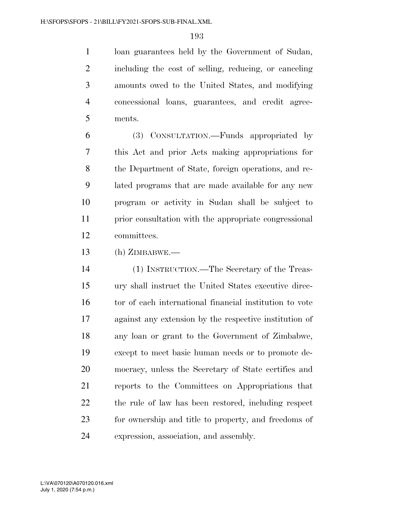loan guarantees held by the Government of Sudan, including the cost of selling, reducing, or canceling amounts owed to the United States, and modifying concessional loans, guarantees, and credit agree-ments.

 (3) CONSULTATION.—Funds appropriated by this Act and prior Acts making appropriations for the Department of State, foreign operations, and re- lated programs that are made available for any new program or activity in Sudan shall be subject to prior consultation with the appropriate congressional committees.

(h) ZIMBABWE.—

 (1) INSTRUCTION.—The Secretary of the Treas- ury shall instruct the United States executive direc- tor of each international financial institution to vote against any extension by the respective institution of any loan or grant to the Government of Zimbabwe, except to meet basic human needs or to promote de- mocracy, unless the Secretary of State certifies and reports to the Committees on Appropriations that the rule of law has been restored, including respect for ownership and title to property, and freedoms of expression, association, and assembly.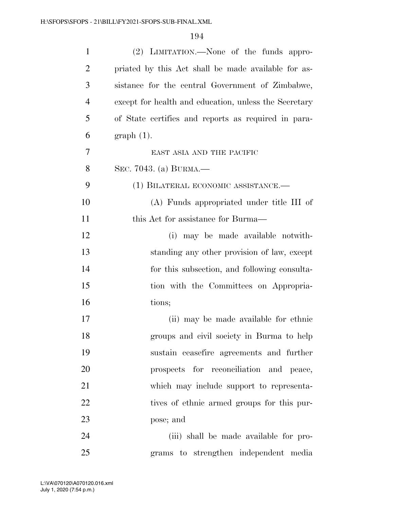| $\mathbf{1}$   | (2) LIMITATION.—None of the funds appro-              |
|----------------|-------------------------------------------------------|
| $\overline{2}$ | priated by this Act shall be made available for as-   |
| 3              | sistance for the central Government of Zimbabwe,      |
| $\overline{4}$ | except for health and education, unless the Secretary |
| 5              | of State certifies and reports as required in para-   |
| 6              | $graph(1)$ .                                          |
| 7              | EAST ASIA AND THE PACIFIC                             |
| 8              | SEC. 7043. (a) BURMA.—                                |
| 9              | (1) BILATERAL ECONOMIC ASSISTANCE.—                   |
| 10             | (A) Funds appropriated under title III of             |
| 11             | this Act for assistance for Burma—                    |
| 12             | (i) may be made available notwith-                    |
| 13             | standing any other provision of law, except           |
| 14             | for this subsection, and following consulta-          |
| 15             | tion with the Committees on Appropria-                |
| 16             | tions;                                                |
| 17             | (ii) may be made available for ethnic                 |
| 18             | groups and civil society in Burma to help             |
| 19             | sustain ceasefire agreements and further              |
| 20             | prospects for reconciliation and peace,               |
| 21             | which may include support to representa-              |
| 22             | tives of ethnic armed groups for this pur-            |
| 23             | pose; and                                             |
| 24             | (iii) shall be made available for pro-                |
| 25             | grams to strengthen independent media                 |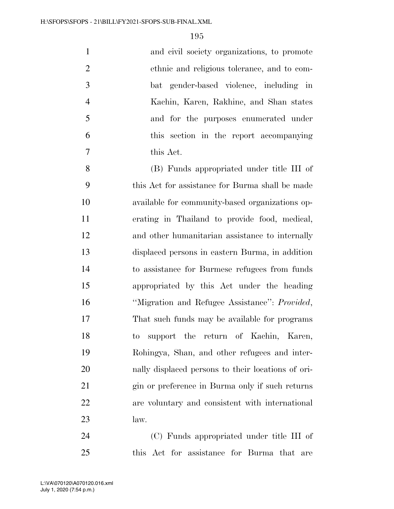| $\mathbf{1}$   | and civil society organizations, to promote        |
|----------------|----------------------------------------------------|
| $\overline{2}$ | ethnic and religious tolerance, and to com-        |
| 3              | bat gender-based violence, including in            |
| $\overline{4}$ | Kachin, Karen, Rakhine, and Shan states            |
| 5              | and for the purposes enumerated under              |
| 6              | this section in the report accompanying            |
| 7              | this Act.                                          |
| 8              | (B) Funds appropriated under title III of          |
| 9              | this Act for assistance for Burma shall be made    |
| 10             | available for community-based organizations op-    |
| 11             | erating in Thailand to provide food, medical,      |
| 12             | and other humanitarian assistance to internally    |
| 13             | displaced persons in eastern Burma, in addition    |
| 14             | to assistance for Burmese refugees from funds      |
| 15             | appropriated by this Act under the heading         |
| 16             | "Migration and Refugee Assistance": Provided,      |
| 17             | That such funds may be available for programs      |
| 18             | to support the return of Kachin, Karen,            |
| 19             | Rohingya, Shan, and other refugees and inter-      |
| 20             | nally displaced persons to their locations of ori- |
| 21             | gin or preference in Burma only if such returns    |
| 22             | are voluntary and consistent with international    |
| 23             | law.                                               |
| 24             | (C) Funds appropriated under title III of          |

this Act for assistance for Burma that are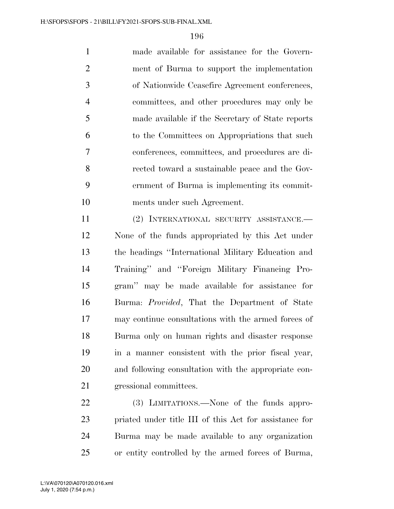made available for assistance for the Govern- ment of Burma to support the implementation of Nationwide Ceasefire Agreement conferences, committees, and other procedures may only be made available if the Secretary of State reports to the Committees on Appropriations that such conferences, committees, and procedures are di- rected toward a sustainable peace and the Gov- ernment of Burma is implementing its commit-ments under such Agreement.

 (2) INTERNATIONAL SECURITY ASSISTANCE.— None of the funds appropriated by this Act under the headings ''International Military Education and Training'' and ''Foreign Military Financing Pro- gram'' may be made available for assistance for Burma: *Provided*, That the Department of State may continue consultations with the armed forces of Burma only on human rights and disaster response in a manner consistent with the prior fiscal year, and following consultation with the appropriate con-21 gressional committees.

22 (3) LIMITATIONS.—None of the funds appro- priated under title III of this Act for assistance for Burma may be made available to any organization or entity controlled by the armed forces of Burma,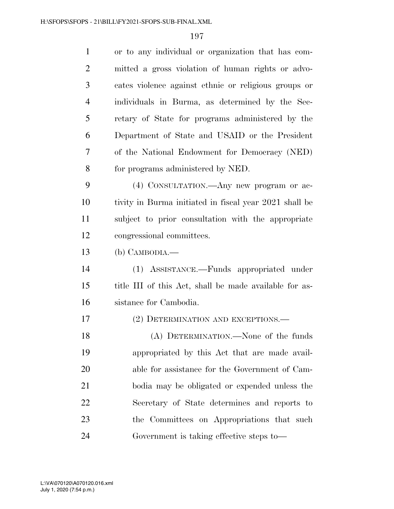| $\mathbf{1}$   | or to any individual or organization that has com-     |
|----------------|--------------------------------------------------------|
| $\overline{2}$ | mitted a gross violation of human rights or advo-      |
| 3              | cates violence against ethnic or religious groups or   |
| $\overline{4}$ | individuals in Burma, as determined by the Sec-        |
| 5              | retary of State for programs administered by the       |
| 6              | Department of State and USAID or the President         |
| 7              | of the National Endowment for Democracy (NED)          |
| 8              | for programs administered by NED.                      |
| 9              | (4) CONSULTATION.—Any new program or ac-               |
| 10             | tivity in Burma initiated in fiscal year 2021 shall be |
| 11             | subject to prior consultation with the appropriate     |
| 12             | congressional committees.                              |
| 13             | (b) $CAMBODIA$ .                                       |
| 14             | (1) ASSISTANCE.—Funds appropriated under               |
| 15             | title III of this Act, shall be made available for as- |
| 16             | sistance for Cambodia.                                 |
| 17             | (2) DETERMINATION AND EXCEPTIONS.—                     |
| 18             | (A) DETERMINATION.—None of the funds                   |
| 19             | appropriated by this Act that are made avail-          |
| 20             | able for assistance for the Government of Cam-         |
| 21             | bodia may be obligated or expended unless the          |
| 22             | Secretary of State determines and reports to           |
| 23             | the Committees on Appropriations that such             |
| 24             | Government is taking effective steps to—               |
|                |                                                        |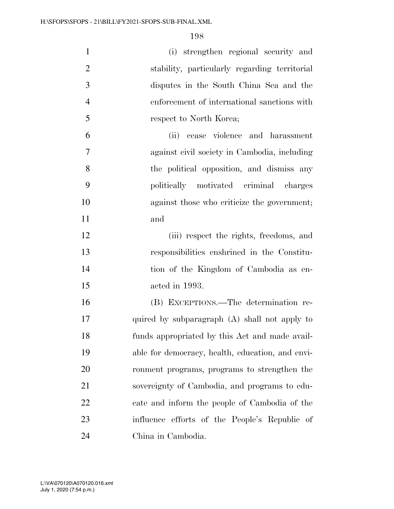| $\mathbf{1}$   | (i) strengthen regional security and             |
|----------------|--------------------------------------------------|
| $\overline{2}$ | stability, particularly regarding territorial    |
| 3              | disputes in the South China Sea and the          |
| $\overline{4}$ | enforcement of international sanctions with      |
| 5              | respect to North Korea;                          |
| 6              | (ii) cease violence and harassment               |
| 7              | against civil society in Cambodia, including     |
| 8              | the political opposition, and dismiss any        |
| 9              | politically motivated criminal charges           |
| 10             | against those who criticize the government;      |
| 11             | and                                              |
| 12             | (iii) respect the rights, freedoms, and          |
| 13             | responsibilities enshrined in the Constitu-      |
| 14             | tion of the Kingdom of Cambodia as en-           |
| 15             | acted in 1993.                                   |
| 16             | (B) EXCEPTIONS.—The determination re-            |
| $17\,$         | quired by subparagraph (A) shall not apply to    |
| 18             | funds appropriated by this Act and made avail-   |
| 19             | able for democracy, health, education, and envi- |
| 20             | ronment programs, programs to strengthen the     |
| 21             | sovereignty of Cambodia, and programs to edu-    |
| 22             | cate and inform the people of Cambodia of the    |
| 23             | influence efforts of the People's Republic of    |
| 24             | China in Cambodia.                               |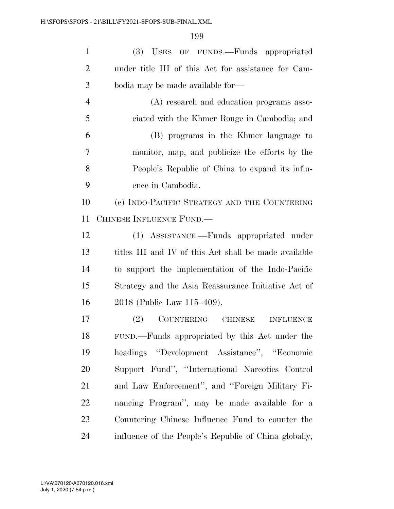| $\mathbf{1}$   | (3) USES OF FUNDS.—Funds appropriated                 |
|----------------|-------------------------------------------------------|
| $\overline{2}$ | under title III of this Act for assistance for Cam-   |
| 3              | bodia may be made available for—                      |
| $\overline{4}$ | (A) research and education programs asso-             |
| 5              | ciated with the Khmer Rouge in Cambodia; and          |
| 6              | (B) programs in the Khmer language to                 |
| 7              | monitor, map, and publicize the efforts by the        |
| 8              | People's Republic of China to expand its influ-       |
| 9              | ence in Cambodia.                                     |
| 10             | (c) INDO-PACIFIC STRATEGY AND THE COUNTERING          |
| 11             | CHINESE INFLUENCE FUND.                               |
| 12             | (1) ASSISTANCE.—Funds appropriated under              |
| 13             | titles III and IV of this Act shall be made available |
| 14             | to support the implementation of the Indo-Pacific     |
| 15             | Strategy and the Asia Reassurance Initiative Act of   |
| 16             | 2018 (Public Law 115–409).                            |
| 17             | (2)<br>COUNTERING CHINESE<br><b>INFLUENCE</b>         |
| 18             | FUND.—Funds appropriated by this Act under the        |
| 19             | headings "Development Assistance", "Economic          |
| 20             | Support Fund", "International Narcotics Control       |
| 21             | and Law Enforcement", and "Foreign Military Fi-       |
| 22             | nancing Program", may be made available for a         |
| 23             | Countering Chinese Influence Fund to counter the      |
| 24             | influence of the People's Republic of China globally, |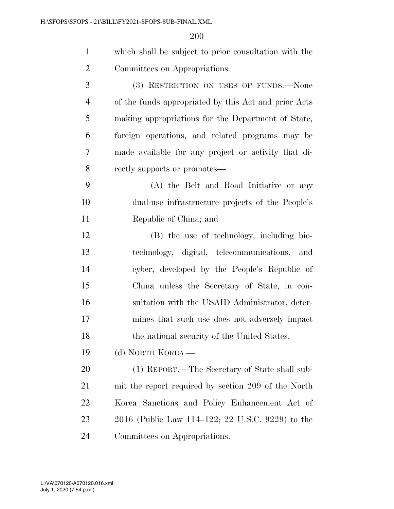| $\mathbf{1}$   | which shall be subject to prior consultation with the |
|----------------|-------------------------------------------------------|
| $\overline{2}$ | Committees on Appropriations.                         |
| 3              | (3) RESTRICTION ON USES OF FUNDS.—None                |
| $\overline{4}$ | of the funds appropriated by this Act and prior Acts  |
| 5              | making appropriations for the Department of State,    |
| 6              | foreign operations, and related programs may be       |
| 7              | made available for any project or activity that di-   |
| 8              | rectly supports or promotes—                          |
| 9              | (A) the Belt and Road Initiative or any               |
| 10             | dual-use infrastructure projects of the People's      |
| 11             | Republic of China; and                                |
| 12             | (B) the use of technology, including bio-             |
| 13             | technology, digital, telecommunications, and          |
| 14             | cyber, developed by the People's Republic of          |
| 15             | China unless the Secretary of State, in con-          |
| 16             | sultation with the USAID Administrator, deter-        |
| 17             | mines that such use does not adversely impact         |
| 18             | the national security of the United States.           |
| 19             | (d) NORTH KOREA.—                                     |
| 20             | (1) REPORT.—The Secretary of State shall sub-         |
| 21             | mit the report required by section 209 of the North   |
| 22             | Korea Sanctions and Policy Enhancement Act of         |
| 23             | 2016 (Public Law 114–122; 22 U.S.C. 9229) to the      |
|                |                                                       |

Committees on Appropriations.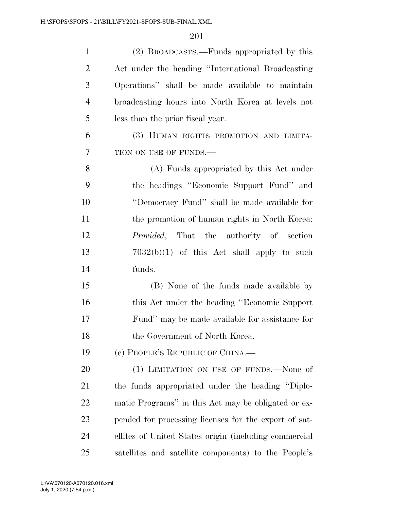| $\mathbf{1}$   | (2) BROADCASTS.—Funds appropriated by this            |
|----------------|-------------------------------------------------------|
| $\overline{2}$ | Act under the heading "International Broadcasting"    |
| 3              | Operations" shall be made available to maintain       |
| $\overline{4}$ | broadcasting hours into North Korea at levels not     |
| 5              | less than the prior fiscal year.                      |
| 6              | (3) HUMAN RIGHTS PROMOTION AND LIMITA-                |
| $\overline{7}$ | TION ON USE OF FUNDS.-                                |
| 8              | (A) Funds appropriated by this Act under              |
| 9              | the headings "Economic Support Fund" and              |
| 10             | "Democracy Fund" shall be made available for          |
| 11             | the promotion of human rights in North Korea:         |
| 12             | <i>Provided</i> , That the authority of section       |
| 13             | $7032(b)(1)$ of this Act shall apply to such          |
| 14             | funds.                                                |
| 15             | (B) None of the funds made available by               |
| 16             | this Act under the heading "Economic Support"         |
| 17             | Fund" may be made available for assistance for        |
| 18             | the Government of North Korea.                        |
| 19             | (e) PEOPLE'S REPUBLIC OF CHINA.—                      |
| 20             | (1) LIMITATION ON USE OF FUNDS.—None of               |
| 21             | the funds appropriated under the heading "Diplo-      |
| 22             | matic Programs" in this Act may be obligated or ex-   |
| 23             | pended for processing licenses for the export of sat- |
| 24             | ellites of United States origin (including commercial |
| 25             | satellites and satellite components) to the People's  |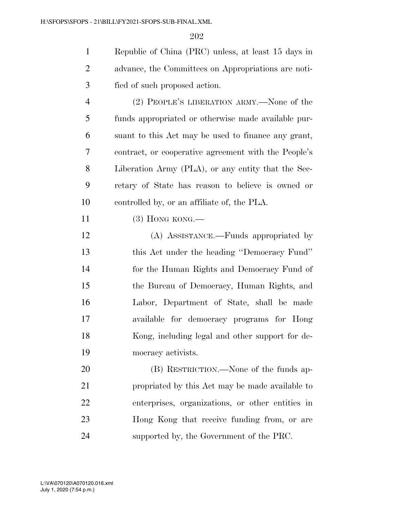Republic of China (PRC) unless, at least 15 days in advance, the Committees on Appropriations are noti- fied of such proposed action. (2) PEOPLE'S LIBERATION ARMY.—None of the funds appropriated or otherwise made available pur- suant to this Act may be used to finance any grant, contract, or cooperative agreement with the People's

 Liberation Army (PLA), or any entity that the Sec- retary of State has reason to believe is owned or controlled by, or an affiliate of, the PLA.

(3) HONG KONG.—

 (A) ASSISTANCE.—Funds appropriated by this Act under the heading ''Democracy Fund'' for the Human Rights and Democracy Fund of the Bureau of Democracy, Human Rights, and Labor, Department of State, shall be made available for democracy programs for Hong Kong, including legal and other support for de-mocracy activists.

 (B) RESTRICTION.—None of the funds ap- propriated by this Act may be made available to enterprises, organizations, or other entities in Hong Kong that receive funding from, or are supported by, the Government of the PRC.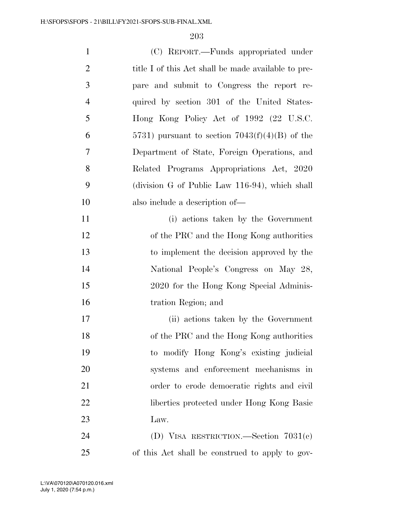| $\mathbf{1}$   | (C) REPORT.—Funds appropriated under                |
|----------------|-----------------------------------------------------|
| $\overline{2}$ | title I of this Act shall be made available to pre- |
| 3              | pare and submit to Congress the report re-          |
| $\overline{4}$ | quired by section 301 of the United States-         |
| 5              | Hong Kong Policy Act of 1992 (22 U.S.C.             |
| 6              | 5731) pursuant to section $7043(f)(4)(B)$ of the    |
| 7              | Department of State, Foreign Operations, and        |
| 8              | Related Programs Appropriations Act, 2020           |
| 9              | (division G of Public Law 116-94), which shall      |
| 10             | also include a description of—                      |
| 11             | (i) actions taken by the Government                 |
| 12             | of the PRC and the Hong Kong authorities            |
| 13             | to implement the decision approved by the           |
| 14             | National People's Congress on May 28,               |
| 15             | 2020 for the Hong Kong Special Adminis-             |
| 16             | tration Region; and                                 |
| 17             | (ii) actions taken by the Government                |
| 18             | of the PRC and the Hong Kong authorities            |
| 19             | to modify Hong Kong's existing judicial             |
| 20             | systems and enforcement mechanisms in               |
| 21             | order to erode democratic rights and civil          |
| 22             | liberties protected under Hong Kong Basic           |
| 23             | Law.                                                |
| 24             | (D) VISA RESTRICTION.—Section $7031(e)$             |
|                |                                                     |

of this Act shall be construed to apply to gov-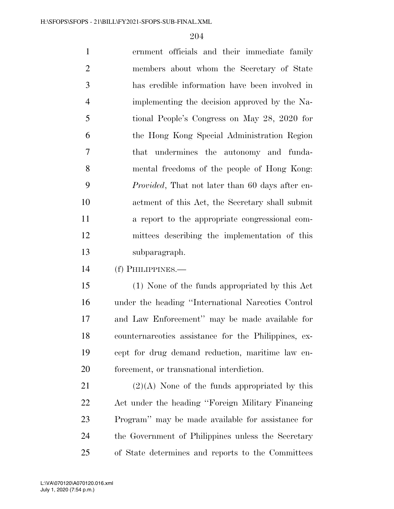ernment officials and their immediate family members about whom the Secretary of State has credible information have been involved in implementing the decision approved by the Na- tional People's Congress on May 28, 2020 for the Hong Kong Special Administration Region that undermines the autonomy and funda- mental freedoms of the people of Hong Kong: *Provided*, That not later than 60 days after en- actment of this Act, the Secretary shall submit a report to the appropriate congressional com- mittees describing the implementation of this subparagraph.

(f) PHILIPPINES.—

 (1) None of the funds appropriated by this Act under the heading ''International Narcotics Control and Law Enforcement'' may be made available for counternarcotics assistance for the Philippines, ex- cept for drug demand reduction, maritime law en-forcement, or transnational interdiction.

21 (2)(A) None of the funds appropriated by this Act under the heading ''Foreign Military Financing Program'' may be made available for assistance for the Government of Philippines unless the Secretary of State determines and reports to the Committees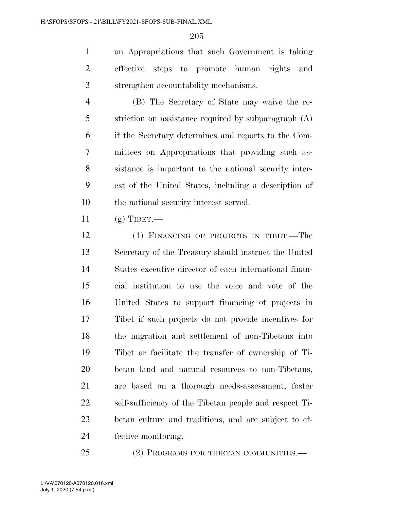on Appropriations that such Government is taking effective steps to promote human rights and strengthen accountability mechanisms.

 (B) The Secretary of State may waive the re- striction on assistance required by subparagraph (A) if the Secretary determines and reports to the Com- mittees on Appropriations that providing such as- sistance is important to the national security inter- est of the United States, including a description of the national security interest served.

11  $(g)$  TIBET.

 (1) FINANCING OF PROJECTS IN TIBET.—The Secretary of the Treasury should instruct the United States executive director of each international finan- cial institution to use the voice and vote of the United States to support financing of projects in Tibet if such projects do not provide incentives for the migration and settlement of non-Tibetans into Tibet or facilitate the transfer of ownership of Ti- betan land and natural resources to non-Tibetans, are based on a thorough needs-assessment, foster self-sufficiency of the Tibetan people and respect Ti- betan culture and traditions, and are subject to ef-fective monitoring.

(2) PROGRAMS FOR TIBETAN COMMUNITIES.—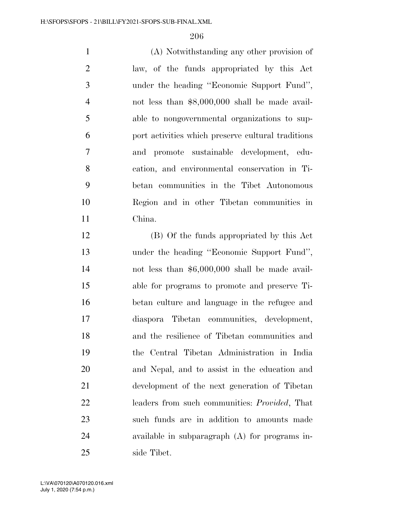(A) Notwithstanding any other provision of law, of the funds appropriated by this Act under the heading ''Economic Support Fund'', not less than \$8,000,000 shall be made avail- able to nongovernmental organizations to sup- port activities which preserve cultural traditions and promote sustainable development, edu- cation, and environmental conservation in Ti- betan communities in the Tibet Autonomous Region and in other Tibetan communities in China.

 (B) Of the funds appropriated by this Act under the heading ''Economic Support Fund'', not less than \$6,000,000 shall be made avail- able for programs to promote and preserve Ti- betan culture and language in the refugee and diaspora Tibetan communities, development, and the resilience of Tibetan communities and the Central Tibetan Administration in India and Nepal, and to assist in the education and development of the next generation of Tibetan leaders from such communities: *Provided*, That such funds are in addition to amounts made available in subparagraph (A) for programs in-side Tibet.

July 1, 2020 (7:54 p.m.) L:\VA\070120\A070120.016.xml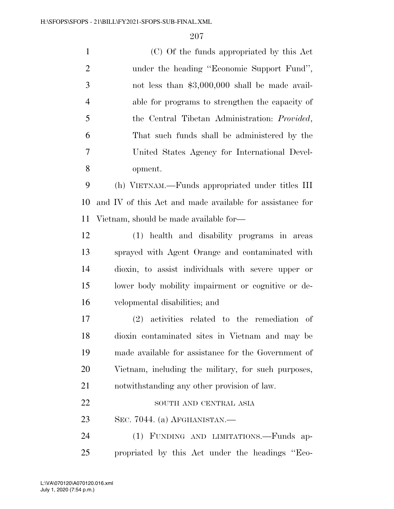(C) Of the funds appropriated by this Act under the heading ''Economic Support Fund'', not less than \$3,000,000 shall be made avail- able for programs to strengthen the capacity of the Central Tibetan Administration: *Provided*, That such funds shall be administered by the United States Agency for International Devel- opment. (h) VIETNAM.—Funds appropriated under titles III and IV of this Act and made available for assistance for Vietnam, should be made available for— (1) health and disability programs in areas sprayed with Agent Orange and contaminated with dioxin, to assist individuals with severe upper or lower body mobility impairment or cognitive or de- velopmental disabilities; and (2) activities related to the remediation of

 dioxin contaminated sites in Vietnam and may be made available for assistance for the Government of Vietnam, including the military, for such purposes, notwithstanding any other provision of law.

22 SOUTH AND CENTRAL ASIA

SEC. 7044. (a) AFGHANISTAN.—

 (1) FUNDING AND LIMITATIONS.—Funds ap-propriated by this Act under the headings ''Eco-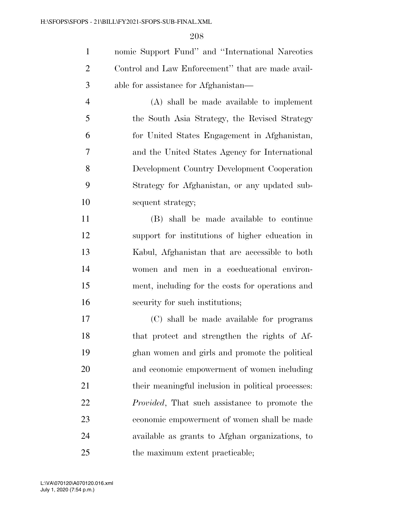nomic Support Fund'' and ''International Narcotics Control and Law Enforcement'' that are made avail-able for assistance for Afghanistan—

 (A) shall be made available to implement the South Asia Strategy, the Revised Strategy for United States Engagement in Afghanistan, and the United States Agency for International Development Country Development Cooperation Strategy for Afghanistan, or any updated sub-sequent strategy;

 (B) shall be made available to continue support for institutions of higher education in Kabul, Afghanistan that are accessible to both women and men in a coeducational environ- ment, including for the costs for operations and security for such institutions;

 (C) shall be made available for programs that protect and strengthen the rights of Af- ghan women and girls and promote the political and economic empowerment of women including 21 their meaningful inclusion in political processes: *Provided*, That such assistance to promote the economic empowerment of women shall be made available as grants to Afghan organizations, to 25 the maximum extent practicable: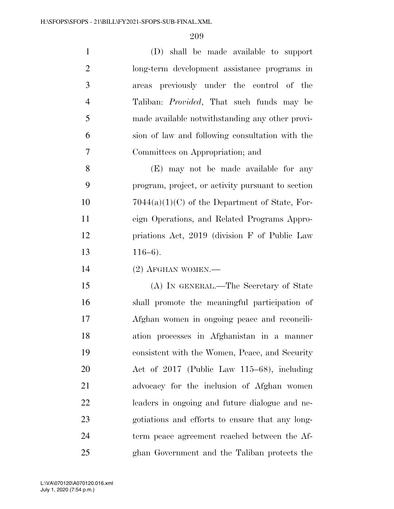(D) shall be made available to support long-term development assistance programs in areas previously under the control of the Taliban: *Provided*, That such funds may be made available notwithstanding any other provi- sion of law and following consultation with the Committees on Appropriation; and

 (E) may not be made available for any program, project, or activity pursuant to section  $7044(a)(1)(C)$  of the Department of State, For- eign Operations, and Related Programs Appro- priations Act, 2019 (division F of Public Law 116–6).

(2) AFGHAN WOMEN.—

 (A) IN GENERAL.—The Secretary of State shall promote the meaningful participation of Afghan women in ongoing peace and reconcili- ation processes in Afghanistan in a manner consistent with the Women, Peace, and Security Act of 2017 (Public Law 115–68), including advocacy for the inclusion of Afghan women leaders in ongoing and future dialogue and ne- gotiations and efforts to ensure that any long- term peace agreement reached between the Af-ghan Government and the Taliban protects the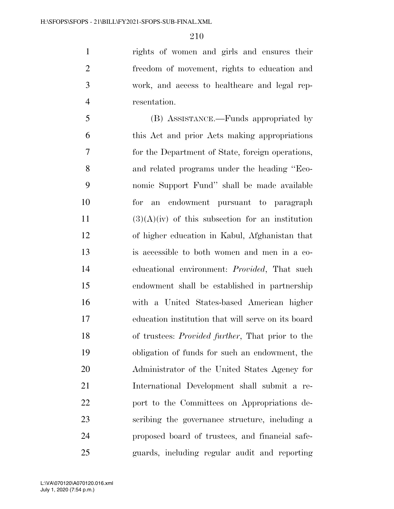rights of women and girls and ensures their freedom of movement, rights to education and work, and access to healthcare and legal rep-resentation.

 (B) ASSISTANCE.—Funds appropriated by this Act and prior Acts making appropriations for the Department of State, foreign operations, and related programs under the heading ''Eco- nomic Support Fund'' shall be made available for an endowment pursuant to paragraph  $(3)(A)(iv)$  of this subsection for an institution of higher education in Kabul, Afghanistan that is accessible to both women and men in a co- educational environment: *Provided*, That such endowment shall be established in partnership with a United States-based American higher education institution that will serve on its board of trustees: *Provided further*, That prior to the obligation of funds for such an endowment, the Administrator of the United States Agency for International Development shall submit a re- port to the Committees on Appropriations de- scribing the governance structure, including a proposed board of trustees, and financial safe-guards, including regular audit and reporting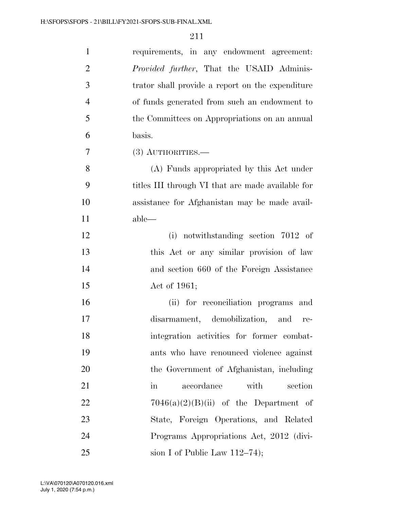| $\mathbf{1}$   | requirements, in any endowment agreement:            |
|----------------|------------------------------------------------------|
| $\overline{2}$ | Provided further, That the USAID Adminis-            |
| 3              | trator shall provide a report on the expenditure     |
| $\overline{4}$ | of funds generated from such an endowment to         |
| 5              | the Committees on Appropriations on an annual        |
| 6              | basis.                                               |
| $\overline{7}$ | $(3)$ AUTHORITIES.—                                  |
| 8              | (A) Funds appropriated by this Act under             |
| 9              | titles III through VI that are made available for    |
| 10             | assistance for Afghanistan may be made avail-        |
| 11             | $able$ —                                             |
| 12             | (i) notwithstanding section $7012$ of                |
| 13             | this Act or any similar provision of law             |
| 14             | and section 660 of the Foreign Assistance            |
| 15             | Act of 1961;                                         |
| 16             | (ii) for reconciliation programs<br>and              |
| 17             | disarmament, demobilization,<br>and<br>re-           |
| 18             | integration activities for former combat-            |
| 19             | ants who have renounced violence against             |
| 20             | the Government of Afghanistan, including             |
| 21             | with<br>accordance<br>section<br>$\operatorname{in}$ |
| 22             | $7046(a)(2)(B)(ii)$ of the Department of             |
| 23             | State, Foreign Operations, and Related               |
| 24             | Programs Appropriations Act, 2012 (divi-             |
| 25             | sion I of Public Law $112-74$ ;                      |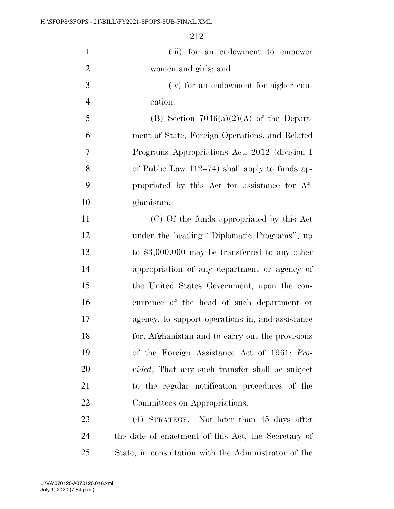| $\mathbf{1}$   | (iii) for an endowment to empower                      |
|----------------|--------------------------------------------------------|
| $\overline{2}$ | women and girls; and                                   |
| 3              | (iv) for an endowment for higher edu-                  |
| $\overline{4}$ | cation.                                                |
| 5              | (B) Section $7046(a)(2)(A)$ of the Depart-             |
| 6              | ment of State, Foreign Operations, and Related         |
| 7              | Programs Appropriations Act, 2012 (division I          |
| 8              | of Public Law $112-74$ ) shall apply to funds ap-      |
| 9              | propriated by this Act for assistance for Af-          |
| 10             | ghanistan.                                             |
| 11             | (C) Of the funds appropriated by this Act              |
| 12             | under the heading "Diplomatic Programs", up            |
| 13             | to $$3,000,000$ may be transferred to any other        |
| 14             | appropriation of any department or agency of           |
| 15             | the United States Government, upon the con-            |
| 16             | currence of the head of such department or             |
| 17             | agency, to support operations in, and assistance       |
| 18             | for, Afghanistan and to carry out the provisions       |
| 19             | of the Foreign Assistance Act of 1961: Pro-            |
| 20             | <i>vided</i> , That any such transfer shall be subject |
| 21             | to the regular notification procedures of the          |
| 22             | Committees on Appropriations.                          |
| 23             | (4) STRATEGY.—Not later than 45 days after             |
| 24             | the date of enactment of this Act, the Secretary of    |
| 25             | State, in consultation with the Administrator of the   |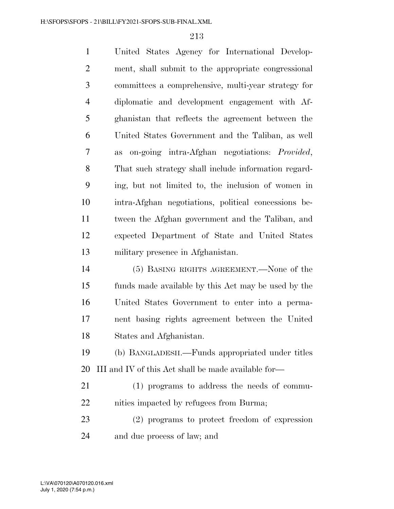United States Agency for International Develop- ment, shall submit to the appropriate congressional committees a comprehensive, multi-year strategy for diplomatic and development engagement with Af- ghanistan that reflects the agreement between the United States Government and the Taliban, as well as on-going intra-Afghan negotiations: *Provided*, That such strategy shall include information regard- ing, but not limited to, the inclusion of women in intra-Afghan negotiations, political concessions be- tween the Afghan government and the Taliban, and expected Department of State and United States military presence in Afghanistan. (5) BASING RIGHTS AGREEMENT.—None of the funds made available by this Act may be used by the United States Government to enter into a perma-

 nent basing rights agreement between the United States and Afghanistan.

 (b) BANGLADESH.—Funds appropriated under titles III and IV of this Act shall be made available for—

 (1) programs to address the needs of commu-nities impacted by refugees from Burma;

 (2) programs to protect freedom of expression and due process of law; and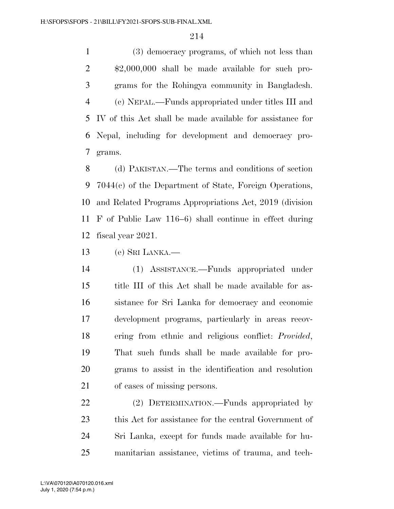(3) democracy programs, of which not less than \$2,000,000 shall be made available for such pro- grams for the Rohingya community in Bangladesh. (c) NEPAL.—Funds appropriated under titles III and IV of this Act shall be made available for assistance for Nepal, including for development and democracy pro-grams.

 (d) PAKISTAN.—The terms and conditions of section 7044(c) of the Department of State, Foreign Operations, and Related Programs Appropriations Act, 2019 (division F of Public Law 116–6) shall continue in effect during fiscal year 2021.

(e) SRI LANKA.—

 (1) ASSISTANCE.—Funds appropriated under title III of this Act shall be made available for as- sistance for Sri Lanka for democracy and economic development programs, particularly in areas recov- ering from ethnic and religious conflict: *Provided*, That such funds shall be made available for pro- grams to assist in the identification and resolution of cases of missing persons.

22 (2) DETERMINATION.—Funds appropriated by this Act for assistance for the central Government of Sri Lanka, except for funds made available for hu-manitarian assistance, victims of trauma, and tech-

July 1, 2020 (7:54 p.m.) L:\VA\070120\A070120.016.xml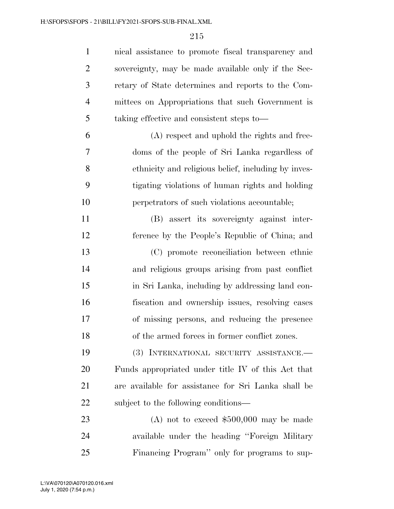| $\mathbf{1}$   | nical assistance to promote fiscal transparency and |
|----------------|-----------------------------------------------------|
| $\overline{2}$ | sovereignty, may be made available only if the Sec- |
| 3              | retary of State determines and reports to the Com-  |
| $\overline{4}$ | mittees on Appropriations that such Government is   |
| 5              | taking effective and consistent steps to—           |
| 6              | (A) respect and uphold the rights and free-         |
| 7              | doms of the people of Sri Lanka regardless of       |
| 8              | ethnicity and religious belief, including by inves- |
| 9              | tigating violations of human rights and holding     |
| 10             | perpetrators of such violations accountable;        |
| 11             | (B) assert its sovereignty against inter-           |
| 12             | ference by the People's Republic of China; and      |
| 13             | (C) promote reconciliation between ethnic           |
| 14             | and religious groups arising from past conflict     |
| 15             | in Sri Lanka, including by addressing land con-     |
| 16             | fiscation and ownership issues, resolving cases     |
| 17             | of missing persons, and reducing the presence       |
| 18             | of the armed forces in former conflict zones.       |
| 19             | (3) INTERNATIONAL SECURITY ASSISTANCE.-             |
| 20             | Funds appropriated under title IV of this Act that  |
| 21             | are available for assistance for Sri Lanka shall be |
| 22             | subject to the following conditions—                |
| 23             | (A) not to exceed $$500,000$ may be made            |
| 24             | available under the heading "Foreign Military"      |
| 25             | Financing Program" only for programs to sup-        |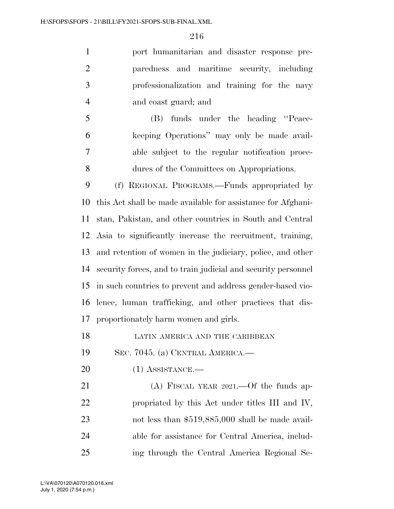port humanitarian and disaster response pre- paredness and maritime security, including professionalization and training for the navy and coast guard; and

 (B) funds under the heading ''Peace- keeping Operations'' may only be made avail- able subject to the regular notification proce-dures of the Committees on Appropriations.

 (f) REGIONAL PROGRAMS.—Funds appropriated by this Act shall be made available for assistance for Afghani- stan, Pakistan, and other countries in South and Central Asia to significantly increase the recruitment, training, and retention of women in the judiciary, police, and other security forces, and to train judicial and security personnel in such countries to prevent and address gender-based vio- lence, human trafficking, and other practices that dis-proportionately harm women and girls.

18 LATIN AMERICA AND THE CARIBBEAN

SEC. 7045. (a) CENTRAL AMERICA.—

(1) ASSISTANCE.—

21 (A) FISCAL YEAR 2021.—Of the funds ap- propriated by this Act under titles III and IV, not less than \$519,885,000 shall be made avail- able for assistance for Central America, includ-ing through the Central America Regional Se-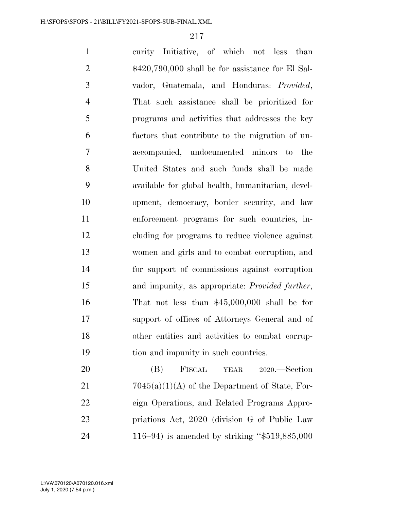curity Initiative, of which not less than \$420,790,000 shall be for assistance for El Sal- vador, Guatemala, and Honduras: *Provided*, That such assistance shall be prioritized for programs and activities that addresses the key factors that contribute to the migration of un- accompanied, undocumented minors to the United States and such funds shall be made available for global health, humanitarian, devel- opment, democracy, border security, and law enforcement programs for such countries, in- cluding for programs to reduce violence against women and girls and to combat corruption, and for support of commissions against corruption and impunity, as appropriate: *Provided further*, That not less than \$45,000,000 shall be for support of offices of Attorneys General and of other entities and activities to combat corrup- tion and impunity in such countries. (B) FISCAL YEAR 2020.—Section

21 7045(a)(1)(A) of the Department of State, For- eign Operations, and Related Programs Appro- priations Act, 2020 (division G of Public Law 116–94) is amended by striking ''\$519,885,000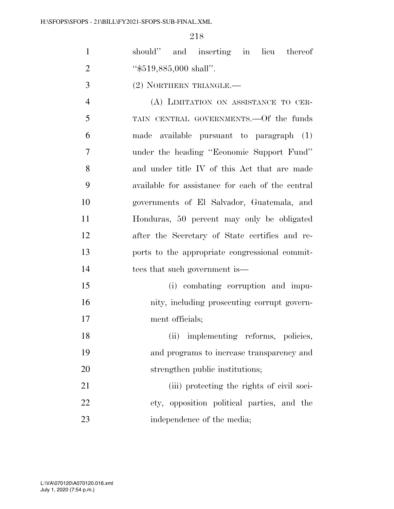|                                   | should" and inserting in lieu thereof |  |  |
|-----------------------------------|---------------------------------------|--|--|
| " $$519,885,000 \text{ shall}$ ". |                                       |  |  |

(2) NORTHERN TRIANGLE.—

 (A) LIMITATION ON ASSISTANCE TO CER- TAIN CENTRAL GOVERNMENTS.—Of the funds made available pursuant to paragraph (1) under the heading ''Economic Support Fund'' and under title IV of this Act that are made available for assistance for each of the central governments of El Salvador, Guatemala, and Honduras, 50 percent may only be obligated after the Secretary of State certifies and re- ports to the appropriate congressional commit-tees that such government is—

 (i) combating corruption and impu- nity, including prosecuting corrupt govern-ment officials;

 (ii) implementing reforms, policies, and programs to increase transparency and strengthen public institutions;

21 (iii) protecting the rights of civil soci- ety, opposition political parties, and the 23 independence of the media;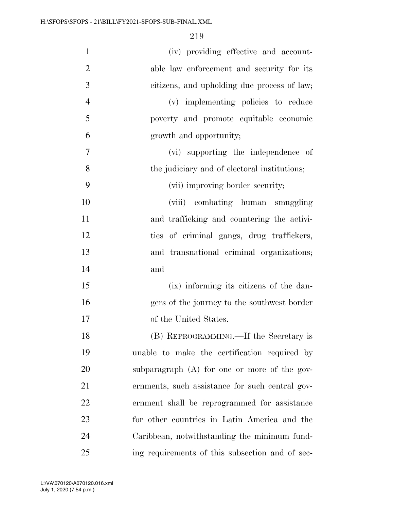| $\mathbf{1}$   | (iv) providing effective and account-           |
|----------------|-------------------------------------------------|
| $\overline{2}$ | able law enforcement and security for its       |
| 3              | citizens, and upholding due process of law;     |
| $\overline{4}$ | (v) implementing policies to reduce             |
| 5              | poverty and promote equitable economic          |
| 6              | growth and opportunity;                         |
| 7              | (vi) supporting the independence of             |
| 8              | the judiciary and of electoral institutions;    |
| 9              | (vii) improving border security;                |
| 10             | (viii) combating human smuggling                |
| 11             | and trafficking and countering the activi-      |
| 12             | ties of criminal gangs, drug traffickers,       |
| 13             | and transnational criminal organizations;       |
| 14             | and                                             |
| 15             | (ix) informing its citizens of the dan-         |
| 16             | gers of the journey to the southwest border     |
| 17             | of the United States.                           |
| 18             | (B) REPROGRAMMING.—If the Secretary is          |
| 19             | unable to make the certification required by    |
| 20             | subparagraph (A) for one or more of the gov-    |
| 21             | ernments, such assistance for such central gov- |
| 22             | ernment shall be reprogrammed for assistance    |
| 23             | for other countries in Latin America and the    |
| 24             | Caribbean, notwithstanding the minimum fund-    |
| 25             | ing requirements of this subsection and of sec- |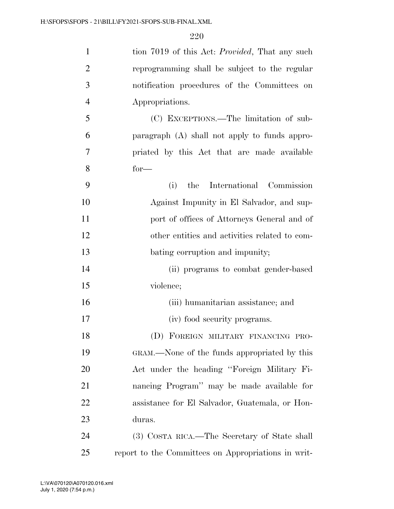| $\mathbf{1}$   | tion 7019 of this Act: <i>Provided</i> , That any such |
|----------------|--------------------------------------------------------|
| $\overline{2}$ | reprogramming shall be subject to the regular          |
| 3              | notification procedures of the Committees on           |
| $\overline{4}$ | Appropriations.                                        |
| 5              | (C) EXCEPTIONS.—The limitation of sub-                 |
| 6              | paragraph (A) shall not apply to funds appro-          |
| 7              | priated by this Act that are made available            |
| 8              | $for-$                                                 |
| 9              | International Commission<br>(i)<br>the                 |
| 10             | Against Impunity in El Salvador, and sup-              |
| 11             | port of offices of Attorneys General and of            |
| 12             | other entities and activities related to com-          |
| 13             | bating corruption and impunity;                        |
| 14             | (ii) programs to combat gender-based                   |
| 15             | violence;                                              |
| 16             | (iii) humanitarian assistance; and                     |
| 17             | (iv) food security programs.                           |
| 18             | (D) FOREIGN MILITARY FINANCING PRO-                    |
| 19             | GRAM.—None of the funds appropriated by this           |
| 20             | Act under the heading "Foreign Military Fi-            |
| 21             | nancing Program" may be made available for             |
| 22             | assistance for El Salvador, Guatemala, or Hon-         |
| 23             | duras.                                                 |
| 24             | (3) COSTA RICA.—The Secretary of State shall           |
| 25             | report to the Committees on Appropriations in writ-    |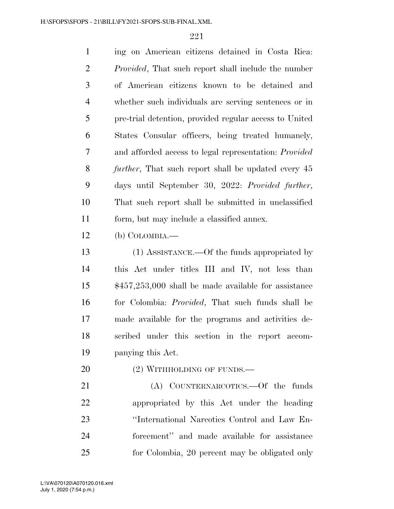ing on American citizens detained in Costa Rica: *Provided*, That such report shall include the number of American citizens known to be detained and whether such individuals are serving sentences or in pre-trial detention, provided regular access to United States Consular officers, being treated humanely, and afforded access to legal representation: *Provided further*, That such report shall be updated every 45 days until September 30, 2022: *Provided further*, That such report shall be submitted in unclassified form, but may include a classified annex.

(b) COLOMBIA.—

 (1) ASSISTANCE.—Of the funds appropriated by this Act under titles III and IV, not less than \$457,253,000 shall be made available for assistance for Colombia: *Provided*, That such funds shall be made available for the programs and activities de- scribed under this section in the report accom-panying this Act.

20 (2) WITHHOLDING OF FUNDS.—

21 (A) COUNTERNARCOTICS. Of the funds appropriated by this Act under the heading ''International Narcotics Control and Law En- forcement'' and made available for assistance for Colombia, 20 percent may be obligated only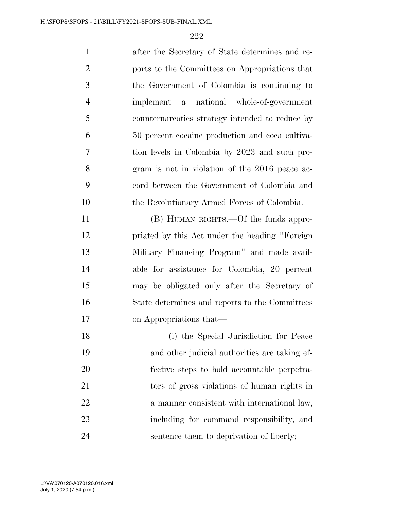after the Secretary of State determines and re- ports to the Committees on Appropriations that the Government of Colombia is continuing to implement a national whole-of-government counternarcotics strategy intended to reduce by 50 percent cocaine production and coca cultiva- tion levels in Colombia by 2023 and such pro- gram is not in violation of the 2016 peace ac- cord between the Government of Colombia and the Revolutionary Armed Forces of Colombia. (B) HUMAN RIGHTS.—Of the funds appro-

 priated by this Act under the heading ''Foreign Military Financing Program'' and made avail- able for assistance for Colombia, 20 percent may be obligated only after the Secretary of State determines and reports to the Committees on Appropriations that—

 (i) the Special Jurisdiction for Peace and other judicial authorities are taking ef- fective steps to hold accountable perpetra- tors of gross violations of human rights in a manner consistent with international law, including for command responsibility, and sentence them to deprivation of liberty;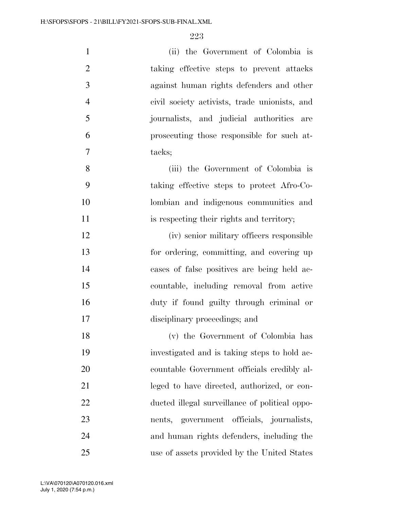| $\mathbf{1}$   | (ii) the Government of Colombia is             |
|----------------|------------------------------------------------|
| $\overline{2}$ | taking effective steps to prevent attacks      |
| 3              | against human rights defenders and other       |
| $\overline{4}$ | civil society activists, trade unionists, and  |
| 5              | journalists, and judicial authorities are      |
| 6              | prosecuting those responsible for such at-     |
| $\overline{7}$ | tacks;                                         |
| $8\,$          | (iii) the Government of Colombia is            |
| 9              | taking effective steps to protect Afro-Co-     |
| 10             | lombian and indigenous communities and         |
| 11             | is respecting their rights and territory;      |
| 12             | (iv) senior military officers responsible      |
| 13             | for ordering, committing, and covering up      |
| 14             | cases of false positives are being held ac-    |
| 15             | countable, including removal from active       |
| 16             | duty if found guilty through criminal or       |
| 17             | disciplinary proceedings; and                  |
| 18             | (v) the Government of Colombia has             |
| 19             | investigated and is taking steps to hold ac-   |
| 20             | countable Government officials credibly al-    |
| 21             | leged to have directed, authorized, or con-    |
| 22             | ducted illegal surveillance of political oppo- |
| 23             | government officials, journalists,<br>nents,   |
| 24             | and human rights defenders, including the      |
| 25             | use of assets provided by the United States    |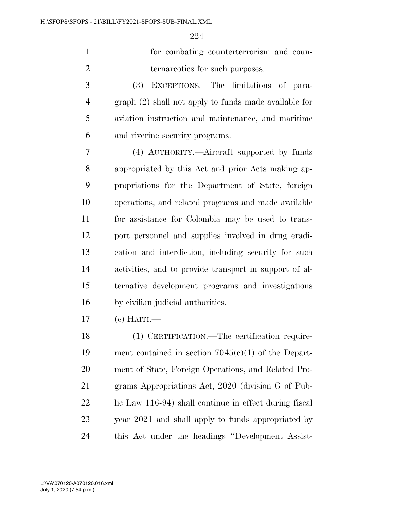| $\mathbf{1}$   | for combating counterterrorism and coun-               |
|----------------|--------------------------------------------------------|
| $\overline{2}$ | ternareotics for such purposes.                        |
| 3              | (3)<br>EXCEPTIONS.—The limitations of para-            |
| $\overline{4}$ | graph (2) shall not apply to funds made available for  |
| 5              | aviation instruction and maintenance, and maritime     |
| 6              | and riverine security programs.                        |
| 7              | (4) AUTHORITY.—Aircraft supported by funds             |
| 8              | appropriated by this Act and prior Acts making ap-     |
| 9              | propriations for the Department of State, foreign      |
| 10             | operations, and related programs and made available    |
| 11             | for assistance for Colombia may be used to trans-      |
| 12             | port personnel and supplies involved in drug eradi-    |
| 13             | cation and interdiction, including security for such   |
| 14             | activities, and to provide transport in support of al- |
| 15             | ternative development programs and investigations      |
| 16             | by civilian judicial authorities.                      |
| 17             | $(e)$ Haiti.—                                          |
| 18             | (1) CERTIFICATION.—The certification require-          |
| 19             | ment contained in section $7045(e)(1)$ of the Depart-  |
| 20             | ment of State, Foreign Operations, and Related Pro-    |
| 21             | grams Appropriations Act, 2020 (division G of Pub-     |

22 lic Law 116-94) shall continue in effect during fiscal year 2021 and shall apply to funds appropriated by this Act under the headings ''Development Assist-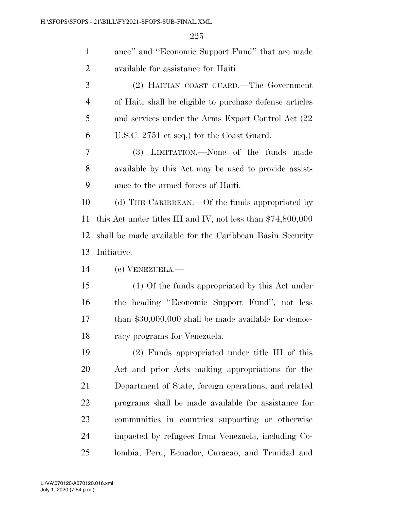| $\mathbf{1}$   | ance" and "Economic Support Fund" that are made               |
|----------------|---------------------------------------------------------------|
| $\overline{2}$ | available for assistance for Haiti.                           |
| 3              | (2) HAITIAN COAST GUARD.—The Government                       |
| $\overline{4}$ | of Haiti shall be eligible to purchase defense articles       |
| 5              | and services under the Arms Export Control Act (22)           |
| 6              | U.S.C. 2751 et seq.) for the Coast Guard.                     |
| 7              | (3) LIMITATION.—None of the funds made                        |
| 8              | available by this Act may be used to provide assist-          |
| 9              | ance to the armed forces of Haiti.                            |
| 10             | (d) THE CARIBBEAN.—Of the funds appropriated by               |
| 11             | this Act under titles III and IV, not less than $$74,800,000$ |
| 12             | shall be made available for the Caribbean Basin Security      |
| 13             | Initiative.                                                   |
| 14             | (e) VENEZUELA.—                                               |
| 15             |                                                               |
|                | (1) Of the funds appropriated by this Act under               |
| 16             | the heading "Economic Support Fund", not less                 |
| 17             | than $$30,000,000$ shall be made available for democ-         |
| 18             | racy programs for Venezuela.                                  |
| 19             | (2) Funds appropriated under title III of this                |
| 20             | Act and prior Acts making appropriations for the              |
| 21             | Department of State, foreign operations, and related          |
| 22             | programs shall be made available for assistance for           |
| 23             | communities in countries supporting or otherwise              |
| 24             | impacted by refugees from Venezuela, including Co-            |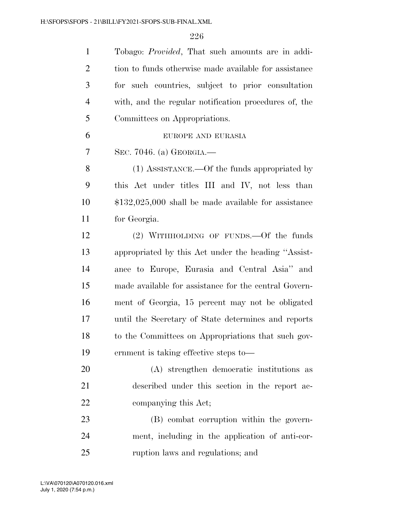| $\mathbf{1}$   | Tobago: <i>Provided</i> , That such amounts are in addi- |
|----------------|----------------------------------------------------------|
| $\overline{c}$ | tion to funds otherwise made available for assistance    |
| 3              | for such countries, subject to prior consultation        |
| 4              | with, and the regular notification procedures of, the    |
| 5              | Committees on Appropriations.                            |
| 6              | EUROPE AND EURASIA                                       |
| 7              | SEC. 7046. (a) GEORGIA.—                                 |
| 8              | $(1)$ ASSISTANCE.—Of the funds appropriated by           |
| 9              | this Act under titles III and IV, not less than          |
| 10             | $$132,025,000$ shall be made available for assistance    |
| 11             | for Georgia.                                             |
| 12             | (2) WITHHOLDING OF FUNDS. - Of the funds                 |
| 13             | appropriated by this Act under the heading "Assist-      |
| 14             | ance to Europe, Eurasia and Central Asia" and            |
| 15             | made available for assistance for the central Govern-    |
| 16             | ment of Georgia, 15 percent may not be obligated         |
| 17             | until the Secretary of State determines and reports      |
| 18             | to the Committees on Appropriations that such gov-       |
| 19             | ernment is taking effective steps to—                    |
| 20             | (A) strengthen democratic institutions as                |
| 21             | described under this section in the report ac-           |
| 22             | companying this Act;                                     |
| 23             | (B) combat corruption within the govern-                 |
| 24             | ment, including in the application of anti-cor-          |
| 25             | ruption laws and regulations; and                        |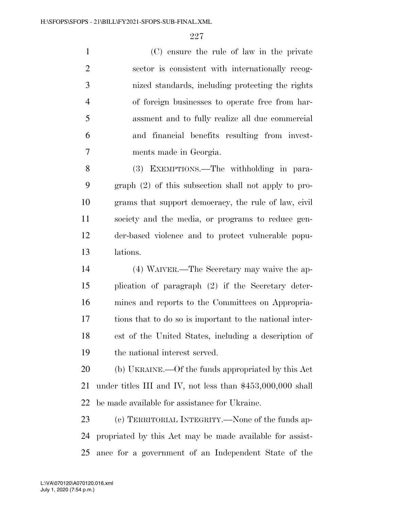(C) ensure the rule of law in the private sector is consistent with internationally recog- nized standards, including protecting the rights of foreign businesses to operate free from har- assment and to fully realize all due commercial and financial benefits resulting from invest-ments made in Georgia.

 (3) EXEMPTIONS.—The withholding in para- graph (2) of this subsection shall not apply to pro- grams that support democracy, the rule of law, civil society and the media, or programs to reduce gen- der-based violence and to protect vulnerable popu-lations.

 (4) WAIVER.—The Secretary may waive the ap- plication of paragraph (2) if the Secretary deter- mines and reports to the Committees on Appropria- tions that to do so is important to the national inter- est of the United States, including a description of the national interest served.

 (b) UKRAINE.—Of the funds appropriated by this Act under titles III and IV, not less than \$453,000,000 shall be made available for assistance for Ukraine.

 (c) TERRITORIAL INTEGRITY.—None of the funds ap- propriated by this Act may be made available for assist-ance for a government of an Independent State of the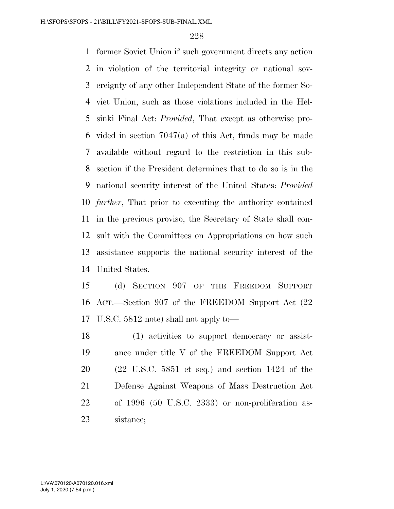former Soviet Union if such government directs any action in violation of the territorial integrity or national sov- ereignty of any other Independent State of the former So- viet Union, such as those violations included in the Hel- sinki Final Act: *Provided*, That except as otherwise pro- vided in section 7047(a) of this Act, funds may be made available without regard to the restriction in this sub- section if the President determines that to do so is in the national security interest of the United States: *Provided further*, That prior to executing the authority contained in the previous proviso, the Secretary of State shall con- sult with the Committees on Appropriations on how such assistance supports the national security interest of the United States.

 (d) SECTION 907 OF THE FREEDOM SUPPORT ACT.—Section 907 of the FREEDOM Support Act (22 U.S.C. 5812 note) shall not apply to—

 (1) activities to support democracy or assist- ance under title V of the FREEDOM Support Act (22 U.S.C. 5851 et seq.) and section 1424 of the Defense Against Weapons of Mass Destruction Act of 1996 (50 U.S.C. 2333) or non-proliferation as-sistance;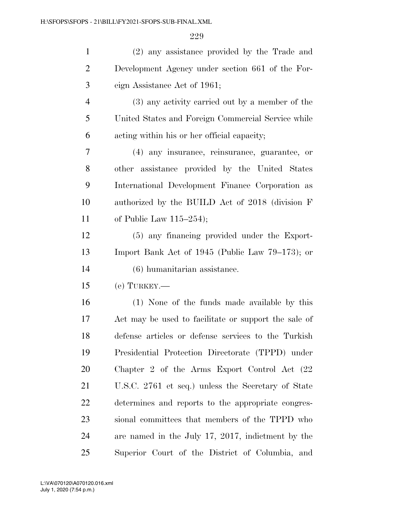| $\mathbf{1}$   | (2) any assistance provided by the Trade and         |
|----------------|------------------------------------------------------|
| $\overline{2}$ | Development Agency under section 661 of the For-     |
| 3              | eign Assistance Act of 1961;                         |
| $\overline{4}$ | (3) any activity carried out by a member of the      |
| 5              | United States and Foreign Commercial Service while   |
| 6              | acting within his or her official capacity;          |
| 7              | (4) any insurance, reinsurance, guarantee, or        |
| 8              | other assistance provided by the United States       |
| 9              | International Development Finance Corporation as     |
| 10             | authorized by the BUILD Act of 2018 (division F      |
| 11             | of Public Law $115-254$ ;                            |
| 12             | (5) any financing provided under the Export-         |
| 13             | Import Bank Act of 1945 (Public Law 79–173); or      |
| 14             | $(6)$ humanitarian assistance.                       |
| 15             | $(e)$ TURKEY.—                                       |
| 16             | (1) None of the funds made available by this         |
| 17             | Act may be used to facilitate or support the sale of |
| 18             | defense articles or defense services to the Turkish  |
| 19             | Presidential Protection Directorate (TPPD) under     |
| 20             | Chapter 2 of the Arms Export Control Act (22)        |
| 21             | U.S.C. 2761 et seq.) unless the Secretary of State   |
| 22             | determines and reports to the appropriate congres-   |
| 23             | sional committees that members of the TPPD who       |
| 24             | are named in the July 17, 2017, indictment by the    |
| 25             | Superior Court of the District of Columbia, and      |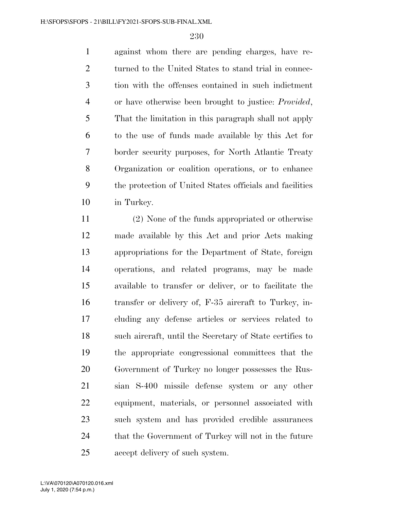against whom there are pending charges, have re-2 turned to the United States to stand trial in connec- tion with the offenses contained in such indictment or have otherwise been brought to justice: *Provided*, That the limitation in this paragraph shall not apply to the use of funds made available by this Act for border security purposes, for North Atlantic Treaty Organization or coalition operations, or to enhance the protection of United States officials and facilities in Turkey.

 (2) None of the funds appropriated or otherwise made available by this Act and prior Acts making appropriations for the Department of State, foreign operations, and related programs, may be made available to transfer or deliver, or to facilitate the transfer or delivery of, F-35 aircraft to Turkey, in- cluding any defense articles or services related to such aircraft, until the Secretary of State certifies to the appropriate congressional committees that the Government of Turkey no longer possesses the Rus- sian S-400 missile defense system or any other equipment, materials, or personnel associated with such system and has provided credible assurances that the Government of Turkey will not in the future accept delivery of such system.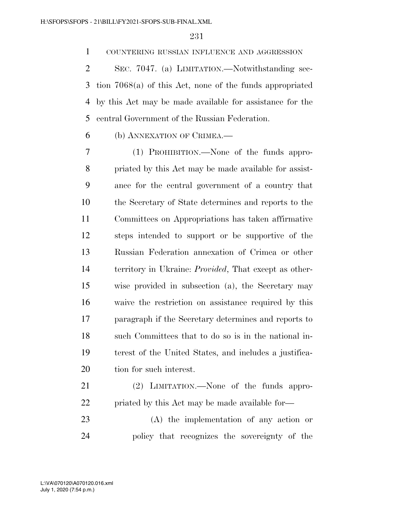COUNTERING RUSSIAN INFLUENCE AND AGGRESSION

 SEC. 7047. (a) LIMITATION.—Notwithstanding sec- tion 7068(a) of this Act, none of the funds appropriated by this Act may be made available for assistance for the central Government of the Russian Federation.

(b) ANNEXATION OF CRIMEA.—

 (1) PROHIBITION.—None of the funds appro- priated by this Act may be made available for assist- ance for the central government of a country that the Secretary of State determines and reports to the Committees on Appropriations has taken affirmative steps intended to support or be supportive of the Russian Federation annexation of Crimea or other territory in Ukraine: *Provided*, That except as other- wise provided in subsection (a), the Secretary may waive the restriction on assistance required by this paragraph if the Secretary determines and reports to such Committees that to do so is in the national in- terest of the United States, and includes a justifica-tion for such interest.

 (2) LIMITATION.—None of the funds appro-22 priated by this Act may be made available for-

 (A) the implementation of any action or policy that recognizes the sovereignty of the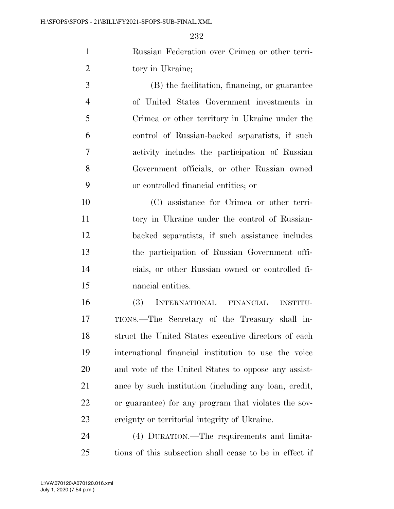Russian Federation over Crimea or other terri-2 tory in Ukraine;

 (B) the facilitation, financing, or guarantee of United States Government investments in Crimea or other territory in Ukraine under the control of Russian-backed separatists, if such activity includes the participation of Russian Government officials, or other Russian owned or controlled financial entities; or

 (C) assistance for Crimea or other terri-11 tory in Ukraine under the control of Russian- backed separatists, if such assistance includes the participation of Russian Government offi- cials, or other Russian owned or controlled fi-nancial entities.

 (3) INTERNATIONAL FINANCIAL INSTITU- TIONS.—The Secretary of the Treasury shall in- struct the United States executive directors of each international financial institution to use the voice and vote of the United States to oppose any assist- ance by such institution (including any loan, credit, or guarantee) for any program that violates the sov-ereignty or territorial integrity of Ukraine.

 (4) DURATION.—The requirements and limita-tions of this subsection shall cease to be in effect if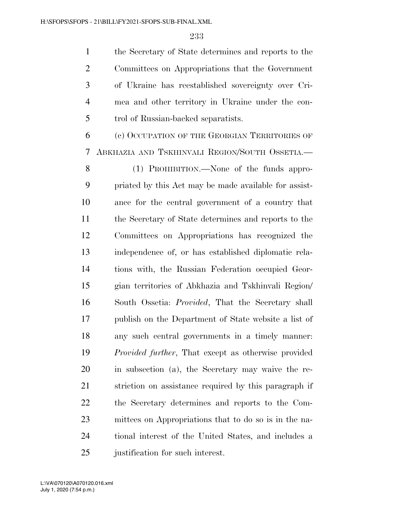the Secretary of State determines and reports to the Committees on Appropriations that the Government of Ukraine has reestablished sovereignty over Cri- mea and other territory in Ukraine under the con-5 trol of Russian-backed separatists.

 (c) OCCUPATION OF THE GEORGIAN TERRITORIES OF ABKHAZIA AND TSKHINVALI REGION/SOUTH OSSETIA.—

 (1) PROHIBITION.—None of the funds appro- priated by this Act may be made available for assist- ance for the central government of a country that the Secretary of State determines and reports to the Committees on Appropriations has recognized the independence of, or has established diplomatic rela- tions with, the Russian Federation occupied Geor- gian territories of Abkhazia and Tskhinvali Region/ South Ossetia: *Provided*, That the Secretary shall publish on the Department of State website a list of any such central governments in a timely manner: *Provided further*, That except as otherwise provided in subsection (a), the Secretary may waive the re- striction on assistance required by this paragraph if the Secretary determines and reports to the Com- mittees on Appropriations that to do so is in the na- tional interest of the United States, and includes a 25 justification for such interest.

July 1, 2020 (7:54 p.m.) L:\VA\070120\A070120.016.xml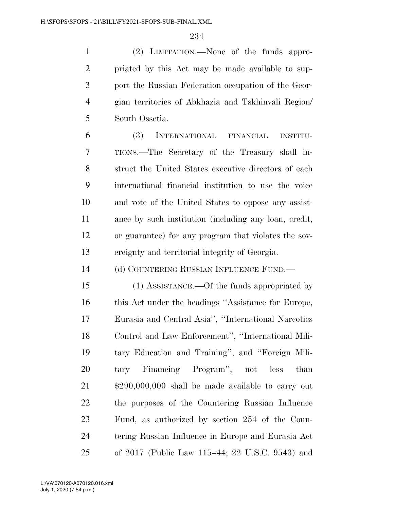(2) LIMITATION.—None of the funds appro- priated by this Act may be made available to sup- port the Russian Federation occupation of the Geor- gian territories of Abkhazia and Tskhinvali Region/ South Ossetia.

 (3) INTERNATIONAL FINANCIAL INSTITU- TIONS.—The Secretary of the Treasury shall in- struct the United States executive directors of each international financial institution to use the voice and vote of the United States to oppose any assist- ance by such institution (including any loan, credit, or guarantee) for any program that violates the sov-ereignty and territorial integrity of Georgia.

14 (d) COUNTERING RUSSIAN INFLUENCE FUND.—

 (1) ASSISTANCE.—Of the funds appropriated by 16 this Act under the headings "Assistance for Europe, Eurasia and Central Asia'', ''International Narcotics Control and Law Enforcement'', ''International Mili- tary Education and Training'', and ''Foreign Mili- tary Financing Program'', not less than \$290,000,000 shall be made available to carry out the purposes of the Countering Russian Influence Fund, as authorized by section 254 of the Coun- tering Russian Influence in Europe and Eurasia Act of 2017 (Public Law 115–44; 22 U.S.C. 9543) and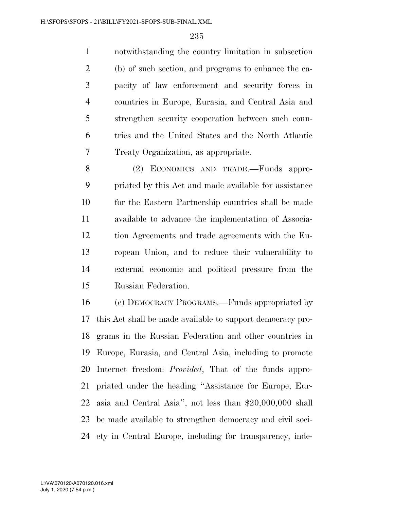notwithstanding the country limitation in subsection (b) of such section, and programs to enhance the ca- pacity of law enforcement and security forces in countries in Europe, Eurasia, and Central Asia and strengthen security cooperation between such coun- tries and the United States and the North Atlantic Treaty Organization, as appropriate.

 (2) ECONOMICS AND TRADE.—Funds appro- priated by this Act and made available for assistance for the Eastern Partnership countries shall be made available to advance the implementation of Associa- tion Agreements and trade agreements with the Eu- ropean Union, and to reduce their vulnerability to external economic and political pressure from the Russian Federation.

 (e) DEMOCRACY PROGRAMS.—Funds appropriated by this Act shall be made available to support democracy pro- grams in the Russian Federation and other countries in Europe, Eurasia, and Central Asia, including to promote Internet freedom: *Provided*, That of the funds appro- priated under the heading ''Assistance for Europe, Eur- asia and Central Asia'', not less than \$20,000,000 shall be made available to strengthen democracy and civil soci-ety in Central Europe, including for transparency, inde-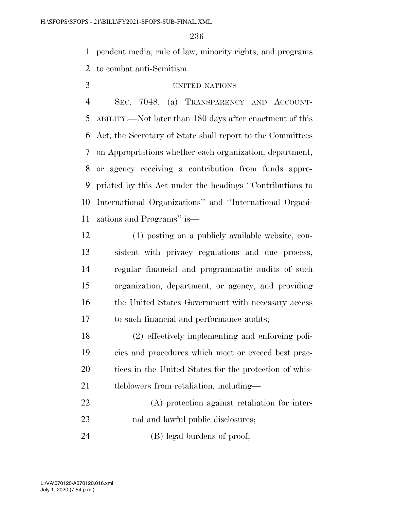pendent media, rule of law, minority rights, and programs to combat anti-Semitism.

## UNITED NATIONS

 SEC. 7048. (a) TRANSPARENCY AND ACCOUNT- ABILITY.—Not later than 180 days after enactment of this Act, the Secretary of State shall report to the Committees on Appropriations whether each organization, department, or agency receiving a contribution from funds appro- priated by this Act under the headings ''Contributions to International Organizations'' and ''International Organi-zations and Programs'' is—

 (1) posting on a publicly available website, con- sistent with privacy regulations and due process, regular financial and programmatic audits of such organization, department, or agency, and providing 16 the United States Government with necessary access to such financial and performance audits;

 (2) effectively implementing and enforcing poli- cies and procedures which meet or exceed best prac-20 tices in the United States for the protection of whis-21 tleblowers from retaliation, including—

 (A) protection against retaliation for inter-23 hall and lawful public disclosures; (B) legal burdens of proof;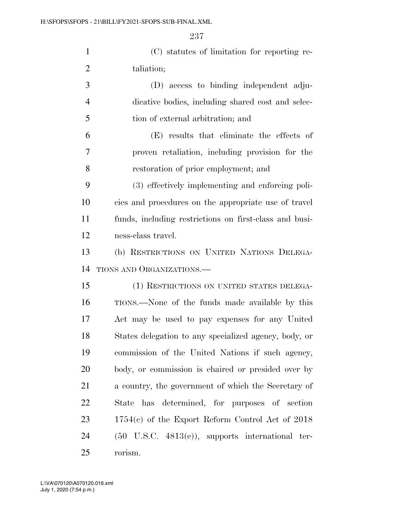| $\mathbf{1}$   | (C) statutes of limitation for reporting re-                 |
|----------------|--------------------------------------------------------------|
| $\overline{2}$ | taliation;                                                   |
| 3              | (D) access to binding independent adju-                      |
| $\overline{4}$ | dicative bodies, including shared cost and selec-            |
| 5              | tion of external arbitration; and                            |
| 6              | (E) results that eliminate the effects of                    |
| 7              | proven retaliation, including provision for the              |
| 8              | restoration of prior employment; and                         |
| 9              | (3) effectively implementing and enforcing poli-             |
| 10             | cies and procedures on the appropriate use of travel         |
| 11             | funds, including restrictions on first-class and busi-       |
| 12             | ness-class travel.                                           |
| 13             | (b) RESTRICTIONS ON UNITED NATIONS DELEGA-                   |
| 14             | TIONS AND ORGANIZATIONS.                                     |
| 15             | (1) RESTRICTIONS ON UNITED STATES DELEGA-                    |
| 16             | TIONS.—None of the funds made available by this              |
| 17             | Act may be used to pay expenses for any United               |
| 18             | States delegation to any specialized agency, body, or        |
| 19             | commission of the United Nations if such agency,             |
| 20             | body, or commission is chaired or presided over by           |
| 21             | a country, the government of which the Secretary of          |
| 22             | State has determined, for purposes of section                |
| 23             | $1754(c)$ of the Export Reform Control Act of 2018           |
| 24             | $(50 \text{ U.S.C. } 4813(c))$ , supports international ter- |
| 25             | rorism.                                                      |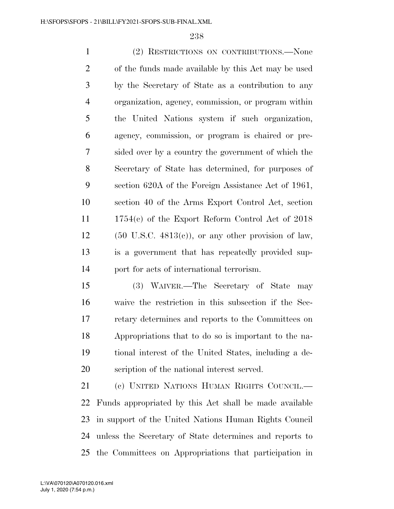(2) RESTRICTIONS ON CONTRIBUTIONS.—None of the funds made available by this Act may be used by the Secretary of State as a contribution to any organization, agency, commission, or program within the United Nations system if such organization, agency, commission, or program is chaired or pre- sided over by a country the government of which the Secretary of State has determined, for purposes of section 620A of the Foreign Assistance Act of 1961, section 40 of the Arms Export Control Act, section 1754(c) of the Export Reform Control Act of 2018  $12 \qquad (50 \text{ U.S.C. } 4813(c))$ , or any other provision of law, is a government that has repeatedly provided sup-port for acts of international terrorism.

 (3) WAIVER.—The Secretary of State may waive the restriction in this subsection if the Sec- retary determines and reports to the Committees on Appropriations that to do so is important to the na- tional interest of the United States, including a de-scription of the national interest served.

 (c) UNITED NATIONS HUMAN RIGHTS COUNCIL.— Funds appropriated by this Act shall be made available in support of the United Nations Human Rights Council unless the Secretary of State determines and reports to the Committees on Appropriations that participation in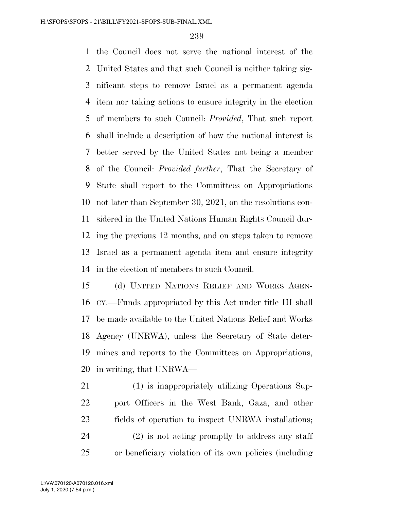the Council does not serve the national interest of the United States and that such Council is neither taking sig- nificant steps to remove Israel as a permanent agenda item nor taking actions to ensure integrity in the election of members to such Council: *Provided*, That such report shall include a description of how the national interest is better served by the United States not being a member of the Council: *Provided further*, That the Secretary of State shall report to the Committees on Appropriations not later than September 30, 2021, on the resolutions con- sidered in the United Nations Human Rights Council dur- ing the previous 12 months, and on steps taken to remove Israel as a permanent agenda item and ensure integrity in the election of members to such Council.

 (d) UNITED NATIONS RELIEF AND WORKS AGEN- CY.—Funds appropriated by this Act under title III shall be made available to the United Nations Relief and Works Agency (UNRWA), unless the Secretary of State deter- mines and reports to the Committees on Appropriations, in writing, that UNRWA—

 (1) is inappropriately utilizing Operations Sup- port Officers in the West Bank, Gaza, and other fields of operation to inspect UNRWA installations; (2) is not acting promptly to address any staff or beneficiary violation of its own policies (including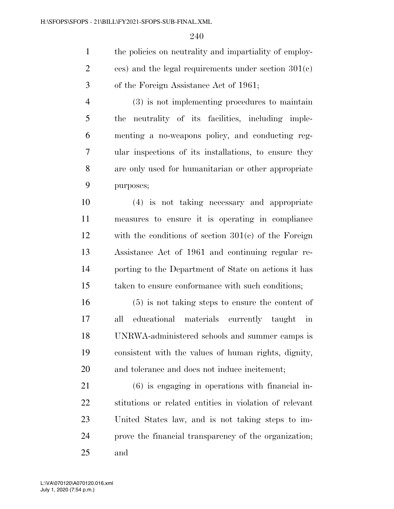the policies on neutrality and impartiality of employ- ees) and the legal requirements under section 301(c) of the Foreign Assistance Act of 1961;

 (3) is not implementing procedures to maintain the neutrality of its facilities, including imple- menting a no-weapons policy, and conducting reg- ular inspections of its installations, to ensure they are only used for humanitarian or other appropriate purposes;

 (4) is not taking necessary and appropriate measures to ensure it is operating in compliance with the conditions of section 301(c) of the Foreign Assistance Act of 1961 and continuing regular re- porting to the Department of State on actions it has taken to ensure conformance with such conditions;

 (5) is not taking steps to ensure the content of all educational materials currently taught in UNRWA-administered schools and summer camps is consistent with the values of human rights, dignity, and tolerance and does not induce incitement;

 (6) is engaging in operations with financial in- stitutions or related entities in violation of relevant United States law, and is not taking steps to im- prove the financial transparency of the organization; and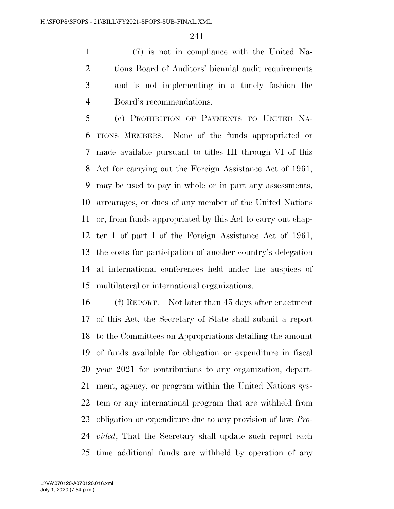(7) is not in compliance with the United Na- tions Board of Auditors' biennial audit requirements and is not implementing in a timely fashion the Board's recommendations.

 (e) PROHIBITION OF PAYMENTS TO UNITED NA- TIONS MEMBERS.—None of the funds appropriated or made available pursuant to titles III through VI of this Act for carrying out the Foreign Assistance Act of 1961, may be used to pay in whole or in part any assessments, arrearages, or dues of any member of the United Nations or, from funds appropriated by this Act to carry out chap- ter 1 of part I of the Foreign Assistance Act of 1961, the costs for participation of another country's delegation at international conferences held under the auspices of multilateral or international organizations.

 (f) REPORT.—Not later than 45 days after enactment of this Act, the Secretary of State shall submit a report to the Committees on Appropriations detailing the amount of funds available for obligation or expenditure in fiscal year 2021 for contributions to any organization, depart- ment, agency, or program within the United Nations sys- tem or any international program that are withheld from obligation or expenditure due to any provision of law: *Pro- vided*, That the Secretary shall update such report each time additional funds are withheld by operation of any

July 1, 2020 (7:54 p.m.) L:\VA\070120\A070120.016.xml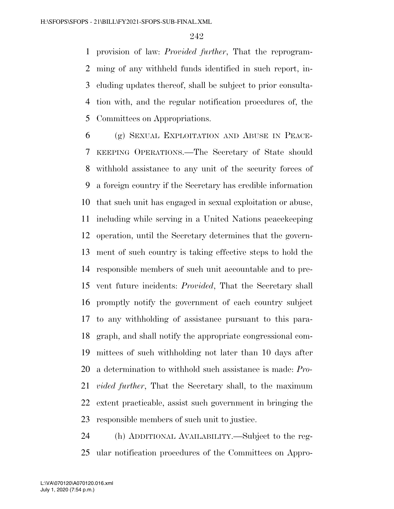provision of law: *Provided further*, That the reprogram- ming of any withheld funds identified in such report, in- cluding updates thereof, shall be subject to prior consulta- tion with, and the regular notification procedures of, the Committees on Appropriations.

 (g) SEXUAL EXPLOITATION AND ABUSE IN PEACE- KEEPING OPERATIONS.—The Secretary of State should withhold assistance to any unit of the security forces of a foreign country if the Secretary has credible information that such unit has engaged in sexual exploitation or abuse, including while serving in a United Nations peacekeeping operation, until the Secretary determines that the govern- ment of such country is taking effective steps to hold the responsible members of such unit accountable and to pre- vent future incidents: *Provided*, That the Secretary shall promptly notify the government of each country subject to any withholding of assistance pursuant to this para- graph, and shall notify the appropriate congressional com- mittees of such withholding not later than 10 days after a determination to withhold such assistance is made: *Pro- vided further*, That the Secretary shall, to the maximum extent practicable, assist such government in bringing the responsible members of such unit to justice.

 (h) ADDITIONAL AVAILABILITY.—Subject to the reg-ular notification procedures of the Committees on Appro-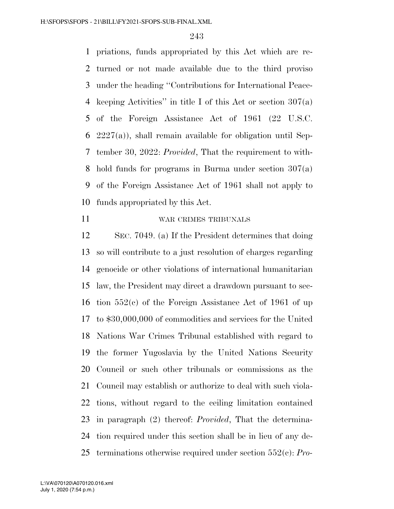priations, funds appropriated by this Act which are re- turned or not made available due to the third proviso under the heading ''Contributions for International Peace- keeping Activities'' in title I of this Act or section 307(a) of the Foreign Assistance Act of 1961 (22 U.S.C. 2227(a)), shall remain available for obligation until Sep- tember 30, 2022: *Provided*, That the requirement to with- hold funds for programs in Burma under section 307(a) of the Foreign Assistance Act of 1961 shall not apply to funds appropriated by this Act.

#### WAR CRIMES TRIBUNALS

 SEC. 7049. (a) If the President determines that doing so will contribute to a just resolution of charges regarding genocide or other violations of international humanitarian law, the President may direct a drawdown pursuant to sec- tion 552(c) of the Foreign Assistance Act of 1961 of up to \$30,000,000 of commodities and services for the United Nations War Crimes Tribunal established with regard to the former Yugoslavia by the United Nations Security Council or such other tribunals or commissions as the Council may establish or authorize to deal with such viola- tions, without regard to the ceiling limitation contained in paragraph (2) thereof: *Provided*, That the determina- tion required under this section shall be in lieu of any de-terminations otherwise required under section 552(c): *Pro-*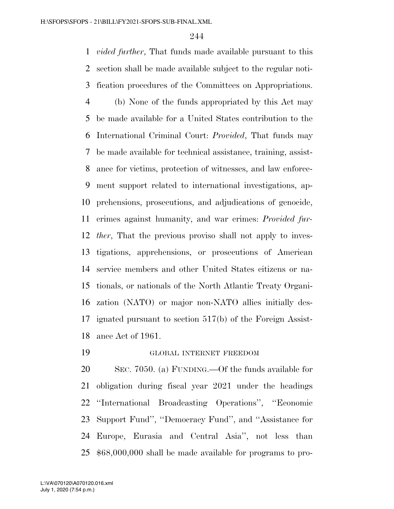*vided further*, That funds made available pursuant to this section shall be made available subject to the regular noti-fication procedures of the Committees on Appropriations.

 (b) None of the funds appropriated by this Act may be made available for a United States contribution to the International Criminal Court: *Provided*, That funds may be made available for technical assistance, training, assist- ance for victims, protection of witnesses, and law enforce- ment support related to international investigations, ap- prehensions, prosecutions, and adjudications of genocide, crimes against humanity, and war crimes: *Provided fur- ther*, That the previous proviso shall not apply to inves- tigations, apprehensions, or prosecutions of American service members and other United States citizens or na- tionals, or nationals of the North Atlantic Treaty Organi- zation (NATO) or major non-NATO allies initially des- ignated pursuant to section 517(b) of the Foreign Assist-ance Act of 1961.

GLOBAL INTERNET FREEDOM

 SEC. 7050. (a) FUNDING.—Of the funds available for obligation during fiscal year 2021 under the headings ''International Broadcasting Operations'', ''Economic Support Fund'', ''Democracy Fund'', and ''Assistance for Europe, Eurasia and Central Asia'', not less than \$68,000,000 shall be made available for programs to pro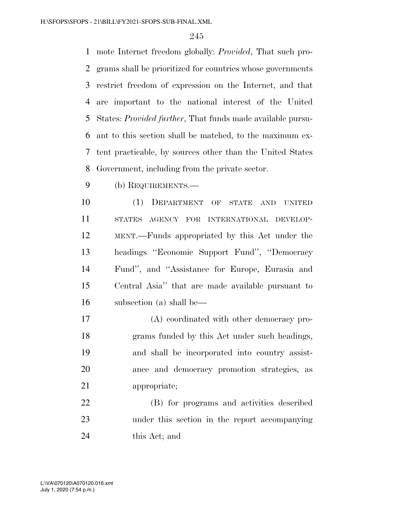mote Internet freedom globally: *Provided*, That such pro- grams shall be prioritized for countries whose governments restrict freedom of expression on the Internet, and that are important to the national interest of the United States: *Provided further*, That funds made available pursu- ant to this section shall be matched, to the maximum ex- tent practicable, by sources other than the United States Government, including from the private sector.

(b) REQUIREMENTS.—

 (1) DEPARTMENT OF STATE AND UNITED STATES AGENCY FOR INTERNATIONAL DEVELOP- MENT.—Funds appropriated by this Act under the headings ''Economic Support Fund'', ''Democracy Fund'', and ''Assistance for Europe, Eurasia and Central Asia'' that are made available pursuant to subsection (a) shall be—

 (A) coordinated with other democracy pro- grams funded by this Act under such headings, and shall be incorporated into country assist- ance and democracy promotion strategies, as appropriate;

 (B) for programs and activities described under this section in the report accompanying this Act; and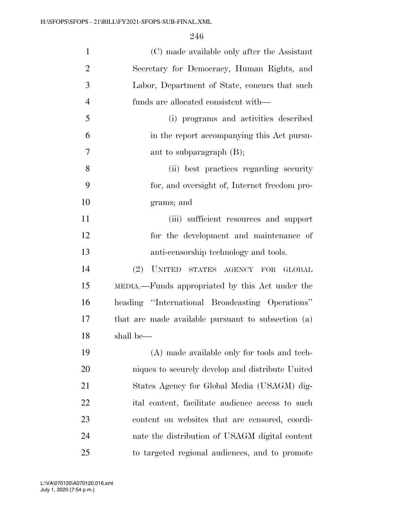| $\mathbf{1}$   | (C) made available only after the Assistant        |
|----------------|----------------------------------------------------|
| $\overline{2}$ | Secretary for Democracy, Human Rights, and         |
| 3              | Labor, Department of State, concurs that such      |
| $\overline{4}$ | funds are allocated consistent with—               |
| 5              | (i) programs and activities described              |
| 6              | in the report accompanying this Act pursu-         |
| 7              | ant to subparagraph $(B)$ ;                        |
| 8              | (ii) best practices regarding security             |
| 9              | for, and oversight of, Internet freedom pro-       |
| 10             | grams; and                                         |
| 11             | (iii) sufficient resources and support             |
| 12             | for the development and maintenance of             |
| 13             | anti-censorship technology and tools.              |
| 14             | (2)<br>UNITED STATES AGENCY FOR<br><b>GLOBAL</b>   |
| 15             | MEDIA.—Funds appropriated by this Act under the    |
| 16             | heading "International Broadcasting Operations"    |
| 17             | that are made available pursuant to subsection (a) |
| 18             | shall be-                                          |
| 19             | (A) made available only for tools and tech-        |
| 20             | niques to securely develop and distribute United   |
| 21             | States Agency for Global Media (USAGM) dig-        |
| 22             | ital content, facilitate audience access to such   |
| 23             | content on websites that are censored, coordi-     |
| 24             | nate the distribution of USAGM digital content     |
| 25             | to targeted regional audiences, and to promote     |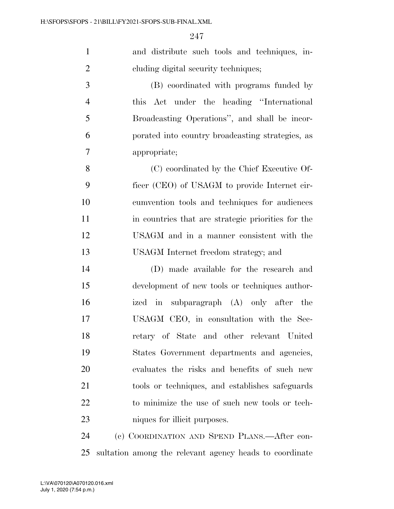and distribute such tools and techniques, in-2 cluding digital security techniques;

 (B) coordinated with programs funded by this Act under the heading ''International Broadcasting Operations'', and shall be incor- porated into country broadcasting strategies, as appropriate;

 (C) coordinated by the Chief Executive Of- ficer (CEO) of USAGM to provide Internet cir- cumvention tools and techniques for audiences in countries that are strategic priorities for the USAGM and in a manner consistent with the USAGM Internet freedom strategy; and

 (D) made available for the research and development of new tools or techniques author- ized in subparagraph (A) only after the USAGM CEO, in consultation with the Sec- retary of State and other relevant United States Government departments and agencies, evaluates the risks and benefits of such new tools or techniques, and establishes safeguards to minimize the use of such new tools or tech-niques for illicit purposes.

 (c) COORDINATION AND SPEND PLANS.—After con-sultation among the relevant agency heads to coordinate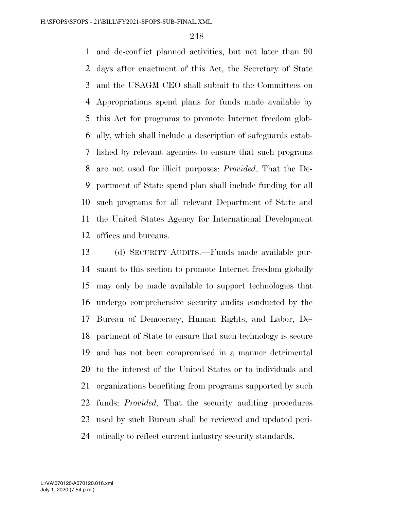and de-conflict planned activities, but not later than 90 days after enactment of this Act, the Secretary of State and the USAGM CEO shall submit to the Committees on Appropriations spend plans for funds made available by this Act for programs to promote Internet freedom glob- ally, which shall include a description of safeguards estab- lished by relevant agencies to ensure that such programs are not used for illicit purposes: *Provided*, That the De- partment of State spend plan shall include funding for all such programs for all relevant Department of State and the United States Agency for International Development offices and bureaus.

 (d) SECURITY AUDITS.—Funds made available pur- suant to this section to promote Internet freedom globally may only be made available to support technologies that undergo comprehensive security audits conducted by the Bureau of Democracy, Human Rights, and Labor, De- partment of State to ensure that such technology is secure and has not been compromised in a manner detrimental to the interest of the United States or to individuals and organizations benefiting from programs supported by such funds: *Provided*, That the security auditing procedures used by such Bureau shall be reviewed and updated peri-odically to reflect current industry security standards.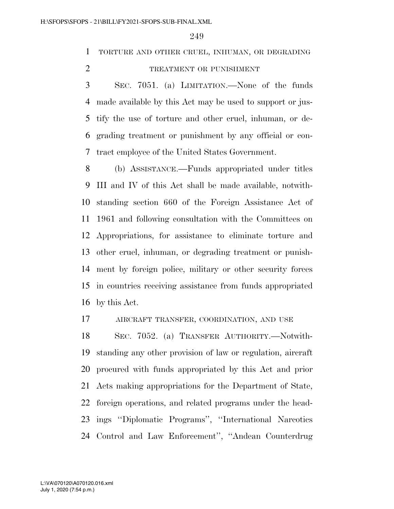# TORTURE AND OTHER CRUEL, INHUMAN, OR DEGRADING

TREATMENT OR PUNISHMENT

 SEC. 7051. (a) LIMITATION.—None of the funds made available by this Act may be used to support or jus- tify the use of torture and other cruel, inhuman, or de- grading treatment or punishment by any official or con-tract employee of the United States Government.

 (b) ASSISTANCE.—Funds appropriated under titles III and IV of this Act shall be made available, notwith- standing section 660 of the Foreign Assistance Act of 1961 and following consultation with the Committees on Appropriations, for assistance to eliminate torture and other cruel, inhuman, or degrading treatment or punish- ment by foreign police, military or other security forces in countries receiving assistance from funds appropriated by this Act.

# AIRCRAFT TRANSFER, COORDINATION, AND USE

 SEC. 7052. (a) TRANSFER AUTHORITY.—Notwith- standing any other provision of law or regulation, aircraft procured with funds appropriated by this Act and prior Acts making appropriations for the Department of State, foreign operations, and related programs under the head- ings ''Diplomatic Programs'', ''International Narcotics Control and Law Enforcement'', ''Andean Counterdrug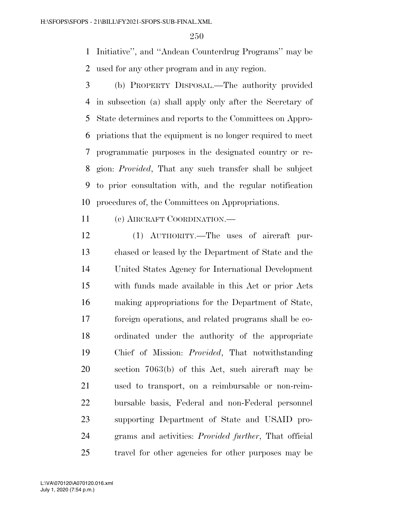Initiative'', and ''Andean Counterdrug Programs'' may be used for any other program and in any region.

- (b) PROPERTY DISPOSAL.—The authority provided in subsection (a) shall apply only after the Secretary of State determines and reports to the Committees on Appro- priations that the equipment is no longer required to meet programmatic purposes in the designated country or re- gion: *Provided*, That any such transfer shall be subject to prior consultation with, and the regular notification procedures of, the Committees on Appropriations.
- (c) AIRCRAFT COORDINATION.—
- (1) AUTHORITY.—The uses of aircraft pur- chased or leased by the Department of State and the United States Agency for International Development with funds made available in this Act or prior Acts making appropriations for the Department of State, foreign operations, and related programs shall be co- ordinated under the authority of the appropriate Chief of Mission: *Provided*, That notwithstanding section 7063(b) of this Act, such aircraft may be used to transport, on a reimbursable or non-reim- bursable basis, Federal and non-Federal personnel supporting Department of State and USAID pro- grams and activities: *Provided further*, That official travel for other agencies for other purposes may be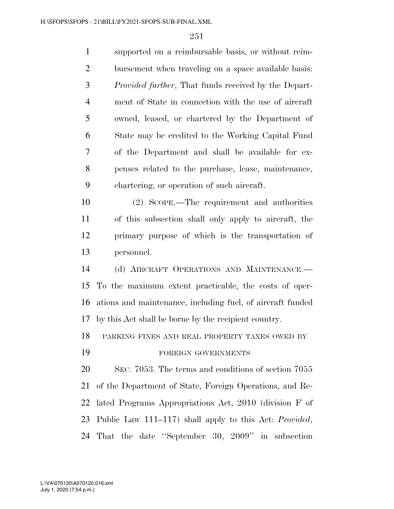| $\mathbf{1}$   | supported on a reimbursable basis, or without reim-            |
|----------------|----------------------------------------------------------------|
| $\overline{2}$ | bursement when traveling on a space available basis:           |
| 3              | <i>Provided further</i> , That funds received by the Depart-   |
| $\overline{4}$ | ment of State in connection with the use of aircraft           |
| 5              | owned, leased, or chartered by the Department of               |
| 6              | State may be credited to the Working Capital Fund              |
| $\tau$         | of the Department and shall be available for ex-               |
| 8              | penses related to the purchase, lease, maintenance,            |
| 9              | chartering, or operation of such aircraft.                     |
| 10             | (2) SCOPE.—The requirement and authorities                     |
| 11             | of this subsection shall only apply to aircraft, the           |
| 12             | primary purpose of which is the transportation of              |
| 13             | personnel.                                                     |
| 14             | (d) AIRCRAFT OPERATIONS AND MAINTENANCE.-                      |
| 15             | To the maximum extent practicable, the costs of oper-          |
| 16             | ations and maintenance, including fuel, of aircraft funded     |
| 17             | by this Act shall be borne by the recipient country.           |
| 18             | PARKING FINES AND REAL PROPERTY TAXES OWED BY                  |
| 19             | FOREIGN GOVERNMENTS                                            |
| 20             | SEC. 7053. The terms and conditions of section 7055            |
| 21             | of the Department of State, Foreign Operations, and Re-        |
| 22             | lated Programs Appropriations Act, 2010 (division F of         |
| 23             | Public Law 111–117) shall apply to this Act: <i>Provided</i> , |
| 24             | That the date "September 30, 2009" in subsection               |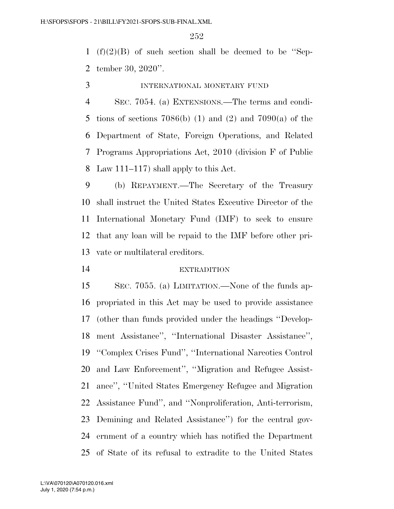1  $(f)(2)(B)$  of such section shall be deemed to be "Sep-tember 30, 2020''.

INTERNATIONAL MONETARY FUND

 SEC. 7054. (a) EXTENSIONS.—The terms and condi- tions of sections 7086(b) (1) and (2) and 7090(a) of the Department of State, Foreign Operations, and Related Programs Appropriations Act, 2010 (division F of Public Law 111–117) shall apply to this Act.

 (b) REPAYMENT.—The Secretary of the Treasury shall instruct the United States Executive Director of the International Monetary Fund (IMF) to seek to ensure that any loan will be repaid to the IMF before other pri-vate or multilateral creditors.

### EXTRADITION

 SEC. 7055. (a) LIMITATION.—None of the funds ap- propriated in this Act may be used to provide assistance (other than funds provided under the headings ''Develop- ment Assistance'', ''International Disaster Assistance'', ''Complex Crises Fund'', ''International Narcotics Control and Law Enforcement'', ''Migration and Refugee Assist- ance'', ''United States Emergency Refugee and Migration Assistance Fund'', and ''Nonproliferation, Anti-terrorism, Demining and Related Assistance'') for the central gov- ernment of a country which has notified the Department of State of its refusal to extradite to the United States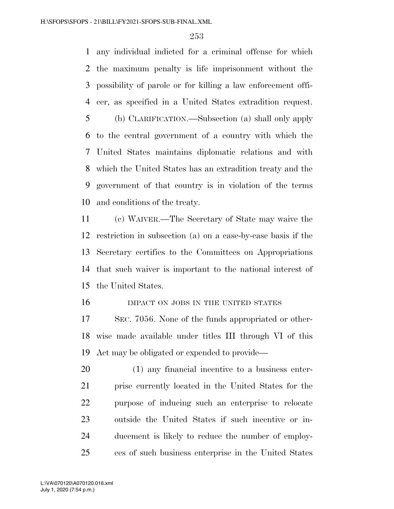any individual indicted for a criminal offense for which the maximum penalty is life imprisonment without the possibility of parole or for killing a law enforcement offi- cer, as specified in a United States extradition request. (b) CLARIFICATION.—Subsection (a) shall only apply to the central government of a country with which the United States maintains diplomatic relations and with which the United States has an extradition treaty and the government of that country is in violation of the terms and conditions of the treaty.

 (c) WAIVER.—The Secretary of State may waive the restriction in subsection (a) on a case-by-case basis if the Secretary certifies to the Committees on Appropriations that such waiver is important to the national interest of the United States.

### **IMPACT ON JOBS IN THE UNITED STATES**

 SEC. 7056. None of the funds appropriated or other- wise made available under titles III through VI of this Act may be obligated or expended to provide—

 (1) any financial incentive to a business enter- prise currently located in the United States for the purpose of inducing such an enterprise to relocate outside the United States if such incentive or in- ducement is likely to reduce the number of employ-ees of such business enterprise in the United States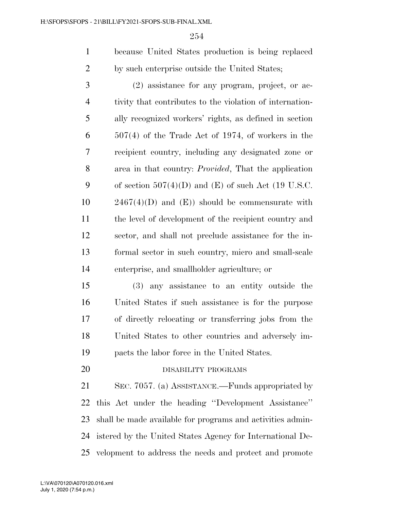because United States production is being replaced by such enterprise outside the United States;

 (2) assistance for any program, project, or ac- tivity that contributes to the violation of internation- ally recognized workers' rights, as defined in section 507(4) of the Trade Act of 1974, of workers in the recipient country, including any designated zone or area in that country: *Provided*, That the application 9 of section  $507(4)(D)$  and (E) of such Act (19 U.S.C.  $2467(4)(D)$  and  $(E)$ ) should be commensurate with the level of development of the recipient country and sector, and shall not preclude assistance for the in- formal sector in such country, micro and small-scale enterprise, and smallholder agriculture; or

 (3) any assistance to an entity outside the United States if such assistance is for the purpose of directly relocating or transferring jobs from the United States to other countries and adversely im-pacts the labor force in the United States.

## 20 DISABILITY PROGRAMS

 SEC. 7057. (a) ASSISTANCE.—Funds appropriated by this Act under the heading ''Development Assistance'' shall be made available for programs and activities admin- istered by the United States Agency for International De-velopment to address the needs and protect and promote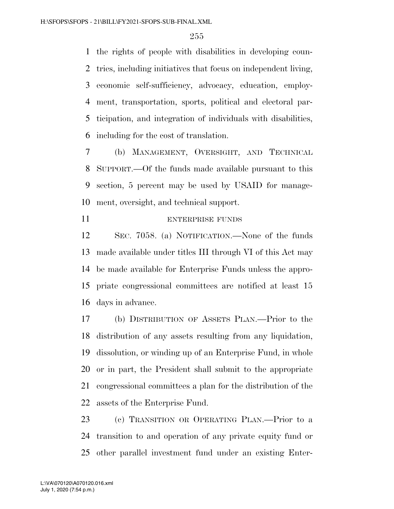the rights of people with disabilities in developing coun- tries, including initiatives that focus on independent living, economic self-sufficiency, advocacy, education, employ- ment, transportation, sports, political and electoral par- ticipation, and integration of individuals with disabilities, including for the cost of translation.

 (b) MANAGEMENT, OVERSIGHT, AND TECHNICAL SUPPORT.—Of the funds made available pursuant to this section, 5 percent may be used by USAID for manage-ment, oversight, and technical support.

ENTERPRISE FUNDS

 SEC. 7058. (a) NOTIFICATION.—None of the funds made available under titles III through VI of this Act may be made available for Enterprise Funds unless the appro- priate congressional committees are notified at least 15 days in advance.

 (b) DISTRIBUTION OF ASSETS PLAN.—Prior to the distribution of any assets resulting from any liquidation, dissolution, or winding up of an Enterprise Fund, in whole or in part, the President shall submit to the appropriate congressional committees a plan for the distribution of the assets of the Enterprise Fund.

 (c) TRANSITION OR OPERATING PLAN.—Prior to a transition to and operation of any private equity fund or other parallel investment fund under an existing Enter-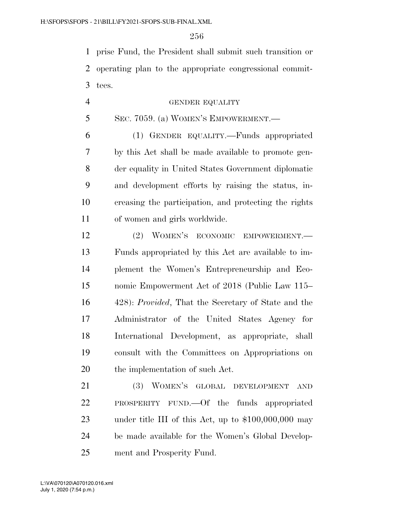prise Fund, the President shall submit such transition or operating plan to the appropriate congressional commit-tees.

 GENDER EQUALITY SEC. 7059. (a) WOMEN'S EMPOWERMENT.— (1) GENDER EQUALITY.—Funds appropriated by this Act shall be made available to promote gen- der equality in United States Government diplomatic and development efforts by raising the status, in- creasing the participation, and protecting the rights of women and girls worldwide. (2) WOMEN'S ECONOMIC EMPOWERMENT.— Funds appropriated by this Act are available to im- plement the Women's Entrepreneurship and Eco- nomic Empowerment Act of 2018 (Public Law 115– 428): *Provided*, That the Secretary of State and the Administrator of the United States Agency for International Development, as appropriate, shall consult with the Committees on Appropriations on the implementation of such Act. (3) WOMEN'S GLOBAL DEVELOPMENT AND PROSPERITY FUND.—Of the funds appropriated under title III of this Act, up to \$100,000,000 may

be made available for the Women's Global Develop-

ment and Prosperity Fund.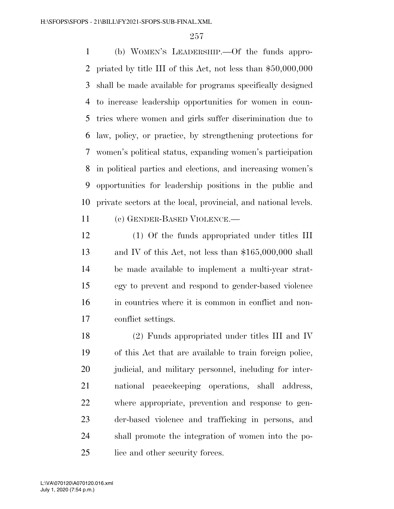(b) WOMEN'S LEADERSHIP.—Of the funds appro- priated by title III of this Act, not less than \$50,000,000 shall be made available for programs specifically designed to increase leadership opportunities for women in coun- tries where women and girls suffer discrimination due to law, policy, or practice, by strengthening protections for women's political status, expanding women's participation in political parties and elections, and increasing women's opportunities for leadership positions in the public and private sectors at the local, provincial, and national levels.

(c) GENDER-BASED VIOLENCE.—

 (1) Of the funds appropriated under titles III and IV of this Act, not less than \$165,000,000 shall be made available to implement a multi-year strat- egy to prevent and respond to gender-based violence in countries where it is common in conflict and non-conflict settings.

 (2) Funds appropriated under titles III and IV of this Act that are available to train foreign police, judicial, and military personnel, including for inter- national peacekeeping operations, shall address, where appropriate, prevention and response to gen- der-based violence and trafficking in persons, and shall promote the integration of women into the po-25 lice and other security forces.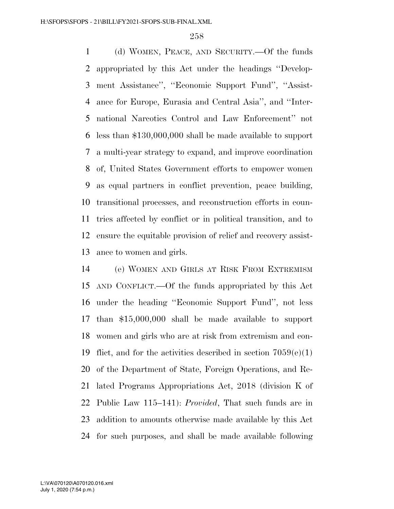(d) WOMEN, PEACE, AND SECURITY.—Of the funds appropriated by this Act under the headings ''Develop- ment Assistance'', ''Economic Support Fund'', ''Assist- ance for Europe, Eurasia and Central Asia'', and ''Inter- national Narcotics Control and Law Enforcement'' not less than \$130,000,000 shall be made available to support a multi-year strategy to expand, and improve coordination of, United States Government efforts to empower women as equal partners in conflict prevention, peace building, transitional processes, and reconstruction efforts in coun- tries affected by conflict or in political transition, and to ensure the equitable provision of relief and recovery assist-ance to women and girls.

 (e) WOMEN AND GIRLS AT RISK FROM EXTREMISM AND CONFLICT.—Of the funds appropriated by this Act under the heading ''Economic Support Fund'', not less than \$15,000,000 shall be made available to support women and girls who are at risk from extremism and con-19 flict, and for the activities described in section  $7059(e)(1)$  of the Department of State, Foreign Operations, and Re- lated Programs Appropriations Act, 2018 (division K of Public Law 115–141): *Provided*, That such funds are in addition to amounts otherwise made available by this Act for such purposes, and shall be made available following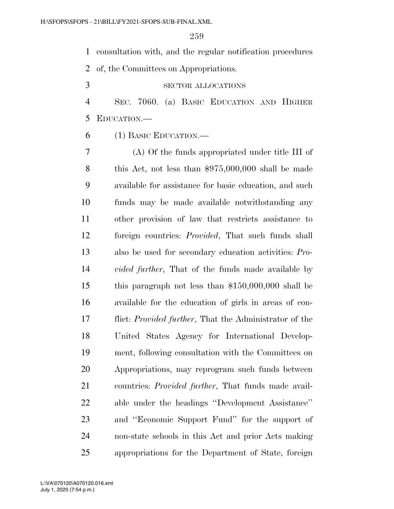consultation with, and the regular notification procedures of, the Committees on Appropriations. SECTOR ALLOCATIONS SEC. 7060. (a) BASIC EDUCATION AND HIGHER EDUCATION.— (1) BASIC EDUCATION.— (A) Of the funds appropriated under title III of this Act, not less than \$975,000,000 shall be made available for assistance for basic education, and such funds may be made available notwithstanding any other provision of law that restricts assistance to foreign countries: *Provided*, That such funds shall also be used for secondary education activities: *Pro- vided further*, That of the funds made available by this paragraph not less than \$150,000,000 shall be available for the education of girls in areas of con- flict: *Provided further*, That the Administrator of the United States Agency for International Develop- ment, following consultation with the Committees on Appropriations, may reprogram such funds between countries: *Provided further*, That funds made avail- able under the headings ''Development Assistance'' and ''Economic Support Fund'' for the support of

non-state schools in this Act and prior Acts making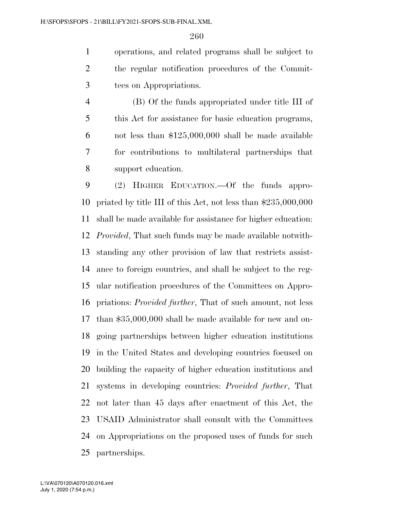operations, and related programs shall be subject to the regular notification procedures of the Commit-tees on Appropriations.

 (B) Of the funds appropriated under title III of this Act for assistance for basic education programs, not less than \$125,000,000 shall be made available for contributions to multilateral partnerships that support education.

 (2) HIGHER EDUCATION.—Of the funds appro- priated by title III of this Act, not less than \$235,000,000 shall be made available for assistance for higher education: *Provided*, That such funds may be made available notwith- standing any other provision of law that restricts assist- ance to foreign countries, and shall be subject to the reg- ular notification procedures of the Committees on Appro- priations: *Provided further*, That of such amount, not less than \$35,000,000 shall be made available for new and on- going partnerships between higher education institutions in the United States and developing countries focused on building the capacity of higher education institutions and systems in developing countries: *Provided further*, That not later than 45 days after enactment of this Act, the USAID Administrator shall consult with the Committees on Appropriations on the proposed uses of funds for such partnerships.

July 1, 2020 (7:54 p.m.) L:\VA\070120\A070120.016.xml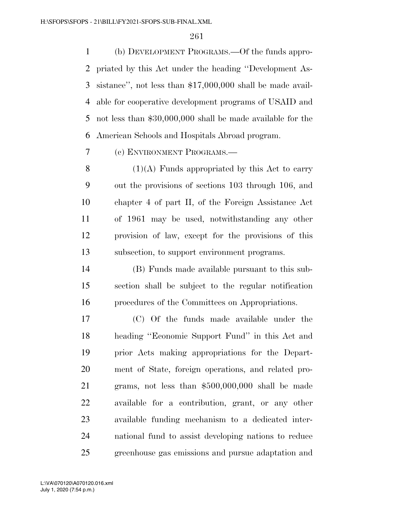(b) DEVELOPMENT PROGRAMS.—Of the funds appro- priated by this Act under the heading ''Development As- sistance'', not less than \$17,000,000 shall be made avail- able for cooperative development programs of USAID and not less than \$30,000,000 shall be made available for the American Schools and Hospitals Abroad program.

(c) ENVIRONMENT PROGRAMS.—

 $(1)(A)$  Funds appropriated by this Act to carry out the provisions of sections 103 through 106, and chapter 4 of part II, of the Foreign Assistance Act of 1961 may be used, notwithstanding any other provision of law, except for the provisions of this subsection, to support environment programs.

 (B) Funds made available pursuant to this sub- section shall be subject to the regular notification procedures of the Committees on Appropriations.

 (C) Of the funds made available under the heading ''Economic Support Fund'' in this Act and prior Acts making appropriations for the Depart- ment of State, foreign operations, and related pro- grams, not less than \$500,000,000 shall be made available for a contribution, grant, or any other available funding mechanism to a dedicated inter- national fund to assist developing nations to reduce greenhouse gas emissions and pursue adaptation and

July 1, 2020 (7:54 p.m.) L:\VA\070120\A070120.016.xml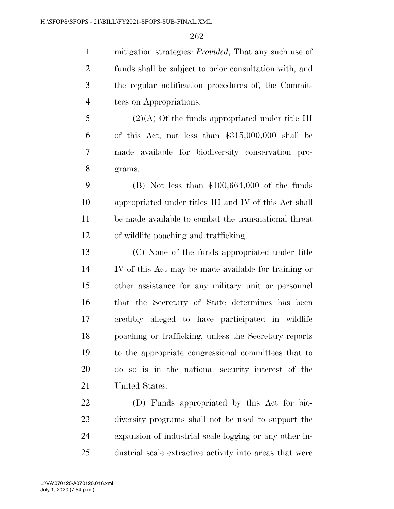mitigation strategies: *Provided*, That any such use of funds shall be subject to prior consultation with, and the regular notification procedures of, the Commit-tees on Appropriations.

 $5 \qquad (2)(A)$  Of the funds appropriated under title III of this Act, not less than \$315,000,000 shall be made available for biodiversity conservation pro-grams.

 (B) Not less than \$100,664,000 of the funds appropriated under titles III and IV of this Act shall be made available to combat the transnational threat of wildlife poaching and trafficking.

 (C) None of the funds appropriated under title IV of this Act may be made available for training or other assistance for any military unit or personnel that the Secretary of State determines has been credibly alleged to have participated in wildlife poaching or trafficking, unless the Secretary reports to the appropriate congressional committees that to do so is in the national security interest of the United States.

 (D) Funds appropriated by this Act for bio- diversity programs shall not be used to support the expansion of industrial scale logging or any other in-dustrial scale extractive activity into areas that were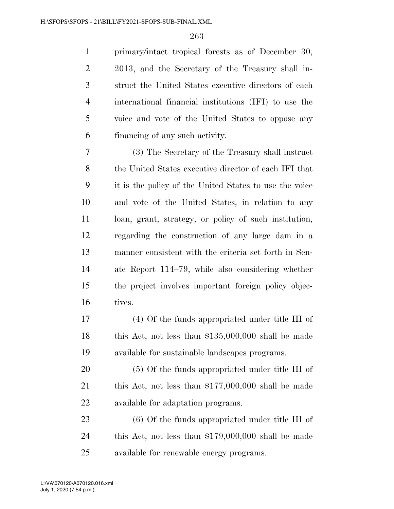primary/intact tropical forests as of December 30, 2013, and the Secretary of the Treasury shall in- struct the United States executive directors of each international financial institutions (IFI) to use the voice and vote of the United States to oppose any financing of any such activity.

 (3) The Secretary of the Treasury shall instruct the United States executive director of each IFI that it is the policy of the United States to use the voice and vote of the United States, in relation to any loan, grant, strategy, or policy of such institution, regarding the construction of any large dam in a manner consistent with the criteria set forth in Sen- ate Report 114–79, while also considering whether the project involves important foreign policy objec-tives.

 (4) Of the funds appropriated under title III of this Act, not less than \$135,000,000 shall be made available for sustainable landscapes programs.

 (5) Of the funds appropriated under title III of this Act, not less than \$177,000,000 shall be made available for adaptation programs.

 (6) Of the funds appropriated under title III of this Act, not less than \$179,000,000 shall be made available for renewable energy programs.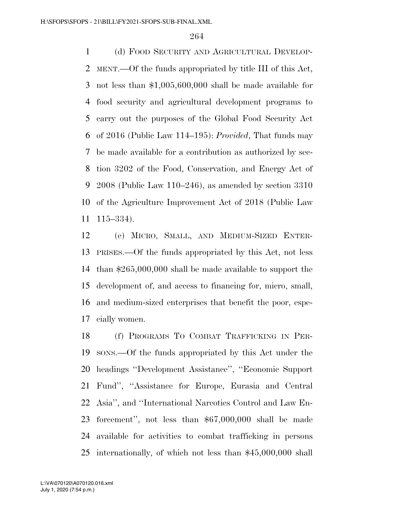(d) FOOD SECURITY AND AGRICULTURAL DEVELOP- MENT.—Of the funds appropriated by title III of this Act, not less than \$1,005,600,000 shall be made available for food security and agricultural development programs to carry out the purposes of the Global Food Security Act of 2016 (Public Law 114–195): *Provided*, That funds may be made available for a contribution as authorized by sec- tion 3202 of the Food, Conservation, and Energy Act of 2008 (Public Law 110–246), as amended by section 3310 of the Agriculture Improvement Act of 2018 (Public Law 115–334).

 (e) MICRO, SMALL, AND MEDIUM-SIZED ENTER- PRISES.—Of the funds appropriated by this Act, not less than \$265,000,000 shall be made available to support the development of, and access to financing for, micro, small, and medium-sized enterprises that benefit the poor, espe-cially women.

 (f) PROGRAMS TO COMBAT TRAFFICKING IN PER- SONS.—Of the funds appropriated by this Act under the headings ''Development Assistance'', ''Economic Support Fund'', ''Assistance for Europe, Eurasia and Central Asia'', and ''International Narcotics Control and Law En- forcement'', not less than \$67,000,000 shall be made available for activities to combat trafficking in persons internationally, of which not less than \$45,000,000 shall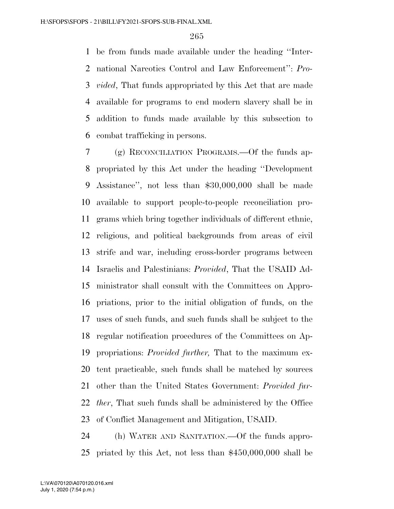be from funds made available under the heading ''Inter- national Narcotics Control and Law Enforcement'': *Pro- vided*, That funds appropriated by this Act that are made available for programs to end modern slavery shall be in addition to funds made available by this subsection to combat trafficking in persons.

 (g) RECONCILIATION PROGRAMS.—Of the funds ap- propriated by this Act under the heading ''Development Assistance'', not less than \$30,000,000 shall be made available to support people-to-people reconciliation pro- grams which bring together individuals of different ethnic, religious, and political backgrounds from areas of civil strife and war, including cross-border programs between Israelis and Palestinians: *Provided*, That the USAID Ad- ministrator shall consult with the Committees on Appro- priations, prior to the initial obligation of funds, on the uses of such funds, and such funds shall be subject to the regular notification procedures of the Committees on Ap- propriations: *Provided further,* That to the maximum ex- tent practicable, such funds shall be matched by sources other than the United States Government: *Provided fur- ther*, That such funds shall be administered by the Office of Conflict Management and Mitigation, USAID.

 (h) WATER AND SANITATION.—Of the funds appro-priated by this Act, not less than \$450,000,000 shall be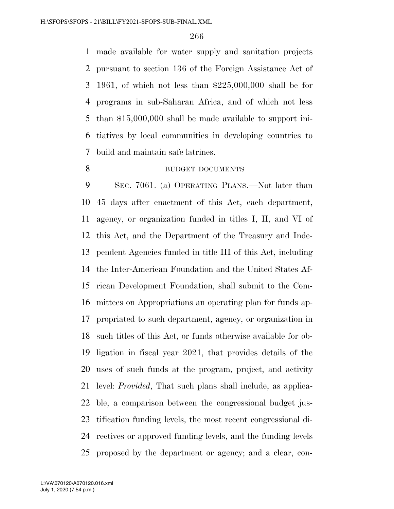made available for water supply and sanitation projects pursuant to section 136 of the Foreign Assistance Act of 1961, of which not less than \$225,000,000 shall be for programs in sub-Saharan Africa, and of which not less than \$15,000,000 shall be made available to support ini- tiatives by local communities in developing countries to build and maintain safe latrines.

### 8 BUDGET DOCUMENTS

 SEC. 7061. (a) OPERATING PLANS.—Not later than 45 days after enactment of this Act, each department, agency, or organization funded in titles I, II, and VI of this Act, and the Department of the Treasury and Inde- pendent Agencies funded in title III of this Act, including the Inter-American Foundation and the United States Af- rican Development Foundation, shall submit to the Com- mittees on Appropriations an operating plan for funds ap- propriated to such department, agency, or organization in such titles of this Act, or funds otherwise available for ob- ligation in fiscal year 2021, that provides details of the uses of such funds at the program, project, and activity level: *Provided*, That such plans shall include, as applica- ble, a comparison between the congressional budget jus- tification funding levels, the most recent congressional di- rectives or approved funding levels, and the funding levels proposed by the department or agency; and a clear, con-

July 1, 2020 (7:54 p.m.) L:\VA\070120\A070120.016.xml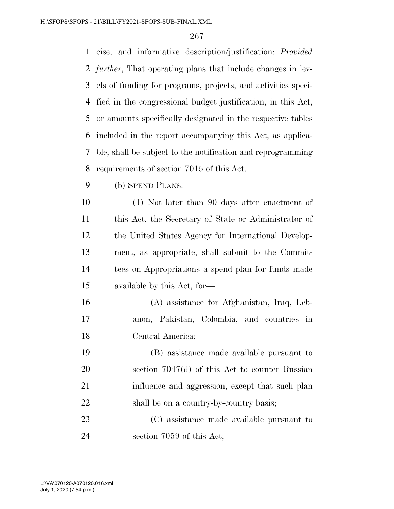cise, and informative description/justification: *Provided further*, That operating plans that include changes in lev- els of funding for programs, projects, and activities speci- fied in the congressional budget justification, in this Act, or amounts specifically designated in the respective tables included in the report accompanying this Act, as applica- ble, shall be subject to the notification and reprogramming requirements of section 7015 of this Act.

(b) SPEND PLANS.—

 (1) Not later than 90 days after enactment of this Act, the Secretary of State or Administrator of the United States Agency for International Develop- ment, as appropriate, shall submit to the Commit- tees on Appropriations a spend plan for funds made available by this Act, for—

 (A) assistance for Afghanistan, Iraq, Leb- anon, Pakistan, Colombia, and countries in Central America;

 (B) assistance made available pursuant to section 7047(d) of this Act to counter Russian 21 influence and aggression, except that such plan 22 shall be on a country-by-country basis;

 (C) assistance made available pursuant to section 7059 of this Act;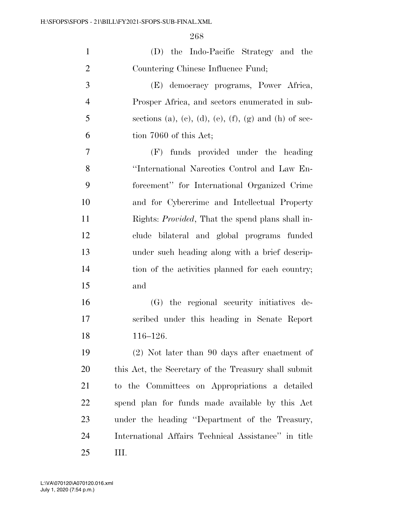| $\mathbf{1}$   | (D) the Indo-Pacific Strategy and the                    |
|----------------|----------------------------------------------------------|
| $\overline{2}$ | Countering Chinese Influence Fund;                       |
| 3              | (E) democracy programs, Power Africa,                    |
| $\overline{4}$ | Prosper Africa, and sectors enumerated in sub-           |
| 5              | sections (a), (c), (d), (e), (f), (g) and (h) of sec-    |
| 6              | tion 7060 of this Act;                                   |
| 7              | (F) funds provided under the heading                     |
| 8              | "International Narcotics Control and Law En-             |
| 9              | forcement" for International Organized Crime             |
| 10             | and for Cybercrime and Intellectual Property             |
| 11             | Rights: <i>Provided</i> , That the spend plans shall in- |
| 12             | clude bilateral and global programs funded               |
| 13             | under such heading along with a brief descrip-           |
| 14             | tion of the activities planned for each country;         |
| 15             | and                                                      |
| 16             | (G) the regional security initiatives de-                |
| 17             | scribed under this heading in Senate Report              |
| 18             | 116-126.                                                 |
| 19             | $(2)$ Not later than 90 days after enactment of          |
| <b>20</b>      | this Act, the Secretary of the Treasury shall submit     |
| 21             | to the Committees on Appropriations a detailed           |
| 22             | spend plan for funds made available by this Act          |
| 23             | under the heading "Department of the Treasury,           |
| 24             | International Affairs Technical Assistance" in title     |
| 25             | Ш.                                                       |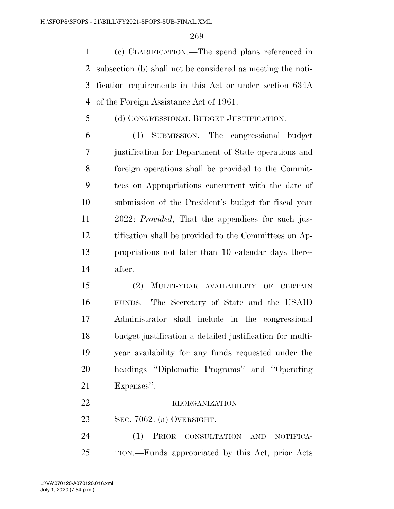(c) CLARIFICATION.—The spend plans referenced in subsection (b) shall not be considered as meeting the noti- fication requirements in this Act or under section 634A of the Foreign Assistance Act of 1961.

(d) CONGRESSIONAL BUDGET JUSTIFICATION.—

 (1) SUBMISSION.—The congressional budget justification for Department of State operations and foreign operations shall be provided to the Commit- tees on Appropriations concurrent with the date of submission of the President's budget for fiscal year 2022: *Provided*, That the appendices for such jus- tification shall be provided to the Committees on Ap- propriations not later than 10 calendar days there-after.

 (2) MULTI-YEAR AVAILABILITY OF CERTAIN FUNDS.—The Secretary of State and the USAID Administrator shall include in the congressional budget justification a detailed justification for multi- year availability for any funds requested under the headings ''Diplomatic Programs'' and ''Operating Expenses''.

#### 22 REORGANIZATION

SEC. 7062. (a) OVERSIGHT.—

 (1) PRIOR CONSULTATION AND NOTIFICA-TION.—Funds appropriated by this Act, prior Acts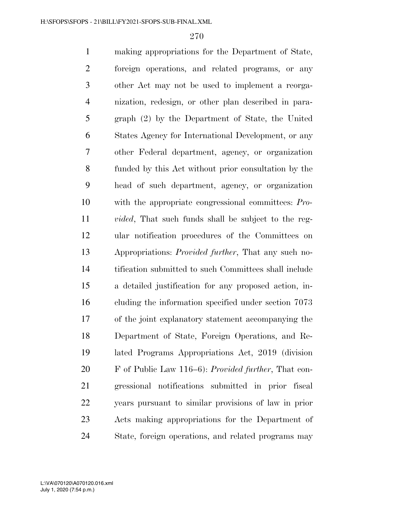making appropriations for the Department of State, foreign operations, and related programs, or any other Act may not be used to implement a reorga- nization, redesign, or other plan described in para- graph (2) by the Department of State, the United States Agency for International Development, or any other Federal department, agency, or organization funded by this Act without prior consultation by the head of such department, agency, or organization with the appropriate congressional committees: *Pro- vided*, That such funds shall be subject to the reg- ular notification procedures of the Committees on Appropriations: *Provided further*, That any such no- tification submitted to such Committees shall include a detailed justification for any proposed action, in- cluding the information specified under section 7073 of the joint explanatory statement accompanying the Department of State, Foreign Operations, and Re- lated Programs Appropriations Act, 2019 (division F of Public Law 116–6): *Provided further*, That con- gressional notifications submitted in prior fiscal years pursuant to similar provisions of law in prior Acts making appropriations for the Department of State, foreign operations, and related programs may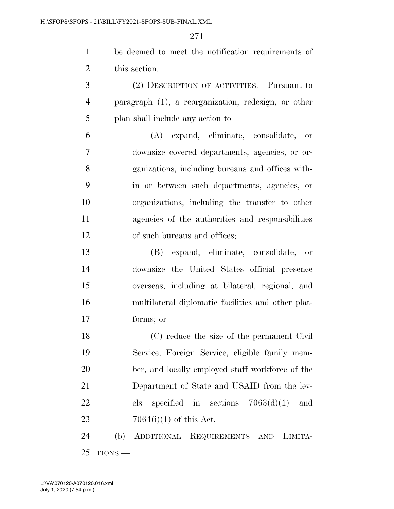be deemed to meet the notification requirements of this section.

 (2) DESCRIPTION OF ACTIVITIES.—Pursuant to paragraph (1), a reorganization, redesign, or other plan shall include any action to—

 (A) expand, eliminate, consolidate, or downsize covered departments, agencies, or or- ganizations, including bureaus and offices with- in or between such departments, agencies, or organizations, including the transfer to other agencies of the authorities and responsibilities of such bureaus and offices;

 (B) expand, eliminate, consolidate, or downsize the United States official presence overseas, including at bilateral, regional, and multilateral diplomatic facilities and other plat-forms; or

 (C) reduce the size of the permanent Civil Service, Foreign Service, eligible family mem- ber, and locally employed staff workforce of the Department of State and USAID from the lev- els specified in sections 7063(d)(1) and 7064(i)(1) of this Act.

 (b) ADDITIONAL REQUIREMENTS AND LIMITA-TIONS.—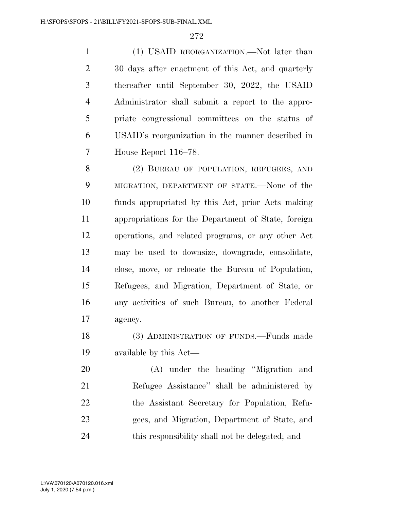(1) USAID REORGANIZATION.—Not later than 30 days after enactment of this Act, and quarterly thereafter until September 30, 2022, the USAID Administrator shall submit a report to the appro- priate congressional committees on the status of USAID's reorganization in the manner described in House Report 116–78.

8 (2) BUREAU OF POPULATION, REFUGEES, AND MIGRATION, DEPARTMENT OF STATE.—None of the funds appropriated by this Act, prior Acts making appropriations for the Department of State, foreign operations, and related programs, or any other Act may be used to downsize, downgrade, consolidate, close, move, or relocate the Bureau of Population, Refugees, and Migration, Department of State, or any activities of such Bureau, to another Federal agency.

 (3) ADMINISTRATION OF FUNDS.—Funds made available by this Act—

 (A) under the heading ''Migration and Refugee Assistance'' shall be administered by the Assistant Secretary for Population, Refu- gees, and Migration, Department of State, and this responsibility shall not be delegated; and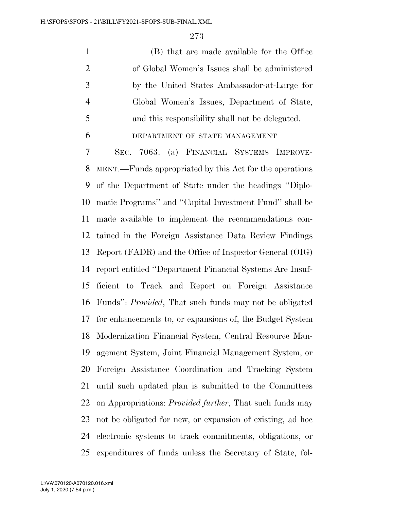(B) that are made available for the Office of Global Women's Issues shall be administered by the United States Ambassador-at-Large for Global Women's Issues, Department of State, and this responsibility shall not be delegated.

DEPARTMENT OF STATE MANAGEMENT

 SEC. 7063. (a) FINANCIAL SYSTEMS IMPROVE- MENT.—Funds appropriated by this Act for the operations of the Department of State under the headings ''Diplo- matic Programs'' and ''Capital Investment Fund'' shall be made available to implement the recommendations con- tained in the Foreign Assistance Data Review Findings Report (FADR) and the Office of Inspector General (OIG) report entitled ''Department Financial Systems Are Insuf- ficient to Track and Report on Foreign Assistance Funds'': *Provided*, That such funds may not be obligated for enhancements to, or expansions of, the Budget System Modernization Financial System, Central Resource Man- agement System, Joint Financial Management System, or Foreign Assistance Coordination and Tracking System until such updated plan is submitted to the Committees on Appropriations: *Provided further*, That such funds may not be obligated for new, or expansion of existing, ad hoc electronic systems to track commitments, obligations, or expenditures of funds unless the Secretary of State, fol-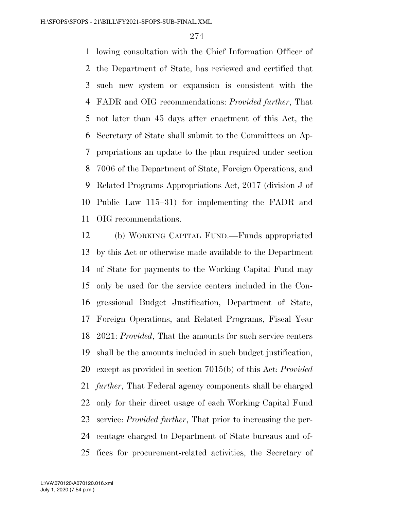lowing consultation with the Chief Information Officer of the Department of State, has reviewed and certified that such new system or expansion is consistent with the FADR and OIG recommendations: *Provided further*, That not later than 45 days after enactment of this Act, the Secretary of State shall submit to the Committees on Ap- propriations an update to the plan required under section 7006 of the Department of State, Foreign Operations, and Related Programs Appropriations Act, 2017 (division J of Public Law 115–31) for implementing the FADR and OIG recommendations.

 (b) WORKING CAPITAL FUND.—Funds appropriated by this Act or otherwise made available to the Department of State for payments to the Working Capital Fund may only be used for the service centers included in the Con- gressional Budget Justification, Department of State, Foreign Operations, and Related Programs, Fiscal Year 2021: *Provided*, That the amounts for such service centers shall be the amounts included in such budget justification, except as provided in section 7015(b) of this Act: *Provided further*, That Federal agency components shall be charged only for their direct usage of each Working Capital Fund service: *Provided further*, That prior to increasing the per- centage charged to Department of State bureaus and of-fices for procurement-related activities, the Secretary of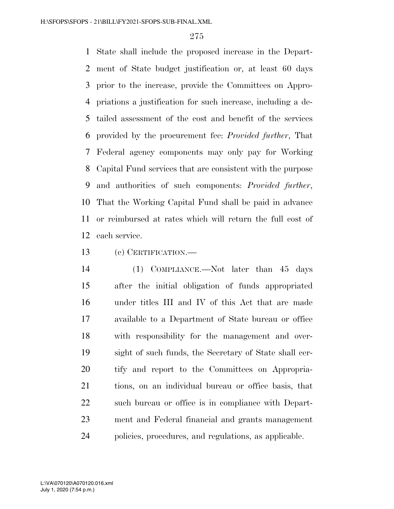State shall include the proposed increase in the Depart- ment of State budget justification or, at least 60 days prior to the increase, provide the Committees on Appro- priations a justification for such increase, including a de- tailed assessment of the cost and benefit of the services provided by the procurement fee: *Provided further*, That Federal agency components may only pay for Working Capital Fund services that are consistent with the purpose and authorities of such components: *Provided further*, That the Working Capital Fund shall be paid in advance or reimbursed at rates which will return the full cost of each service.

(c) CERTIFICATION.—

 (1) COMPLIANCE.—Not later than 45 days after the initial obligation of funds appropriated under titles III and IV of this Act that are made available to a Department of State bureau or office with responsibility for the management and over- sight of such funds, the Secretary of State shall cer- tify and report to the Committees on Appropria- tions, on an individual bureau or office basis, that such bureau or office is in compliance with Depart- ment and Federal financial and grants management policies, procedures, and regulations, as applicable.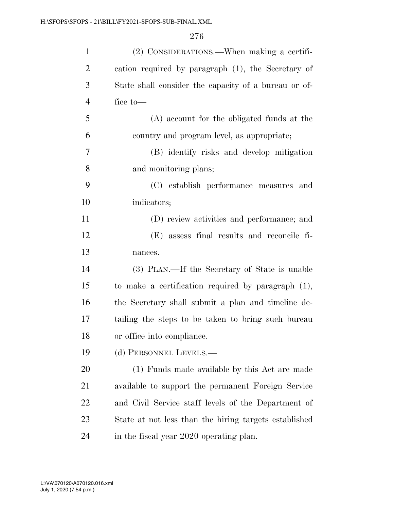| $\mathbf{1}$   | (2) CONSIDERATIONS.—When making a certifi-            |
|----------------|-------------------------------------------------------|
| $\overline{2}$ | cation required by paragraph (1), the Secretary of    |
| 3              | State shall consider the capacity of a bureau or of-  |
| $\overline{4}$ | fice to-                                              |
| 5              | (A) account for the obligated funds at the            |
| 6              | country and program level, as appropriate;            |
| 7              | (B) identify risks and develop mitigation             |
| 8              | and monitoring plans;                                 |
| 9              | (C) establish performance measures and                |
| 10             | indicators;                                           |
| 11             | (D) review activities and performance; and            |
| 12             | (E) assess final results and reconcile fi-            |
| 13             | nances.                                               |
| 14             | (3) PLAN.—If the Secretary of State is unable         |
| 15             | to make a certification required by paragraph $(1)$ , |
| 16             | the Secretary shall submit a plan and timeline de-    |
| 17             | tailing the steps to be taken to bring such bureau    |
| 18             | or office into compliance.                            |
| 19             | (d) PERSONNEL LEVELS.—                                |
| <b>20</b>      | (1) Funds made available by this Act are made         |
| 21             | available to support the permanent Foreign Service    |
| 22             | and Civil Service staff levels of the Department of   |
| 23             | State at not less than the hiring targets established |
| 24             | in the fiscal year 2020 operating plan.               |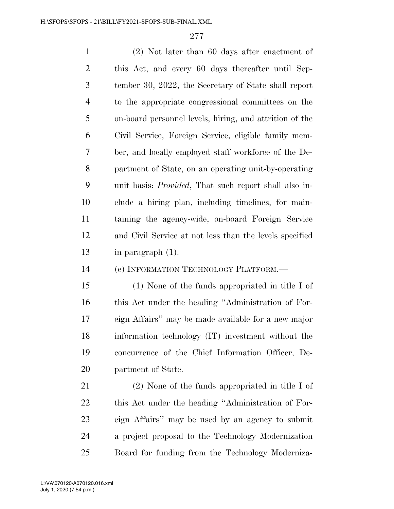(2) Not later than 60 days after enactment of this Act, and every 60 days thereafter until Sep- tember 30, 2022, the Secretary of State shall report to the appropriate congressional committees on the on-board personnel levels, hiring, and attrition of the Civil Service, Foreign Service, eligible family mem- ber, and locally employed staff workforce of the De- partment of State, on an operating unit-by-operating unit basis: *Provided*, That such report shall also in- clude a hiring plan, including timelines, for main- taining the agency-wide, on-board Foreign Service and Civil Service at not less than the levels specified in paragraph (1).

(e) INFORMATION TECHNOLOGY PLATFORM.—

 (1) None of the funds appropriated in title I of this Act under the heading ''Administration of For- eign Affairs'' may be made available for a new major information technology (IT) investment without the concurrence of the Chief Information Officer, De-partment of State.

 (2) None of the funds appropriated in title I of this Act under the heading ''Administration of For- eign Affairs'' may be used by an agency to submit a project proposal to the Technology Modernization Board for funding from the Technology Moderniza-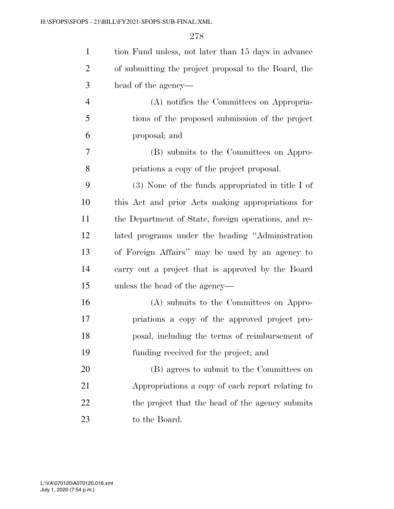| $\mathbf{1}$   | tion Fund unless, not later than 15 days in advance  |
|----------------|------------------------------------------------------|
| $\overline{2}$ | of submitting the project proposal to the Board, the |
| 3              | head of the agency—                                  |
| $\overline{4}$ | (A) notifies the Committees on Appropria-            |
| 5              | tions of the proposed submission of the project      |
| 6              | proposal; and                                        |
| 7              | (B) submits to the Committees on Appro-              |
| 8              | priations a copy of the project proposal.            |
| 9              | $(3)$ None of the funds appropriated in title I of   |
| 10             | this Act and prior Acts making appropriations for    |
| 11             | the Department of State, foreign operations, and re- |
| 12             | lated programs under the heading "Administration"    |
| 13             | of Foreign Affairs" may be used by an agency to      |
| 14             | carry out a project that is approved by the Board    |
| 15             | unless the head of the agency—                       |
| 16             | (A) submits to the Committees on Appro-              |
| 17             | priations a copy of the approved project pro-        |
| 18             | posal, including the terms of reimbursement of       |
| 19             | funding received for the project; and                |
| 20             | (B) agrees to submit to the Committees on            |
| 21             | Appropriations a copy of each report relating to     |
| 22             | the project that the head of the agency submits      |
| 23             | to the Board.                                        |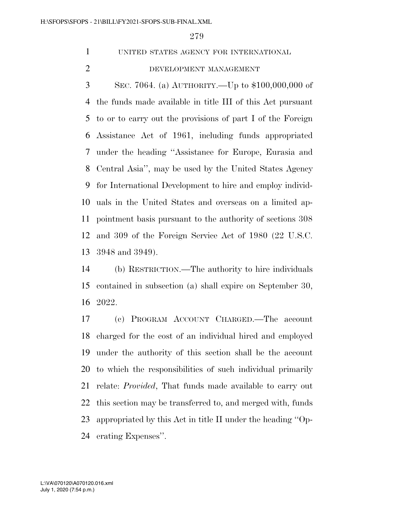UNITED STATES AGENCY FOR INTERNATIONAL

# DEVELOPMENT MANAGEMENT

 SEC. 7064. (a) AUTHORITY.—Up to \$100,000,000 of the funds made available in title III of this Act pursuant to or to carry out the provisions of part I of the Foreign Assistance Act of 1961, including funds appropriated under the heading ''Assistance for Europe, Eurasia and Central Asia'', may be used by the United States Agency for International Development to hire and employ individ- uals in the United States and overseas on a limited ap- pointment basis pursuant to the authority of sections 308 and 309 of the Foreign Service Act of 1980 (22 U.S.C. 3948 and 3949).

 (b) RESTRICTION.—The authority to hire individuals contained in subsection (a) shall expire on September 30, 2022.

 (c) PROGRAM ACCOUNT CHARGED.—The account charged for the cost of an individual hired and employed under the authority of this section shall be the account to which the responsibilities of such individual primarily relate: *Provided*, That funds made available to carry out this section may be transferred to, and merged with, funds appropriated by this Act in title II under the heading ''Op-erating Expenses''.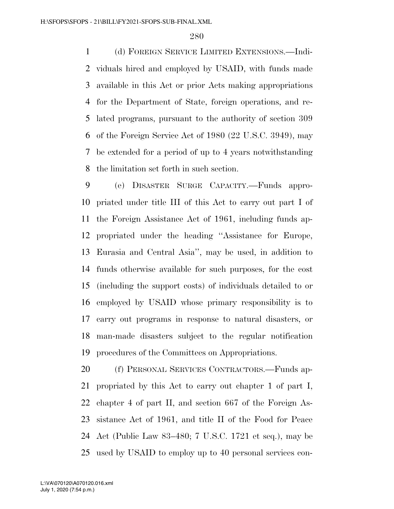(d) FOREIGN SERVICE LIMITED EXTENSIONS.—Indi- viduals hired and employed by USAID, with funds made available in this Act or prior Acts making appropriations for the Department of State, foreign operations, and re- lated programs, pursuant to the authority of section 309 of the Foreign Service Act of 1980 (22 U.S.C. 3949), may be extended for a period of up to 4 years notwithstanding the limitation set forth in such section.

 (e) DISASTER SURGE CAPACITY.—Funds appro- priated under title III of this Act to carry out part I of the Foreign Assistance Act of 1961, including funds ap- propriated under the heading ''Assistance for Europe, Eurasia and Central Asia'', may be used, in addition to funds otherwise available for such purposes, for the cost (including the support costs) of individuals detailed to or employed by USAID whose primary responsibility is to carry out programs in response to natural disasters, or man-made disasters subject to the regular notification procedures of the Committees on Appropriations.

 (f) PERSONAL SERVICES CONTRACTORS.—Funds ap- propriated by this Act to carry out chapter 1 of part I, chapter 4 of part II, and section 667 of the Foreign As- sistance Act of 1961, and title II of the Food for Peace Act (Public Law 83–480; 7 U.S.C. 1721 et seq.), may be used by USAID to employ up to 40 personal services con-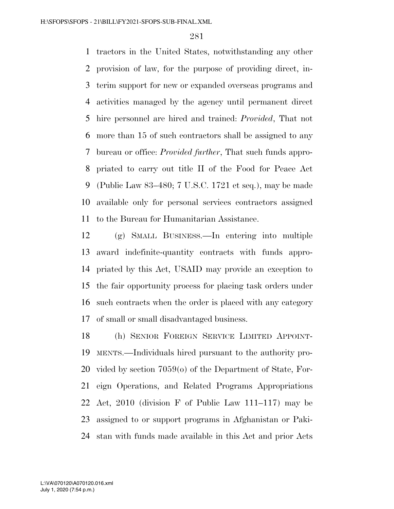tractors in the United States, notwithstanding any other provision of law, for the purpose of providing direct, in- terim support for new or expanded overseas programs and activities managed by the agency until permanent direct hire personnel are hired and trained: *Provided*, That not more than 15 of such contractors shall be assigned to any bureau or office: *Provided further*, That such funds appro- priated to carry out title II of the Food for Peace Act (Public Law 83–480; 7 U.S.C. 1721 et seq.), may be made available only for personal services contractors assigned to the Bureau for Humanitarian Assistance.

 (g) SMALL BUSINESS.—In entering into multiple award indefinite-quantity contracts with funds appro- priated by this Act, USAID may provide an exception to the fair opportunity process for placing task orders under such contracts when the order is placed with any category of small or small disadvantaged business.

 (h) SENIOR FOREIGN SERVICE LIMITED APPOINT- MENTS.—Individuals hired pursuant to the authority pro- vided by section 7059(o) of the Department of State, For- eign Operations, and Related Programs Appropriations Act, 2010 (division F of Public Law 111–117) may be assigned to or support programs in Afghanistan or Paki-stan with funds made available in this Act and prior Acts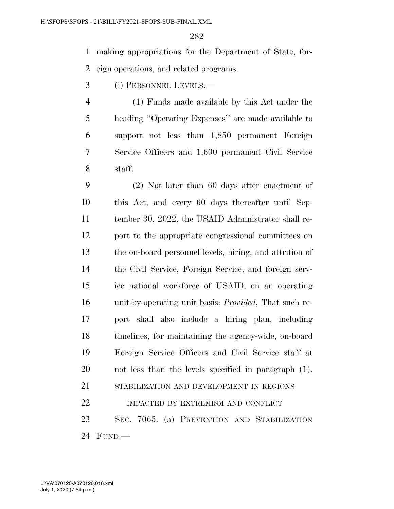making appropriations for the Department of State, for-eign operations, and related programs.

(i) PERSONNEL LEVELS.—

 (1) Funds made available by this Act under the heading ''Operating Expenses'' are made available to support not less than 1,850 permanent Foreign Service Officers and 1,600 permanent Civil Service staff.

 (2) Not later than 60 days after enactment of this Act, and every 60 days thereafter until Sep- tember 30, 2022, the USAID Administrator shall re- port to the appropriate congressional committees on the on-board personnel levels, hiring, and attrition of the Civil Service, Foreign Service, and foreign serv- ice national workforce of USAID, on an operating unit-by-operating unit basis: *Provided*, That such re- port shall also include a hiring plan, including timelines, for maintaining the agency-wide, on-board Foreign Service Officers and Civil Service staff at not less than the levels specified in paragraph (1). STABILIZATION AND DEVELOPMENT IN REGIONS **IMPACTED BY EXTREMISM AND CONFLICT**  SEC. 7065. (a) PREVENTION AND STABILIZATION FUND.—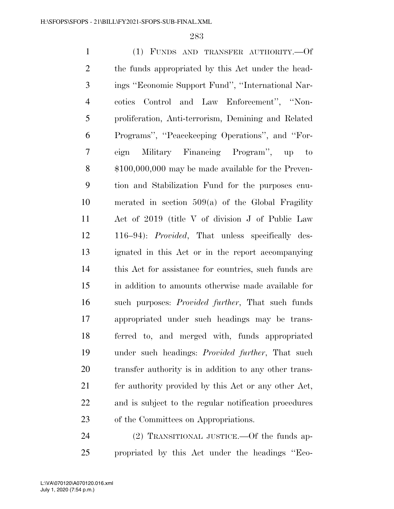(1) FUNDS AND TRANSFER AUTHORITY.—Of the funds appropriated by this Act under the head- ings ''Economic Support Fund'', ''International Nar- cotics Control and Law Enforcement'', ''Non- proliferation, Anti-terrorism, Demining and Related Programs'', ''Peacekeeping Operations'', and ''For- eign Military Financing Program'', up to \$100,000,000 may be made available for the Preven- tion and Stabilization Fund for the purposes enu- merated in section 509(a) of the Global Fragility Act of 2019 (title V of division J of Public Law 116–94): *Provided*, That unless specifically des- ignated in this Act or in the report accompanying this Act for assistance for countries, such funds are in addition to amounts otherwise made available for such purposes: *Provided further*, That such funds appropriated under such headings may be trans- ferred to, and merged with, funds appropriated under such headings: *Provided further*, That such transfer authority is in addition to any other trans-21 fer authority provided by this Act or any other Act, and is subject to the regular notification procedures of the Committees on Appropriations. (2) TRANSITIONAL JUSTICE.—Of the funds ap-

propriated by this Act under the headings ''Eco-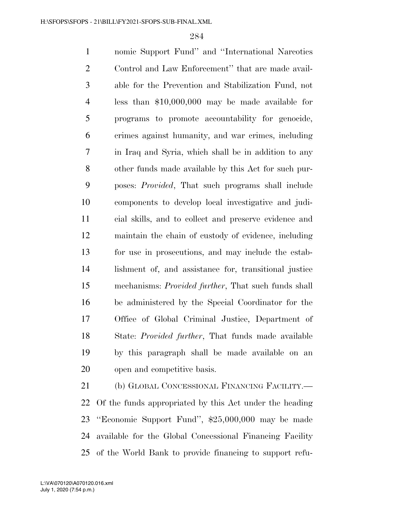nomic Support Fund'' and ''International Narcotics Control and Law Enforcement'' that are made avail- able for the Prevention and Stabilization Fund, not less than \$10,000,000 may be made available for programs to promote accountability for genocide, crimes against humanity, and war crimes, including in Iraq and Syria, which shall be in addition to any other funds made available by this Act for such pur- poses: *Provided*, That such programs shall include components to develop local investigative and judi- cial skills, and to collect and preserve evidence and maintain the chain of custody of evidence, including for use in prosecutions, and may include the estab- lishment of, and assistance for, transitional justice mechanisms: *Provided further*, That such funds shall be administered by the Special Coordinator for the Office of Global Criminal Justice, Department of State: *Provided further*, That funds made available by this paragraph shall be made available on an open and competitive basis.

 (b) GLOBAL CONCESSIONAL FINANCING FACILITY.— Of the funds appropriated by this Act under the heading ''Economic Support Fund'', \$25,000,000 may be made available for the Global Concessional Financing Facility of the World Bank to provide financing to support refu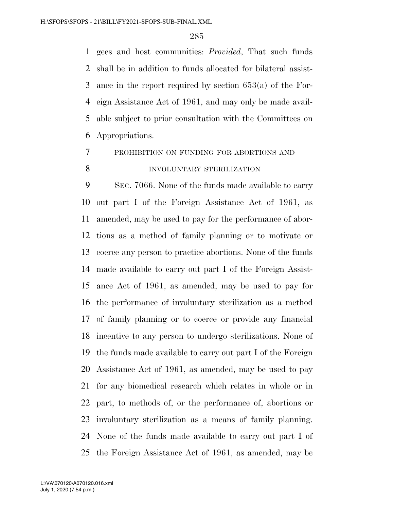gees and host communities: *Provided*, That such funds shall be in addition to funds allocated for bilateral assist- ance in the report required by section 653(a) of the For- eign Assistance Act of 1961, and may only be made avail- able subject to prior consultation with the Committees on Appropriations.

PROHIBITION ON FUNDING FOR ABORTIONS AND

# 8 INVOLUNTARY STERILIZATION

 SEC. 7066. None of the funds made available to carry out part I of the Foreign Assistance Act of 1961, as amended, may be used to pay for the performance of abor- tions as a method of family planning or to motivate or coerce any person to practice abortions. None of the funds made available to carry out part I of the Foreign Assist- ance Act of 1961, as amended, may be used to pay for the performance of involuntary sterilization as a method of family planning or to coerce or provide any financial incentive to any person to undergo sterilizations. None of the funds made available to carry out part I of the Foreign Assistance Act of 1961, as amended, may be used to pay for any biomedical research which relates in whole or in part, to methods of, or the performance of, abortions or involuntary sterilization as a means of family planning. None of the funds made available to carry out part I of the Foreign Assistance Act of 1961, as amended, may be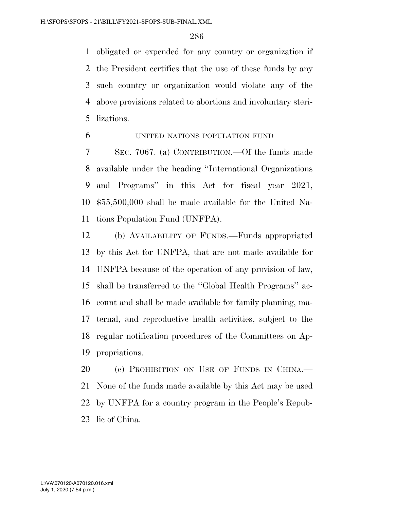obligated or expended for any country or organization if the President certifies that the use of these funds by any such country or organization would violate any of the above provisions related to abortions and involuntary steri-lizations.

UNITED NATIONS POPULATION FUND

 SEC. 7067. (a) CONTRIBUTION.—Of the funds made available under the heading ''International Organizations and Programs'' in this Act for fiscal year 2021, \$55,500,000 shall be made available for the United Na-tions Population Fund (UNFPA).

 (b) AVAILABILITY OF FUNDS.—Funds appropriated by this Act for UNFPA, that are not made available for UNFPA because of the operation of any provision of law, shall be transferred to the ''Global Health Programs'' ac- count and shall be made available for family planning, ma- ternal, and reproductive health activities, subject to the regular notification procedures of the Committees on Ap-propriations.

20 (c) PROHIBITION ON USE OF FUNDS IN CHINA. None of the funds made available by this Act may be used by UNFPA for a country program in the People's Repub-lic of China.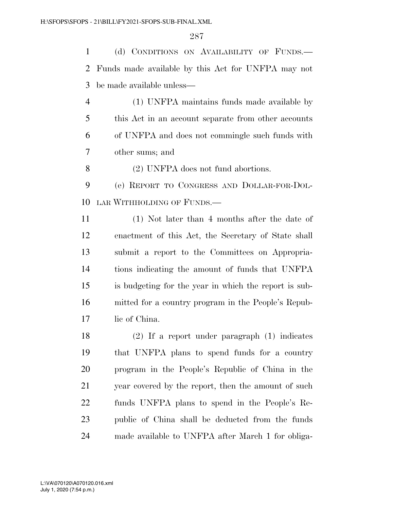(d) CONDITIONS ON AVAILABILITY OF FUNDS.— Funds made available by this Act for UNFPA may not be made available unless—

 (1) UNFPA maintains funds made available by this Act in an account separate from other accounts of UNFPA and does not commingle such funds with other sums; and

(2) UNFPA does not fund abortions.

 (e) REPORT TO CONGRESS AND DOLLAR-FOR-DOL-LAR WITHHOLDING OF FUNDS.—

 (1) Not later than 4 months after the date of enactment of this Act, the Secretary of State shall submit a report to the Committees on Appropria- tions indicating the amount of funds that UNFPA is budgeting for the year in which the report is sub- mitted for a country program in the People's Repub-lic of China.

 (2) If a report under paragraph (1) indicates that UNFPA plans to spend funds for a country program in the People's Republic of China in the 21 year covered by the report, then the amount of such funds UNFPA plans to spend in the People's Re- public of China shall be deducted from the funds made available to UNFPA after March 1 for obliga-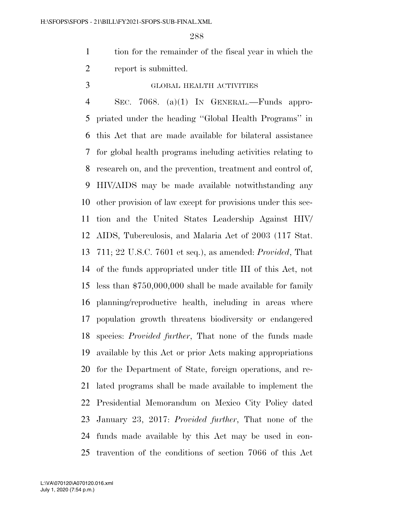- tion for the remainder of the fiscal year in which the report is submitted.
- 

## GLOBAL HEALTH ACTIVITIES

 SEC. 7068. (a)(1) IN GENERAL.—Funds appro- priated under the heading ''Global Health Programs'' in this Act that are made available for bilateral assistance for global health programs including activities relating to research on, and the prevention, treatment and control of, HIV/AIDS may be made available notwithstanding any other provision of law except for provisions under this sec- tion and the United States Leadership Against HIV/ AIDS, Tuberculosis, and Malaria Act of 2003 (117 Stat. 711; 22 U.S.C. 7601 et seq.), as amended: *Provided*, That of the funds appropriated under title III of this Act, not less than \$750,000,000 shall be made available for family planning/reproductive health, including in areas where population growth threatens biodiversity or endangered species: *Provided further*, That none of the funds made available by this Act or prior Acts making appropriations for the Department of State, foreign operations, and re- lated programs shall be made available to implement the Presidential Memorandum on Mexico City Policy dated January 23, 2017: *Provided further*, That none of the funds made available by this Act may be used in con-travention of the conditions of section 7066 of this Act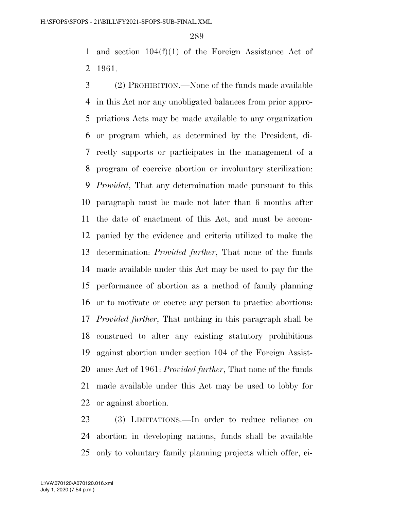and section 104(f)(1) of the Foreign Assistance Act of 1961.

 (2) PROHIBITION.—None of the funds made available in this Act nor any unobligated balances from prior appro- priations Acts may be made available to any organization or program which, as determined by the President, di- rectly supports or participates in the management of a program of coercive abortion or involuntary sterilization: *Provided*, That any determination made pursuant to this paragraph must be made not later than 6 months after the date of enactment of this Act, and must be accom- panied by the evidence and criteria utilized to make the determination: *Provided further*, That none of the funds made available under this Act may be used to pay for the performance of abortion as a method of family planning or to motivate or coerce any person to practice abortions: *Provided further*, That nothing in this paragraph shall be construed to alter any existing statutory prohibitions against abortion under section 104 of the Foreign Assist- ance Act of 1961: *Provided further*, That none of the funds made available under this Act may be used to lobby for or against abortion.

 (3) LIMITATIONS.—In order to reduce reliance on abortion in developing nations, funds shall be available only to voluntary family planning projects which offer, ei-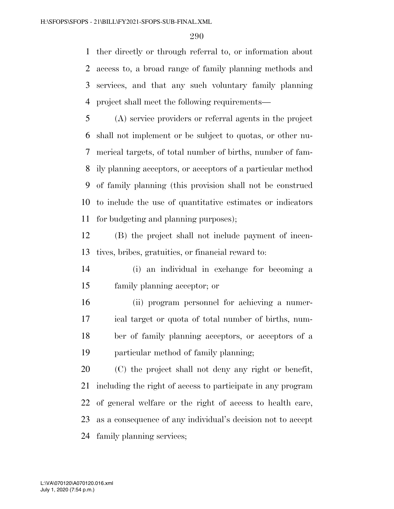ther directly or through referral to, or information about access to, a broad range of family planning methods and services, and that any such voluntary family planning project shall meet the following requirements—

 (A) service providers or referral agents in the project shall not implement or be subject to quotas, or other nu- merical targets, of total number of births, number of fam- ily planning acceptors, or acceptors of a particular method of family planning (this provision shall not be construed to include the use of quantitative estimates or indicators for budgeting and planning purposes);

 (B) the project shall not include payment of incen-tives, bribes, gratuities, or financial reward to:

- (i) an individual in exchange for becoming a family planning acceptor; or
- (ii) program personnel for achieving a numer- ical target or quota of total number of births, num- ber of family planning acceptors, or acceptors of a particular method of family planning;

 (C) the project shall not deny any right or benefit, including the right of access to participate in any program of general welfare or the right of access to health care, as a consequence of any individual's decision not to accept family planning services;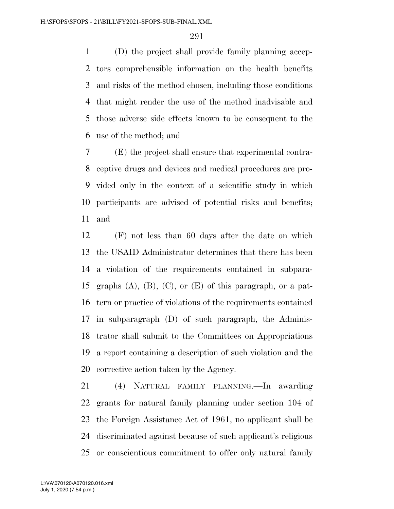(D) the project shall provide family planning accep- tors comprehensible information on the health benefits and risks of the method chosen, including those conditions that might render the use of the method inadvisable and those adverse side effects known to be consequent to the use of the method; and

 (E) the project shall ensure that experimental contra- ceptive drugs and devices and medical procedures are pro- vided only in the context of a scientific study in which participants are advised of potential risks and benefits; and

 (F) not less than 60 days after the date on which the USAID Administrator determines that there has been a violation of the requirements contained in subpara-15 graphs  $(A)$ ,  $(B)$ ,  $(C)$ , or  $(E)$  of this paragraph, or a pat- tern or practice of violations of the requirements contained in subparagraph (D) of such paragraph, the Adminis- trator shall submit to the Committees on Appropriations a report containing a description of such violation and the corrective action taken by the Agency.

 (4) NATURAL FAMILY PLANNING.—In awarding grants for natural family planning under section 104 of the Foreign Assistance Act of 1961, no applicant shall be discriminated against because of such applicant's religious or conscientious commitment to offer only natural family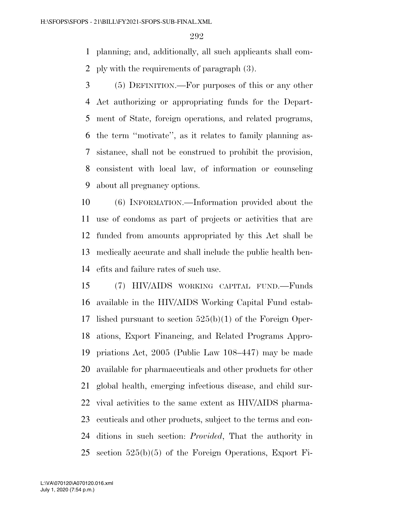planning; and, additionally, all such applicants shall com-ply with the requirements of paragraph (3).

 (5) DEFINITION.—For purposes of this or any other Act authorizing or appropriating funds for the Depart- ment of State, foreign operations, and related programs, the term ''motivate'', as it relates to family planning as- sistance, shall not be construed to prohibit the provision, consistent with local law, of information or counseling about all pregnancy options.

 (6) INFORMATION.—Information provided about the use of condoms as part of projects or activities that are funded from amounts appropriated by this Act shall be medically accurate and shall include the public health ben-efits and failure rates of such use.

 (7) HIV/AIDS WORKING CAPITAL FUND.—Funds available in the HIV/AIDS Working Capital Fund estab- lished pursuant to section 525(b)(1) of the Foreign Oper- ations, Export Financing, and Related Programs Appro- priations Act, 2005 (Public Law 108–447) may be made available for pharmaceuticals and other products for other global health, emerging infectious disease, and child sur- vival activities to the same extent as HIV/AIDS pharma- ceuticals and other products, subject to the terms and con- ditions in such section: *Provided*, That the authority in section 525(b)(5) of the Foreign Operations, Export Fi-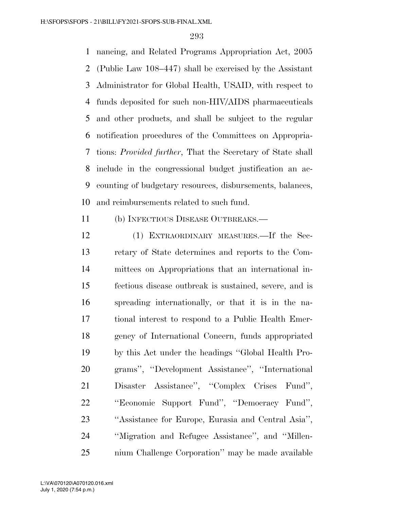nancing, and Related Programs Appropriation Act, 2005 (Public Law 108–447) shall be exercised by the Assistant Administrator for Global Health, USAID, with respect to funds deposited for such non-HIV/AIDS pharmaceuticals and other products, and shall be subject to the regular notification procedures of the Committees on Appropria- tions: *Provided further*, That the Secretary of State shall include in the congressional budget justification an ac- counting of budgetary resources, disbursements, balances, and reimbursements related to such fund.

11 (b) INFECTIOUS DISEASE OUTBREAKS.—

 (1) EXTRAORDINARY MEASURES.—If the Sec- retary of State determines and reports to the Com- mittees on Appropriations that an international in- fectious disease outbreak is sustained, severe, and is spreading internationally, or that it is in the na- tional interest to respond to a Public Health Emer- gency of International Concern, funds appropriated by this Act under the headings ''Global Health Pro- grams'', ''Development Assistance'', ''International Disaster Assistance'', ''Complex Crises Fund'', ''Economic Support Fund'', ''Democracy Fund'', ''Assistance for Europe, Eurasia and Central Asia'', ''Migration and Refugee Assistance'', and ''Millen-nium Challenge Corporation'' may be made available

July 1, 2020 (7:54 p.m.) L:\VA\070120\A070120.016.xml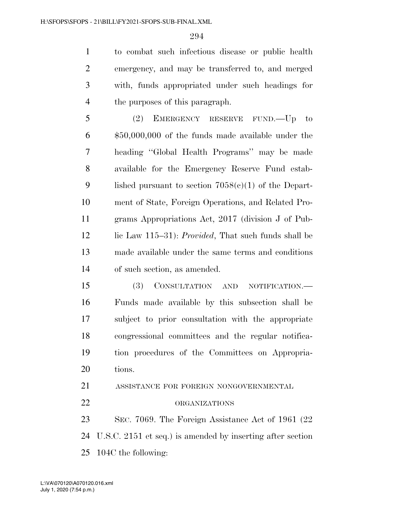to combat such infectious disease or public health emergency, and may be transferred to, and merged with, funds appropriated under such headings for the purposes of this paragraph.

 (2) EMERGENCY RESERVE FUND.—Up to \$50,000,000 of the funds made available under the heading ''Global Health Programs'' may be made available for the Emergency Reserve Fund estab-9 lished pursuant to section  $7058(c)(1)$  of the Depart- ment of State, Foreign Operations, and Related Pro- grams Appropriations Act, 2017 (division J of Pub- lic Law 115–31): *Provided*, That such funds shall be made available under the same terms and conditions of such section, as amended.

 (3) CONSULTATION AND NOTIFICATION.— Funds made available by this subsection shall be subject to prior consultation with the appropriate congressional committees and the regular notifica- tion procedures of the Committees on Appropria-tions.

ASSISTANCE FOR FOREIGN NONGOVERNMENTAL

#### ORGANIZATIONS

 SEC. 7069. The Foreign Assistance Act of 1961 (22 U.S.C. 2151 et seq.) is amended by inserting after section 104C the following: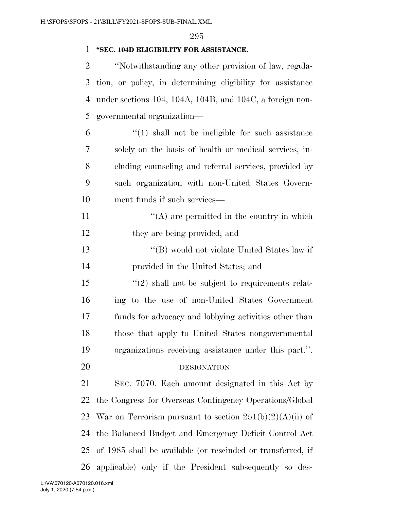#### **''SEC. 104D ELIGIBILITY FOR ASSISTANCE.**

 ''Notwithstanding any other provision of law, regula- tion, or policy, in determining eligibility for assistance under sections 104, 104A, 104B, and 104C, a foreign non-governmental organization—

 "(1) shall not be ineligible for such assistance solely on the basis of health or medical services, in- cluding counseling and referral services, provided by such organization with non-United States Govern-ment funds if such services—

11  $\langle (A)$  are permitted in the country in which they are being provided; and

 ''(B) would not violate United States law if provided in the United States; and

 ''(2) shall not be subject to requirements relat- ing to the use of non-United States Government funds for advocacy and lobbying activities other than those that apply to United States nongovernmental organizations receiving assistance under this part.''. DESIGNATION

 SEC. 7070. Each amount designated in this Act by the Congress for Overseas Contingency Operations/Global 23 War on Terrorism pursuant to section  $251(b)(2)(A)(ii)$  of the Balanced Budget and Emergency Deficit Control Act of 1985 shall be available (or rescinded or transferred, if applicable) only if the President subsequently so des-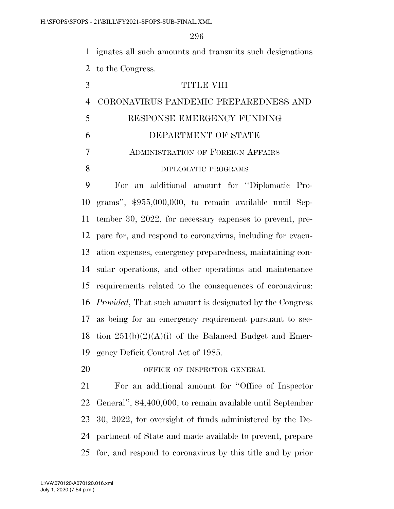ignates all such amounts and transmits such designations to the Congress.

# TITLE VIII CORONAVIRUS PANDEMIC PREPAREDNESS AND RESPONSE EMERGENCY FUNDING DEPARTMENT OF STATE ADMINISTRATION OF FOREIGN AFFAIRS

# DIPLOMATIC PROGRAMS

 For an additional amount for ''Diplomatic Pro- grams'', \$955,000,000, to remain available until Sep- tember 30, 2022, for necessary expenses to prevent, pre- pare for, and respond to coronavirus, including for evacu- ation expenses, emergency preparedness, maintaining con- sular operations, and other operations and maintenance requirements related to the consequences of coronavirus: *Provided*, That such amount is designated by the Congress as being for an emergency requirement pursuant to sec-18 tion  $251(b)(2)(A)(i)$  of the Balanced Budget and Emer-gency Deficit Control Act of 1985.

20 OFFICE OF INSPECTOR GENERAL

 For an additional amount for ''Office of Inspector General'', \$4,400,000, to remain available until September 30, 2022, for oversight of funds administered by the De- partment of State and made available to prevent, prepare for, and respond to coronavirus by this title and by prior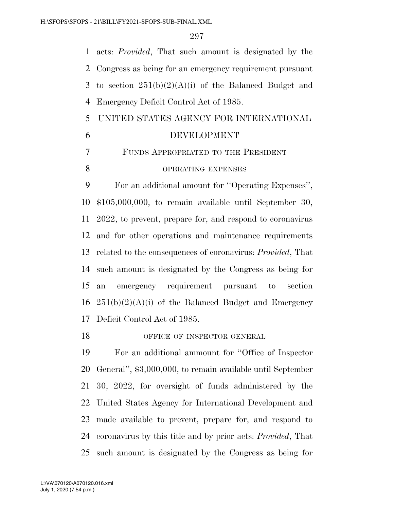acts: *Provided*, That such amount is designated by the Congress as being for an emergency requirement pursuant 3 to section  $251(b)(2)(A)(i)$  of the Balanced Budget and Emergency Deficit Control Act of 1985. UNITED STATES AGENCY FOR INTERNATIONAL DEVELOPMENT FUNDS APPROPRIATED TO THE PRESIDENT 8 OPERATING EXPENSES For an additional amount for ''Operating Expenses'', \$105,000,000, to remain available until September 30,

 2022, to prevent, prepare for, and respond to coronavirus and for other operations and maintenance requirements related to the consequences of coronavirus: *Provided*, That such amount is designated by the Congress as being for an emergency requirement pursuant to section  $251(b)(2)(A)(i)$  of the Balanced Budget and Emergency Deficit Control Act of 1985.

18 OFFICE OF INSPECTOR GENERAL

 For an additional ammount for ''Office of Inspector General'', \$3,000,000, to remain available until September 30, 2022, for oversight of funds administered by the United States Agency for International Development and made available to prevent, prepare for, and respond to coronavirus by this title and by prior acts: *Provided*, That such amount is designated by the Congress as being for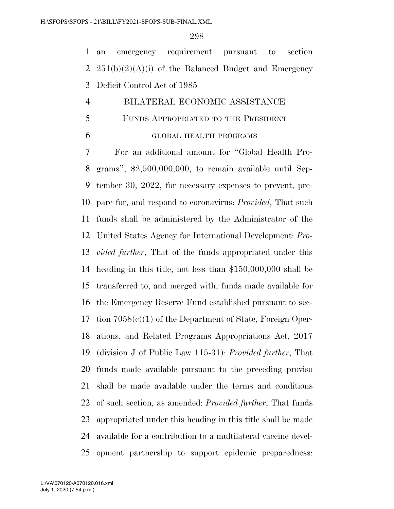an emergency requirement pursuant to section 2  $251(b)(2)(A)(i)$  of the Balanced Budget and Emergency Deficit Control Act of 1985

#### BILATERAL ECONOMIC ASSISTANCE

# FUNDS APPROPRIATED TO THE PRESIDENT

# GLOBAL HEALTH PROGRAMS

 For an additional amount for ''Global Health Pro- grams'', \$2,500,000,000, to remain available until Sep- tember 30, 2022, for necessary expenses to prevent, pre- pare for, and respond to coronavirus: *Provided*, That such funds shall be administered by the Administrator of the United States Agency for International Development: *Pro- vided further*, That of the funds appropriated under this heading in this title, not less than \$150,000,000 shall be transferred to, and merged with, funds made available for the Emergency Reserve Fund established pursuant to sec- tion 7058(c)(1) of the Department of State, Foreign Oper- ations, and Related Programs Appropriations Act, 2017 (division J of Public Law 115-31): *Provided further*, That funds made available pursuant to the preceding proviso shall be made available under the terms and conditions of such section, as amended: *Provided further*, That funds appropriated under this heading in this title shall be made available for a contribution to a multilateral vaccine devel-opment partnership to support epidemic preparedness: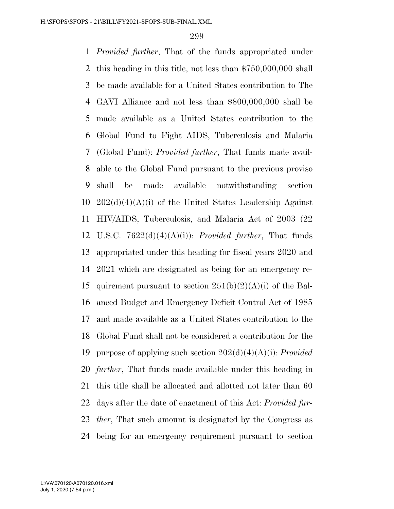*Provided further*, That of the funds appropriated under this heading in this title, not less than \$750,000,000 shall be made available for a United States contribution to The GAVI Alliance and not less than \$800,000,000 shall be made available as a United States contribution to the Global Fund to Fight AIDS, Tuberculosis and Malaria (Global Fund): *Provided further*, That funds made avail- able to the Global Fund pursuant to the previous proviso shall be made available notwithstanding section  $202(d)(4)(A)(i)$  of the United States Leadership Against HIV/AIDS, Tuberculosis, and Malaria Act of 2003 (22 U.S.C. 7622(d)(4)(A)(i)): *Provided further*, That funds appropriated under this heading for fiscal years 2020 and 2021 which are designated as being for an emergency re-15 quirement pursuant to section  $251(b)(2)(A)(i)$  of the Bal- anced Budget and Emergency Deficit Control Act of 1985 and made available as a United States contribution to the Global Fund shall not be considered a contribution for the purpose of applying such section 202(d)(4)(A)(i): *Provided further*, That funds made available under this heading in this title shall be allocated and allotted not later than 60 days after the date of enactment of this Act: *Provided fur- ther*, That such amount is designated by the Congress as being for an emergency requirement pursuant to section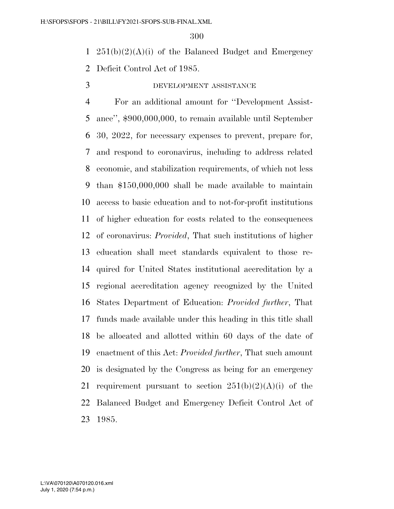1  $251(b)(2)(A)(i)$  of the Balanced Budget and Emergency Deficit Control Act of 1985.

#### DEVELOPMENT ASSISTANCE

 For an additional amount for ''Development Assist- ance'', \$900,000,000, to remain available until September 30, 2022, for necessary expenses to prevent, prepare for, and respond to coronavirus, including to address related economic, and stabilization requirements, of which not less than \$150,000,000 shall be made available to maintain access to basic education and to not-for-profit institutions of higher education for costs related to the consequences of coronavirus: *Provided*, That such institutions of higher education shall meet standards equivalent to those re- quired for United States institutional accreditation by a regional accreditation agency recognized by the United States Department of Education: *Provided further*, That funds made available under this heading in this title shall be allocated and allotted within 60 days of the date of enactment of this Act: *Provided further*, That such amount is designated by the Congress as being for an emergency 21 requirement pursuant to section  $251(b)(2)(A)(i)$  of the Balanced Budget and Emergency Deficit Control Act of 1985.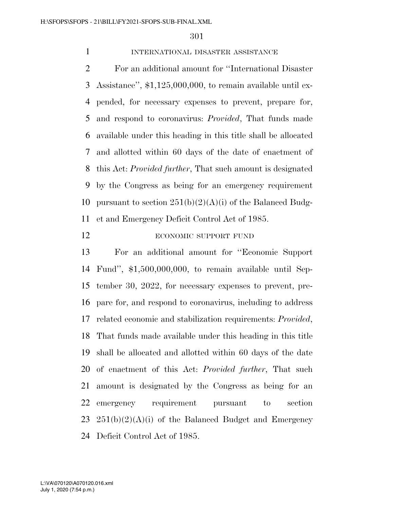### INTERNATIONAL DISASTER ASSISTANCE

 For an additional amount for ''International Disaster Assistance'', \$1,125,000,000, to remain available until ex- pended, for necessary expenses to prevent, prepare for, and respond to coronavirus: *Provided*, That funds made available under this heading in this title shall be allocated and allotted within 60 days of the date of enactment of this Act: *Provided further*, That such amount is designated by the Congress as being for an emergency requirement 10 pursuant to section  $251(b)(2)(A)(i)$  of the Balanced Budg-et and Emergency Deficit Control Act of 1985.

# 12 ECONOMIC SUPPORT FUND

 For an additional amount for ''Economic Support Fund'', \$1,500,000,000, to remain available until Sep- tember 30, 2022, for necessary expenses to prevent, pre- pare for, and respond to coronavirus, including to address related economic and stabilization requirements: *Provided*, That funds made available under this heading in this title shall be allocated and allotted within 60 days of the date of enactment of this Act: *Provided further*, That such amount is designated by the Congress as being for an emergency requirement pursuant to section  $251(b)(2)(A)(i)$  of the Balanced Budget and Emergency Deficit Control Act of 1985.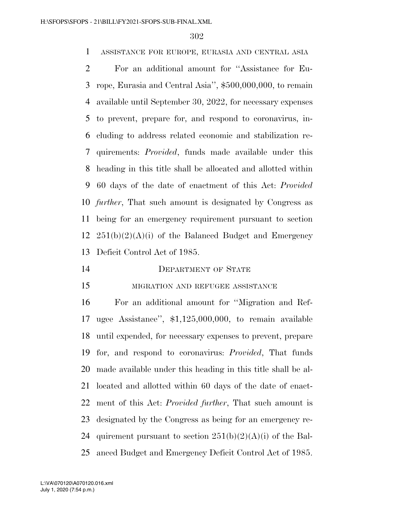ASSISTANCE FOR EUROPE, EURASIA AND CENTRAL ASIA

 For an additional amount for ''Assistance for Eu- rope, Eurasia and Central Asia'', \$500,000,000, to remain available until September 30, 2022, for necessary expenses to prevent, prepare for, and respond to coronavirus, in- cluding to address related economic and stabilization re- quirements: *Provided*, funds made available under this heading in this title shall be allocated and allotted within 60 days of the date of enactment of this Act: *Provided further*, That such amount is designated by Congress as being for an emergency requirement pursuant to section  $251(b)(2)(A)(i)$  of the Balanced Budget and Emergency Deficit Control Act of 1985.

- DEPARTMENT OF STATE
- 

# 15 MIGRATION AND REFUGEE ASSISTANCE

 For an additional amount for ''Migration and Ref- ugee Assistance'', \$1,125,000,000, to remain available until expended, for necessary expenses to prevent, prepare for, and respond to coronavirus: *Provided*, That funds made available under this heading in this title shall be al- located and allotted within 60 days of the date of enact- ment of this Act: *Provided further*, That such amount is designated by the Congress as being for an emergency re-24 quirement pursuant to section  $251(b)(2)(A)(i)$  of the Bal-anced Budget and Emergency Deficit Control Act of 1985.

July 1, 2020 (7:54 p.m.) L:\VA\070120\A070120.016.xml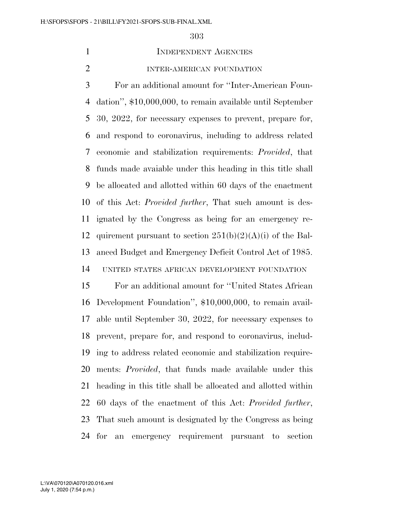1 INDEPENDENT AGENCIES

# INTER-AMERICAN FOUNDATION

 For an additional amount for ''Inter-American Foun- dation'', \$10,000,000, to remain available until September 30, 2022, for necessary expenses to prevent, prepare for, and respond to coronavirus, including to address related economic and stabilization requirements: *Provided*, that funds made avaiable under this heading in this title shall be allocated and allotted within 60 days of the enactment of this Act: *Provided further*, That such amount is des- ignated by the Congress as being for an emergency re-12 quirement pursuant to section  $251(b)(2)(A)(i)$  of the Bal- anced Budget and Emergency Deficit Control Act of 1985. UNITED STATES AFRICAN DEVELOPMENT FOUNDATION

 For an additional amount for ''United States African Development Foundation'', \$10,000,000, to remain avail- able until September 30, 2022, for necessary expenses to prevent, prepare for, and respond to coronavirus, includ- ing to address related economic and stabilization require- ments: *Provided*, that funds made available under this heading in this title shall be allocated and allotted within 60 days of the enactment of this Act: *Provided further*, That such amount is designated by the Congress as being for an emergency requirement pursuant to section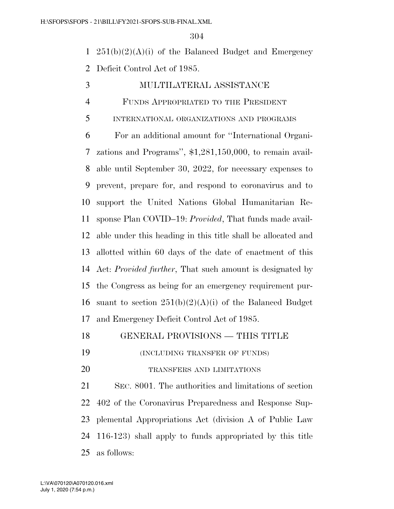1  $251(b)(2)(A)(i)$  of the Balanced Budget and Emergency Deficit Control Act of 1985.

- MULTILATERAL ASSISTANCE
- FUNDS APPROPRIATED TO THE PRESIDENT

INTERNATIONAL ORGANIZATIONS AND PROGRAMS

 For an additional amount for ''International Organi- zations and Programs'', \$1,281,150,000, to remain avail- able until September 30, 2022, for necessary expenses to prevent, prepare for, and respond to coronavirus and to support the United Nations Global Humanitarian Re- sponse Plan COVID–19: *Provided*, That funds made avail- able under this heading in this title shall be allocated and allotted within 60 days of the date of enactment of this Act: *Provided further*, That such amount is designated by the Congress as being for an emergency requirement pur-16 suant to section  $251(b)(2)(A)(i)$  of the Balanced Budget and Emergency Deficit Control Act of 1985.

GENERAL PROVISIONS — THIS TITLE

(INCLUDING TRANSFER OF FUNDS)

TRANSFERS AND LIMITATIONS

 SEC. 8001. The authorities and limitations of section 402 of the Coronavirus Preparedness and Response Sup- plemental Appropriations Act (division A of Public Law 116-123) shall apply to funds appropriated by this title as follows: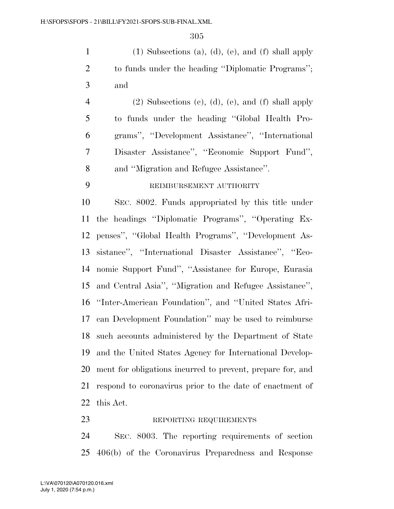1 (1) Subsections (a), (d), (e), and (f) shall apply to funds under the heading ''Diplomatic Programs''; and

| $\overline{4}$ | $(2)$ Subsections $(e)$ , $(d)$ , $(e)$ , and $(f)$ shall apply |
|----------------|-----------------------------------------------------------------|
| 5              | to funds under the heading "Global Health Pro-                  |
| 6              | grams", "Development Assistance", "International                |
| $\tau$         | Disaster Assistance", "Economic Support Fund",                  |
| 8              | and "Migration and Refugee Assistance".                         |

#### REIMBURSEMENT AUTHORITY

 SEC. 8002. Funds appropriated by this title under the headings ''Diplomatic Programs'', ''Operating Ex- penses'', ''Global Health Programs'', ''Development As- sistance'', ''International Disaster Assistance'', ''Eco- nomic Support Fund'', ''Assistance for Europe, Eurasia and Central Asia'', ''Migration and Refugee Assistance'', ''Inter-American Foundation'', and ''United States Afri- can Development Foundation'' may be used to reimburse such accounts administered by the Department of State and the United States Agency for International Develop- ment for obligations incurred to prevent, prepare for, and respond to coronavirus prior to the date of enactment of this Act.

# 23 REPORTING REQUIREMENTS

 SEC. 8003. The reporting requirements of section 406(b) of the Coronavirus Preparedness and Response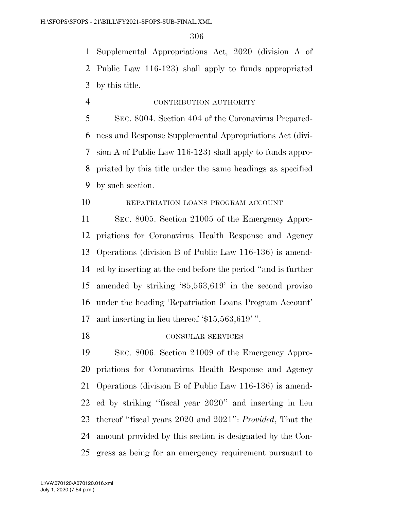Supplemental Appropriations Act, 2020 (division A of Public Law 116-123) shall apply to funds appropriated by this title.

# CONTRIBUTION AUTHORITY

 SEC. 8004. Section 404 of the Coronavirus Prepared- ness and Response Supplemental Appropriations Act (divi- sion A of Public Law 116-123) shall apply to funds appro- priated by this title under the same headings as specified by such section.

# 10 REPATRIATION LOANS PROGRAM ACCOUNT

 SEC. 8005. Section 21005 of the Emergency Appro- priations for Coronavirus Health Response and Agency Operations (division B of Public Law 116-136) is amend- ed by inserting at the end before the period ''and is further amended by striking '\$5,563,619' in the second proviso under the heading 'Repatriation Loans Program Account' and inserting in lieu thereof '\$15,563,619' ''.

### CONSULAR SERVICES

 SEC. 8006. Section 21009 of the Emergency Appro- priations for Coronavirus Health Response and Agency Operations (division B of Public Law 116-136) is amend- ed by striking ''fiscal year 2020'' and inserting in lieu thereof ''fiscal years 2020 and 2021'': *Provided*, That the amount provided by this section is designated by the Con-gress as being for an emergency requirement pursuant to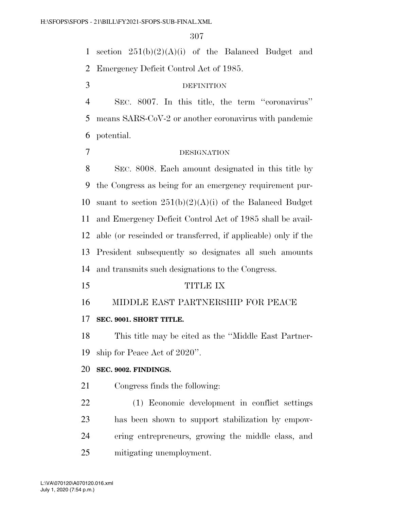1 section  $251(b)(2)(A)(i)$  of the Balanced Budget and Emergency Deficit Control Act of 1985.

## DEFINITION

 SEC. 8007. In this title, the term ''coronavirus'' means SARS-CoV-2 or another coronavirus with pandemic potential.

# DESIGNATION

 SEC. 8008. Each amount designated in this title by the Congress as being for an emergency requirement pur-10 suant to section  $251(b)(2)(A)(i)$  of the Balanced Budget and Emergency Deficit Control Act of 1985 shall be avail- able (or rescinded or transferred, if applicable) only if the President subsequently so designates all such amounts and transmits such designations to the Congress.

TITLE IX

MIDDLE EAST PARTNERSHIP FOR PEACE

#### **SEC. 9001. SHORT TITLE.**

 This title may be cited as the ''Middle East Partner-ship for Peace Act of 2020''.

#### **SEC. 9002. FINDINGS.**

Congress finds the following:

 (1) Economic development in conflict settings has been shown to support stabilization by empow- ering entrepreneurs, growing the middle class, and mitigating unemployment.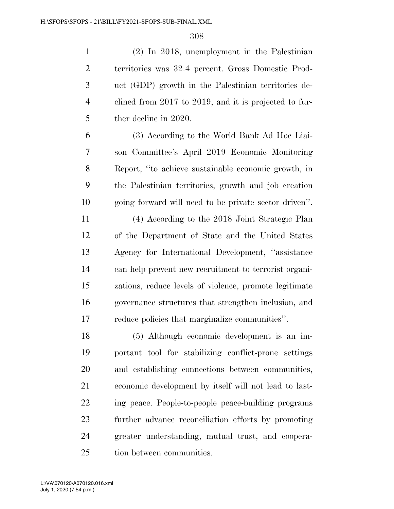(2) In 2018, unemployment in the Palestinian territories was 32.4 percent. Gross Domestic Prod- uct (GDP) growth in the Palestinian territories de- clined from 2017 to 2019, and it is projected to fur-ther decline in 2020.

 (3) According to the World Bank Ad Hoc Liai- son Committee's April 2019 Economic Monitoring Report, ''to achieve sustainable economic growth, in the Palestinian territories, growth and job creation going forward will need to be private sector driven''.

 (4) According to the 2018 Joint Strategic Plan of the Department of State and the United States Agency for International Development, ''assistance can help prevent new recruitment to terrorist organi- zations, reduce levels of violence, promote legitimate governance structures that strengthen inclusion, and reduce policies that marginalize communities''.

 (5) Although economic development is an im- portant tool for stabilizing conflict-prone settings and establishing connections between communities, economic development by itself will not lead to last- ing peace. People-to-people peace-building programs further advance reconciliation efforts by promoting greater understanding, mutual trust, and coopera-tion between communities.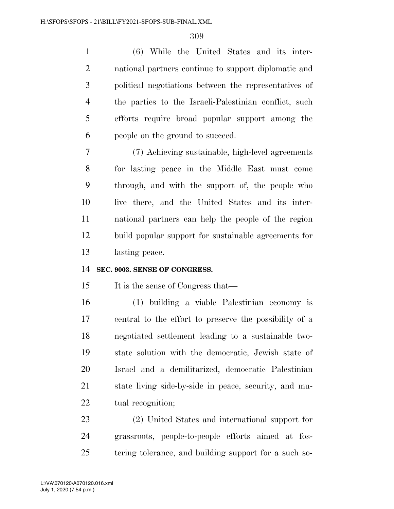(6) While the United States and its inter- national partners continue to support diplomatic and political negotiations between the representatives of the parties to the Israeli-Palestinian conflict, such efforts require broad popular support among the people on the ground to succeed.

 (7) Achieving sustainable, high-level agreements for lasting peace in the Middle East must come through, and with the support of, the people who live there, and the United States and its inter- national partners can help the people of the region build popular support for sustainable agreements for lasting peace.

#### **SEC. 9003. SENSE OF CONGRESS.**

It is the sense of Congress that—

 (1) building a viable Palestinian economy is central to the effort to preserve the possibility of a negotiated settlement leading to a sustainable two- state solution with the democratic, Jewish state of Israel and a demilitarized, democratic Palestinian state living side-by-side in peace, security, and mu-22 tual recognition;

 (2) United States and international support for grassroots, people-to-people efforts aimed at fos-tering tolerance, and building support for a such so-

July 1, 2020 (7:54 p.m.) L:\VA\070120\A070120.016.xml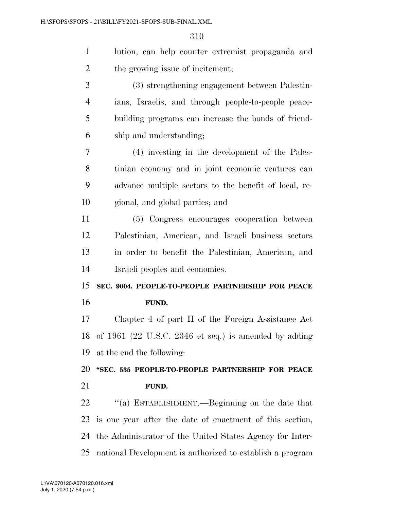| $\mathbf{1}$   | lution, can help counter extremist propaganda and         |
|----------------|-----------------------------------------------------------|
| 2              | the growing issue of incitement;                          |
| 3              | (3) strengthening engagement between Palestin-            |
| $\overline{4}$ | ians, Israelis, and through people-to-people peace-       |
| 5              | building programs can increase the bonds of friend-       |
| 6              | ship and understanding;                                   |
| 7              | (4) investing in the development of the Pales-            |
| 8              | tinian economy and in joint economic ventures can         |
| 9              | advance multiple sectors to the benefit of local, re-     |
| 10             | gional, and global parties; and                           |
| 11             | (5) Congress encourages cooperation between               |
| 12             | Palestinian, American, and Israeli business sectors       |
| 13             | in order to benefit the Palestinian, American, and        |
| 14             | Israeli peoples and economies.                            |
| 15             | SEC. 9004. PEOPLE-TO-PEOPLE PARTNERSHIP FOR PEACE         |
| 16             | FUND.                                                     |
| 17             | Chapter 4 of part II of the Foreign Assistance Act        |
|                | 18 of 1961 (22 U.S.C. 2346 et seq.) is amended by adding  |
| 19             | at the end the following:                                 |
| 20             | "SEC. 535 PEOPLE-TO-PEOPLE PARTNERSHIP FOR PEACE          |
| 21             | FUND.                                                     |
| 22             | "(a) ESTABLISHMENT.—Beginning on the date that            |
| 23             | is one year after the date of enactment of this section,  |
| 24             | the Administrator of the United States Agency for Inter-  |
| 25             | national Development is authorized to establish a program |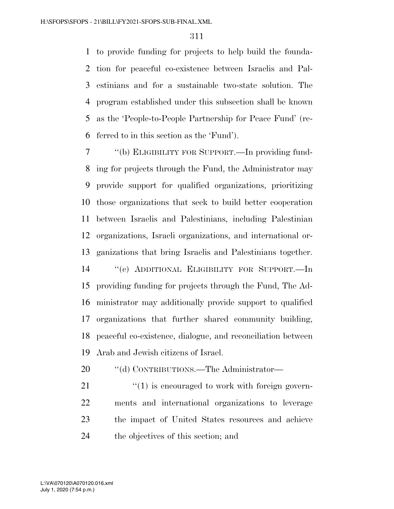to provide funding for projects to help build the founda- tion for peaceful co-existence between Israelis and Pal- estinians and for a sustainable two-state solution. The program established under this subsection shall be known as the 'People-to-People Partnership for Peace Fund' (re-ferred to in this section as the 'Fund').

 ''(b) ELIGIBILITY FOR SUPPORT.—In providing fund- ing for projects through the Fund, the Administrator may provide support for qualified organizations, prioritizing those organizations that seek to build better cooperation between Israelis and Palestinians, including Palestinian organizations, Israeli organizations, and international or- ganizations that bring Israelis and Palestinians together. ''(c) ADDITIONAL ELIGIBILITY FOR SUPPORT.—In providing funding for projects through the Fund, The Ad- ministrator may additionally provide support to qualified organizations that further shared community building, peaceful co-existence, dialogue, and reconciliation between Arab and Jewish citizens of Israel.

- 20 "(d) CONTRIBUTIONS.—The Administrator—
- "(1) is encouraged to work with foreign govern- ments and international organizations to leverage the impact of United States resources and achieve the objectives of this section; and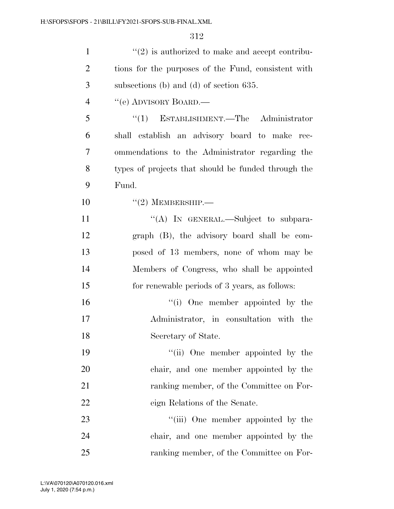| $\mathbf{1}$   | $\cdot\cdot\cdot(2)$ is authorized to make and accept contribu- |
|----------------|-----------------------------------------------------------------|
| $\overline{2}$ | tions for the purposes of the Fund, consistent with             |
| 3              | subsections (b) and (d) of section $635$ .                      |
| $\overline{4}$ | "(e) ADVISORY BOARD.—                                           |
| 5              | "(1) ESTABLISHMENT.—The Administrator                           |
| 6              | shall establish an advisory board to make rec-                  |
| 7              | ommendations to the Administrator regarding the                 |
| 8              | types of projects that should be funded through the             |
| 9              | Fund.                                                           |
| 10             | $``(2)$ MEMBERSHIP.—                                            |
| 11             | "(A) IN GENERAL.—Subject to subpara-                            |
| 12             | graph (B), the advisory board shall be com-                     |
| 13             | posed of 13 members, none of whom may be                        |
| 14             | Members of Congress, who shall be appointed                     |
| 15             | for renewable periods of 3 years, as follows:                   |
| 16             | "(i) One member appointed by the                                |
| 17             | Administrator, in consultation with the                         |
| 18             | Secretary of State.                                             |
| 19             | "(ii) One member appointed by the                               |
| 20             | chair, and one member appointed by the                          |
| 21             | ranking member, of the Committee on For-                        |
| 22             | eign Relations of the Senate.                                   |
| 23             | "(iii) One member appointed by the                              |
| 24             | chair, and one member appointed by the                          |
| 25             | ranking member, of the Committee on For-                        |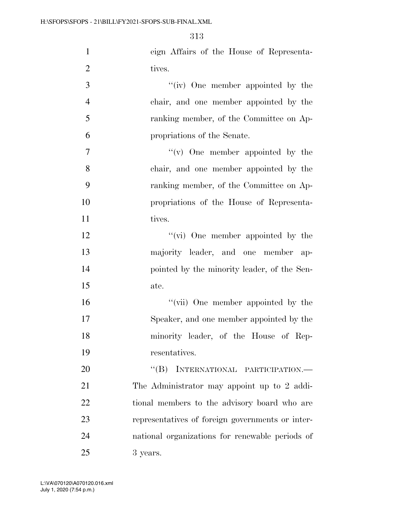| $\mathbf{1}$   | eign Affairs of the House of Representa-         |
|----------------|--------------------------------------------------|
| $\overline{2}$ | tives.                                           |
| $\overline{3}$ | "(iv) One member appointed by the                |
| $\overline{4}$ | chair, and one member appointed by the           |
| 5              | ranking member, of the Committee on Ap-          |
| 6              | propriations of the Senate.                      |
| $\tau$         | $f'(v)$ One member appointed by the              |
| 8              | chair, and one member appointed by the           |
| 9              | ranking member, of the Committee on Ap-          |
| 10             | propriations of the House of Representa-         |
| 11             | tives.                                           |
| 12             | "(vi) One member appointed by the                |
| 13             | majority leader, and one member<br>$ap-$         |
| 14             | pointed by the minority leader, of the Sen-      |
| 15             | ate.                                             |
| 16             | "(vii) One member appointed by the               |
| 17             | Speaker, and one member appointed by the         |
| 18             | minority leader, of the House of Rep-            |
| 19             | resentatives.                                    |
| 20             | $\lq\lq (B)$<br>INTERNATIONAL PARTICIPATION.-    |
| 21             | The Administrator may appoint up to 2 addi-      |
| 22             | tional members to the advisory board who are     |
| 23             | representatives of foreign governments or inter- |
| 24             | national organizations for renewable periods of  |
| 25             | 3 years.                                         |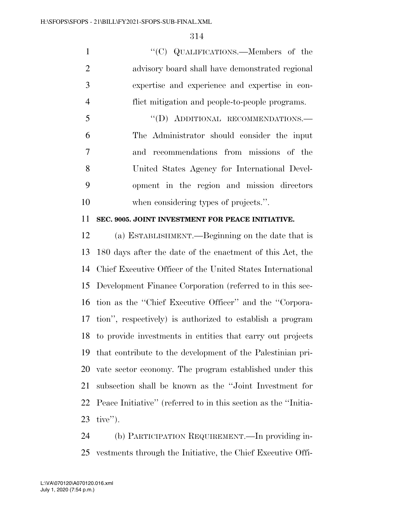1 ''(C) QUALIFICATIONS.—Members of the advisory board shall have demonstrated regional expertise and experience and expertise in con-flict mitigation and people-to-people programs.

5 "(D) ADDITIONAL RECOMMENDATIONS.— The Administrator should consider the input and recommendations from missions of the United States Agency for International Devel- opment in the region and mission directors when considering types of projects.''.

### **SEC. 9005. JOINT INVESTMENT FOR PEACE INITIATIVE.**

 (a) ESTABLISHMENT.—Beginning on the date that is 180 days after the date of the enactment of this Act, the Chief Executive Officer of the United States International Development Finance Corporation (referred to in this sec- tion as the ''Chief Executive Officer'' and the ''Corpora- tion'', respectively) is authorized to establish a program to provide investments in entities that carry out projects that contribute to the development of the Palestinian pri- vate sector economy. The program established under this subsection shall be known as the ''Joint Investment for Peace Initiative'' (referred to in this section as the ''Initia-tive'').

 (b) PARTICIPATION REQUIREMENT.—In providing in-vestments through the Initiative, the Chief Executive Offi-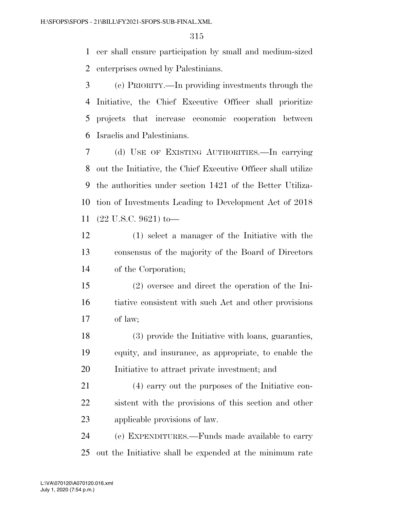cer shall ensure participation by small and medium-sized enterprises owned by Palestinians.

 (c) PRIORITY.—In providing investments through the Initiative, the Chief Executive Officer shall prioritize projects that increase economic cooperation between Israelis and Palestinians.

 (d) USE OF EXISTING AUTHORITIES.—In carrying out the Initiative, the Chief Executive Officer shall utilize the authorities under section 1421 of the Better Utiliza- tion of Investments Leading to Development Act of 2018 (22 U.S.C. 9621) to—

 (1) select a manager of the Initiative with the consensus of the majority of the Board of Directors of the Corporation;

 (2) oversee and direct the operation of the Ini- tiative consistent with such Act and other provisions of law;

 (3) provide the Initiative with loans, guaranties, equity, and insurance, as appropriate, to enable the Initiative to attract private investment; and

 (4) carry out the purposes of the Initiative con- sistent with the provisions of this section and other applicable provisions of law.

 (e) EXPENDITURES.—Funds made available to carry out the Initiative shall be expended at the minimum rate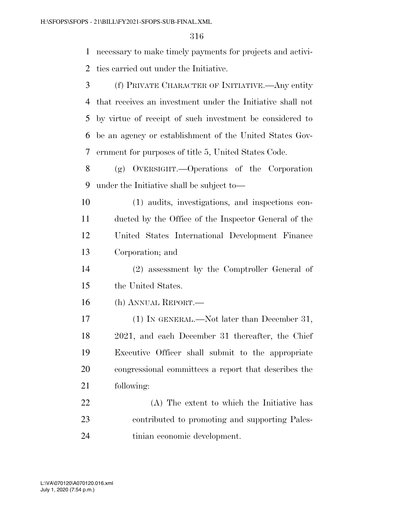necessary to make timely payments for projects and activi-

ties carried out under the Initiative.

 (f) PRIVATE CHARACTER OF INITIATIVE.—Any entity that receives an investment under the Initiative shall not by virtue of receipt of such investment be considered to be an agency or establishment of the United States Gov-ernment for purposes of title 5, United States Code.

 (g) OVERSIGHT.—Operations of the Corporation under the Initiative shall be subject to—

 (1) audits, investigations, and inspections con- ducted by the Office of the Inspector General of the United States International Development Finance Corporation; and

 (2) assessment by the Comptroller General of the United States.

(h) ANNUAL REPORT.—

 (1) IN GENERAL.—Not later than December 31, 2021, and each December 31 thereafter, the Chief Executive Officer shall submit to the appropriate congressional committees a report that describes the following:

 (A) The extent to which the Initiative has contributed to promoting and supporting Pales-tinian economic development.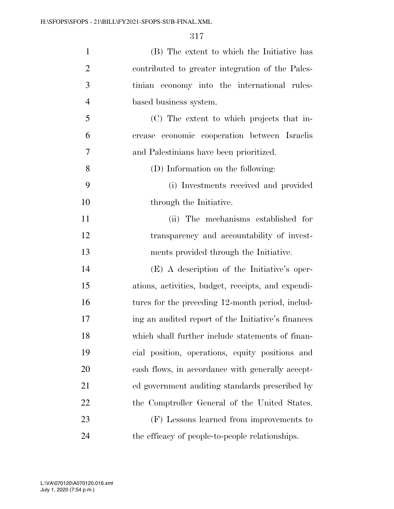| $\mathbf{1}$   | (B) The extent to which the Initiative has         |
|----------------|----------------------------------------------------|
| $\overline{2}$ | contributed to greater integration of the Pales-   |
| 3              | tinian economy into the international rules-       |
| $\overline{4}$ | based business system.                             |
| 5              | (C) The extent to which projects that in-          |
| 6              | crease economic cooperation between Israelis       |
| 7              | and Palestinians have been prioritized.            |
| 8              | (D) Information on the following:                  |
| 9              | (i) Investments received and provided              |
| 10             | through the Initiative.                            |
| 11             | (ii) The mechanisms established for                |
| 12             | transparency and accountability of invest-         |
| 13             | ments provided through the Initiative.             |
| 14             | (E) A description of the Initiative's oper-        |
| 15             | ations, activities, budget, receipts, and expendi- |
| 16             | tures for the preceding 12-month period, includ-   |
| 17             | ing an audited report of the Initiative's finances |
| 18             | which shall further include statements of finan-   |
| 19             | cial position, operations, equity positions and    |
| 20             | cash flows, in accordance with generally accept-   |
| 21             | ed government auditing standards prescribed by     |
| 22             | the Comptroller General of the United States.      |
| 23             | (F) Lessons learned from improvements to           |
| 24             | the efficacy of people-to-people relationships.    |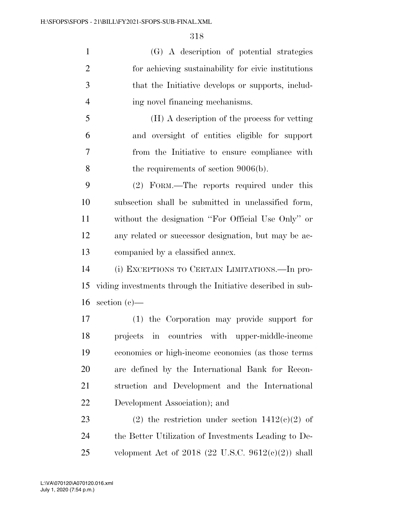(G) A description of potential strategies for achieving sustainability for civic institutions that the Initiative develops or supports, includ-ing novel financing mechanisms.

 (H) A description of the process for vetting and oversight of entities eligible for support from the Initiative to ensure compliance with 8 the requirements of section 9006(b).

 (2) FORM.—The reports required under this subsection shall be submitted in unclassified form, without the designation ''For Official Use Only'' or any related or successor designation, but may be ac-companied by a classified annex.

 (i) EXCEPTIONS TO CERTAIN LIMITATIONS.—In pro- viding investments through the Initiative described in sub-16 section  $(c)$ —

 (1) the Corporation may provide support for projects in countries with upper-middle-income economies or high-income economies (as those terms are defined by the International Bank for Recon- struction and Development and the International Development Association); and

23 (2) the restriction under section  $1412(c)(2)$  of the Better Utilization of Investments Leading to De-25 velopment Act of 2018 (22 U.S.C.  $9612(c)(2)$ ) shall

July 1, 2020 (7:54 p.m.) L:\VA\070120\A070120.016.xml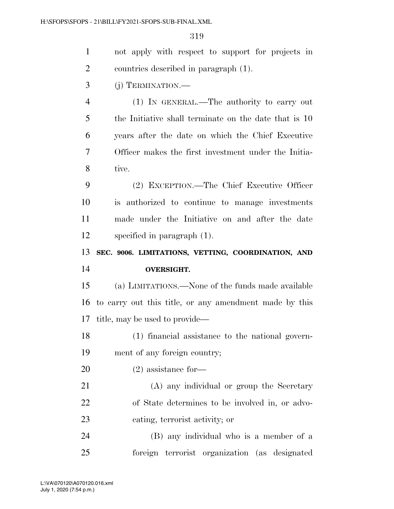| $\mathbf{1}$   | not apply with respect to support for projects in      |
|----------------|--------------------------------------------------------|
| $\overline{2}$ | countries described in paragraph (1).                  |
| 3              | (j) TERMINATION.-                                      |
| $\overline{4}$ | (1) IN GENERAL.—The authority to carry out             |
| 5              | the Initiative shall terminate on the date that is 10  |
| 6              | years after the date on which the Chief Executive      |
| 7              | Officer makes the first investment under the Initia-   |
| 8              | tive.                                                  |
| 9              | (2) EXCEPTION.—The Chief Executive Officer             |
| 10             | is authorized to continue to manage investments        |
| 11             | made under the Initiative on and after the date        |
| 12             | specified in paragraph $(1)$ .                         |
|                |                                                        |
| 13             | SEC. 9006. LIMITATIONS, VETTING, COORDINATION, AND     |
| 14             | <b>OVERSIGHT.</b>                                      |
| 15             | (a) LIMITATIONS.—None of the funds made available      |
| 16             | to carry out this title, or any amendment made by this |
| 17             | title, may be used to provide—                         |
| 18             | (1) financial assistance to the national govern-       |
| 19             | ment of any foreign country;                           |
| 20             | $(2)$ assistance for-                                  |
| 21             | (A) any individual or group the Secretary              |
| 22             | of State determines to be involved in, or advo-        |
| 23             | cating, terrorist activity; or                         |
| 24             | (B) any individual who is a member of a                |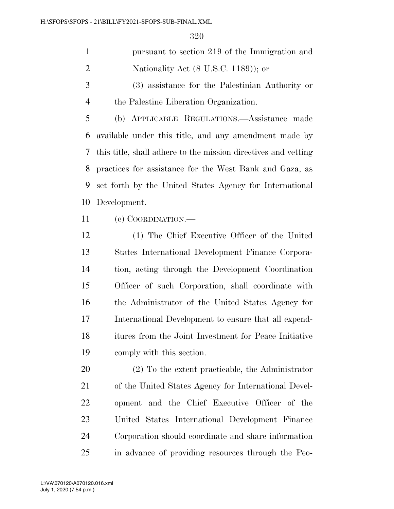|    | pursuant to section 219 of the Immigration and  |
|----|-------------------------------------------------|
| 2  | Nationality Act $(8 \text{ U.S.C. } 1189)$ ; or |
| -3 | (3) assistance for the Palestinian Authority or |
|    | the Palestine Liberation Organization.          |

 (b) APPLICABLE REGULATIONS.—Assistance made available under this title, and any amendment made by this title, shall adhere to the mission directives and vetting practices for assistance for the West Bank and Gaza, as set forth by the United States Agency for International Development.

(c) COORDINATION.—

 (1) The Chief Executive Officer of the United States International Development Finance Corpora- tion, acting through the Development Coordination Officer of such Corporation, shall coordinate with the Administrator of the United States Agency for International Development to ensure that all expend- itures from the Joint Investment for Peace Initiative comply with this section.

 (2) To the extent practicable, the Administrator of the United States Agency for International Devel- opment and the Chief Executive Officer of the United States International Development Finance Corporation should coordinate and share information in advance of providing resources through the Peo-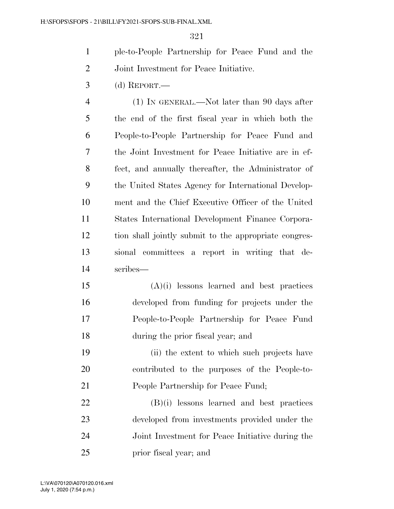- ple-to-People Partnership for Peace Fund and the Joint Investment for Peace Initiative.
- (d) REPORT.—

 (1) IN GENERAL.—Not later than 90 days after the end of the first fiscal year in which both the People-to-People Partnership for Peace Fund and the Joint Investment for Peace Initiative are in ef- fect, and annually thereafter, the Administrator of the United States Agency for International Develop- ment and the Chief Executive Officer of the United States International Development Finance Corpora- tion shall jointly submit to the appropriate congres- sional committees a report in writing that de-scribes—

 (A)(i) lessons learned and best practices developed from funding for projects under the People-to-People Partnership for Peace Fund during the prior fiscal year; and

 (ii) the extent to which such projects have contributed to the purposes of the People-to-People Partnership for Peace Fund;

 (B)(i) lessons learned and best practices developed from investments provided under the Joint Investment for Peace Initiative during the prior fiscal year; and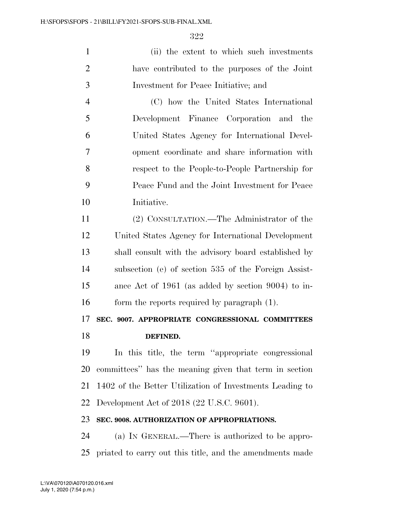(ii) the extent to which such investments have contributed to the purposes of the Joint Investment for Peace Initiative; and

 (C) how the United States International Development Finance Corporation and the United States Agency for International Devel- opment coordinate and share information with respect to the People-to-People Partnership for Peace Fund and the Joint Investment for Peace Initiative.

 (2) CONSULTATION.—The Administrator of the United States Agency for International Development shall consult with the advisory board established by subsection (e) of section 535 of the Foreign Assist- ance Act of 1961 (as added by section 9004) to in-form the reports required by paragraph (1).

# **SEC. 9007. APPROPRIATE CONGRESSIONAL COMMITTEES DEFINED.**

 In this title, the term ''appropriate congressional committees'' has the meaning given that term in section 1402 of the Better Utilization of Investments Leading to Development Act of 2018 (22 U.S.C. 9601).

#### **SEC. 9008. AUTHORIZATION OF APPROPRIATIONS.**

 (a) IN GENERAL.—There is authorized to be appro-priated to carry out this title, and the amendments made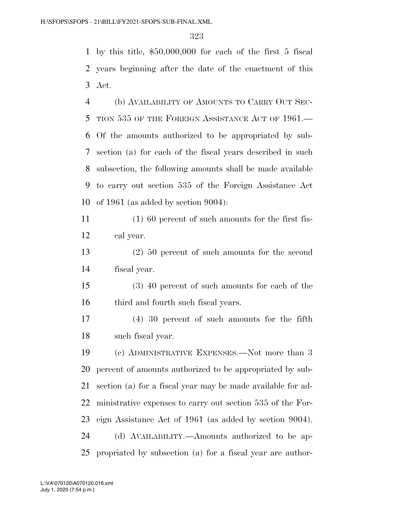by this title, \$50,000,000 for each of the first 5 fiscal years beginning after the date of the enactment of this Act.

 (b) AVAILABILITY OF AMOUNTS TO CARRY OUT SEC-5 TION 535 OF THE FOREIGN ASSISTANCE ACT OF 1961.— Of the amounts authorized to be appropriated by sub- section (a) for each of the fiscal years described in such subsection, the following amounts shall be made available to carry out section 535 of the Foreign Assistance Act of 1961 (as added by section 9004):

 (1) 60 percent of such amounts for the first fis-cal year.

 (2) 50 percent of such amounts for the second fiscal year.

 (3) 40 percent of such amounts for each of the 16 third and fourth such fiscal years.

 (4) 30 percent of such amounts for the fifth such fiscal year.

 (c) ADMINISTRATIVE EXPENSES.—Not more than 3 percent of amounts authorized to be appropriated by sub- section (a) for a fiscal year may be made available for ad- ministrative expenses to carry out section 535 of the For- eign Assistance Act of 1961 (as added by section 9004). (d) AVAILABILITY.—Amounts authorized to be ap-propriated by subsection (a) for a fiscal year are author-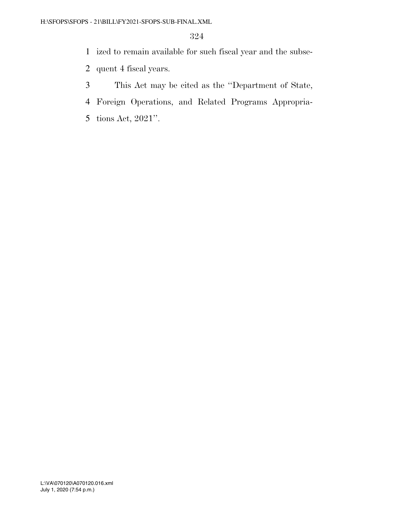- ized to remain available for such fiscal year and the subse-
- quent 4 fiscal years.
- This Act may be cited as the ''Department of State,
- Foreign Operations, and Related Programs Appropria-
- tions Act, 2021''.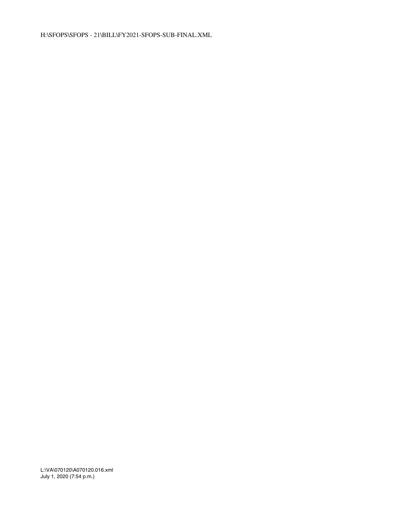July 1, 2020 (7:54 p.m.) L:\VA\070120\A070120.016.xml